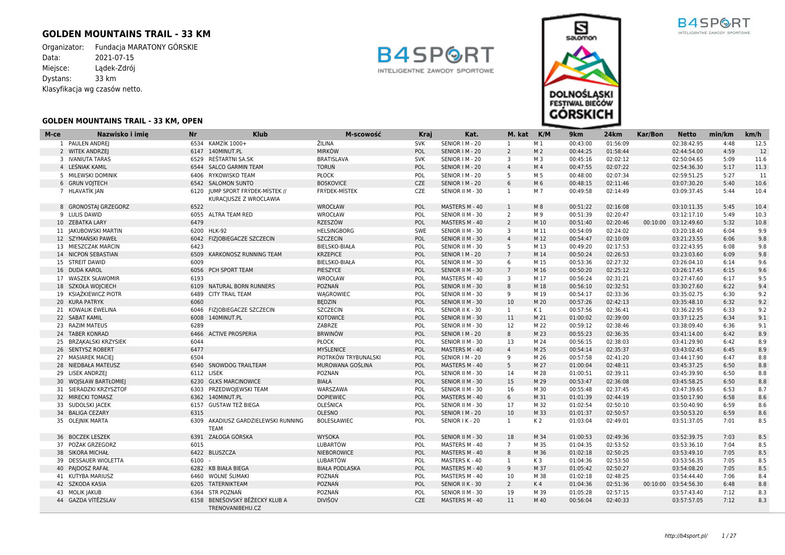## **GOLDEN MOUNTAINS TRAIL - 33 KM**

Organizator: Fundacja MARATONY GÓRSKIE<br>Data: 2021-07-15  $2021 - 07 - 15$ Miejsce: Lądek-Zdrój Dystans: 33 km Klasyfikacja wg czasów netto.





| M-ce | Nazwisko i imie        | <b>Nr</b> | <b>Klub</b>                                   | M-scowość             | <b>Kraj</b> | Kat.             | M. kat K/M      |                | 9 <sub>km</sub> | 24km     | Kar/Bon  | <b>Netto</b>         | min/km | km/h |
|------|------------------------|-----------|-----------------------------------------------|-----------------------|-------------|------------------|-----------------|----------------|-----------------|----------|----------|----------------------|--------|------|
|      | 1 PAULEN ANDREJ        |           | 6534 KAMZİK 1000+                             | ŽILINA                | <b>SVK</b>  | SENIOR   M - 20  | 1               | M 1            | 00:43:00        | 01:56:09 |          | 02:38:42.95          | 4:48   | 12.5 |
|      | 2 WITEK ANDRZEI        |           | 6147 140MINUT.PL                              | <b>MIRKÓW</b>         | POL         | SENIOR   M - 20  | 2               | M <sub>2</sub> | 00:44:25        | 01:58:44 |          | 02:44:54.00          | 4:59   | 12   |
|      | 3 IVANIUTA TARAS       |           | 6529 RESTARTNI SA.SK                          | <b>BRATISLAVA</b>     | <b>SVK</b>  | SENIOR I M - 20  | 3               | M 3            | 00:45:16        | 02:02:12 |          | 02:50:04.65          | 5:09   | 11.6 |
|      | 4 LEŚNIAK KAMIL        | 6544      | <b>SALCO GARMIN TEAM</b>                      | <b>TORUŃ</b>          | POL         | SENIOR   M - 20  | $\overline{4}$  | M <sub>4</sub> | 00:47:55        | 02:07:22 |          | 02:54:36.30          | 5:17   | 11.3 |
|      | 5 MILEWSKI DOMINIK     |           | 6406 RYKOWISKO TEAM                           | PŁOCK                 | POL         | SENIOR   M - 20  | 5               | M 5            | 00:48:00        | 02:07:34 |          | 02:59:51.25          | 5:27   | 11   |
|      | 6 GRUN VOJTECH         |           | 6542 SALOMON SUNTO                            | <b>BOSKOVICE</b>      | <b>CZE</b>  | SENIOR   M - 20  | 6               | M 6            | 00:48:15        | 02:11:46 |          | 03:07:30.20          | 5:40   | 10.6 |
|      | 7 HLAVATİK JAN         |           | 6120 JUMP SPORT FRÝDEK-MÍSTEK //              | <b>FRYDEK-MISTEK</b>  | <b>CZE</b>  | SENIOR II M - 30 | 1               | M 7            | 00:49:58        | 02:14:49 |          | 03:09:37.45          | 5:44   | 10.4 |
|      |                        |           | KURACJUSZE Z WROCLAWIA                        |                       |             |                  |                 |                |                 |          |          |                      |        |      |
|      | 8 GRONOSTAI GRZEGORZ   | 6522      |                                               | WROCŁAW               | <b>POL</b>  | MASTERS M - 40   | $\mathbf{1}$    | M8             | 00:51:22        | 02:16:08 |          | 03:10:11.35          | 5:45   | 10.4 |
|      | 9 LULIS DAWID          |           | 6055 ALTRA TEAM RED                           | WROCŁAW               | POL         | SENIOR II M - 30 | 2               | M 9            | 00:51:39        | 02:20:47 |          | 03:12:17.10          | 5:49   | 10.3 |
|      | 10 ZEBATKA LARY        | 6479      |                                               | <b>RZESZÓW</b>        | POL         | MASTERS M - 40   | 2               | M 10           | 00:51:40        | 02:20:46 | 00:10:00 | 03:12:49.60          | 5:32   | 10.8 |
|      | 11 JAKUBOWSKI MARTIN   |           | 6200 HLK-92                                   | <b>HELSINGBORG</b>    | <b>SWE</b>  | SENIOR II M - 30 | 3               | M 11           | 00:54:09        | 02:24:02 |          | 03:20:18.40          | 6:04   | 9.9  |
|      | 12 SZYMAŃSKI PAWEŁ     |           | 6042 FIZJOBIEGACZE SZCZECIN                   | <b>SZCZECIN</b>       | POL         | SENIOR II M - 30 | $\overline{4}$  | M 12           | 00:54:47        | 02:10:09 |          | 03:21:23.55          | 6:06   | 9.8  |
|      | 13 MIESZCZAK MARCIN    | 6423      |                                               | <b>BIELSKO-BIAŁA</b>  | POL         | SENIOR II M - 30 | 5               | M 13           | 00:49:20        | 02:17:53 |          | 03:22:43.95          | 6:08   | 9.8  |
|      | 14 NICPOŃ SEBASTIAN    | 6509      | KARKONOSZ RUNNING TEAM                        | <b>KRZEPICE</b>       | POL         | SENIOR   M - 20  | $7\overline{ }$ | M 14           | 00:50:24        | 02:26:53 |          | 03:23:03.60          | 6:09   | 9.8  |
|      | 15 STREIT DAWID        | 6009      |                                               | <b>BIELSKO-BIAŁA</b>  | POL         | SENIOR II M - 30 | 6               | M 15           | 00:53:36        | 02:27:32 |          | 03:26:04.10          | 6:14   | 9.6  |
|      | 16 DUDA KAROL          |           | 6056 PCH SPORT TEAM                           | PIESZYCE              | POL         | SENIOR II M - 30 | $7\overline{ }$ | M 16           | 00:50:20        | 02:25:12 |          | 03:26:17.45          | 6:15   | 9.6  |
|      | 17 WASZEK SŁAWOMIR     | 6193      |                                               | WROCŁAW               | POL         | MASTERS M - 40   | 3               | M 17           | 00:56:24        | 02:31:21 |          | 03:27:47.60          | 6:17   | 9.5  |
|      | 18 SZKOŁA WOJCIECH     |           | 6109 NATURAL BORN RUNNERS                     | POZNAŃ                | POL         | SENIOR II M - 30 | 8               | M 18           | 00:56:10        | 02:32:51 |          | 03:30:27.60          | 6:22   | 9.4  |
|      | 19 KSIAŻKIEWICZ PIOTR  | 6489      | <b>CITY TRAIL TEAM</b>                        | WAGROWIEC             | POL         | SENIOR II M - 30 | 9               | M 19           | 00:54:17        | 02:33:36 |          | 03:35:02.75          | 6:30   | 9.2  |
|      | 20 KURA PATRYK         | 6060      |                                               | <b>BEDZIN</b>         | POL         | SENIOR II M - 30 | 10              | M 20           | 00:57:26        | 02:42:13 |          | 03:35:48.10          | 6:32   | 9.2  |
|      | 21 KOWALIK EWELINA     |           | 6046 FIZJOBIEGACZE SZCZECIN                   | <b>SZCZECIN</b>       | POL         | SENIOR II K - 30 | $\mathbf{1}$    | K 1            | 00:57:56        | 02:36:41 |          | 03:36:22.95          | 6:33   | 9.2  |
|      | 22 SABAT KAMIL         |           | 6008 140MINUT.PL                              | <b>KOTOWICE</b>       | POL         | SENIOR II M - 30 | 11              | M 21           | 01:00:02        | 02:39:00 |          | 03:37:12.25          | 6:34   | 9.1  |
|      | 23 RAZIM MATEUS        | 6289      |                                               | ZABRZE                | POL         | SENIOR II M - 30 | 12              | M 22           | 00:59:12        | 02:38:46 |          | 03:38:09.40          | 6:36   | 9.1  |
|      | 24 TABER KONRAD        |           | 6466 ACTIVE PROSPERIA                         | <b>BRWINÓW</b>        | POL         | SENIOR   M - 20  | 8               | M 23           | 00:55:23        | 02:36:35 |          | 03:41:14.00          | 6:42   | 8.9  |
|      | 25 BRZĄKALSKI KRZYSIEK | 6044      |                                               | PŁOCK                 | POL         | SENIOR II M - 30 | 13              | M 24           | 00:56:15        | 02:38:03 |          | 03:41:29.90          | 6:42   | 8.9  |
|      | 26 SENTYSZ ROBERT      | 6477      |                                               | <b>MYŚLENICE</b>      | POL         | MASTERS M - 40   | $\overline{4}$  | M 25           | 00:54:14        | 02:35:37 |          | 03:43:02.45          | 6:45   | 8.9  |
|      | 27 MASIAREK MACIEJ     | 6504      |                                               | PIOTRKÓW TRYBUNALSKI  | POL         | SENIOR   M - 20  | 9               | M 26           | 00:57:58        | 02:41:20 |          | 03:44:17.90          | 6:47   | 8.8  |
|      | 28 NIEDBAŁA MATEUSZ    | 6540      | <b>SNOWDOG TRAILTEAM</b>                      | MUROWANA GOŚLINA      | POL         | MASTERS M - 40   | 5               | M 27           | 01:00:04        | 02:48:11 |          | 03:45:37.25          | 6:50   | 8.8  |
|      | 29 LISEK ANDRZEJ       |           | 6112 LISEK                                    | <b>POZNAN</b>         | POL         | SENIOR II M - 30 | 14              | M 28           | 01:00:51        | 02:39:11 |          | 03:45:39.90          | 6:50   | 8.8  |
|      | 30 WOISŁAW BARTŁOMIEJ  |           | 6230 GLKS MARCINOWICE                         | <b>BIAŁA</b>          | POL         | SENIOR II M - 30 | 15              | M 29           | 00:53:47        | 02:36:08 |          | 03:45:58.25          | 6:50   | 8.8  |
|      | 31 SIERADZKI KRZYSZTOF | 6303      | PRZEDWOJEWSKI TEAM                            | WARSZAWA              | POL         | SENIOR II M - 30 | 16              | M 30           | 00:55:48        | 02:37:45 |          | 03:47:39.65          | 6:53   | 8.7  |
|      | 32 MIRECKI TOMASZ      |           | 6362 140MINUT.PL                              | <b>DOPIEWIEC</b>      | POL         | MASTERS M - 40   | 6               | M 31           | 01:01:39        | 02:44:19 |          | 03:50:17.90          | 6:58   | 8.6  |
|      | 33 SUDOLSKI JACEK      |           | 6157 GUSTAW TEŻ BIEGA                         | OLEŚNICA              | POL         | SENIOR II M - 30 | 17              | M 32           | 01:02:54        | 02:50:10 |          | 03:50:40.90          | 6:59   | 8.6  |
|      | 34 BALIGA CEZARY       | 6315      |                                               | <b>OLESNO</b>         | POL         | SENIOR   M - 20  | 10              | M 33           | 01:01:37        | 02:50:57 |          | 03:50:53.20          | 6:59   | 8.6  |
|      | 35 OLEJNIK MARTA       |           | 6309 AKADIUSZ GARDZIELEWSKI RUNNING           | <b>BOLESŁAWIEC</b>    | POL         | SENIOR I K - 20  | $\mathbf{1}$    | K 2            | 01:03:04        | 02:49:01 |          | 03:51:37.05          | 7:01   | 8.5  |
|      |                        |           | <b>TEAM</b>                                   |                       |             |                  |                 |                |                 |          |          |                      |        |      |
|      | 36 BOCZEK LESZEK       |           | 6391 ZAŁOGA GÓRSKA                            | <b>WYSOKA</b>         | POL         | SENIOR II M - 30 | 18              | M 34           | 01:00:53        | 02:49:36 |          | 03:52:39.75          | 7:03   | 8.5  |
|      | 37 POŻAK GRZEGORZ      | 6015      |                                               | LUBARTÓW              | POL         | MASTERS M - 40   | $7^{\circ}$     | M 35           | 01:04:35        | 02:53:52 |          | 03:53:36.10          | 7:04   | 8.5  |
|      | 38 SIKORA MICHAŁ       |           | 6422 BLUSZCZA                                 | <b>NIEBOROWICE</b>    | POL         | MASTERS M - 40   | 8               | M 36           | 01:02:18        | 02:50:25 |          | 03:53:49.10          | 7:05   | 8.5  |
|      | 39 DESSAUER WIOLETTA   | 6100      |                                               | LUBARTÓW              | POL         | MASTERS K - 40   | 1               | K3             | 01:04:36        | 02:53:50 |          | 03:53:56.35          | 7:05   | 8.5  |
|      | 40 PAIDOSZ RAFAŁ       |           | 6282 KB BIAŁA BIEGA                           | <b>BIAŁA PODLASKA</b> | POL         | MASTERS M - 40   | 9               | M 37           | 01:05:42        | 02:50:27 |          | 03:54:08.20          | 7:05   | 8.5  |
|      | 41 KUTYBA MARIUSZ      | 6460      | WOLNE ŚLIMAKI                                 | POZNAŃ                | POL         | MASTERS M - 40   | 10              | M 38           | 01:02:18        | 02:48:25 |          | 03:54:44.40          | 7:06   | 8.4  |
|      | 42 SZKODA KASIA        |           | 6205 TATERNIKTEAM                             | POZNAŃ                | POL         | SENIOR II K - 30 | $\overline{2}$  | K4             | 01:04:36        | 02:51:36 |          | 00:10:00 03:54:56.30 | 6:48   | 8.8  |
|      | 43 MOLIK JAKUB         |           | 6364 STR POZNAŃ                               | POZNAŃ                | POL         | SENIOR II M - 30 | 19              | M 39           | 01:05:28        | 02:57:15 |          | 03:57:43.40          | 7:12   | 8.3  |
|      | 44 GAZDA VÍTĚZSLAV     | 6158      | BENEŠOVSKÝ BĚŽECKÝ KLUB A<br>TRENOVANIBEHU.CZ | <b>DIVIŠOV</b>        | <b>CZE</b>  | MASTERS M - 40   | 11              | M 40           | 00:56:04        | 02:40:33 |          | 03:57:57.05          | 7:12   | 8.3  |

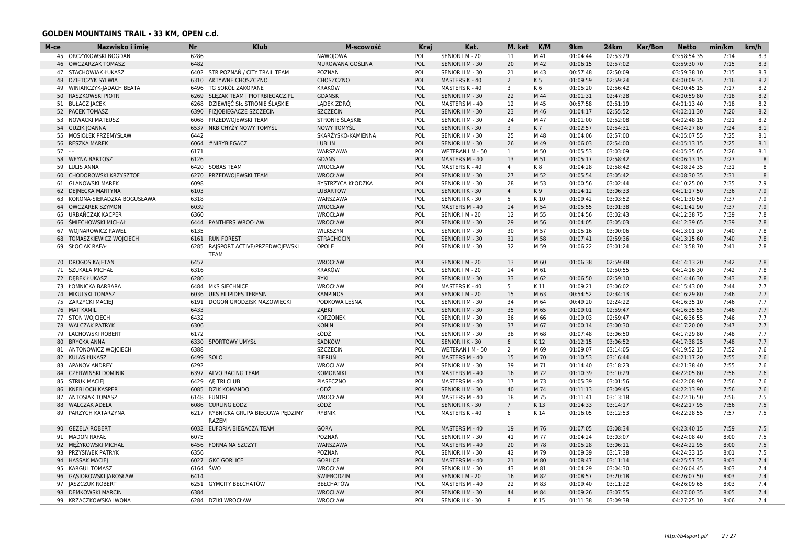| M-ce | Nazwisko i imię            | Nr   | <b>Klub</b>                    | M-scowość          | Kraj | Kat.             | M. kat         | K/M            | 9km      | 24km     | Kar/Bon | <b>Netto</b> | min/km | km/h         |
|------|----------------------------|------|--------------------------------|--------------------|------|------------------|----------------|----------------|----------|----------|---------|--------------|--------|--------------|
|      | 45 ORCZYKOWSKI BOGDAN      | 6286 |                                | <b>NAWOJOWA</b>    | POL  | SENIOR   M - 20  | 11             | M 41           | 01:04:44 | 02:53:29 |         | 03:58:54.35  | 7:14   | 8.3          |
|      | 46 OWCZARZAK TOMASZ        | 6482 |                                | MUROWANA GOŚLINA   | POL  | SENIOR II M - 30 | 20             | M 42           | 01:06:15 | 02:57:02 |         | 03:59:30.70  | 7:15   | 8.3          |
|      | 47 STACHOWIAK ŁUKASZ       | 6402 | STR POZNAŃ / CITY TRAIL TEAM   | POZNAŃ             | POL  | SENIOR II M - 30 | 21             | M 43           | 00:57:48 | 02:50:09 |         | 03:59:38.10  | 7:15   | 8.3          |
|      | 48 DZIETCZYK SYLWIA        | 6310 | AKTYWNE CHOSZCZNO              | CHOSZCZNO          | POL  | MASTERS K - 40   | $\overline{2}$ | K <sub>5</sub> | 01:09:59 | 02:59:24 |         | 04:00:09.35  | 7:16   | 8.2          |
|      | 49 WINIARCZYK-JADACH BEATA | 6496 | TG SOKÓŁ ZAKOPANE              | <b>KRAKÓW</b>      | POL  | MASTERS K - 40   | 3              | K 6            | 01:05:20 | 02:56:42 |         | 04:00:45.15  | 7:17   | 8.2          |
|      | 50 RASZKOWSKI PIOTR        | 6269 | SLEZAK TEAM   PIOTRBIEGACZ.PL  | <b>GDAŃSK</b>      | POL  | SENIOR II M - 30 | 22             | M 44           | 01:01:31 | 02:47:28 |         | 04:00:59.80  | 7:18   | 8.2          |
|      | 51 BUŁACZ JACEK            | 6268 | DZIEWIĘĆ SIŁ STRONIE ŚLĄSKIE   | LADEK ZDRÓJ        | POL  | MASTERS M - 40   | 12             | M 45           | 00:57:58 | 02:51:19 |         | 04:01:13.40  | 7:18   | 8.2          |
|      | 52 PACEK TOMASZ            | 6390 | FIZJOBIEGACZE SZCZECIN         | <b>SZCZECIN</b>    | POL  | SENIOR II M - 30 | 23             | M 46           | 01:04:17 | 02:55:52 |         | 04:02:11.30  | 7:20   | 8.2          |
|      | 53 NOWACKI MATEUSZ         | 6068 | PRZEDWOJEWSKI TEAM             | STRONIE ŚLĄSKIE    | POL  | SENIOR II M - 30 | 24             | M 47           | 01:01:00 | 02:52:08 |         | 04:02:48.15  | 7:21   | 8.2          |
| 54   | <b>GUZIK JOANNA</b>        | 6537 | NKB CHYŻY NOWY TOMYŚL          | NOWY TOMYŚL        | POL  | SENIOR II K - 30 | 3              | K7             | 01:02:57 | 02:54:31 |         | 04:04:27.80  | 7:24   | 8.1          |
|      | 55 MOSIOŁEK PRZEMYSŁAW     | 6442 |                                | SKARŻYSKO-KAMIENNA | POL  | SENIOR II M - 30 | 25             | M 48           | 01:04:06 | 02:57:00 |         | 04:05:07.55  | 7:25   | 8.1          |
|      | 56 RESZKA MAREK            | 6064 | #NIBYBIEGACZ                   | <b>LUBLIN</b>      | POL  | SENIOR II M - 30 | 26             | M 49           | 01:06:03 | 02:54:00 |         | 04:05:13.15  | 7:25   | 8.1          |
| 57   |                            | 6171 |                                | WARSZAWA           | POL  | WETERAN I M - 50 | $\mathbf{1}$   | M 50           | 01:05:53 | 03:03:09 |         | 04:05:35.65  | 7:26   | 8.1          |
|      | 58 WEYNA BARTOSZ           | 6126 |                                | <b>GDANS</b>       | POL  | MASTERS M - 40   | 13             | M 51           | 01:05:17 | 02:58:42 |         | 04:06:13.15  | 7:27   | $\mathbf{R}$ |
|      | 59 LULIS ANNA              | 6420 | <b>SOBAS TEAM</b>              | WROCŁAW            | POL  | MASTERS K - 40   | $\overline{4}$ | K8             | 01:04:28 | 02:58:42 |         | 04:08:24.35  | 7:31   | 8            |
|      | 60 CHODOROWSKI KRZYSZTOF   | 6270 | PRZEDWOJEWSKI TEAM             | WROCŁAW            | POL  | SENIOR II M - 30 | 27             | M 52           | 01:05:54 | 03:05:42 |         | 04:08:30.35  | 7:31   | 8            |
|      | 61 GLANOWSKI MAREK         | 6098 |                                | BYSTRZYCA KŁODZKA  | POL  | SENIOR II M - 30 | 28             | M 53           | 01:00:56 | 03:02:44 |         | 04:10:25.00  | 7:35   | 7.9          |
|      | 62 DEINECKA MARTYNA        | 6103 |                                | <b>LUBARTÓW</b>    | POL  | SENIOR II K - 30 | $\overline{4}$ | K9             | 01:14:12 | 03:06:33 |         | 04:11:17.50  | 7:36   | 7.9          |
| 63   | KORONA-SIERADZKA BOGUSŁAWA | 6318 |                                | WARSZAWA           | POL  | SENIOR II K - 30 | 5              | K 10           | 01:09:42 | 03:03:52 |         | 04:11:30.50  | 7:37   | 7.9          |
|      | 64 OWCZAREK SZYMON         | 6039 |                                | WROCŁAW            | POL  | MASTERS M - 40   | 14             | M 54           | 01:05:55 | 03:01:38 |         | 04:11:42.90  | 7:37   | 7.9          |
|      | 65 URBANCZAK KACPER        | 6360 |                                | WROCŁAW            | POL  | SENIOR   M - 20  | 12             | M 55           | 01:04:56 | 03:02:43 |         | 04:12:38.75  | 7:39   | 7.8          |
|      | 66 ŚMIECHOWSKI MICHAŁ      |      | 6444 PANTHERS WROCŁAW          | <b>WROCŁAW</b>     | POL  | SENIOR II M - 30 | 29             | M 56           | 01:04:05 | 03:05:03 |         | 04:12:39.65  | 7:39   | 7.8          |
|      | 67 WOJNAROWICZ PAWEŁ       | 6135 |                                | WILKSZYN           | POL  | SENIOR II M - 30 | 30             | M 57           | 01:05:16 | 03:00:06 |         | 04:13:01.30  | 7:40   | 7.8          |
| 68   | TOMASZKIEWICZ WOJCIECH     |      | 6161 RUN FOREST                | <b>STRACHOCIN</b>  | POL  | SENIOR II M - 30 | 31             | M 58           | 01:07:41 | 02:59:36 |         | 04:13:15.60  | 7:40   | 7.8          |
|      | 69 SŁOCIAK RAFAŁ           | 6285 | RAJSPORT ACTIVE/PRZEDWOJEWSKI  | OPOLE              | POL  | SENIOR II M - 30 | 32             | M 59           | 01:06:22 | 03:01:24 |         | 04:13:58.70  | 7:41   | 7.8          |
|      |                            |      | TEAM                           |                    |      |                  |                |                |          |          |         |              |        |              |
|      | 70 DROGOŚ KAJETAN          | 6457 |                                | WROCŁAW            | POL  | SENIOR   M - 20  | 13             | M 60           | 01:06:38 | 02:59:48 |         | 04:14:13.20  | 7:42   | 7.8          |
|      | 71 SZUKAŁA MICHAŁ          | 6316 |                                | <b>KRAKÓW</b>      | POL  | SENIOR   M - 20  | 14             | M 61           |          | 02:50:55 |         | 04:14:16.30  | 7:42   | 7.8          |
|      | 72 DEBEK ŁUKASZ            | 6280 |                                | <b>RYKI</b>        | POL  | SENIOR II M - 30 | 33             | M 62           | 01:06:50 | 02:59:10 |         | 04:14:46.30  | 7:43   | 7.8          |
|      | 73 ŁOMNICKA BARBARA        | 6484 | MKS SIECHNICE                  | WROCŁAW            | POL  | MASTERS K - 40   | 5              | K 11           | 01:09:21 | 03:06:02 |         | 04:15:43.00  | 7:44   | 7.7          |
|      | 74 MIKULSKI TOMASZ         | 6036 | UKS FILIPIDES TERESIN          | <b>KAMPINOS</b>    | POL  | SENIOR   M - 20  | 15             | M 63           | 00:54:52 | 02:34:13 |         | 04:16:29.80  | 7:46   | 7.7          |
|      | 75 ZARZYCKI MACIEJ         | 6191 | DOGOŃ GRODZISK MAZOWIECKI      | PODKOWA LEŚNA      | POL  | SENIOR II M - 30 | 34             | M 64           | 00:49:20 | 02:24:22 |         | 04:16:35.10  | 7:46   | 7.7          |
|      | 76 MAT KAMIL               | 6433 |                                | ZĄBKI              | POL  | SENIOR II M - 30 | 35             | M 65           | 01:09:01 | 02:59:47 |         | 04:16:35.55  | 7:46   | 7.7          |
|      | 77 STON WOICIECH           | 6432 |                                | <b>KORZONEK</b>    | POL  | SENIOR II M - 30 | 36             | M 66           | 01:09:03 | 02:59:47 |         | 04:16:36.55  | 7:46   | 7.7          |
| 78   | <b>WALCZAK PATRYK</b>      | 6306 |                                | <b>KONIN</b>       | POL  | SENIOR II M - 30 | 37             | M 67           | 01:00:14 | 03:00:30 |         | 04:17:20.00  | 7:47   | 7.7          |
|      | 79 LACHOWSKI ROBERT        | 6172 |                                | ŁÓDŹ               | POL  | SENIOR II M - 30 | 38             | M 68           | 01:07:48 | 03:06:50 |         | 04:17:29.80  | 7:48   | 7.7          |
|      | 80 BRYCKA ANNA             | 6330 | SPORTOWY UMYSŁ                 | SADKÓW             | POL  | SENIOR II K - 30 | 6              | K12            | 01:12:15 | 03:06:52 |         | 04:17:38.25  | 7:48   | 7.7          |
|      | 81 ANTONOWICZ WOJCIECH     | 6388 |                                | <b>SZCZECIN</b>    | POL  | WETERAN I M - 50 | 2              | M 69           | 01:09:07 | 03:14:05 |         | 04:19:52.15  | 7:52   | 7.6          |
|      | 82 KULAS ŁUKASZ            |      | 6499 SOLO                      | <b>BIERUŃ</b>      | POL  | MASTERS M - 40   | 15             | M 70           | 01:10:53 | 03:16:44 |         | 04:21:17.20  | 7:55   | 7.6          |
|      | 83 APANOV ANDREY           | 6292 |                                | WROCLAW            | POL  | SENIOR II M - 30 | 39             | M 71           | 01:14:40 | 03:18:23 |         | 04:21:38.40  | 7:55   | 7.6          |
|      | 84 CZERWINSKI DOMINIK      | 6397 | ALVO RACING TEAM               | <b>KOMORNIKI</b>   | POL  | MASTERS M - 40   | 16             | M 72           | 01:10:39 | 03:10:29 |         | 04:22:05.80  | 7:56   | 7.6          |
|      | 85 STRUK MACIEJ            | 6429 | AE TRI CLUB                    | PIASECZNO          | POL  | MASTERS M - 40   | 17             | M 73           | 01:05:39 | 03:01:56 |         | 04:22:08.90  | 7:56   | 7.6          |
|      | 86 KNEBLOCH KASPER         |      | 6085 DZIK KOMANDO              | ŁÓDŹ               | POL  | SENIOR II M - 30 | 40             | M 74           | 01:11:13 | 03:09:45 |         | 04:22:13.90  | 7:56   | 7.6          |
|      | 87 ANTOSIAK TOMASZ         |      | 6148 FUNTRI                    | WROCŁAW            | POL  | MASTERS M - 40   | 18             | M 75           | 01:11:41 | 03:13:18 |         | 04:22:16.50  | 7:56   | 7.5          |
|      | 88 WALCZAK ADELA           |      | 6086 CURLING ŁÓDŻ              | ŁÓDŹ               | POL  | SENIOR II K - 30 | $\overline{7}$ | K13            | 01:14:33 | 03:14:17 |         | 04:22:17.95  | 7:56   | 7.5          |
| 89   | PARZYCH KATARZYNA          | 6217 | RYBNICKA GRUPA BIEGOWA PĘDZIMY | <b>RYBNIK</b>      | POL  | MASTERS K - 40   | 6              | K 14           | 01:16:05 | 03:12:53 |         | 04:22:28.55  | 7:57   | 7.5          |
|      |                            |      | <b>RAZEM</b>                   |                    |      |                  |                |                |          |          |         |              |        |              |
|      | 90 GEZELA ROBERT           |      | 6032 EUFORIA BIEGACZA TEAM     | GÓRA               | POL  | MASTERS M - 40   | 19             | M 76           | 01:07:05 | 03:08:34 |         | 04:23:40.15  | 7:59   | 7.5          |
|      | 91 MADON RAFAŁ             | 6075 |                                | POZNAŃ             | POL  | SENIOR II M - 30 | 41             | M 77           | 01:04:24 | 03:03:07 |         | 04:24:08.40  | 8:00   | 7.5          |
|      | 92 MEŻYKOWSKI MICHAŁ       |      | 6456 FORMA NA SZCZYT           | WARSZAWA           | POL  | MASTERS M - 40   | 20             | M 78           | 01:05:28 | 03:06:11 |         | 04:24:22.95  | 8:00   | 7.5          |
|      | 93 PRZYSIWEK PATRYK        | 6356 |                                | POZNAŃ             | POL  | SENIOR II M - 30 | 42             | M 79           | 01:09:39 | 03:17:38 |         | 04:24:33.15  | 8:01   | 7.5          |
|      | 94 HASSAK MACIEJ           | 6027 | <b>GKC GORLICE</b>             | <b>GORLICE</b>     | POL  | MASTERS M - 40   | 21             | M 80           | 01:08:47 | 03:11:14 |         | 04:25:57.35  | 8:03   | 7.4          |
|      | 95 KARGUL TOMASZ           | 6164 | ŚWO                            | WROCŁAW            | POL  | SENIOR II M - 30 | 43             | M 81           | 01:04:29 | 03:04:30 |         | 04:26:04.45  | 8:03   | 7.4          |
|      | 96 GASIOROWSKI JAROSŁAW    | 6414 |                                | ŚWIEBODZIN         | POL  | SENIOR   M - 20  | 16             | M 82           | 01:08:57 | 03:20:18 |         | 04:26:07.50  | 8:03   | 7.4          |
|      | 97 JASZCZUK ROBERT         | 6251 | GYMCITY BEŁCHATÓW              | <b>BEŁCHATÓW</b>   | POL  | MASTERS M - 40   | 22             | M 83           | 01:09:40 | 03:11:22 |         | 04:26:09.65  | 8:03   | 7.4          |
|      | 98 DEMKOWSKI MARCIN        | 6384 |                                | WROCLAW            | POL  | SENIOR II M - 30 | 44             | M 84           | 01:09:26 | 03:07:55 |         | 04:27:00.35  | 8:05   | 7.4          |
|      | 99 KRZACZKOWSKA IWONA      | 6284 | <b>DZIKI WROCŁAW</b>           | WROCŁAW            | POL  | SENIOR II K - 30 | 8              | K15            | 01:11:38 | 03:09:38 |         | 04:27:25.10  | 8:06   | 7.4          |
|      |                            |      |                                |                    |      |                  |                |                |          |          |         |              |        |              |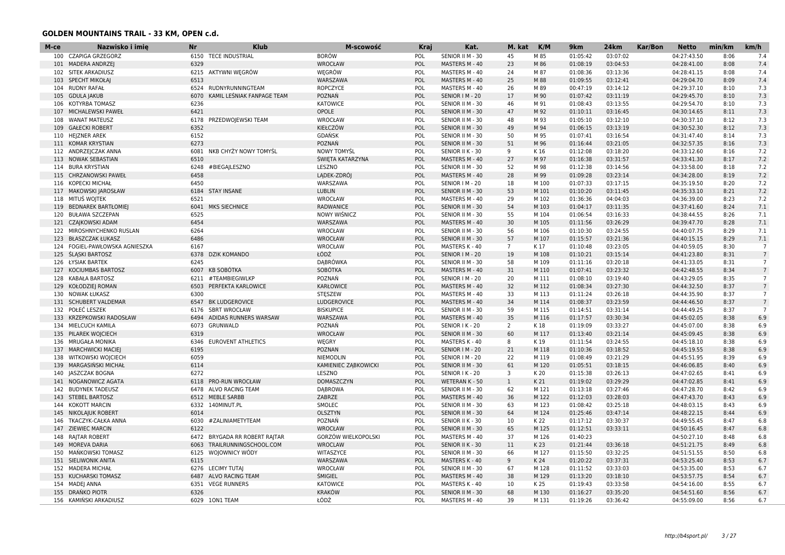| M-ce | Nazwisko i imię                | Nr   | <b>Klub</b>                   | M-scowość            | Kraj              | Kat.                             | M. kat                  | K/M   | 9km                  | 24km                 | Kar/Bon | <b>Netto</b>               | min/km | km/h           |
|------|--------------------------------|------|-------------------------------|----------------------|-------------------|----------------------------------|-------------------------|-------|----------------------|----------------------|---------|----------------------------|--------|----------------|
| 100  | <b>CZAPIGA GRZEGORZ</b>        | 6150 | <b>TECE INDUSTRIAL</b>        | <b>BORÓW</b>         | POL               | SENIOR II M - 30                 | 45                      | M 85  | 01:05:42             | 03:07:02             |         | 04:27:43.50                | 8:06   | 7.4            |
| 101  | <b>MADERA ANDRZEJ</b>          | 6329 |                               | WROCŁAW              | POL               | MASTERS M - 40                   | 23                      | M 86  | 01:08:19             | 03:04:53             |         | 04:28:41.00                | 8:08   | 7.4            |
|      | 102 SITEK ARKADIUSZ            | 6215 | AKTYWNI WĘGRÓW                | WEGRÓW               | POL               | MASTERS M - 40                   | 24                      | M 87  | 01:08:36             | 03:13:36             |         | 04:28:41.15                | 8:08   | 7.4            |
|      | 103 SPECHT MIKOŁAJ             | 6513 |                               | WARSZAWA             | POL               | MASTERS M - 40                   | 25                      | M 88  | 01:09:55             | 03:12:41             |         | 04:29:04.70                | 8:09   | 7.4            |
|      | 104 RUDNY RAFAŁ                |      | 6524 RUDNYRUNNINGTEAM         | ROPCZYCE             | POL               | MASTERS M - 40                   | 26                      | M 89  | 00:47:19             | 03:14:12             |         | 04:29:37.10                | 8:10   | 7.3            |
|      | 105 GDULA JAKUB                | 6070 | KAMIL LEŚNIAK FANPAGE TEAM    | POZNAŃ               | POL               | SENIOR   M - 20                  | 17                      | M 90  | 01:07:42             | 03:11:19             |         | 04:29:45.70                | 8:10   | 7.3            |
|      | 106 KOTYRBA TOMASZ             | 6236 |                               | <b>KATOWICE</b>      | <b>POL</b>        | SENIOR II M - 30                 | 46                      | M 91  | 01:08:43             | 03:13:55             |         | 04:29:54.70                | 8:10   | 7.3            |
|      | 107 MICHALEWSKI PAWEŁ          | 6421 |                               | <b>OPOLE</b>         | POL               | SENIOR II M - 30                 | 47                      | M 92  | 01:10:11             | 03:16:45             |         | 04:30:14.65                | 8:11   | 7.3            |
|      | 108 WANAT MATEUSZ              | 6178 | PRZEDWOJEWSKI TEAM            | WROCŁAW              | POL               | SENIOR II M - 30                 | 48                      | M 93  | 01:05:10             | 03:12:10             |         | 04:30:37.10                | 8:12   | 7.3            |
| 109  | <b>GAŁECKI ROBERT</b>          | 6352 |                               | KIEŁCZÓW             | POL               | SENIOR II M - 30                 | 49                      | M 94  | 01:06:15             | 03:13:19             |         | 04:30:52.30                | 8:12   | 7.3            |
|      | 110 HEJZNER AREK               | 6152 |                               | <b>GDAŃSK</b>        | POL               | SENIOR II M - 30                 | 50                      | M 95  | 01:07:41             | 03:16:54             |         | 04:31:47.40                | 8:14   | 7.3            |
|      | 111 KOMAR KRYSTIAN             | 6273 |                               | POZNAŃ               | POL               | SENIOR II M - 30                 | 51                      | M 96  | 01:16:44             | 03:21:05             |         | 04:32:57.35                | 8:16   | 7.3            |
|      | 112 ANDRZEJCZAK ANNA           | 6081 | NKB CHYŻY NOWY TOMYŚL         | <b>NOWY TOMYŚL</b>   | POL               | SENIOR II K - 30                 | 9                       | K 16  | 01:12:08             | 03:18:20             |         | 04:33:12.60                | 8:16   | 7.2            |
| 113  | <b>NOWAK SEBASTIAN</b>         | 6510 |                               | ŚWIĘTA KATARZYNA     | POL               | MASTERS M - 40                   | 27                      | M 97  | 01:16:38             | 03:31:57             |         | 04:33:41.30                | 8:17   | 7.2            |
|      | 114 BURA KRYSTIAN              | 6248 | #BIEGAILESZNO                 | LESZNO               | POL               | SENIOR II M - 30                 | 52                      | M 98  | 01:12:38             | 03:14:56             |         | 04:33:58.00                | 8:18   | 7.2            |
| 115  | <b>CHRZANOWSKI PAWEŁ</b>       | 6458 |                               | LĄDEK-ZDRÓJ          | POL               | MASTERS M - 40                   | 28                      | M 99  | 01:09:28             | 03:23:14             |         | 04:34:28.00                | 8:19   | 7.2            |
|      | 116 KOPECKI MICHAŁ             | 6450 |                               | WARSZAWA             | POL               | SENIOR I M - 20                  | 18                      | M 100 | 01:07:33             | 03:17:15             |         | 04:35:19.50                | 8:20   | 7.2            |
|      | 117 MAKOWSKI JAROSŁAW          | 6184 | <b>STAY INSANE</b>            | <b>LUBLIN</b>        | POL               | SENIOR II M - 30                 | 53                      | M 101 | 01:10:20             | 03:11:45             |         | 04:35:33.10                | 8:21   | 7.2            |
|      | 118 MITUŚ WOJTEK               | 6521 |                               | WROCŁAW              | POL               | MASTERS M - 40                   | 29                      | M 102 | 01:36:36             | 04:04:03             |         | 04:36:39.00                | 8:23   | 7.2            |
|      | 119 BEDNAREK BARTŁOMIEJ        | 6041 | MKS SIECHNICE                 | <b>RADWANICE</b>     | POL               | SENIOR II M - 30                 | 54                      | M 103 | 01:04:17             | 03:11:35             |         | 04:37:41.60                | 8:24   | 7.1            |
|      | 120 BUŁAWA SZCZEPAN            | 6525 |                               | <b>NOWY WIŚNICZ</b>  | POL               | SENIOR II M - 30                 | 55                      | M 104 | 01:06:54             | 03:16:33             |         | 04:38:44.55                | 8:26   | 7.1            |
|      | 121 CZAJKOWSKI ADAM            | 6454 |                               | WARSZAWA             | POL               | MASTERS M - 40                   | 30                      | M 105 | 01:11:56             | 03:26:29             |         | 04:39:47.70                | 8:28   | 7.1            |
|      | 122 MIROSHNYCHENKO RUSLAN      | 6264 |                               | WROCŁAW              | <b>POL</b>        | SENIOR II M - 30                 | 56                      | M 106 | 01:10:30             | 03:24:55             |         | 04:40:07.75                | 8:29   | 7.1            |
|      | 123 BŁASZCZAK ŁUKASZ           | 6486 |                               | <b>WROCŁAW</b>       | POL               | SENIOR II M - 30                 | 57                      | M 107 | 01:15:57             | 03:21:36             |         | 04:40:15.15                | 8:29   | 7.1            |
|      | 124 FOGIEL-PAWŁOWSKA AGNIESZKA | 6167 |                               | WROCŁAW              | POL               | MASTERS K - 40                   | $7\overline{ }$         | K17   | 01:10:48             | 03:23:05             |         | 04:40:59.05                | 8:30   | $\overline{7}$ |
|      | 125 ŚLASKI BARTOSZ             | 6378 | <b>DZIK KOMANDO</b>           | ŁÓDŹ                 | POL               | SENIOR   M - 20                  | 19                      | M 108 | 01:10:21             | 03:15:14             |         | 04:41:23.80                | 8:31   | $7^{\circ}$    |
|      | 126 ŁYSIAK BARTEK              | 6245 |                               | DĄBRÓWKA             | POL               | SENIOR II M - 30                 | 58                      | M 109 | 01:11:16             | 03:20:18             |         | 04:41:33.05                | 8:31   | $7^{\circ}$    |
|      | 127 KOCIUMBAS BARTOSZ          | 6007 | KB SOBÓTKA                    | SOBÓTKA              | POL               | MASTERS M - 40                   | 31                      | M 110 | 01:07:41             | 03:23:32             |         | 04:42:48.55                | 8:34   | $\overline{7}$ |
| 128  | KABAŁA BARTOSZ                 | 6211 | #TEAMBIEGIWLKP                | POZNAŃ               | POL               | SENIOR   M - 20                  | 20                      | M 111 | 01:08:10             | 03:19:40             |         | 04:43:29.05                | 8:35   | $7^{\circ}$    |
| 129  | KOŁODZIEJ ROMAN                | 6503 | PERFEKTA KARLOWICE            | <b>KARŁOWICE</b>     | POL               | MASTERS M - 40                   | 32                      | M 112 | 01:08:34             | 03:27:30             |         | 04:44:32.50                | 8:37   | $7^{\circ}$    |
|      | 130 NOWAK ŁUKASZ               | 6300 |                               | <b>STESZEW</b>       | POL               | MASTERS M - 40                   | 33                      | M 113 | 01:11:24             | 03:26:18             |         | 04:44:35.90                | 8:37   | $7^{\circ}$    |
|      | 131 SCHUBERT VALDEMAR          | 6547 | <b>BK LUDGEROVICE</b>         | <b>LUDGEROVICE</b>   | POL               | MASTERS M - 40                   | 34                      | M 114 | 01:08:37             | 03:23:59             |         | 04:44:46.50                | 8:37   |                |
|      | 132 POŁEĆ LESZEK               | 6176 | <b>SBRT WROCŁAW</b>           | <b>BISKUPICE</b>     | POL               | SENIOR II M - 30                 | 59                      | M 115 | 01:14:51             | 03:31:14             |         | 04:44:49.25                | 8:37   | $\overline{7}$ |
|      | 133 KRZEPKOWSKI RADOSŁAW       | 6494 | ADIDAS RUNNERS WARSAW         | WARSZAWA             | POL               | MASTERS M - 40                   | 35                      | M 116 | 01:17:57             | 03:30:34             |         | 04:45:02.05                | 8:38   | 6.9            |
|      | 134 MIELCUCH KAMILA            | 6073 | GRUNWALD                      | POZNAŃ               | POL               | SENIOR I K - 20                  | 2                       | K18   | 01:19:09             | 03:33:27             |         | 04:45:07.00                | 8:38   | 6.9            |
|      | 135 PILAREK WOJCIECH           | 6319 |                               | <b>WROCŁAW</b>       | POL               | SENIOR II M - 30                 | 60                      | M 117 | 01:13:40             | 03:21:14             |         | 04:45:09.45                | 8:38   | 6.9            |
|      | 136 MRUGAŁA MONIKA             | 6346 | <b>EUROVENT ATHLETICS</b>     | WEGRY                | POL               | MASTERS K - 40                   | 8                       | K 19  | 01:11:54             | 03:24:55             |         | 04:45:18.10                | 8:38   | 6.9            |
| 137  | <b>MARCHWICKI MACIEI</b>       | 6195 |                               | <b>POZNAN</b>        | POL               | SENIOR   M - 20                  | 21                      | M 118 | 01:10:36             | 03:18:52             |         | 04:45:19.55                | 8:38   | 6.9            |
|      | 138 WITKOWSKI WOJCIECH         | 6059 |                               | NIEMODLIN            | POL               | SENIOR   M - 20                  | 22                      | M 119 | 01:08:49             | 03:21:29             |         | 04:45:51.95                | 8:39   | 6.9            |
|      | 139 MARGASIŃSKI MICHAŁ         | 6114 |                               | KAMIENIEC ZABKOWICKI | POL               | SENIOR II M - 30                 | 61                      | M 120 | 01:05:51             | 03:18:15             |         | 04:46:06.85                | 8:40   | 6.9            |
| 140  | <b>JASZCZAK BOGNA</b>          | 6272 |                               | LESZNO               | POL               | SENIOR I K - 20                  | $\overline{\mathbf{3}}$ | K 20  | 01:15:38             | 03:26:13             |         | 04:47:02.65                | 8:41   | 6.9            |
|      | 141 NOGANOWICZ AGATA           |      | 6118 PRO-RUN WROCŁAW          | DOMASZCZYN           | POL               | WETERAN K - 50                   | 1                       | K 21  | 01:19:02             | 03:29:29             |         | 04:47:02.85                | 8:41   | 6.9            |
|      | 142 BUDYNEK TADEUSZ            |      | 6478 ALVO RACING TEAM         | <b>DABROWA</b>       | POL               | SENIOR II M - 30                 | 62                      | M 121 | 01:13:18             | 03:27:46             |         | 04:47:28.70                | 8:42   | 6.9            |
|      | 143 STEBEL BARTOSZ             |      | 6512 MEBLE SARBB              | ZABRZE               | POL               | MASTERS M - 40                   | 36                      | M 122 | 01:12:03             | 03:28:03             |         | 04:47:43.70                | 8:43   | 6.9            |
|      | 144 KOKOTT MARCIN              | 6332 | 140MINUT.PL                   | SMOLEC               | POL               | SENIOR II M - 30                 | 63                      | M 123 | 01:08:42             | 03:25:18             |         | 04:48:03.15                | 8:43   | 6.9            |
| 145  | NIKOLAJUK ROBERT               | 6014 |                               | <b>OLSZTYN</b>       | POL               | SENIOR II M - 30                 | 64                      | M 124 | 01:25:46             | 03:47:14             |         | 04:48:22.15                | 8:44   | 6.9            |
|      | 146 TKACZYK-CAŁKA ANNA         | 6030 | #ZALINIAMETYTEAM              | POZNAŃ               | POL               | SENIOR II K - 30                 | 10                      | K 22  | 01:17:12             | 03:30:37             |         | 04:49:55.45                | 8:47   | 6.8            |
|      | 147 ZIEWIEC MARCIN             | 6122 |                               | <b>WROCŁAW</b>       | POL               | SENIOR II M - 30                 | 65                      | M 125 | 01:12:51             | 03:33:11             |         | 04:50:16.45                | 8:47   | 6.8            |
|      | 148 RAJTAR ROBERT              |      | 6472 BRYGADA RR ROBERT RAITAR | GORZÓW WIELKOPOLSKI  | POL               | MASTERS M - 40                   | 37                      | M 126 | 01:40:23             |                      |         | 04:50:27.10                | 8:48   | 6.8            |
|      | 149 MOREVA DARIA               | 6063 | TRAILRUNNINGSCHOOL.COM        | <b>WROCLAW</b>       | POL               | SENIOR II K - 30                 | 11                      | K 23  | 01:21:44             | 03:36:18             |         | 04:51:21.75                | 8:49   | 6.8            |
|      | 150 MANKOWSKI TOMASZ           | 6125 | WOJOWNICY WÓDY                | WITASZYCE            | POL               | SENIOR II M - 30                 | 66                      | M 127 | 01:15:50             | 03:32:25             |         | 04:51:51.55                | 8:50   | 6.8            |
|      | 151 SIELIWONIK ANITA           | 6115 |                               | WARSZAWA             | POL               | MASTERS K - 40                   | 9                       | K 24  | 01:20:22             | 03:37:31             |         | 04:53:25.40                | 8:53   | 6.7            |
|      | 152 MADERA MICHAŁ              |      | 6276 LECIMY TUTAJ             | WROCŁAW              |                   |                                  | 67                      | M 128 | 01:11:52             | 03:33:03             |         | 04:53:35.00                | 8:53   | 6.7            |
|      | 153 KUCHARSKI TOMASZ           | 6487 | ALVO RACING TEAM              | ŚMIGIEL              | <b>POL</b><br>POL | SENIOR II M - 30                 | 38                      | M 129 |                      |                      |         |                            | 8:54   | 6.7            |
|      | 154 MADEI ANNA                 |      | 6351 VEGE RUNNERS             | <b>KATOWICE</b>      | POL               | MASTERS M - 40<br>MASTERS K - 40 | 10                      | K 25  | 01:13:20<br>01:19:43 | 03:18:10<br>03:33:58 |         | 04:53:57.75<br>04:54:16.00 | 8:55   | 6.7            |
|      | 155 DRAŃKO PIOTR               | 6326 |                               | <b>KRAKÓW</b>        | POL               |                                  | 68                      | M 130 | 01:16:27             |                      |         |                            | 8:56   |                |
|      |                                |      |                               |                      |                   | SENIOR II M - 30                 |                         |       |                      | 03:35:20             |         | 04:54:51.60                |        | 6.7            |
|      | 156 KAMIŃSKI ARKADIUSZ         |      | 6029 10N1 TEAM                | ŁÓDŹ                 | POL               | MASTERS M - 40                   | 39                      | M 131 | 01:19:26             | 03:36:42             |         | 04:55:09.00                | 8:56   | 6.7            |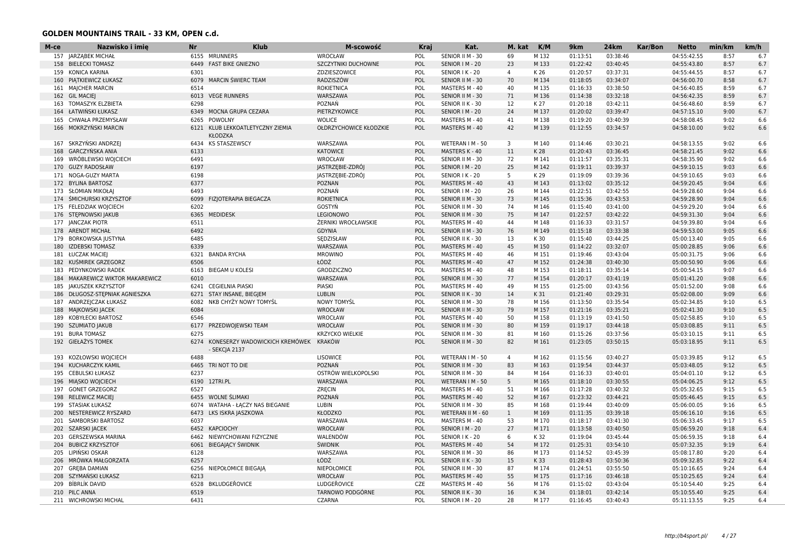| M-ce | Nazwisko i imię                           | Nr   | <b>Klub</b>                                     | M-scowość                  | Kraj       | Kat.              | M. kat         | K/M   | 9km      | 24km                 | Kar/Bon | <b>Netto</b>               | min/km | km/h |
|------|-------------------------------------------|------|-------------------------------------------------|----------------------------|------------|-------------------|----------------|-------|----------|----------------------|---------|----------------------------|--------|------|
|      | 157 JARZABEK MICHAŁ                       |      | 6155 MRUNNERS                                   | <b>WROCŁAW</b>             | POL        | SENIOR II M - 30  | 69             | M 132 | 01:13:51 | 03:38:46             |         | 04:55:42.55                | 8:57   | 6.7  |
|      | 158 BIELECKI TOMASZ                       | 6449 | <b>FAST BIKE GNIEZNO</b>                        | SZCZYTNIKI DUCHOWNE        | POL        | SENIOR   M - 20   | 23             | M 133 | 01:22:42 | 03:40:45             |         | 04:55:43.80                | 8:57   | 6.7  |
| 159  | KONICA KARINA                             | 6301 |                                                 | ZDZIESZOWICE               | POL        | SENIOR I K - 20   | $\overline{4}$ | K 26  | 01:20:57 | 03:37:31             |         | 04:55:44.55                | 8:57   | 6.7  |
| 160  | PIATKIEWICZ ŁUKASZ                        | 6079 | <b>MARCIN ŚWIERC TEAM</b>                       | RADZISZÓW                  | POL        | SENIOR II M - 30  | 70             | M 134 | 01:18:05 | 03:34:07             |         | 04:56:00.70                | 8:58   | 6.7  |
|      | 161 MAJCHER MARCIN                        | 6514 |                                                 | <b>ROKIETNICA</b>          | POL        | MASTERS M - 40    | 40             | M 135 | 01:16:33 | 03:38:50             |         | 04:56:40.85                | 8:59   | 6.7  |
| 162  | <b>GIL MACIE</b>                          | 6013 | <b>VEGE RUNNERS</b>                             | WARSZAWA                   | POL        | SENIOR II M - 30  | 71             | M 136 | 01:14:38 | 03:32:18             |         | 04:56:42.35                | 8:59   | 6.7  |
| 163  | <b>TOMASZYK ELZBIETA</b>                  | 6298 |                                                 | POZNAŃ                     | <b>POL</b> | SENIOR II K - 30  | 12             | K 27  | 01:20:18 | 03:42:11             |         | 04:56:48.60                | 8:59   | 6.7  |
|      | 164 ŁATWIŃSKI ŁUKASZ                      | 6349 | MOCNA GRUPA CEZARA                              | PIETRZYKOWICE              | POL        | SENIOR   M - 20   | 24             | M 137 | 01:20:02 | 03:39:47             |         | 04:57:15.10                | 9:00   | 6.7  |
| 165  | CHWAŁA PRZEMYSŁAW                         | 6265 | POWOLNY                                         | <b>WOLICE</b>              | POL        | MASTERS M - 40    | 41             | M 138 | 01:19:20 | 03:40:39             |         | 04:58:08.45                | 9:02   | 6.6  |
| 166  | MOKRZYŃSKI MARCIN                         | 6121 | KLUB LEKKOATLETYCZNY ZIEMIA<br><b>KŁODZKA</b>   | OŁDRZYCHOWICE KŁODZKIE     | POL        | MASTERS M - 40    | 42             | M 139 | 01:12:55 | 03:34:57             |         | 04:58:10.00                | 9:02   | 6.6  |
| 167  | SKRZYŃSKI ANDRZEJ                         | 6434 | <b>KS STASZEWSCY</b>                            | WARSZAWA                   | POL        | WETERAN I M - 50  | $\overline{3}$ | M 140 | 01:14:46 | 03:30:21             |         | 04:58:13.55                | 9:02   | 6.6  |
| 168  | <b>GARCZYŃSKA ANIA</b>                    | 6133 |                                                 | <b>KATOWICE</b>            | POL        | MASTERS K - 40    | 11             | K 28  | 01:20:43 | 03:36:45             |         | 04:58:21.45                | 9:02   | 6.6  |
| 169  | WRÓBLEWSKI WOJCIECH                       | 6491 |                                                 | WROCŁAW                    | POL        | SENIOR II M - 30  | 72             | M 141 | 01:11:57 | 03:35:31             |         | 04:58:35.90                | 9:02   | 6.6  |
|      | 170 GUZY RADOSŁAW                         | 6197 |                                                 | JASTRZĘBIE-ZDRÓJ           | POL        | SENIOR   M - 20   | 25             | M 142 | 01:19:11 | 03:39:37             |         | 04:59:10.15                | 9:03   | 6.6  |
|      | 171 NOGA-GUZY MARTA                       | 6198 |                                                 | JASTRZĘBIE-ZDRÓJ           | POL        | SENIOR I K - 20   | 5              | K 29  | 01:19:09 | 03:39:36             |         | 04:59:10.65                | 9:03   | 6.6  |
| 172  | <b>BYLINA BARTOSZ</b>                     | 6377 |                                                 | <b>POZNAN</b>              | POL        | MASTERS M - 40    | 43             | M 143 | 01:13:02 | 03:35:12             |         | 04:59:20.45                | 9:04   | 6.6  |
|      | 173 SŁOMIAN MIKOŁAJ                       | 6493 |                                                 | POZNAŃ                     | POL        | SENIOR   M - 20   | 26             | M 144 | 01:22:51 | 03:42:55             |         | 04:59:28.60                | 9:04   | 6.6  |
|      | 174 ŚMICHURSKI KRZYSZTOF                  | 6099 | FIZJOTERAPIA BIEGACZA                           | <b>ROKIETNICA</b>          | POL        | SENIOR II M - 30  | 73             | M 145 | 01:15:36 | 03:43:53             |         | 04:59:28.90                | 9:04   | 6.6  |
|      | 175 FELEDZIAK WOJCIECH                    | 6202 |                                                 | GOSTYŃ                     | POL        | SENIOR II M - 30  | 74             | M 146 | 01:15:40 | 03:41:00             |         | 04:59:29.20                | 9:04   | 6.6  |
| 176  | STEPNOWSKI JAKUB                          | 6365 | <b>MEDIDESK</b>                                 | LEGIONOWO                  | POL        | SENIOR II M - 30  | 75             | M 147 | 01:22:57 | 03:42:22             |         | 04:59:31.30                | 9:04   | 6.6  |
| 177  |                                           | 6511 |                                                 | <b>ŻERNIKI WROCŁAWSKIE</b> | POL        | MASTERS M - 40    | 44             | M 148 | 01:16:33 |                      |         |                            | 9:04   | 6.6  |
|      | <b>JANCZAK PIOTR</b><br>178 ARENDT MICHAŁ | 6492 |                                                 | <b>GDYNIA</b>              | <b>POL</b> | SENIOR II M - 30  | 76             | M 149 | 01:15:18 | 03:31:57<br>03:33:38 |         | 04:59:39.80<br>04:59:53.00 | 9:05   | 6.6  |
|      |                                           | 6485 |                                                 |                            |            |                   | 13             |       |          |                      |         |                            |        |      |
| 179  | <b>BORKOWSKA JUSTYNA</b>                  |      |                                                 | SĘDZISŁAW                  | POL        | SENIOR II K - 30  |                | K 30  | 01:15:40 | 03:44:25             |         | 05:00:13.40                | 9:05   | 6.6  |
| 180  | <b>IZDEBSKI TOMASZ</b>                    | 6339 |                                                 | WARSZAWA                   | POL        | MASTERS M - 40    | 45             | M 150 | 01:14:22 | 03:32:07             |         | 05:00:28.85                | 9:06   | 6.6  |
| 181  | ŁUCZAK MACIEJ                             | 6321 | <b>BANDA RYCHA</b>                              | <b>MROWINO</b>             | POL        | MASTERS M - 40    | 46             | M 151 | 01:19:46 | 03:43:04             |         | 05:00:31.75                | 9:06   | 6.6  |
|      | 182 KUŚMIREK GRZEGORZ                     | 6506 |                                                 | ŁÓDŹ                       | POL        | MASTERS M - 40    | 47             | M 152 | 01:24:38 | 03:40:30             |         | 05:00:50.90                | 9:06   | 6.6  |
| 183  | PEDYNKOWSKI RADEK                         | 6163 | <b>BIEGAM U KOLESI</b>                          | <b>GRODZICZNO</b>          | POL        | MASTERS M - 40    | 48             | M 153 | 01:18:11 | 03:35:14             |         | 05:00:54.15                | 9:07   | 6.6  |
| 184  | MAKAREWICZ WIKTOR MAKAREWICZ              | 6010 |                                                 | WARSZAWA                   | POL        | SENIOR II M - 30  | 77             | M 154 | 01:20:17 | 03:41:19             |         | 05:01:41.20                | 9:08   | 6.6  |
| 185  | JAKUSZEK KRZYSZTOF                        | 6241 | <b>CEGIELNIA PIASKI</b>                         | PIASKI                     | POL        | MASTERS M - 40    | 49             | M 155 | 01:25:00 | 03:43:56             |         | 05:01:52.00                | 9:08   | 6.6  |
| 186  | DŁUGOSZ-STĘPNIAK AGNIESZKA                | 6271 | STAY INSANE, BIEGJEM                            | <b>LUBLIN</b>              | POL        | SENIOR II K - 30  | 14             | K 31  | 01:21:40 | 03:29:31             |         | 05:02:08.00                | 9:09   | 6.6  |
| 187  | ANDRZEJCZAK ŁUKASZ                        | 6082 | NKB CHYŻY NOWY TOMYŚL                           | <b>NOWY TOMYSL</b>         | POL        | SENIOR II M - 30  | 78             | M 156 | 01:13:50 | 03:35:54             |         | 05:02:34.85                | 9:10   | 6.5  |
| 188  | MAJKOWSKI JACEK                           | 6084 |                                                 | WROCŁAW                    | POL        | SENIOR II M - 30  | 79             | M 157 | 01:21:16 | 03:35:21             |         | 05:02:41.30                | 9:10   | 6.5  |
| 189  | KOBYŁECKI BARTOSZ                         | 6546 |                                                 | WROCŁAW                    | POL        | MASTERS M - 40    | 50             | M 158 | 01:13:19 | 03:41:50             |         | 05:02:58.85                | 9:10   | 6.5  |
| 190  | <b>SZUMIATO JAKUB</b>                     | 6177 | PRZEDWOJEWSKI TEAM                              | WROCŁAW                    | POL        | SENIOR II M - 30  | 80             | M 159 | 01:19:17 | 03:44:18             |         | 05:03:08.85                | 9:11   | 6.5  |
|      | 191 BURA TOMASZ                           | 6275 |                                                 | <b>KRZYCKO WIELKIE</b>     | POL        | SENIOR II M - 30  | 81             | M 160 | 01:15:26 | 03:37:56             |         | 05:03:10.15                | 9:11   | 6.5  |
|      | 192 GIEŁAŻYS TOMEK                        | 6274 | KONESERZY WADOWICKICH KREMÓWEK<br>- SEKCIA 2137 | KRAKÓW                     | POL        | SENIOR II M - 30  | 82             | M 161 | 01:23:05 | 03:50:15             |         | 05:03:18.95                | 9:11   | 6.5  |
| 193  | KOZŁOWSKI WOJCIECH                        | 6488 |                                                 | <b>LISOWICE</b>            | POL        | WETERAN I M - 50  | $\overline{4}$ | M 162 | 01:15:56 | 03:40:27             |         | 05:03:39.85                | 9:12   | 6.5  |
|      | 194 KUCHARCZYK KAMIL                      | 6465 | TRI NOT TO DIE                                  | POZNAŃ                     | POL        | SENIOR II M - 30  | 83             | M 163 | 01:19:54 | 03:44:37             |         | 05:03:48.05                | 9:12   | 6.5  |
| 195  | <b>CEBULSKI ŁUKASZ</b>                    | 6237 |                                                 | OSTRÓW WIELKOPOLSKI        | POL        | SENIOR II M - 30  | 84             | M 164 | 01:16:33 | 03:40:01             |         | 05:04:01.10                | 9:12   | 6.5  |
| 196  | MIASKO WOJCIECH                           | 6190 | 12TRI.PL                                        | WARSZAWA                   | POL        | WETERAN I M - 50  | 5              | M 165 | 01:18:10 | 03:30:55             |         | 05:04:06.25                | 9:12   | 6.5  |
| 197  | <b>GONET GRZEGORZ</b>                     | 6527 |                                                 | ZRECIN                     | POL        | MASTERS M - 40    | 51             | M 166 | 01:17:28 | 03:40:32             |         | 05:05:32.65                | 9:15   | 6.5  |
| 198  | <b>RELEWICZ MACIEJ</b>                    | 6455 | WOLNE ŚLIMAKI                                   | POZNAŃ                     | POL        | MASTERS M - 40    | 52             | M 167 | 01:23:32 | 03:44:21             |         | 05:05:46.45                | 9:15   | 6.5  |
| 199  | <b>STASIAK ŁUKASZ</b>                     | 6074 | WATAHA - ŁACZY NAS BIEGANIE                     | LUBIN                      | POL        | SENIOR II M - 30  | 85             | M 168 | 01:19:44 | 03:40:09             |         | 05:06:00.05                | 9:16   | 6.5  |
| 200  | NESTEREWICZ RYSZARD                       | 6473 | LKS ISKRA JASZKOWA                              | <b>KŁODZKO</b>             | POL        | WETERAN II M - 60 | 1              | M 169 | 01:11:35 | 03:39:18             |         | 05:06:16.10                | 9:16   | 6.5  |
| 201  | SAMBORSKI BARTOSZ                         | 6037 |                                                 | WARSZAWA                   | POL        | MASTERS M - 40    | 53             | M 170 | 01:18:17 | 03:41:30             |         | 05:06:33.45                | 9:17   | 6.5  |
|      | 202 SZARSKI JACEK                         | 6452 | KAPCIOCHY                                       | WROCŁAW                    | POL        | SENIOR   M - 20   | 27             | M 171 | 01:13:58 | 03:40:50             |         | 05:06:59.20                | 9:18   | 6.4  |
|      | <b>GERSZEWSKA MARINA</b>                  | 6462 | NIEWYCHOWANI FIZYCZNIE                          | WALENDÓW                   | POL        | SENIOR I K - 20   | 6              | K 32  |          |                      |         |                            | 9:18   | 6.4  |
| 203  |                                           |      |                                                 |                            |            |                   |                |       | 01:19:04 | 03:45:44             |         | 05:06:59.35                | 9:19   |      |
|      | 204 BUBICZ KRZYSZTOF                      | 6061 | BIEGAJACY ŚWIDNIK                               | <b>ŚWIDNIK</b>             | POL        | MASTERS M - 40    | 54             | M 172 | 01:25:31 | 03:54:10             |         | 05:07:32.35                |        | 6.4  |
| 205  | LIPIŃSKI OSKAR                            | 6128 |                                                 | WARSZAWA                   | POL        | SENIOR II M - 30  | 86             | M 173 | 01:14:52 | 03:45:39             |         | 05:08:17.80                | 9:20   | 6.4  |
| 206  | MRÓWKA MAŁGORZATA                         | 6257 |                                                 | ŁÓDŹ                       | POL        | SENIOR II K - 30  | 15             | K 33  | 01:28:43 | 03:50:36             |         | 05:09:32.85                | 9:22   | 6.4  |
| 207  | <b>GREBA DAMIAN</b>                       | 6256 | <b>IEPOŁOMICE BIEGAIA</b>                       | NIEPOŁOMICE                | POL        | SENIOR II M - 30  | 87             | M 174 | 01:24:51 | 03:55:50             |         | 05:10:16.65                | 9:24   | 6.4  |
|      | 208 SZYMAŃSKI ŁUKASZ                      | 6213 |                                                 | WROCŁAW                    | <b>POL</b> | MASTERS M - 40    | 55             | M 175 | 01:17:16 | 03:46:18             |         | 05:10:25.65                | 9:24   | 6.4  |
|      | 209 BİBRLİK DAVID                         | 6528 | <b>BKLUDGEROVICE</b>                            | LUDGEROVICE                | <b>CZE</b> | MASTERS M - 40    | 56             | M 176 | 01:15:02 | 03:43:04             |         | 05:10:54.40                | 9:25   | 6.4  |
| 210  | PILC ANNA                                 | 6519 |                                                 | <b>TARNOWO PODGÓRNE</b>    | POL        | SENIOR II K - 30  | 16             | K 34  | 01:18:01 | 03:42:14             |         | 05:10:55.40                | 9:25   | 6.4  |
|      | 211 WICHROWSKI MICHAL                     | 6431 |                                                 | <b>CZARNA</b>              | POL        | SENIOR   M - 20   | 28             | M 177 | 01:16:45 | 03:40:43             |         | 05:11:13.55                | 9:25   | 6.4  |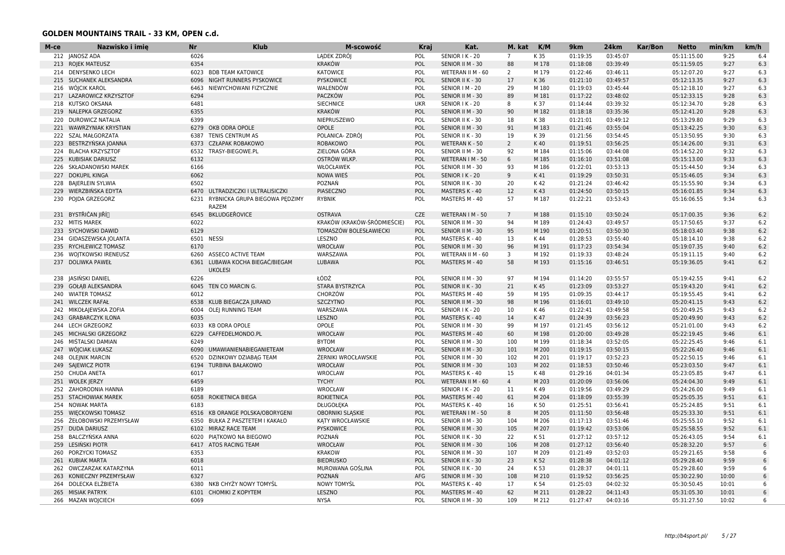| M-ce | Nazwisko i imię             | <b>Nr</b> | <b>Klub</b>                                    | M-scowość                   | Kraj       | Kat.              | M. kat          | K/M   | 9km      | 24km     | Kar/Bon | <b>Netto</b> | min/km | km/h            |
|------|-----------------------------|-----------|------------------------------------------------|-----------------------------|------------|-------------------|-----------------|-------|----------|----------|---------|--------------|--------|-----------------|
|      | 212 JANOSZ ADA              | 6026      |                                                | LADEK ZDRÓJ                 | POL        | SENIOR I K - 20   | $7\overline{ }$ | K 35  | 01:19:35 | 03:45:07 |         | 05:11:15.00  | 9:25   | 6.4             |
|      | 213 ROJEK MATEUSZ           | 6354      |                                                | <b>KRAKÓW</b>               | POL        | SENIOR II M - 30  | 88              | M 178 | 01:18:08 | 03:39:49 |         | 05:11:59.05  | 9:27   | 6.3             |
| 214  | <b>DENYSENKO LECH</b>       | 6023      | <b>BDB TEAM KATOWICE</b>                       | <b>KATOWICE</b>             | POL        | WETERAN II M - 60 | $\overline{2}$  | M 179 | 01:22:46 | 03:46:11 |         | 05:12:07.20  | 9:27   | 6.3             |
|      | 215 SUCHANEK ALEKSANDRA     | 6096      | NIGHT RUNNERS PYSKOWICE                        | PYSKOWICE                   | POL        | SENIOR II K - 30  | 17              | K 36  | 01:21:10 | 03:49:57 |         | 05:12:13.35  | 9:27   | 6.3             |
|      | 216 WOICIK KAROL            | 6463      | NIEWYCHOWANI FIZYCZNIE                         | WALENDÓW                    | POL        | SENIOR   M - 20   | 29              | M 180 | 01:19:03 | 03:45:44 |         | 05:12:18.10  | 9:27   | 6.3             |
| 217  | <b>LAZAROWICZ KRZYSZTOF</b> | 6294      |                                                | PACZKÓW                     | <b>POL</b> | SENIOR II M - 30  | 89              | M 181 | 01:17:22 | 03:48:02 |         | 05:12:33.15  | 9:28   | 6.3             |
| 218  | KUTSKO OKSANA               | 6481      |                                                | <b>SIECHNICE</b>            | <b>UKR</b> | SENIOR I K - 20   | 8               | K 37  | 01:14:44 | 03:39:32 |         | 05:12:34.70  | 9:28   | 6.3             |
| 219  | NALEPKA GRZEGORZ            | 6355      |                                                | <b>KRAKÓW</b>               | POL        | SENIOR II M - 30  | 90              | M 182 | 01:18:18 | 03:35:36 |         | 05:12:41.20  | 9:28   | 6.3             |
| 220  | <b>DUROWICZ NATALIA</b>     | 6399      |                                                | NIEPRUSZEWO                 | POL        | SENIOR II K - 30  | 18              | K 38  | 01:21:01 | 03:49:12 |         | 05:13:29.80  | 9:29   | 6.3             |
| 221  | <b>WAWRZYNIAK KRYSTIAN</b>  | 6279      | OKB ODRA OPOLE                                 | OPOLE                       | POL        | SENIOR II M - 30  | 91              | M 183 | 01:21:46 | 03:55:04 |         | 05:13:42.25  | 9:30   | 6.3             |
| 222  | SZAL MAŁGORZATA             | 6387      | TENIS CENTRUM AS                               | POLANICA- ZDRÓJ             | POL        | SENIOR II K - 30  | 19              | K 39  | 01:21:56 | 03:54:45 |         | 05:13:50.95  | 9:30   | 6.3             |
| 223  | BESTRZYŃSKA JOANNA          | 6373      | CZŁAPAK ROBAKOWO                               | ROBAKOWO                    | POL        | WETERAN K - 50    | $\overline{2}$  | K 40  | 01:19:51 | 03:56:25 |         | 05:14:26.00  | 9:31   | 6.3             |
| 224  | <b>BLACHA KRZYSZTOF</b>     | 6532      | TRASY-BIEGOWE.PL                               | ZIELONA GÓRA                | POL        | SENIOR II M - 30  | 92              | M 184 | 01:15:06 | 03:44:08 |         | 05:14:52.20  | 9:32   | 6.3             |
| 225  | <b>KUBISIAK DARIUSZ</b>     | 6132      |                                                | OSTRÓW WLKP.                | POL        | WETERAN I M - 50  | 6               | M 185 | 01:16:10 | 03:51:08 |         | 05:15:13.00  | 9:33   | 6.3             |
| 226  | <b>SKŁADANOWSKI MAREK</b>   | 6166      |                                                | WŁOCŁAWEK                   | POL        | SENIOR II M - 30  | 93              | M 186 | 01:22:01 | 03:53:13 |         | 05:15:44.50  | 9:34   | 6.3             |
|      | 227 DOKUPIL KINGA           | 6062      |                                                | NOWA WIES                   | POL        | SENIOR I K - 20   | 9               | K 41  | 01:19:29 | 03:50:31 |         | 05:15:46.05  | 9:34   | 6.3             |
| 228  | <b>BAJERLEIN SYLWIA</b>     | 6502      |                                                | POZNAŃ                      | POL        | SENIOR II K - 30  | 20              | K 42  | 01:21:24 | 03:46:42 |         | 05:15:55.90  | 9:34   | 6.3             |
| 229  | WIERZBIŃSKA EDYTA           | 6470      | ULTRADZICZKI I ULTRALISICZKI                   | PIASECZNO                   | POL        | MASTERS K - 40    | 12              | K43   | 01:24:50 | 03:50:15 |         | 05:16:01.85  | 9:34   | 6.3             |
|      |                             |           |                                                |                             |            |                   | 57              |       |          |          |         |              |        | 6.3             |
|      | 230 POJDA GRZEGORZ          | 6231      | RYBNICKA GRUPA BIEGOWA PĘDZIMY<br><b>RAZEM</b> | <b>RYBNIK</b>               | POL        | MASTERS M - 40    |                 | M 187 | 01:22:21 | 03:53:43 |         | 05:16:06.55  | 9:34   |                 |
|      |                             |           |                                                |                             |            |                   |                 |       |          |          |         |              |        |                 |
| 231  | BYSTŘIČAN JIŘÍ∏             | 6545      | BKLUDGEŘOVICE                                  | <b>OSTRAVA</b>              | CZE        | WETERAN I M - 50  | $7\overline{ }$ | M 188 | 01:15:10 | 03:50:24 |         | 05:17:00.35  | 9:36   | 6.2             |
|      | 232 MITIS MAREK             | 6022      |                                                | KRAKÓW (KRAKÓW-ŚRÓDMIEŚCIE) | POL        | SENIOR II M - 30  | 94              | M 189 | 01:24:43 | 03:49:57 |         | 05:17:50.65  | 9:37   | 6.2             |
| 233  | SYCHOWSKI DAWID             | 6129      |                                                | TOMASZÓW BOLESŁAWIECKI      | POL        | SENIOR II M - 30  | 95              | M 190 | 01:20:51 | 03:50:30 |         | 05:18:03.40  | 9:38   | 6.2             |
| 234  | GIDASZEWSKA JOLANTA         | 6501      | <b>NESSI</b>                                   | LESZNO                      | POL        | MASTERS K - 40    | 13              | K 44  | 01:28:53 | 03:55:40 |         | 05:18:14.10  | 9:38   | 6.2             |
|      | 235 RYCHLEWICZ TOMASZ       | 6170      |                                                | WROCŁAW                     | POL        | SENIOR II M - 30  | 96              | M 191 | 01:17:23 | 03:54:34 |         | 05:19:07.35  | 9:40   | 6.2             |
|      | 236 WOJTKOWSKI IRENEUSZ     | 6260      | <b>ASSECO ACTIVE TEAM</b>                      | WARSZAWA                    | POL        | WETERAN II M - 60 | 3               | M 192 | 01:19:33 | 03:48:24 |         | 05:19:11.15  | 9:40   | 6.2             |
|      | 237 DOLIWKA PAWEŁ           | 6361      | LUBAWA KOCHA BIEGAĆ/BIEGAM<br><b>UKOLESI</b>   | LUBAWA                      | POL        | MASTERS M - 40    | 58              | M 193 | 01:15:16 | 03:46:51 |         | 05:19:36.05  | 9:41   | 6.2             |
| 238  | JASIŃSKI DANIEL             | 6226      |                                                | ŁÓDŹ                        | POL        | SENIOR II M - 30  | 97              | M 194 | 01:14:20 | 03:55:57 |         | 05:19:42.55  | 9:41   | 6.2             |
| 239  | GOŁĄB ALEKSANDRA            | 6045      | TEN CO MARCIN G.                               | STARA BYSTRZYCA             | POL        | SENIOR II K - 30  | 21              | K 45  | 01:23:09 | 03:53:27 |         | 05:19:43.20  | 9:41   | 6.2             |
| 240  | <b>WIATER TOMASZ</b>        | 6012      |                                                | CHORZÓW                     | POL        | MASTERS M - 40    | 59              | M 195 | 01:09:35 | 03:44:17 |         | 05:19:55.45  | 9:41   | 6.2             |
| 241  | <b>WILCZEK RAFAŁ</b>        | 6538      | KLUB BIEGACZA JURAND                           | <b>SZCZYTNO</b>             | POL        | SENIOR II M - 30  | 98              | M 196 | 01:16:01 | 03:49:10 |         | 05:20:41.15  | 9:43   | 6.2             |
|      | 242 MIKOŁAJEWSKA ZOFIA      | 6004      | <b>OLEI RUNNING TEAM</b>                       | WARSZAWA                    | POL        | SENIOR I K - 20   | 10              | K 46  | 01:22:41 | 03:49:58 |         | 05:20:49.25  | 9:43   | 6.2             |
| 243  | <b>GRABARCZYK ILONA</b>     | 6035      |                                                | LESZNO                      | POL        | MASTERS K - 40    | 14              | K 47  | 01:24:39 | 03:56:23 |         | 05:20:49.90  | 9:43   | 6.2             |
| 244  | <b>LECH GRZEGORZ</b>        | 6033      | <b>KB ODRA OPOLE</b>                           | OPOLE                       | POL        | SENIOR II M - 30  | 99              | M 197 | 01:21:45 | 03:56:12 |         | 05:21:01.00  | 9:43   | 6.2             |
| 245  | MICHALSKI GRZEGORZ          | 6229      | CAFFEDELMONDO.PL                               | WROCŁAW                     | POL        | MASTERS M - 40    | 60              | M 198 | 01:20:00 | 03:49:28 |         | 05:22:19.45  | 9:46   | 6.1             |
| 246  | MIŠTALSKI DAMIAN            | 6249      |                                                | <b>BYTOM</b>                | POL        | SENIOR II M - 30  | 100             | M 199 | 01:18:34 | 03:52:05 |         | 05:22:25.45  | 9:46   | 6.1             |
| 247  | WÓJCIAK ŁUKASZ              | 6090      | UMAWIANIENABIEGANIETEAM                        | WROCŁAW                     | POL        | SENIOR II M - 30  | 101             | M 200 | 01:19:15 | 03:50:15 |         | 05:22:26.40  | 9:46   | 6.1             |
| 248  | <b>OLEJNIK MARCIN</b>       | 6520      | DZINKOWY DZIABĄG TEAM                          | ŻERNIKI WROCŁAWSKIE         | POL        | SENIOR II M - 30  | 102             | M 201 | 01:19:17 | 03:52:23 |         | 05:22:50.15  | 9:46   | 6.1             |
|      | 249 SAJEWICZ PIOTR          | 6194      | <b>TURBINA BAŁAKOWO</b>                        | <b>WROCŁAW</b>              | POL        | SENIOR II M - 30  | 103             | M 202 | 01:18:53 | 03:50:46 |         | 05:23:03.50  | 9:47   | 6.1             |
|      | 250 CHUDA ANETA             | 6017      |                                                | <b>WROCLAW</b>              | POL        | MASTERS K - 40    | 15              | K 48  | 01:29:16 | 04:01:34 |         | 05:23:05.85  | 9:47   | 6.1             |
| 251  | <b>WOLEK JERZY</b>          | 6459      |                                                | <b>TYCHY</b>                | <b>POL</b> | WETERAN II M - 60 | $\overline{4}$  | M 203 | 01:20:09 | 03:56:06 |         | 05:24:04.30  | 9:49   | 6.1             |
| 252  | ZAHORODNIA HANNA            | 6189      |                                                | WROCŁAW                     |            | SENIOR I K - 20   | 11              | K 49  | 01:19:56 | 03:49:29 |         | 05:24:26.00  | 9:49   | 6.1             |
|      | 253 STACHOWIAK MAREK        |           | 6058 ROKIETNICA BIEGA                          | <b>ROKIETNICA</b>           | POL        | MASTERS M - 40    | 61              | M 204 | 01:18:09 | 03:55:39 |         | 05:25:05.35  | 9:51   | 6.1             |
| 254  | <b>NOWAK MARTA</b>          | 6183      |                                                | DŁUGOŁĘKA                   | POL        | MASTERS K - 40    | 16              | K 50  | 01:25:51 | 03:56:41 |         | 05:25:24.85  | 9:51   | 6.1             |
| 255  | <b>WIECKOWSKI TOMASZ</b>    | 6516      | KB ORANGE POLSKA/OBORYGENI                     | <b>OBORNIKI SLASKIE</b>     | POL        | WETERAN I M - 50  | 8               | M 205 | 01:11:50 | 03:56:48 |         | 05:25:33.30  | 9:51   | 6.1             |
| 256  | ŻEŁOBOWSKI PRZEMYSŁAW       | 6350      | BUŁKA Z PASZTETEM I KAKAŁO                     | KATY WROCŁAWSKIE            | POL        | SENIOR II M - 30  | 104             | M 206 | 01:17:13 | 03:51:46 |         | 05:25:55.10  | 9:52   | 6.1             |
| 257  | <b>DUDA DARIUSZ</b>         | 6102      | MIRAZ RACE TEAM                                | <b>PYSKOWICE</b>            | POL        |                   | 105             | M 207 | 01:19:42 | 03:53:06 |         | 05:25:58.55  | 9:52   | 6.1             |
|      |                             | 6020      |                                                | POZNAŃ                      | POL        | SENIOR II M - 30  | 22              |       |          |          |         |              | 9:54   | 6.1             |
| 258  | BALCZYŃSKA ANNA             |           | PIATKOWO NA BIEGOWO                            |                             |            | SENIOR II K - 30  |                 | K 51  | 01:27:12 | 03:57:12 |         | 05:26:43.05  |        |                 |
| 259  | LESINSKI PIOTR              | 6417      | ATOS RACING TEAM                               | <b>WROCŁAW</b>              | POL        | SENIOR II M - 30  | 106             | M 208 | 01:27:12 | 03:56:40 |         | 05:28:32.20  | 9:57   | 6               |
|      | 260 PORZYCKI TOMASZ         | 6353      |                                                | <b>KRAKOW</b>               | POL        | SENIOR II M - 30  | 107             | M 209 | 01:21:49 | 03:52:03 |         | 05:29:21.65  | 9:58   | 6               |
|      | 261 KUBIAK MARTA            | 6018      |                                                | <b>BIEDRUSKO</b>            | POL        | SENIOR II K - 30  | 23              | K 52  | 01:28:38 | 04:01:12 |         | 05:29:28.40  | 9:59   | $6\overline{6}$ |
| 262  | OWCZARZAK KATARZYNA         | 6011      |                                                | MUROWANA GOŚLINA            | POL        | SENIOR II K - 30  | 24              | K 53  | 01:28:37 | 04:01:11 |         | 05:29:28.60  | 9:59   | $6\overline{6}$ |
| 263  | KONIECZNY PRZEMYSŁAW        | 6327      |                                                | POZNAŃ                      | AFG        | SENIOR II M - 30  | 108             | M 210 | 01:19:52 | 03:56:25 |         | 05:30:22.90  | 10:00  |                 |
|      | 264 DOLECKA ELŻBIETA        | 6380      | NKB CHYŻY NOWY TOMYŚL                          | <b>NOWY TOMYSL</b>          | POL        | MASTERS K - 40    | 17              | K 54  | 01:25:03 | 04:02:32 |         | 05:30:50.45  | 10:01  | 6               |
|      | 265 MISIAK PATRYK           | 6101      | CHOMIKI Z KOPYTEM                              | LESZNO                      | POL        | MASTERS M - 40    | 62              | M 211 | 01:28:22 | 04:11:43 |         | 05:31:05.30  | 10:01  | 6               |
|      | 266 MAZAN WOJCIECH          | 6069      |                                                | <b>NYSA</b>                 | POL        | SENIOR II M - 30  | 109             | M 212 | 01:27:47 | 04:03:16 |         | 05:31:27.50  | 10:02  |                 |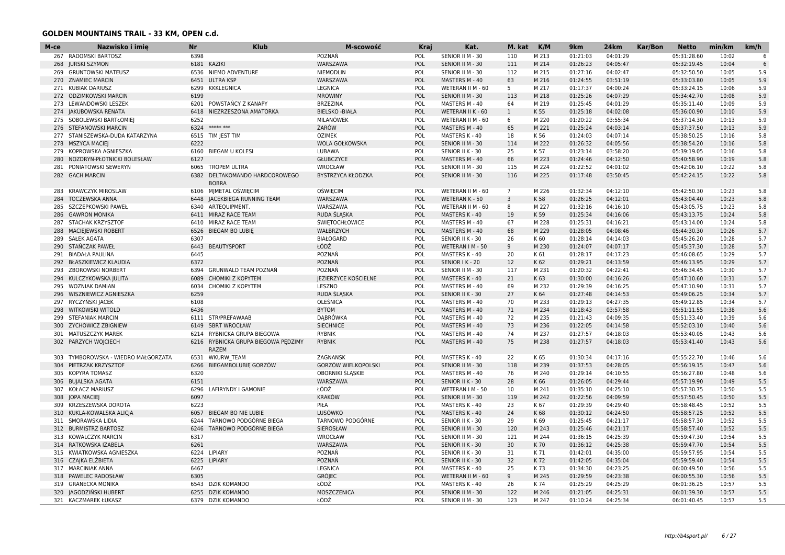| M-ce | Nazwisko i imie                            | Nr           | <b>Klub</b>                                    | M-scowość                   | Kraj       | Kat.                  | M. kat         | K/M            | 9km      | 24km     | <b>Kar/Bon</b> | <b>Netto</b> | min/km         | km/h |
|------|--------------------------------------------|--------------|------------------------------------------------|-----------------------------|------------|-----------------------|----------------|----------------|----------|----------|----------------|--------------|----------------|------|
|      | 267 RADOMSKI BARTOSZ                       | 6398         |                                                | POZNAŃ                      | POL        | SENIOR II M - 30      | 110            | M 213          | 01:21:03 | 04:01:29 |                | 05:31:28.60  | 10:02          | 6    |
| 268  | <b>JURSKI SZYMON</b>                       |              | 6181 KAZIKI                                    | WARSZAWA                    | POL        | SENIOR II M - 30      | 111            | M 214          | 01:26:23 | 04:05:47 |                | 05:32:19.45  | 10:04          | 6    |
| 269  | <b>GRUNTOWSKI MATEUSZ</b>                  | 6536         | NIEMO ADVENTURE                                | <b>NIEMODLIN</b>            | POL        | SENIOR II M - 30      | 112            | M 215          | 01:27:16 | 04:02:47 |                | 05:32:50.50  | 10:05          | 5.9  |
|      | 270 ZNAMIEC MARCIN                         | 6451         | <b>ULTRA KSP</b>                               | WARSZAWA                    | POL        | MASTERS M - 40        | 63             | M 216          | 01:24:55 | 03:51:19 |                | 05:33:03.80  | 10:05          | 5.9  |
|      | 271 KUBIAK DARIUSZ                         | 6299         | <b>KKKLEGNICA</b>                              | <b>LEGNICA</b>              | POL        | WETERAN II M - 60     | 5              | M 217          | 01:17:37 | 04:00:24 |                | 05:33:24.15  | 10:06          | 5.9  |
| 272  | <b>ODZIMKOWSKI MARCIN</b>                  | 6199         |                                                | <b>MROWINY</b>              | POL        | SENIOR II M - 30      | 113            | M 218          | 01:25:26 | 04:07:29 |                | 05:34:42.70  | 10:08          | 5.9  |
| 273  | LEWANDOWSKI LESZEK                         | 6201         | POWSTANCY Z KANAPY                             | <b>BRZEZINA</b>             | POL        | MASTERS M - 40        | 64             | M 219          | 01:25:45 | 04:01:29 |                | 05:35:11.40  | 10:09          | 5.9  |
| 274  | JAKUBOWSKA RENATA                          | 6418         | NIEZRZESZONA AMATORKA                          | <b>BIELSKO - BIAŁA</b>      | POL        | WETERAN II K - 60     | $\mathbf{1}$   | K 55           | 01:25:18 | 04:02:08 |                | 05:36:00.90  | 10:10          | 5.9  |
| 275  | SOBOLEWSKI BARTŁOMIEJ                      | 6252         |                                                | MILANÓWEK                   | POL        | WETERAN II M - 60     | 6              | M 220          | 01:20:22 | 03:55:34 |                | 05:37:14.30  | 10:13          | 5.9  |
| 276  | <b>STEFANOWSKI MARCIN</b>                  | 6324         | ***** ***                                      | ŻARÓW                       | POL        | MASTERS M - 40        | 65             | M 221          | 01:25:24 | 04:03:14 |                | 05:37:37.50  | 10:13          | 5.9  |
| 277  | STANISZEWSKA-DUDA KATARZYNA                | 6515         | TIM JEST TIM                                   | <b>OZIMEK</b>               | POL        | MASTERS K - 40        | 18             | K 56           | 01:24:03 | 04:07:14 |                | 05:38:50.25  | 10:16          | 5.8  |
| 278  | <b>MSZYCA MACIEJ</b>                       | 6222         |                                                | WOLA GOŁKOWSKA              | POL        | SENIOR II M - 30      | 114            | M 222          | 01:26:32 | 04:05:56 |                | 05:38:54.20  | 10:16          | 5.8  |
| 279  | KOPROWSKA AGNIESZKA                        | 6160         | <b>BIEGAM U KOLESI</b>                         | LUBAWA                      | POL        | SENIOR II K - 30      | 25             | K 57           | 01:23:14 | 03:58:20 |                | 05:39:19.05  | 10:16          | 5.8  |
| 280  | NOZDRYN-PŁOTNICKI BOLESŁAW                 | 6127         |                                                | GŁUBCZYCE                   | POL        | MASTERS M - 40        | 66             | M 223          | 01:24:46 | 04:12:50 |                | 05:40:58.90  | 10:19          | 5.8  |
| 281  | PONIATOWSKI SEWERYN                        | 6065         | <b>TROPEM ULTRA</b>                            | <b>WROCŁAW</b>              | POL        | SENIOR II M - 30      | 115            | M 224          | 01:22:52 | 04:01:02 |                | 05:42:06.10  | 10:22          | 5.8  |
|      | 282 GACH MARCIN                            |              | 6382 DELTAKOMANDO HARDCOROWEGO                 | BYSTRZYCA KŁODZKA           | POL        | SENIOR II M - 30      | 116            | M 225          | 01:17:48 | 03:50:45 |                | 05:42:24.15  | 10:22          | 5.8  |
|      |                                            |              | <b>BOBRA</b>                                   |                             |            |                       |                |                |          |          |                |              |                |      |
| 283  | <b>KRAWCZYK MIROSLAW</b>                   | 6106         | MJMETAL OŚWIĘCIM                               | <b>OŚWIĘCIM</b>             | POL        | WETERAN II M - 60     | $\overline{7}$ | M 226          | 01:32:34 | 04:12:10 |                | 05:42:50.30  | 10:23          | 5.8  |
| 284  | <b>TOCZEWSKA ANNA</b>                      | 6448         | <b>JACEKBIEGA RUNNING TEAM</b>                 | WARSZAWA                    | POL        | <b>WETERAN K - 50</b> | 3              | K 58           | 01:26:25 | 04:12:01 |                | 05:43:04.40  | 10:23          | 5.8  |
| 285  | SZCZEPKOWSKI PAWEŁ                         | 6340         | ARTEQUIPMENT.                                  | WARSZAWA                    | POL        | WETERAN II M - 60     | 8              | M 227          | 01:32:16 | 04:16:10 |                | 05:43:05.75  | 10:23          | 5.8  |
| 286  | <b>GAWRON MONIKA</b>                       | 6411         | MIRAZ RACE TEAM                                | RUDA SLASKA                 | POL        | MASTERS K - 40        | 19             | K 59           | 01:25:34 | 04:16:06 |                | 05:43:13.75  | 10:24          | 5.8  |
| 287  | <b>STACHAK KRZYSZTOF</b>                   | 6410         | MIRAZ RACE TEAM                                | <b>ŚWIĘTOCHŁOWICE</b>       | POL        | MASTERS M - 40        | 67             | M 228          | 01:25:31 | 04:16:21 |                | 05:43:14.00  | 10:24          | 5.8  |
| 288  | MACIEJEWSKI ROBERT                         | 6526         | <b>BIEGAM BO LUBIE</b>                         | WAŁBRZYCH                   | POL        | MASTERS M - 40        | 68             | M 229          | 01:28:05 | 04:08:46 |                | 05:44:30.30  | 10:26          | 5.7  |
| 289  | <b>SAŁEK AGATA</b>                         | 6307         |                                                | <b>BIAŁOGARD</b>            | POL        | SENIOR II K - 30      | 26             | K 60           | 01:28:14 | 04:14:03 |                | 05:45:26.20  | 10:28          | 5.7  |
| 290  | STAŃCZAK PAWEŁ                             | 6443         | <b>BEAUTYSPORT</b>                             | ŁÓDŹ                        | POL        | WETERAN I M - 50      | 9              | M 230          | 01:24:07 | 04:07:17 |                | 05:45:37.30  | 10:28          | 5.7  |
| 291  | <b>BIADAŁA PAULINA</b>                     | 6445         |                                                | POZNAŃ                      | POL        | MASTERS K - 40        | 20             | K 61           | 01:28:17 | 04:17:23 |                | 05:46:08.65  | 10:29          | 5.7  |
| 292  | BŁASZKIEWICZ KLAUDIA                       | 6372         |                                                | POZNAŃ                      | POL        | SENIOR I K - 20       | 12             | K 62           | 01:29:21 | 04:13:59 |                | 05:46:13.95  | 10:29          | 5.7  |
| 293  | ZBOROWSKI NORBERT                          | 6394         | <b>GRUNWALD TEAM POZNAŃ</b>                    | POZNAŃ                      | POL        | SENIOR II M - 30      | 117            | M 231          | 01:20:32 | 04:22:41 |                | 05:46:34.45  | 10:30          | 5.7  |
| 294  | KULCZYKOWSKA JULITA                        | 6089         | CHOMIKI Z KOPYTEM                              | <b>JEZIERZYCE KOŚCIELNE</b> | POL        | <b>MASTERS K - 40</b> | 21             | K 63           | 01:30:00 | 04:16:26 |                | 05:47:10.60  | 10:31          | 5.7  |
| 295  | <b>WOZNIAK DAMIAN</b>                      | 6034         | CHOMIKI Z KOPYTEM                              | LESZNO                      | POL        | MASTERS M - 40        | 69             | M 232          | 01:29:39 | 04:16:25 |                | 05:47:10.90  | 10:31          | 5.7  |
| 296  | WISZNIEWICZ AGNIESZKA                      | 6259         |                                                | RUDA ŚLĄSKA                 | POL        | SENIOR II K - 30      | 27             | K 64           | 01:27:48 | 04:14:53 |                | 05:49:06.25  | 10:34          | 5.7  |
|      |                                            |              |                                                |                             |            |                       |                |                |          |          |                |              |                |      |
| 297  | RYCZYŃSKI JACEK<br><b>WITKOWSKI WITOLD</b> | 6108<br>6436 |                                                | OLEŚNICA                    | POL<br>POL | MASTERS M - 40        | 70<br>71       | M 233<br>M 234 | 01:29:13 | 04:27:35 |                | 05:49:12.85  | 10:34<br>10:38 | 5.7  |
| 298  |                                            |              |                                                | <b>BYTOM</b>                |            | MASTERS M - 40        |                |                | 01:18:43 | 03:57:58 |                | 05:51:11.55  |                | 5.6  |
| 299  | STEFANIAK MARCIN                           | 6111         | STR/PREFAWAAB                                  | <b>DABRÓWKA</b>             | POL        | MASTERS M - 40        | 72             | M 235          | 01:21:43 | 04:09:35 |                | 05:51:33.40  | 10:39          | 5.6  |
| 300  | <b>ZYCHOWICZ ZBIGNIEW</b>                  | 6149         | <b>SBRT WROCŁAW</b>                            | <b>SIECHNICE</b>            | POL        | MASTERS M - 40        | 73             | M 236          | 01:22:05 | 04:14:58 |                | 05:52:03.10  | 10:40          | 5.6  |
|      | 301 MATUSZCZYK MAREK                       | 6214         | RYBNICKA GRUPA BIEGOWA                         | <b>RYBNIK</b>               | POL        | MASTERS M - 40        | 74             | M 237          | 01:27:57 | 04:18:03 |                | 05:53:40.05  | 10:43          | 5.6  |
|      | 302 PARZYCH WOJCIECH                       | 6216         | RYBNICKA GRUPA BIEGOWA PĘDZIMY<br><b>RAZEM</b> | <b>RYBNIK</b>               | POL        | MASTERS M - 40        | 75             | M 238          | 01:27:57 | 04:18:03 |                | 05:53:41.40  | 10:43          | 5.6  |
| 303  | TYMBOROWSKA - WIEDRO MAŁGORZATA            | 6531         | <b>WKURW TEAM</b>                              | ZAGNANSK                    | POL        | MASTERS K - 40        | 22             | K 65           | 01:30:34 | 04:17:16 |                | 05:55:22.70  | 10:46          | 5.6  |
| 304  | PIETRZAK KRZYSZTOF                         | 6266         | BIEGAMBOLUBIE GORZÓW                           | GORZÓW WIELKOPOLSKI         | POL        | SENIOR II M - 30      | 118            | M 239          | 01:37:53 | 04:28:05 |                | 05:56:19.15  | 10:47          | 5.6  |
| 305  | <b>KOPYRA TOMASZ</b>                       | 6320         |                                                | OBORNIKI ŚLASKIE            | POL        | MASTERS M - 40        | 76             | M 240          | 01:29:14 | 04:10:55 |                | 05:56:27.80  | 10:48          | 5.6  |
| 306  | <b>BUJALSKA AGATA</b>                      | 6151         |                                                | WARSZAWA                    | POL        | SENIOR II K - 30      | 28             | K 66           | 01:26:05 | 04:29:44 |                | 05:57:19.90  | 10:49          | 5.5  |
| 307  | KOŁACZ MARIUSZ                             | 6296         | LAFIRYNDY I GAMONIE                            | ŁÓDŹ                        | POL        | WETERAN I M - 50      | 10             | M 241          | 01:35:10 | 04:25:10 |                | 05:57:30.75  | 10:50          | 5.5  |
| 308  | <b>JOPA MACIEJ</b>                         | 6097         |                                                | <b>KRAKÓW</b>               | POL        | SENIOR II M - 30      | 119            | M 242          | 01:22:56 | 04:09:59 |                | 05:57:50.45  | 10:50          | 5.5  |
| 309  | KRZESZEWSKA DOROTA                         | 6223         |                                                | PIŁA                        | POL        | MASTERS K - 40        | 23             | K67            | 01:29:39 | 04:29:40 |                | 05:58:48.45  | 10:52          | 5.5  |
| 310  | KUKLA-KOWALSKA ALICIA                      | 6057         | <b>BIEGAM BO NIE LUBIE</b>                     | LUSÓWKO                     | POL        | MASTERS K - 40        | 24             | K 68           | 01:30:12 | 04:24:50 |                | 05:58:57.25  | 10:52          | 5.5  |
|      | 311 SMORAWSKA LIDIA                        | 6244         | TARNOWO PODGÓRNE BIEGA                         | <b>TARNOWO PODGÓRNE</b>     | POL        | SENIOR II K - 30      | 29             | K 69           | 01:25:45 | 04:21:17 |                | 05:58:57.30  | 10:52          | 5.5  |
|      | 312 BURMISTRZ BARTOSZ                      | 6246         | TARNOWO PODGÓRNE BIEGA                         | SIEROSŁAW                   | POL        | SENIOR II M - 30      | 120            | M 243          | 01:25:46 | 04:21:17 |                | 05:58:57.40  | 10:52          | 5.5  |
| 313  | <b>KOWALCZYK MARCIN</b>                    | 6317         |                                                | WROCŁAW                     | POL        | SENIOR II M - 30      | 121            | M 244          | 01:36:15 | 04:25:39 |                | 05:59:47.30  | 10:54          | 5.5  |
| 314  | RATKOWSKA IZABELA                          | 6261         |                                                | WARSZAWA                    | POL        | SENIOR II K - 30      | 30             | K 70           | 01:36:12 | 04:25:38 |                | 05:59:47.70  | 10:54          | 5.5  |
| 315  | KWIATKOWSKA AGNIESZKA                      | 6224         | <b>LIPIARY</b>                                 | POZNAŃ                      | POL        | SENIOR II K - 30      | 31             | K 71           | 01:42:01 | 04:35:00 |                | 05:59:57.95  | 10:54          | 5.5  |
| 316  | CZAJKA ELŻBIETA                            | 6225         | LIPIARY                                        | POZNAŃ                      | POL        | SENIOR II K - 30      | 32             | K 72           | 01:42:05 | 04:35:04 |                | 05:59:59.40  | 10:54          | 5.5  |
| 317  | <b>MARCINIAK ANNA</b>                      | 6467         |                                                | LEGNICA                     | POL        | MASTERS K - 40        | 25             | K 73           | 01:34:30 | 04:23:25 |                | 06:00:49.50  | 10:56          | 5.5  |
| 318  | <b>PAWELEC RADOSŁAW</b>                    | 6305         |                                                | <b>GRÓJEC</b>               | POL        | WETERAN II M - 60     | 9              | M 245          | 01:29:59 | 04:23:38 |                | 06:00:55.30  | 10:56          | 5.5  |
|      | 319 GRANECKA MONIKA                        | 6543         | <b>DZIK KOMANDO</b>                            | ŁÓDŹ                        | POL        | MASTERS K - 40        | 26             | K 74           | 01:25:29 | 04:25:29 |                | 06:01:36.25  | 10:57          | 5.5  |
| 320  | JAGODZIŃSKI HUBERT                         | 6255         | <b>DZIK KOMANDO</b>                            | MOSZCZENICA                 | POL        | SENIOR II M - 30      | 122            | M 246          | 01:21:05 | 04:25:31 |                | 06:01:39.30  | 10:57          | 5.5  |
|      | 321 KACZMAREK ŁUKASZ                       | 6379         | <b>DZIK KOMANDO</b>                            | ŁÓDŹ                        | POL        | SENIOR II M - 30      | 123            | M 247          | 01:10:24 | 04:25:34 |                | 06:01:40.45  | 10:57          | 5.5  |
|      |                                            |              |                                                |                             |            |                       |                |                |          |          |                |              |                |      |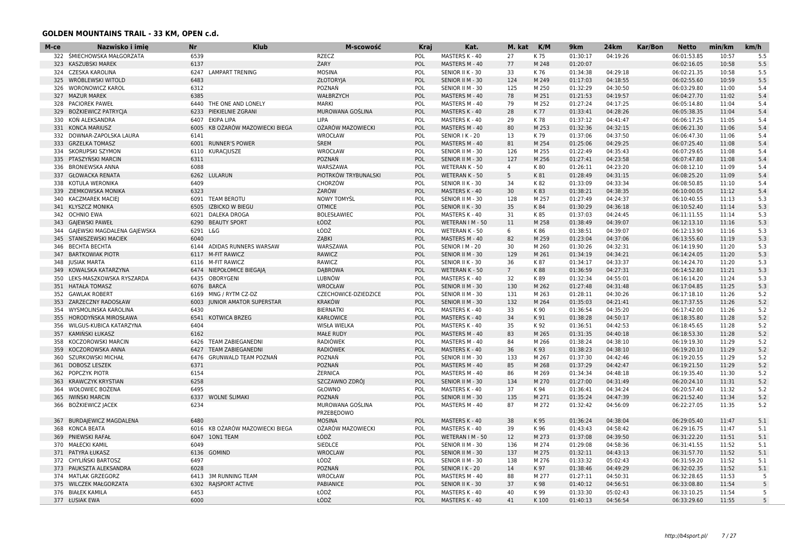| 322 ŚMIECHOWSKA MAŁGORZATA<br>27<br>K 75<br>10:57<br>6539<br><b>RZECZ</b><br>POL<br>MASTERS K - 40<br>01:30:17<br>04:19:26<br>06:01:53.85<br>323<br><b>KASZUBSKI MAREK</b><br>6137<br>ŻARY<br>POL<br>MASTERS M - 40<br>77<br>M 248<br>01:20:07<br>06:02:16.05<br>10:58<br>CZESKA KAROLINA<br><b>MOSINA</b><br>POL<br>33<br>K 76<br>01:34:38<br>04:29:18<br>06:02:21.35<br>10:58<br>324<br>6247<br>LAMPART TRENING<br>SENIOR II K - 30<br>6483<br>POL<br>124<br>01:17:03<br>04:18:55<br>325 WRÓBLEWSKI WITOLD<br>ZŁOTORYJA<br>SENIOR II M - 30<br>M 249<br>06:02:55.60<br>10:59<br>6312<br>POZNAŃ<br>POL<br>125<br>M 250<br>01:32:29<br>04:30:50<br>11:00<br>326 WORONOWICZ KAROL<br>SENIOR II M - 30<br>06:03:29.80<br>327<br><b>MAZUR MAREK</b><br>6385<br>WAŁBRZYCH<br>POL<br>MASTERS M - 40<br>78<br>M 251<br>01:21:53<br>04:19:57<br>06:04:27.70<br>11:02<br><b>PACIOREK PAWEŁ</b><br>6440<br>THE ONE AND LONELY<br><b>MARKI</b><br>POL<br>MASTERS M - 40<br>79<br>M 252<br>01:27:24<br>04:17:25<br>06:05:14.80<br>11:04<br>328<br><b>BOŻKIEWICZ PATRYCJA</b><br>6233<br>PIEKIELNIE ZGRANI<br>MUROWANA GOŚLINA<br>POL<br>28<br>K 77<br>01:33:41<br>04:28:26<br>06:05:38.35<br>11:04<br>329<br>MASTERS K - 40<br>KOŃ ALEKSANDRA<br>6407<br><b>EKIPA LIPA</b><br>LIPA<br>POL<br>MASTERS K - 40<br>29<br>K 78<br>01:37:12<br>04:41:47<br>06:06:17.25<br>11:05<br>330<br>POL<br>M 253<br>01:32:36<br>04:32:15<br>331<br><b>KONCA MARIUSZ</b><br>6005<br>KB OŻARÓW MAZOWIECKI BIEGA<br>OŻARÓW MAZOWIECKI<br>MASTERS M - 40<br>80<br>06:06:21.30<br>11:06<br>04:37:50<br>332<br>DOWNAR-ZAPOLSKA LAURA<br>6141<br>WROCŁAW<br>POL<br>13<br>K 79<br>01:37:06<br>06:06:47.30<br>11:06<br>SENIOR I K - 20<br>ŚREM<br>POL<br>81<br>M 254<br>01:25:06<br>04:29:25<br>333<br><b>GRZELKA TOMASZ</b><br>6001<br><b>RUNNER'S POWER</b><br>MASTERS M - 40<br>06:07:25.40<br>11:08<br>04:35:43<br>334<br><b>SKORUPSKI SZYMON</b><br>6110<br><b>KURACIUSZE</b><br>WROCŁAW<br>POL<br>SENIOR II M - 30<br>126<br>M 255<br>01:22:49<br>06:07:29.65<br>11:08<br>POZNAŃ<br>POL<br>M 256<br>01:27:41<br>04:23:58<br>335<br>PTASZYŃSKI MARCIN<br>6311<br>SENIOR II M - 30<br>127<br>06:07:47.80<br>11:08<br>6088<br>WARSZAWA<br>POL<br>$\overline{4}$<br>01:26:11<br>04:23:20<br>06:08:12.10<br>11:09<br>336 BRONIEWSKA ANNA<br>WETERAN K - 50<br>K 80<br>5 <sup>5</sup><br>04:31:15<br>337<br><b>GŁOWACKA RENATA</b><br>6262 LULARUN<br>PIOTRKÓW TRYBUNALSKI<br>POL<br>WETERAN K - 50<br>K 81<br>01:28:49<br>06:08:25.20<br>11:09<br>KOTULA WERONIKA<br>6409<br>CHORZÓW<br>POL<br>SENIOR II K - 30<br>34<br>K82<br>01:33:09<br>04:33:34<br>06:08:50.85<br>11:10<br>338<br>6323<br>ŻARÓW<br>POL<br>30<br>K83<br>01:38:21<br>04:38:35<br>06:10:00.05<br>11:12<br>339 ZIEMKOWSKA MONIKA<br>MASTERS K - 40<br>M 257<br>01:27:49<br>04:24:37<br>11:13<br><b>KACZMAREK MACIEJ</b><br>6091<br><b>TEAM BEROTU</b><br><b>NOWY TOMYSL</b><br>POL<br>SENIOR II M - 30<br>128<br>06:10:40.55<br>340<br><b>OTMICE</b><br>6505<br>01:30:29<br>04:36:18<br>11:14<br>341<br><b>KLYSZCZ MONIKA</b><br><b>IZBICKO W BIEGU</b><br>POL<br>SENIOR II K - 30<br>35<br>K 84<br>06:10:52.40<br><b>BOLESŁAWIEC</b><br>01:37:03<br>04:24:45<br>06:11:11.55<br>11:14<br>342<br><b>OCHNIO EWA</b><br>6021<br>DALEKA DROGA<br>POL<br>MASTERS K - 40<br>31<br>K 85<br>ŁÓDŹ<br>04:39:07<br>343<br><b>GAJEWSKI PAWEŁ</b><br>6290<br><b>BEAUTY SPORT</b><br>POL<br>WETERAN I M - 50<br>11<br>M 258<br>01:38:49<br>06:12:13.10<br>11:16<br>ŁÓDŹ<br>GAJEWSKI MAGDALENA GAJEWSKA<br>6291<br>L&G<br>POL<br>WETERAN K - 50<br>6<br>K86<br>01:38:51<br>04:39:07<br>06:12:13.90<br>11:16<br>344<br>6040<br>ZABKI<br>POL<br>82<br>01:23:04<br>04:37:06<br>5.3<br>345<br>STANISZEWSKI MACIEK<br>MASTERS M - 40<br>M 259<br>06:13:55.60<br>11:19<br>ADIDAS RUNNERS WARSAW<br>WARSZAWA<br>POL<br>M 260<br>01:30:26<br>04:32:31<br>06:14:19.90<br>11:20<br>5.3<br>346<br><b>BECHTA BECHTA</b><br>6144<br>SENIOR   M - 20<br>30<br>RAWICZ<br>5.3<br><b>BARTKOWIAK PIOTR</b><br>6117<br><b>M-FIT RAWICZ</b><br>POL<br>SENIOR II M - 30<br>129<br>M 261<br>01:34:19<br>04:34:21<br>06:14:24.05<br>11:20<br>347<br>04:33:37<br>5.3<br>RAWICZ<br>POL<br>01:34:17<br>06:14:24.70<br>11:20<br>348<br><b>JUSIAK MARTA</b><br>6116<br><b>M-FIT RAWICZ</b><br>SENIOR II K - 30<br>36<br>K 87<br>01:36:59<br>04:27:31<br>5.3<br>NIEPOŁOMICE BIEGAJĄ<br><b>DABROWA</b><br>POL<br>$7\overline{ }$<br>K88<br>06:14:52.80<br>11:21<br>349<br>KOWALSKA KATARZYNA<br>6474<br>WETERAN K - 50<br>LEKS-MASZKOWSKA RYSZARDA<br>6435<br><b>OBORYGENI</b><br>LUBNÓW<br>POL<br>MASTERS K - 40<br>32<br>K89<br>01:32:34<br>04:55:01<br>06:16:14.20<br>11:24<br>350<br>351 HATAŁA TOMASZ<br>6076<br><b>BARCA</b><br>WROCŁAW<br>POL<br>SENIOR II M - 30<br>130<br>M 262<br>01:27:48<br>04:31:48<br>06:17:04.85<br>11:25<br>MNG / RYTM CZ-DZ<br>04:30:26<br><b>GAWLAK ROBERT</b><br>CZECHOWICE-DZIEDZICE<br>POL<br>SENIOR II M - 30<br>131<br>M 263<br>01:28:11<br>06:17:18.10<br>11:26<br>352<br>6169<br>353<br>ZARZECZNY RADOSŁAW<br>6003<br><b>JUNIOR AMATOR SUPERSTAR</b><br><b>KRAKÓW</b><br>POL<br>SENIOR II M - 30<br>132<br>M 264<br>01:35:03<br>04:21:41<br>06:17:37.55<br>11:26<br>6430<br><b>BIERNATKI</b><br>POL<br>33<br>K 90<br>01:36:54<br>04:35:20<br>06:17:42.00<br>11:26<br>354<br>WYSMOLINSKA KAROLINA<br>MASTERS K - 40<br>04:50:17<br>HORODYŃSKA MIROSŁAWA<br><b>KOTWICA BRZEG</b><br>KARŁOWICE<br>POL<br>MASTERS K - 40<br>34<br>K 91<br>01:38:28<br>06:18:35.80<br>11:28<br>355<br>6541<br>04:42:53<br>WILGUS-KUBICA KATARZYNA<br>6404<br><b>WISŁA WIELKA</b><br>POL<br>K 92<br>01:36:51<br>06:18:45.65<br>11:28<br>356<br>MASTERS K - 40<br>35<br>POL<br>83<br>04:40:18<br>357<br>KAMINSKI ŁUKASZ<br>6162<br><b>MAŁE RUDY</b><br>M 265<br>01:31:35<br>06:18:53.30<br>11:28<br>MASTERS M - 40<br>01:38:24<br>04:38:10<br>358 KOCZOROWSKI MARCIN<br>6426<br><b>TEAM ZABIEGANEDNI</b><br><b>RADIÓWEK</b><br>POL<br>MASTERS M - 40<br>84<br>M 266<br>06:19:19.30<br>11:29<br>KOCZOROWSKA ANNA<br><b>TEAM ZABIEGANEDNI</b><br><b>RADIÓWEK</b><br>POL<br>36<br>K 93<br>01:38:23<br>04:38:10<br>06:19:20.10<br>11:29<br>359<br>6427<br>MASTERS K - 40<br><b>GRUNWALD TEAM POZNAŃ</b><br>POZNAŃ<br>01:37:30<br>04:42:46<br>06:19:20.55<br>11:29<br>360<br>SZURKOWSKI MICHAŁ<br>6476<br>POL<br>SENIOR II M - 30<br>133<br>M 267<br>6371<br>POZNAŃ<br>POL<br>04:42:47<br>361<br><b>DOBOSZ LESZEK</b><br>MASTERS M - 40<br>85<br>M 268<br>01:37:29<br>06:19:21.50<br>11:29<br>6154<br>ŻERNICA<br>POL<br>01:34:34<br>04:48:18<br>11:30<br>362<br>POPCZYK PIOTR<br>MASTERS M - 40<br>86<br>M 269<br>06:19:35.40<br>6258<br>SZCZAWNO ZDRÓJ<br>POL<br>134<br>M 270<br>01:27:00<br>04:31:49<br>06:20:24.10<br>11:31<br>363<br><b>KRAWCZYK KRYSTIAN</b><br>SENIOR II M - 30<br>6495<br>GŁOWNO<br>POL<br>37<br>04:34:24<br>11:32<br>364<br>WOŁOWIEC BOŻENA<br>MASTERS K - 40<br>K 94<br>01:36:41<br>06:20:57.40<br>6337<br><b>WOLNE ŚLIMAKI</b><br>POZNAŃ<br><b>IWIŃSKI MARCIN</b><br>POL<br>135<br>M 271<br>01:35:24<br>04:47:39<br>06:21:52.40<br>11:34<br>365<br>SENIOR II M - 30<br>BOŻKIEWICZ JACEK<br>6234<br>MUROWANA GOŚLINA<br>POL<br>MASTERS M - 40<br>87<br>M 272<br>01:32:42<br>04:56:09<br>06:22:27.05<br>11:35<br>366<br>PRZEBĘDOWO<br><b>MOSINA</b><br>01:36:24<br>04:38:04<br>11:47<br><b>BURDAJEWICZ MAGDALENA</b><br>6480<br>POL<br>MASTERS K - 40<br>38<br>K 95<br>06:29:05.40<br>367<br><b>KONCA BEATA</b><br>KB OŻARÓW MAZOWIECKI BIEGA<br>OŻARÓW MAZOWIECKI<br>POL<br>39<br>K 96<br>01:43:43<br>04:58:42<br>06:29:16.75<br>11:47<br>368<br>6016<br>MASTERS K - 40<br><b>PNIEWSKI RAFAŁ</b><br>6047<br>10N1 TEAM<br>ŁÓDŹ<br>POL<br>WETERAN I M - 50<br>12<br>M 273<br>01:37:08<br>04:39:50<br>06:31:22.20<br>11:51<br>369<br>SIEDLCE<br>04:58:36<br>370<br><b>MAŁECKI KAMIL</b><br>6049<br>POL<br>136<br>M 274<br>01:29:08<br>06:31:41.55<br>11:52<br>SENIOR II M - 30<br><b>WROCLAW</b><br>PATYRA ŁUKASZ<br>6136 GOMIND<br>POL<br>SENIOR II M - 30<br>137<br>M 275<br>01:32:11<br>04:43:13<br>06:31:57.70<br>11:52<br>371<br>ŁÓDŹ<br>372<br>CHYLIŃSKI BARTOSZ<br>6497<br>POL<br>138<br>05:02:43<br>06:31:59.20<br>11:52<br>SENIOR II M - 30<br>M 276<br>01:33:32 | M-ce | Nazwisko i imię | <b>Nr</b> | <b>Klub</b> | M-scowość | Kraj | Kat. | M. kat | K/M | 9km | 24km | Kar/Bon | <b>Netto</b> | min/km | km/h |
|-----------------------------------------------------------------------------------------------------------------------------------------------------------------------------------------------------------------------------------------------------------------------------------------------------------------------------------------------------------------------------------------------------------------------------------------------------------------------------------------------------------------------------------------------------------------------------------------------------------------------------------------------------------------------------------------------------------------------------------------------------------------------------------------------------------------------------------------------------------------------------------------------------------------------------------------------------------------------------------------------------------------------------------------------------------------------------------------------------------------------------------------------------------------------------------------------------------------------------------------------------------------------------------------------------------------------------------------------------------------------------------------------------------------------------------------------------------------------------------------------------------------------------------------------------------------------------------------------------------------------------------------------------------------------------------------------------------------------------------------------------------------------------------------------------------------------------------------------------------------------------------------------------------------------------------------------------------------------------------------------------------------------------------------------------------------------------------------------------------------------------------------------------------------------------------------------------------------------------------------------------------------------------------------------------------------------------------------------------------------------------------------------------------------------------------------------------------------------------------------------------------------------------------------------------------------------------------------------------------------------------------------------------------------------------------------------------------------------------------------------------------------------------------------------------------------------------------------------------------------------------------------------------------------------------------------------------------------------------------------------------------------------------------------------------------------------------------------------------------------------------------------------------------------------------------------------------------------------------------------------------------------------------------------------------------------------------------------------------------------------------------------------------------------------------------------------------------------------------------------------------------------------------------------------------------------------------------------------------------------------------------------------------------------------------------------------------------------------------------------------------------------------------------------------------------------------------------------------------------------------------------------------------------------------------------------------------------------------------------------------------------------------------------------------------------------------------------------------------------------------------------------------------------------------------------------------------------------------------------------------------------------------------------------------------------------------------------------------------------------------------------------------------------------------------------------------------------------------------------------------------------------------------------------------------------------------------------------------------------------------------------------------------------------------------------------------------------------------------------------------------------------------------------------------------------------------------------------------------------------------------------------------------------------------------------------------------------------------------------------------------------------------------------------------------------------------------------------------------------------------------------------------------------------------------------------------------------------------------------------------------------------------------------------------------------------------------------------------------------------------------------------------------------------------------------------------------------------------------------------------------------------------------------------------------------------------------------------------------------------------------------------------------------------------------------------------------------------------------------------------------------------------------------------------------------------------------------------------------------------------------------------------------------------------------------------------------------------------------------------------------------------------------------------------------------------------------------------------------------------------------------------------------------------------------------------------------------------------------------------------------------------------------------------------------------------------------------------------------------------------------------------------------------------------------------------------------------------------------------------------------------------------------------------------------------------------------------------------------------------------------------------------------------------------------------------------------------------------------------------------------------------------------------------------------------------------------------------------------------------------------------------------------------------------------------------------------------------------------------------------------------------------------------------------------------------------------------------------------------------------------------------------------------------------------------------------------------------------------------------------------------------------------------------------------------------------------------------------------------------------------------------------------------------------------------------------------------------------------------------------------------------------------------------------------------------------------------------------------------------------------------------------------------------------------------------------------------------------------------------------------------------------------------------------------------------------------------------------------------------------------------------------------------------------------------------------------------------------------------------------------------------------------------------------------------------------------------------------------------------------------------------------------------------------------------------------|------|-----------------|-----------|-------------|-----------|------|------|--------|-----|-----|------|---------|--------------|--------|------|
|                                                                                                                                                                                                                                                                                                                                                                                                                                                                                                                                                                                                                                                                                                                                                                                                                                                                                                                                                                                                                                                                                                                                                                                                                                                                                                                                                                                                                                                                                                                                                                                                                                                                                                                                                                                                                                                                                                                                                                                                                                                                                                                                                                                                                                                                                                                                                                                                                                                                                                                                                                                                                                                                                                                                                                                                                                                                                                                                                                                                                                                                                                                                                                                                                                                                                                                                                                                                                                                                                                                                                                                                                                                                                                                                                                                                                                                                                                                                                                                                                                                                                                                                                                                                                                                                                                                                                                                                                                                                                                                                                                                                                                                                                                                                                                                                                                                                                                                                                                                                                                                                                                                                                                                                                                                                                                                                                                                                                                                                                                                                                                                                                                                                                                                                                                                                                                                                                                                                                                                                                                                                                                                                                                                                                                                                                                                                                                                                                                                                                                                                                                                                                                                                                                                                                                                                                                                                                                                                                                                                                                                                                                                                                                                                                                                                                                                                                                                                                                                                                                                                                                                                                                                                                                                                                                                                                                                                                                                                                                                                                                                                                                                                                                                               |      |                 |           |             |           |      |      |        |     |     |      |         |              |        | 5.5  |
|                                                                                                                                                                                                                                                                                                                                                                                                                                                                                                                                                                                                                                                                                                                                                                                                                                                                                                                                                                                                                                                                                                                                                                                                                                                                                                                                                                                                                                                                                                                                                                                                                                                                                                                                                                                                                                                                                                                                                                                                                                                                                                                                                                                                                                                                                                                                                                                                                                                                                                                                                                                                                                                                                                                                                                                                                                                                                                                                                                                                                                                                                                                                                                                                                                                                                                                                                                                                                                                                                                                                                                                                                                                                                                                                                                                                                                                                                                                                                                                                                                                                                                                                                                                                                                                                                                                                                                                                                                                                                                                                                                                                                                                                                                                                                                                                                                                                                                                                                                                                                                                                                                                                                                                                                                                                                                                                                                                                                                                                                                                                                                                                                                                                                                                                                                                                                                                                                                                                                                                                                                                                                                                                                                                                                                                                                                                                                                                                                                                                                                                                                                                                                                                                                                                                                                                                                                                                                                                                                                                                                                                                                                                                                                                                                                                                                                                                                                                                                                                                                                                                                                                                                                                                                                                                                                                                                                                                                                                                                                                                                                                                                                                                                                                               |      |                 |           |             |           |      |      |        |     |     |      |         |              |        | 5.5  |
|                                                                                                                                                                                                                                                                                                                                                                                                                                                                                                                                                                                                                                                                                                                                                                                                                                                                                                                                                                                                                                                                                                                                                                                                                                                                                                                                                                                                                                                                                                                                                                                                                                                                                                                                                                                                                                                                                                                                                                                                                                                                                                                                                                                                                                                                                                                                                                                                                                                                                                                                                                                                                                                                                                                                                                                                                                                                                                                                                                                                                                                                                                                                                                                                                                                                                                                                                                                                                                                                                                                                                                                                                                                                                                                                                                                                                                                                                                                                                                                                                                                                                                                                                                                                                                                                                                                                                                                                                                                                                                                                                                                                                                                                                                                                                                                                                                                                                                                                                                                                                                                                                                                                                                                                                                                                                                                                                                                                                                                                                                                                                                                                                                                                                                                                                                                                                                                                                                                                                                                                                                                                                                                                                                                                                                                                                                                                                                                                                                                                                                                                                                                                                                                                                                                                                                                                                                                                                                                                                                                                                                                                                                                                                                                                                                                                                                                                                                                                                                                                                                                                                                                                                                                                                                                                                                                                                                                                                                                                                                                                                                                                                                                                                                                               |      |                 |           |             |           |      |      |        |     |     |      |         |              |        | 5.5  |
|                                                                                                                                                                                                                                                                                                                                                                                                                                                                                                                                                                                                                                                                                                                                                                                                                                                                                                                                                                                                                                                                                                                                                                                                                                                                                                                                                                                                                                                                                                                                                                                                                                                                                                                                                                                                                                                                                                                                                                                                                                                                                                                                                                                                                                                                                                                                                                                                                                                                                                                                                                                                                                                                                                                                                                                                                                                                                                                                                                                                                                                                                                                                                                                                                                                                                                                                                                                                                                                                                                                                                                                                                                                                                                                                                                                                                                                                                                                                                                                                                                                                                                                                                                                                                                                                                                                                                                                                                                                                                                                                                                                                                                                                                                                                                                                                                                                                                                                                                                                                                                                                                                                                                                                                                                                                                                                                                                                                                                                                                                                                                                                                                                                                                                                                                                                                                                                                                                                                                                                                                                                                                                                                                                                                                                                                                                                                                                                                                                                                                                                                                                                                                                                                                                                                                                                                                                                                                                                                                                                                                                                                                                                                                                                                                                                                                                                                                                                                                                                                                                                                                                                                                                                                                                                                                                                                                                                                                                                                                                                                                                                                                                                                                                                               |      |                 |           |             |           |      |      |        |     |     |      |         |              |        | 5.5  |
|                                                                                                                                                                                                                                                                                                                                                                                                                                                                                                                                                                                                                                                                                                                                                                                                                                                                                                                                                                                                                                                                                                                                                                                                                                                                                                                                                                                                                                                                                                                                                                                                                                                                                                                                                                                                                                                                                                                                                                                                                                                                                                                                                                                                                                                                                                                                                                                                                                                                                                                                                                                                                                                                                                                                                                                                                                                                                                                                                                                                                                                                                                                                                                                                                                                                                                                                                                                                                                                                                                                                                                                                                                                                                                                                                                                                                                                                                                                                                                                                                                                                                                                                                                                                                                                                                                                                                                                                                                                                                                                                                                                                                                                                                                                                                                                                                                                                                                                                                                                                                                                                                                                                                                                                                                                                                                                                                                                                                                                                                                                                                                                                                                                                                                                                                                                                                                                                                                                                                                                                                                                                                                                                                                                                                                                                                                                                                                                                                                                                                                                                                                                                                                                                                                                                                                                                                                                                                                                                                                                                                                                                                                                                                                                                                                                                                                                                                                                                                                                                                                                                                                                                                                                                                                                                                                                                                                                                                                                                                                                                                                                                                                                                                                                               |      |                 |           |             |           |      |      |        |     |     |      |         |              |        | 5.4  |
|                                                                                                                                                                                                                                                                                                                                                                                                                                                                                                                                                                                                                                                                                                                                                                                                                                                                                                                                                                                                                                                                                                                                                                                                                                                                                                                                                                                                                                                                                                                                                                                                                                                                                                                                                                                                                                                                                                                                                                                                                                                                                                                                                                                                                                                                                                                                                                                                                                                                                                                                                                                                                                                                                                                                                                                                                                                                                                                                                                                                                                                                                                                                                                                                                                                                                                                                                                                                                                                                                                                                                                                                                                                                                                                                                                                                                                                                                                                                                                                                                                                                                                                                                                                                                                                                                                                                                                                                                                                                                                                                                                                                                                                                                                                                                                                                                                                                                                                                                                                                                                                                                                                                                                                                                                                                                                                                                                                                                                                                                                                                                                                                                                                                                                                                                                                                                                                                                                                                                                                                                                                                                                                                                                                                                                                                                                                                                                                                                                                                                                                                                                                                                                                                                                                                                                                                                                                                                                                                                                                                                                                                                                                                                                                                                                                                                                                                                                                                                                                                                                                                                                                                                                                                                                                                                                                                                                                                                                                                                                                                                                                                                                                                                                                               |      |                 |           |             |           |      |      |        |     |     |      |         |              |        | 5.4  |
|                                                                                                                                                                                                                                                                                                                                                                                                                                                                                                                                                                                                                                                                                                                                                                                                                                                                                                                                                                                                                                                                                                                                                                                                                                                                                                                                                                                                                                                                                                                                                                                                                                                                                                                                                                                                                                                                                                                                                                                                                                                                                                                                                                                                                                                                                                                                                                                                                                                                                                                                                                                                                                                                                                                                                                                                                                                                                                                                                                                                                                                                                                                                                                                                                                                                                                                                                                                                                                                                                                                                                                                                                                                                                                                                                                                                                                                                                                                                                                                                                                                                                                                                                                                                                                                                                                                                                                                                                                                                                                                                                                                                                                                                                                                                                                                                                                                                                                                                                                                                                                                                                                                                                                                                                                                                                                                                                                                                                                                                                                                                                                                                                                                                                                                                                                                                                                                                                                                                                                                                                                                                                                                                                                                                                                                                                                                                                                                                                                                                                                                                                                                                                                                                                                                                                                                                                                                                                                                                                                                                                                                                                                                                                                                                                                                                                                                                                                                                                                                                                                                                                                                                                                                                                                                                                                                                                                                                                                                                                                                                                                                                                                                                                                                               |      |                 |           |             |           |      |      |        |     |     |      |         |              |        | 5.4  |
|                                                                                                                                                                                                                                                                                                                                                                                                                                                                                                                                                                                                                                                                                                                                                                                                                                                                                                                                                                                                                                                                                                                                                                                                                                                                                                                                                                                                                                                                                                                                                                                                                                                                                                                                                                                                                                                                                                                                                                                                                                                                                                                                                                                                                                                                                                                                                                                                                                                                                                                                                                                                                                                                                                                                                                                                                                                                                                                                                                                                                                                                                                                                                                                                                                                                                                                                                                                                                                                                                                                                                                                                                                                                                                                                                                                                                                                                                                                                                                                                                                                                                                                                                                                                                                                                                                                                                                                                                                                                                                                                                                                                                                                                                                                                                                                                                                                                                                                                                                                                                                                                                                                                                                                                                                                                                                                                                                                                                                                                                                                                                                                                                                                                                                                                                                                                                                                                                                                                                                                                                                                                                                                                                                                                                                                                                                                                                                                                                                                                                                                                                                                                                                                                                                                                                                                                                                                                                                                                                                                                                                                                                                                                                                                                                                                                                                                                                                                                                                                                                                                                                                                                                                                                                                                                                                                                                                                                                                                                                                                                                                                                                                                                                                                               |      |                 |           |             |           |      |      |        |     |     |      |         |              |        | 5.4  |
|                                                                                                                                                                                                                                                                                                                                                                                                                                                                                                                                                                                                                                                                                                                                                                                                                                                                                                                                                                                                                                                                                                                                                                                                                                                                                                                                                                                                                                                                                                                                                                                                                                                                                                                                                                                                                                                                                                                                                                                                                                                                                                                                                                                                                                                                                                                                                                                                                                                                                                                                                                                                                                                                                                                                                                                                                                                                                                                                                                                                                                                                                                                                                                                                                                                                                                                                                                                                                                                                                                                                                                                                                                                                                                                                                                                                                                                                                                                                                                                                                                                                                                                                                                                                                                                                                                                                                                                                                                                                                                                                                                                                                                                                                                                                                                                                                                                                                                                                                                                                                                                                                                                                                                                                                                                                                                                                                                                                                                                                                                                                                                                                                                                                                                                                                                                                                                                                                                                                                                                                                                                                                                                                                                                                                                                                                                                                                                                                                                                                                                                                                                                                                                                                                                                                                                                                                                                                                                                                                                                                                                                                                                                                                                                                                                                                                                                                                                                                                                                                                                                                                                                                                                                                                                                                                                                                                                                                                                                                                                                                                                                                                                                                                                                               |      |                 |           |             |           |      |      |        |     |     |      |         |              |        | 5.4  |
|                                                                                                                                                                                                                                                                                                                                                                                                                                                                                                                                                                                                                                                                                                                                                                                                                                                                                                                                                                                                                                                                                                                                                                                                                                                                                                                                                                                                                                                                                                                                                                                                                                                                                                                                                                                                                                                                                                                                                                                                                                                                                                                                                                                                                                                                                                                                                                                                                                                                                                                                                                                                                                                                                                                                                                                                                                                                                                                                                                                                                                                                                                                                                                                                                                                                                                                                                                                                                                                                                                                                                                                                                                                                                                                                                                                                                                                                                                                                                                                                                                                                                                                                                                                                                                                                                                                                                                                                                                                                                                                                                                                                                                                                                                                                                                                                                                                                                                                                                                                                                                                                                                                                                                                                                                                                                                                                                                                                                                                                                                                                                                                                                                                                                                                                                                                                                                                                                                                                                                                                                                                                                                                                                                                                                                                                                                                                                                                                                                                                                                                                                                                                                                                                                                                                                                                                                                                                                                                                                                                                                                                                                                                                                                                                                                                                                                                                                                                                                                                                                                                                                                                                                                                                                                                                                                                                                                                                                                                                                                                                                                                                                                                                                                                               |      |                 |           |             |           |      |      |        |     |     |      |         |              |        | 5.4  |
|                                                                                                                                                                                                                                                                                                                                                                                                                                                                                                                                                                                                                                                                                                                                                                                                                                                                                                                                                                                                                                                                                                                                                                                                                                                                                                                                                                                                                                                                                                                                                                                                                                                                                                                                                                                                                                                                                                                                                                                                                                                                                                                                                                                                                                                                                                                                                                                                                                                                                                                                                                                                                                                                                                                                                                                                                                                                                                                                                                                                                                                                                                                                                                                                                                                                                                                                                                                                                                                                                                                                                                                                                                                                                                                                                                                                                                                                                                                                                                                                                                                                                                                                                                                                                                                                                                                                                                                                                                                                                                                                                                                                                                                                                                                                                                                                                                                                                                                                                                                                                                                                                                                                                                                                                                                                                                                                                                                                                                                                                                                                                                                                                                                                                                                                                                                                                                                                                                                                                                                                                                                                                                                                                                                                                                                                                                                                                                                                                                                                                                                                                                                                                                                                                                                                                                                                                                                                                                                                                                                                                                                                                                                                                                                                                                                                                                                                                                                                                                                                                                                                                                                                                                                                                                                                                                                                                                                                                                                                                                                                                                                                                                                                                                                               |      |                 |           |             |           |      |      |        |     |     |      |         |              |        | 5.4  |
|                                                                                                                                                                                                                                                                                                                                                                                                                                                                                                                                                                                                                                                                                                                                                                                                                                                                                                                                                                                                                                                                                                                                                                                                                                                                                                                                                                                                                                                                                                                                                                                                                                                                                                                                                                                                                                                                                                                                                                                                                                                                                                                                                                                                                                                                                                                                                                                                                                                                                                                                                                                                                                                                                                                                                                                                                                                                                                                                                                                                                                                                                                                                                                                                                                                                                                                                                                                                                                                                                                                                                                                                                                                                                                                                                                                                                                                                                                                                                                                                                                                                                                                                                                                                                                                                                                                                                                                                                                                                                                                                                                                                                                                                                                                                                                                                                                                                                                                                                                                                                                                                                                                                                                                                                                                                                                                                                                                                                                                                                                                                                                                                                                                                                                                                                                                                                                                                                                                                                                                                                                                                                                                                                                                                                                                                                                                                                                                                                                                                                                                                                                                                                                                                                                                                                                                                                                                                                                                                                                                                                                                                                                                                                                                                                                                                                                                                                                                                                                                                                                                                                                                                                                                                                                                                                                                                                                                                                                                                                                                                                                                                                                                                                                                               |      |                 |           |             |           |      |      |        |     |     |      |         |              |        | 5.4  |
|                                                                                                                                                                                                                                                                                                                                                                                                                                                                                                                                                                                                                                                                                                                                                                                                                                                                                                                                                                                                                                                                                                                                                                                                                                                                                                                                                                                                                                                                                                                                                                                                                                                                                                                                                                                                                                                                                                                                                                                                                                                                                                                                                                                                                                                                                                                                                                                                                                                                                                                                                                                                                                                                                                                                                                                                                                                                                                                                                                                                                                                                                                                                                                                                                                                                                                                                                                                                                                                                                                                                                                                                                                                                                                                                                                                                                                                                                                                                                                                                                                                                                                                                                                                                                                                                                                                                                                                                                                                                                                                                                                                                                                                                                                                                                                                                                                                                                                                                                                                                                                                                                                                                                                                                                                                                                                                                                                                                                                                                                                                                                                                                                                                                                                                                                                                                                                                                                                                                                                                                                                                                                                                                                                                                                                                                                                                                                                                                                                                                                                                                                                                                                                                                                                                                                                                                                                                                                                                                                                                                                                                                                                                                                                                                                                                                                                                                                                                                                                                                                                                                                                                                                                                                                                                                                                                                                                                                                                                                                                                                                                                                                                                                                                                               |      |                 |           |             |           |      |      |        |     |     |      |         |              |        | 5.4  |
|                                                                                                                                                                                                                                                                                                                                                                                                                                                                                                                                                                                                                                                                                                                                                                                                                                                                                                                                                                                                                                                                                                                                                                                                                                                                                                                                                                                                                                                                                                                                                                                                                                                                                                                                                                                                                                                                                                                                                                                                                                                                                                                                                                                                                                                                                                                                                                                                                                                                                                                                                                                                                                                                                                                                                                                                                                                                                                                                                                                                                                                                                                                                                                                                                                                                                                                                                                                                                                                                                                                                                                                                                                                                                                                                                                                                                                                                                                                                                                                                                                                                                                                                                                                                                                                                                                                                                                                                                                                                                                                                                                                                                                                                                                                                                                                                                                                                                                                                                                                                                                                                                                                                                                                                                                                                                                                                                                                                                                                                                                                                                                                                                                                                                                                                                                                                                                                                                                                                                                                                                                                                                                                                                                                                                                                                                                                                                                                                                                                                                                                                                                                                                                                                                                                                                                                                                                                                                                                                                                                                                                                                                                                                                                                                                                                                                                                                                                                                                                                                                                                                                                                                                                                                                                                                                                                                                                                                                                                                                                                                                                                                                                                                                                                               |      |                 |           |             |           |      |      |        |     |     |      |         |              |        | 5.4  |
|                                                                                                                                                                                                                                                                                                                                                                                                                                                                                                                                                                                                                                                                                                                                                                                                                                                                                                                                                                                                                                                                                                                                                                                                                                                                                                                                                                                                                                                                                                                                                                                                                                                                                                                                                                                                                                                                                                                                                                                                                                                                                                                                                                                                                                                                                                                                                                                                                                                                                                                                                                                                                                                                                                                                                                                                                                                                                                                                                                                                                                                                                                                                                                                                                                                                                                                                                                                                                                                                                                                                                                                                                                                                                                                                                                                                                                                                                                                                                                                                                                                                                                                                                                                                                                                                                                                                                                                                                                                                                                                                                                                                                                                                                                                                                                                                                                                                                                                                                                                                                                                                                                                                                                                                                                                                                                                                                                                                                                                                                                                                                                                                                                                                                                                                                                                                                                                                                                                                                                                                                                                                                                                                                                                                                                                                                                                                                                                                                                                                                                                                                                                                                                                                                                                                                                                                                                                                                                                                                                                                                                                                                                                                                                                                                                                                                                                                                                                                                                                                                                                                                                                                                                                                                                                                                                                                                                                                                                                                                                                                                                                                                                                                                                                               |      |                 |           |             |           |      |      |        |     |     |      |         |              |        | 5.4  |
|                                                                                                                                                                                                                                                                                                                                                                                                                                                                                                                                                                                                                                                                                                                                                                                                                                                                                                                                                                                                                                                                                                                                                                                                                                                                                                                                                                                                                                                                                                                                                                                                                                                                                                                                                                                                                                                                                                                                                                                                                                                                                                                                                                                                                                                                                                                                                                                                                                                                                                                                                                                                                                                                                                                                                                                                                                                                                                                                                                                                                                                                                                                                                                                                                                                                                                                                                                                                                                                                                                                                                                                                                                                                                                                                                                                                                                                                                                                                                                                                                                                                                                                                                                                                                                                                                                                                                                                                                                                                                                                                                                                                                                                                                                                                                                                                                                                                                                                                                                                                                                                                                                                                                                                                                                                                                                                                                                                                                                                                                                                                                                                                                                                                                                                                                                                                                                                                                                                                                                                                                                                                                                                                                                                                                                                                                                                                                                                                                                                                                                                                                                                                                                                                                                                                                                                                                                                                                                                                                                                                                                                                                                                                                                                                                                                                                                                                                                                                                                                                                                                                                                                                                                                                                                                                                                                                                                                                                                                                                                                                                                                                                                                                                                                               |      |                 |           |             |           |      |      |        |     |     |      |         |              |        | 5.4  |
|                                                                                                                                                                                                                                                                                                                                                                                                                                                                                                                                                                                                                                                                                                                                                                                                                                                                                                                                                                                                                                                                                                                                                                                                                                                                                                                                                                                                                                                                                                                                                                                                                                                                                                                                                                                                                                                                                                                                                                                                                                                                                                                                                                                                                                                                                                                                                                                                                                                                                                                                                                                                                                                                                                                                                                                                                                                                                                                                                                                                                                                                                                                                                                                                                                                                                                                                                                                                                                                                                                                                                                                                                                                                                                                                                                                                                                                                                                                                                                                                                                                                                                                                                                                                                                                                                                                                                                                                                                                                                                                                                                                                                                                                                                                                                                                                                                                                                                                                                                                                                                                                                                                                                                                                                                                                                                                                                                                                                                                                                                                                                                                                                                                                                                                                                                                                                                                                                                                                                                                                                                                                                                                                                                                                                                                                                                                                                                                                                                                                                                                                                                                                                                                                                                                                                                                                                                                                                                                                                                                                                                                                                                                                                                                                                                                                                                                                                                                                                                                                                                                                                                                                                                                                                                                                                                                                                                                                                                                                                                                                                                                                                                                                                                                               |      |                 |           |             |           |      |      |        |     |     |      |         |              |        | 5.4  |
|                                                                                                                                                                                                                                                                                                                                                                                                                                                                                                                                                                                                                                                                                                                                                                                                                                                                                                                                                                                                                                                                                                                                                                                                                                                                                                                                                                                                                                                                                                                                                                                                                                                                                                                                                                                                                                                                                                                                                                                                                                                                                                                                                                                                                                                                                                                                                                                                                                                                                                                                                                                                                                                                                                                                                                                                                                                                                                                                                                                                                                                                                                                                                                                                                                                                                                                                                                                                                                                                                                                                                                                                                                                                                                                                                                                                                                                                                                                                                                                                                                                                                                                                                                                                                                                                                                                                                                                                                                                                                                                                                                                                                                                                                                                                                                                                                                                                                                                                                                                                                                                                                                                                                                                                                                                                                                                                                                                                                                                                                                                                                                                                                                                                                                                                                                                                                                                                                                                                                                                                                                                                                                                                                                                                                                                                                                                                                                                                                                                                                                                                                                                                                                                                                                                                                                                                                                                                                                                                                                                                                                                                                                                                                                                                                                                                                                                                                                                                                                                                                                                                                                                                                                                                                                                                                                                                                                                                                                                                                                                                                                                                                                                                                                                               |      |                 |           |             |           |      |      |        |     |     |      |         |              |        | 5.4  |
|                                                                                                                                                                                                                                                                                                                                                                                                                                                                                                                                                                                                                                                                                                                                                                                                                                                                                                                                                                                                                                                                                                                                                                                                                                                                                                                                                                                                                                                                                                                                                                                                                                                                                                                                                                                                                                                                                                                                                                                                                                                                                                                                                                                                                                                                                                                                                                                                                                                                                                                                                                                                                                                                                                                                                                                                                                                                                                                                                                                                                                                                                                                                                                                                                                                                                                                                                                                                                                                                                                                                                                                                                                                                                                                                                                                                                                                                                                                                                                                                                                                                                                                                                                                                                                                                                                                                                                                                                                                                                                                                                                                                                                                                                                                                                                                                                                                                                                                                                                                                                                                                                                                                                                                                                                                                                                                                                                                                                                                                                                                                                                                                                                                                                                                                                                                                                                                                                                                                                                                                                                                                                                                                                                                                                                                                                                                                                                                                                                                                                                                                                                                                                                                                                                                                                                                                                                                                                                                                                                                                                                                                                                                                                                                                                                                                                                                                                                                                                                                                                                                                                                                                                                                                                                                                                                                                                                                                                                                                                                                                                                                                                                                                                                                               |      |                 |           |             |           |      |      |        |     |     |      |         |              |        | 5.3  |
|                                                                                                                                                                                                                                                                                                                                                                                                                                                                                                                                                                                                                                                                                                                                                                                                                                                                                                                                                                                                                                                                                                                                                                                                                                                                                                                                                                                                                                                                                                                                                                                                                                                                                                                                                                                                                                                                                                                                                                                                                                                                                                                                                                                                                                                                                                                                                                                                                                                                                                                                                                                                                                                                                                                                                                                                                                                                                                                                                                                                                                                                                                                                                                                                                                                                                                                                                                                                                                                                                                                                                                                                                                                                                                                                                                                                                                                                                                                                                                                                                                                                                                                                                                                                                                                                                                                                                                                                                                                                                                                                                                                                                                                                                                                                                                                                                                                                                                                                                                                                                                                                                                                                                                                                                                                                                                                                                                                                                                                                                                                                                                                                                                                                                                                                                                                                                                                                                                                                                                                                                                                                                                                                                                                                                                                                                                                                                                                                                                                                                                                                                                                                                                                                                                                                                                                                                                                                                                                                                                                                                                                                                                                                                                                                                                                                                                                                                                                                                                                                                                                                                                                                                                                                                                                                                                                                                                                                                                                                                                                                                                                                                                                                                                                               |      |                 |           |             |           |      |      |        |     |     |      |         |              |        | 5.3  |
|                                                                                                                                                                                                                                                                                                                                                                                                                                                                                                                                                                                                                                                                                                                                                                                                                                                                                                                                                                                                                                                                                                                                                                                                                                                                                                                                                                                                                                                                                                                                                                                                                                                                                                                                                                                                                                                                                                                                                                                                                                                                                                                                                                                                                                                                                                                                                                                                                                                                                                                                                                                                                                                                                                                                                                                                                                                                                                                                                                                                                                                                                                                                                                                                                                                                                                                                                                                                                                                                                                                                                                                                                                                                                                                                                                                                                                                                                                                                                                                                                                                                                                                                                                                                                                                                                                                                                                                                                                                                                                                                                                                                                                                                                                                                                                                                                                                                                                                                                                                                                                                                                                                                                                                                                                                                                                                                                                                                                                                                                                                                                                                                                                                                                                                                                                                                                                                                                                                                                                                                                                                                                                                                                                                                                                                                                                                                                                                                                                                                                                                                                                                                                                                                                                                                                                                                                                                                                                                                                                                                                                                                                                                                                                                                                                                                                                                                                                                                                                                                                                                                                                                                                                                                                                                                                                                                                                                                                                                                                                                                                                                                                                                                                                                               |      |                 |           |             |           |      |      |        |     |     |      |         |              |        | 5.3  |
|                                                                                                                                                                                                                                                                                                                                                                                                                                                                                                                                                                                                                                                                                                                                                                                                                                                                                                                                                                                                                                                                                                                                                                                                                                                                                                                                                                                                                                                                                                                                                                                                                                                                                                                                                                                                                                                                                                                                                                                                                                                                                                                                                                                                                                                                                                                                                                                                                                                                                                                                                                                                                                                                                                                                                                                                                                                                                                                                                                                                                                                                                                                                                                                                                                                                                                                                                                                                                                                                                                                                                                                                                                                                                                                                                                                                                                                                                                                                                                                                                                                                                                                                                                                                                                                                                                                                                                                                                                                                                                                                                                                                                                                                                                                                                                                                                                                                                                                                                                                                                                                                                                                                                                                                                                                                                                                                                                                                                                                                                                                                                                                                                                                                                                                                                                                                                                                                                                                                                                                                                                                                                                                                                                                                                                                                                                                                                                                                                                                                                                                                                                                                                                                                                                                                                                                                                                                                                                                                                                                                                                                                                                                                                                                                                                                                                                                                                                                                                                                                                                                                                                                                                                                                                                                                                                                                                                                                                                                                                                                                                                                                                                                                                                                               |      |                 |           |             |           |      |      |        |     |     |      |         |              |        | 5.3  |
|                                                                                                                                                                                                                                                                                                                                                                                                                                                                                                                                                                                                                                                                                                                                                                                                                                                                                                                                                                                                                                                                                                                                                                                                                                                                                                                                                                                                                                                                                                                                                                                                                                                                                                                                                                                                                                                                                                                                                                                                                                                                                                                                                                                                                                                                                                                                                                                                                                                                                                                                                                                                                                                                                                                                                                                                                                                                                                                                                                                                                                                                                                                                                                                                                                                                                                                                                                                                                                                                                                                                                                                                                                                                                                                                                                                                                                                                                                                                                                                                                                                                                                                                                                                                                                                                                                                                                                                                                                                                                                                                                                                                                                                                                                                                                                                                                                                                                                                                                                                                                                                                                                                                                                                                                                                                                                                                                                                                                                                                                                                                                                                                                                                                                                                                                                                                                                                                                                                                                                                                                                                                                                                                                                                                                                                                                                                                                                                                                                                                                                                                                                                                                                                                                                                                                                                                                                                                                                                                                                                                                                                                                                                                                                                                                                                                                                                                                                                                                                                                                                                                                                                                                                                                                                                                                                                                                                                                                                                                                                                                                                                                                                                                                                                               |      |                 |           |             |           |      |      |        |     |     |      |         |              |        | 5.3  |
|                                                                                                                                                                                                                                                                                                                                                                                                                                                                                                                                                                                                                                                                                                                                                                                                                                                                                                                                                                                                                                                                                                                                                                                                                                                                                                                                                                                                                                                                                                                                                                                                                                                                                                                                                                                                                                                                                                                                                                                                                                                                                                                                                                                                                                                                                                                                                                                                                                                                                                                                                                                                                                                                                                                                                                                                                                                                                                                                                                                                                                                                                                                                                                                                                                                                                                                                                                                                                                                                                                                                                                                                                                                                                                                                                                                                                                                                                                                                                                                                                                                                                                                                                                                                                                                                                                                                                                                                                                                                                                                                                                                                                                                                                                                                                                                                                                                                                                                                                                                                                                                                                                                                                                                                                                                                                                                                                                                                                                                                                                                                                                                                                                                                                                                                                                                                                                                                                                                                                                                                                                                                                                                                                                                                                                                                                                                                                                                                                                                                                                                                                                                                                                                                                                                                                                                                                                                                                                                                                                                                                                                                                                                                                                                                                                                                                                                                                                                                                                                                                                                                                                                                                                                                                                                                                                                                                                                                                                                                                                                                                                                                                                                                                                                               |      |                 |           |             |           |      |      |        |     |     |      |         |              |        |      |
|                                                                                                                                                                                                                                                                                                                                                                                                                                                                                                                                                                                                                                                                                                                                                                                                                                                                                                                                                                                                                                                                                                                                                                                                                                                                                                                                                                                                                                                                                                                                                                                                                                                                                                                                                                                                                                                                                                                                                                                                                                                                                                                                                                                                                                                                                                                                                                                                                                                                                                                                                                                                                                                                                                                                                                                                                                                                                                                                                                                                                                                                                                                                                                                                                                                                                                                                                                                                                                                                                                                                                                                                                                                                                                                                                                                                                                                                                                                                                                                                                                                                                                                                                                                                                                                                                                                                                                                                                                                                                                                                                                                                                                                                                                                                                                                                                                                                                                                                                                                                                                                                                                                                                                                                                                                                                                                                                                                                                                                                                                                                                                                                                                                                                                                                                                                                                                                                                                                                                                                                                                                                                                                                                                                                                                                                                                                                                                                                                                                                                                                                                                                                                                                                                                                                                                                                                                                                                                                                                                                                                                                                                                                                                                                                                                                                                                                                                                                                                                                                                                                                                                                                                                                                                                                                                                                                                                                                                                                                                                                                                                                                                                                                                                                               |      |                 |           |             |           |      |      |        |     |     |      |         |              |        |      |
|                                                                                                                                                                                                                                                                                                                                                                                                                                                                                                                                                                                                                                                                                                                                                                                                                                                                                                                                                                                                                                                                                                                                                                                                                                                                                                                                                                                                                                                                                                                                                                                                                                                                                                                                                                                                                                                                                                                                                                                                                                                                                                                                                                                                                                                                                                                                                                                                                                                                                                                                                                                                                                                                                                                                                                                                                                                                                                                                                                                                                                                                                                                                                                                                                                                                                                                                                                                                                                                                                                                                                                                                                                                                                                                                                                                                                                                                                                                                                                                                                                                                                                                                                                                                                                                                                                                                                                                                                                                                                                                                                                                                                                                                                                                                                                                                                                                                                                                                                                                                                                                                                                                                                                                                                                                                                                                                                                                                                                                                                                                                                                                                                                                                                                                                                                                                                                                                                                                                                                                                                                                                                                                                                                                                                                                                                                                                                                                                                                                                                                                                                                                                                                                                                                                                                                                                                                                                                                                                                                                                                                                                                                                                                                                                                                                                                                                                                                                                                                                                                                                                                                                                                                                                                                                                                                                                                                                                                                                                                                                                                                                                                                                                                                                               |      |                 |           |             |           |      |      |        |     |     |      |         |              |        |      |
|                                                                                                                                                                                                                                                                                                                                                                                                                                                                                                                                                                                                                                                                                                                                                                                                                                                                                                                                                                                                                                                                                                                                                                                                                                                                                                                                                                                                                                                                                                                                                                                                                                                                                                                                                                                                                                                                                                                                                                                                                                                                                                                                                                                                                                                                                                                                                                                                                                                                                                                                                                                                                                                                                                                                                                                                                                                                                                                                                                                                                                                                                                                                                                                                                                                                                                                                                                                                                                                                                                                                                                                                                                                                                                                                                                                                                                                                                                                                                                                                                                                                                                                                                                                                                                                                                                                                                                                                                                                                                                                                                                                                                                                                                                                                                                                                                                                                                                                                                                                                                                                                                                                                                                                                                                                                                                                                                                                                                                                                                                                                                                                                                                                                                                                                                                                                                                                                                                                                                                                                                                                                                                                                                                                                                                                                                                                                                                                                                                                                                                                                                                                                                                                                                                                                                                                                                                                                                                                                                                                                                                                                                                                                                                                                                                                                                                                                                                                                                                                                                                                                                                                                                                                                                                                                                                                                                                                                                                                                                                                                                                                                                                                                                                                               |      |                 |           |             |           |      |      |        |     |     |      |         |              |        |      |
|                                                                                                                                                                                                                                                                                                                                                                                                                                                                                                                                                                                                                                                                                                                                                                                                                                                                                                                                                                                                                                                                                                                                                                                                                                                                                                                                                                                                                                                                                                                                                                                                                                                                                                                                                                                                                                                                                                                                                                                                                                                                                                                                                                                                                                                                                                                                                                                                                                                                                                                                                                                                                                                                                                                                                                                                                                                                                                                                                                                                                                                                                                                                                                                                                                                                                                                                                                                                                                                                                                                                                                                                                                                                                                                                                                                                                                                                                                                                                                                                                                                                                                                                                                                                                                                                                                                                                                                                                                                                                                                                                                                                                                                                                                                                                                                                                                                                                                                                                                                                                                                                                                                                                                                                                                                                                                                                                                                                                                                                                                                                                                                                                                                                                                                                                                                                                                                                                                                                                                                                                                                                                                                                                                                                                                                                                                                                                                                                                                                                                                                                                                                                                                                                                                                                                                                                                                                                                                                                                                                                                                                                                                                                                                                                                                                                                                                                                                                                                                                                                                                                                                                                                                                                                                                                                                                                                                                                                                                                                                                                                                                                                                                                                                                               |      |                 |           |             |           |      |      |        |     |     |      |         |              |        |      |
|                                                                                                                                                                                                                                                                                                                                                                                                                                                                                                                                                                                                                                                                                                                                                                                                                                                                                                                                                                                                                                                                                                                                                                                                                                                                                                                                                                                                                                                                                                                                                                                                                                                                                                                                                                                                                                                                                                                                                                                                                                                                                                                                                                                                                                                                                                                                                                                                                                                                                                                                                                                                                                                                                                                                                                                                                                                                                                                                                                                                                                                                                                                                                                                                                                                                                                                                                                                                                                                                                                                                                                                                                                                                                                                                                                                                                                                                                                                                                                                                                                                                                                                                                                                                                                                                                                                                                                                                                                                                                                                                                                                                                                                                                                                                                                                                                                                                                                                                                                                                                                                                                                                                                                                                                                                                                                                                                                                                                                                                                                                                                                                                                                                                                                                                                                                                                                                                                                                                                                                                                                                                                                                                                                                                                                                                                                                                                                                                                                                                                                                                                                                                                                                                                                                                                                                                                                                                                                                                                                                                                                                                                                                                                                                                                                                                                                                                                                                                                                                                                                                                                                                                                                                                                                                                                                                                                                                                                                                                                                                                                                                                                                                                                                                               |      |                 |           |             |           |      |      |        |     |     |      |         |              |        |      |
|                                                                                                                                                                                                                                                                                                                                                                                                                                                                                                                                                                                                                                                                                                                                                                                                                                                                                                                                                                                                                                                                                                                                                                                                                                                                                                                                                                                                                                                                                                                                                                                                                                                                                                                                                                                                                                                                                                                                                                                                                                                                                                                                                                                                                                                                                                                                                                                                                                                                                                                                                                                                                                                                                                                                                                                                                                                                                                                                                                                                                                                                                                                                                                                                                                                                                                                                                                                                                                                                                                                                                                                                                                                                                                                                                                                                                                                                                                                                                                                                                                                                                                                                                                                                                                                                                                                                                                                                                                                                                                                                                                                                                                                                                                                                                                                                                                                                                                                                                                                                                                                                                                                                                                                                                                                                                                                                                                                                                                                                                                                                                                                                                                                                                                                                                                                                                                                                                                                                                                                                                                                                                                                                                                                                                                                                                                                                                                                                                                                                                                                                                                                                                                                                                                                                                                                                                                                                                                                                                                                                                                                                                                                                                                                                                                                                                                                                                                                                                                                                                                                                                                                                                                                                                                                                                                                                                                                                                                                                                                                                                                                                                                                                                                                               |      |                 |           |             |           |      |      |        |     |     |      |         |              |        | 5.3  |
|                                                                                                                                                                                                                                                                                                                                                                                                                                                                                                                                                                                                                                                                                                                                                                                                                                                                                                                                                                                                                                                                                                                                                                                                                                                                                                                                                                                                                                                                                                                                                                                                                                                                                                                                                                                                                                                                                                                                                                                                                                                                                                                                                                                                                                                                                                                                                                                                                                                                                                                                                                                                                                                                                                                                                                                                                                                                                                                                                                                                                                                                                                                                                                                                                                                                                                                                                                                                                                                                                                                                                                                                                                                                                                                                                                                                                                                                                                                                                                                                                                                                                                                                                                                                                                                                                                                                                                                                                                                                                                                                                                                                                                                                                                                                                                                                                                                                                                                                                                                                                                                                                                                                                                                                                                                                                                                                                                                                                                                                                                                                                                                                                                                                                                                                                                                                                                                                                                                                                                                                                                                                                                                                                                                                                                                                                                                                                                                                                                                                                                                                                                                                                                                                                                                                                                                                                                                                                                                                                                                                                                                                                                                                                                                                                                                                                                                                                                                                                                                                                                                                                                                                                                                                                                                                                                                                                                                                                                                                                                                                                                                                                                                                                                                               |      |                 |           |             |           |      |      |        |     |     |      |         |              |        | 5.3  |
|                                                                                                                                                                                                                                                                                                                                                                                                                                                                                                                                                                                                                                                                                                                                                                                                                                                                                                                                                                                                                                                                                                                                                                                                                                                                                                                                                                                                                                                                                                                                                                                                                                                                                                                                                                                                                                                                                                                                                                                                                                                                                                                                                                                                                                                                                                                                                                                                                                                                                                                                                                                                                                                                                                                                                                                                                                                                                                                                                                                                                                                                                                                                                                                                                                                                                                                                                                                                                                                                                                                                                                                                                                                                                                                                                                                                                                                                                                                                                                                                                                                                                                                                                                                                                                                                                                                                                                                                                                                                                                                                                                                                                                                                                                                                                                                                                                                                                                                                                                                                                                                                                                                                                                                                                                                                                                                                                                                                                                                                                                                                                                                                                                                                                                                                                                                                                                                                                                                                                                                                                                                                                                                                                                                                                                                                                                                                                                                                                                                                                                                                                                                                                                                                                                                                                                                                                                                                                                                                                                                                                                                                                                                                                                                                                                                                                                                                                                                                                                                                                                                                                                                                                                                                                                                                                                                                                                                                                                                                                                                                                                                                                                                                                                                               |      |                 |           |             |           |      |      |        |     |     |      |         |              |        | 5.2  |
|                                                                                                                                                                                                                                                                                                                                                                                                                                                                                                                                                                                                                                                                                                                                                                                                                                                                                                                                                                                                                                                                                                                                                                                                                                                                                                                                                                                                                                                                                                                                                                                                                                                                                                                                                                                                                                                                                                                                                                                                                                                                                                                                                                                                                                                                                                                                                                                                                                                                                                                                                                                                                                                                                                                                                                                                                                                                                                                                                                                                                                                                                                                                                                                                                                                                                                                                                                                                                                                                                                                                                                                                                                                                                                                                                                                                                                                                                                                                                                                                                                                                                                                                                                                                                                                                                                                                                                                                                                                                                                                                                                                                                                                                                                                                                                                                                                                                                                                                                                                                                                                                                                                                                                                                                                                                                                                                                                                                                                                                                                                                                                                                                                                                                                                                                                                                                                                                                                                                                                                                                                                                                                                                                                                                                                                                                                                                                                                                                                                                                                                                                                                                                                                                                                                                                                                                                                                                                                                                                                                                                                                                                                                                                                                                                                                                                                                                                                                                                                                                                                                                                                                                                                                                                                                                                                                                                                                                                                                                                                                                                                                                                                                                                                                               |      |                 |           |             |           |      |      |        |     |     |      |         |              |        | 5.2  |
|                                                                                                                                                                                                                                                                                                                                                                                                                                                                                                                                                                                                                                                                                                                                                                                                                                                                                                                                                                                                                                                                                                                                                                                                                                                                                                                                                                                                                                                                                                                                                                                                                                                                                                                                                                                                                                                                                                                                                                                                                                                                                                                                                                                                                                                                                                                                                                                                                                                                                                                                                                                                                                                                                                                                                                                                                                                                                                                                                                                                                                                                                                                                                                                                                                                                                                                                                                                                                                                                                                                                                                                                                                                                                                                                                                                                                                                                                                                                                                                                                                                                                                                                                                                                                                                                                                                                                                                                                                                                                                                                                                                                                                                                                                                                                                                                                                                                                                                                                                                                                                                                                                                                                                                                                                                                                                                                                                                                                                                                                                                                                                                                                                                                                                                                                                                                                                                                                                                                                                                                                                                                                                                                                                                                                                                                                                                                                                                                                                                                                                                                                                                                                                                                                                                                                                                                                                                                                                                                                                                                                                                                                                                                                                                                                                                                                                                                                                                                                                                                                                                                                                                                                                                                                                                                                                                                                                                                                                                                                                                                                                                                                                                                                                                               |      |                 |           |             |           |      |      |        |     |     |      |         |              |        | 5.2  |
|                                                                                                                                                                                                                                                                                                                                                                                                                                                                                                                                                                                                                                                                                                                                                                                                                                                                                                                                                                                                                                                                                                                                                                                                                                                                                                                                                                                                                                                                                                                                                                                                                                                                                                                                                                                                                                                                                                                                                                                                                                                                                                                                                                                                                                                                                                                                                                                                                                                                                                                                                                                                                                                                                                                                                                                                                                                                                                                                                                                                                                                                                                                                                                                                                                                                                                                                                                                                                                                                                                                                                                                                                                                                                                                                                                                                                                                                                                                                                                                                                                                                                                                                                                                                                                                                                                                                                                                                                                                                                                                                                                                                                                                                                                                                                                                                                                                                                                                                                                                                                                                                                                                                                                                                                                                                                                                                                                                                                                                                                                                                                                                                                                                                                                                                                                                                                                                                                                                                                                                                                                                                                                                                                                                                                                                                                                                                                                                                                                                                                                                                                                                                                                                                                                                                                                                                                                                                                                                                                                                                                                                                                                                                                                                                                                                                                                                                                                                                                                                                                                                                                                                                                                                                                                                                                                                                                                                                                                                                                                                                                                                                                                                                                                                               |      |                 |           |             |           |      |      |        |     |     |      |         |              |        | 5.2  |
|                                                                                                                                                                                                                                                                                                                                                                                                                                                                                                                                                                                                                                                                                                                                                                                                                                                                                                                                                                                                                                                                                                                                                                                                                                                                                                                                                                                                                                                                                                                                                                                                                                                                                                                                                                                                                                                                                                                                                                                                                                                                                                                                                                                                                                                                                                                                                                                                                                                                                                                                                                                                                                                                                                                                                                                                                                                                                                                                                                                                                                                                                                                                                                                                                                                                                                                                                                                                                                                                                                                                                                                                                                                                                                                                                                                                                                                                                                                                                                                                                                                                                                                                                                                                                                                                                                                                                                                                                                                                                                                                                                                                                                                                                                                                                                                                                                                                                                                                                                                                                                                                                                                                                                                                                                                                                                                                                                                                                                                                                                                                                                                                                                                                                                                                                                                                                                                                                                                                                                                                                                                                                                                                                                                                                                                                                                                                                                                                                                                                                                                                                                                                                                                                                                                                                                                                                                                                                                                                                                                                                                                                                                                                                                                                                                                                                                                                                                                                                                                                                                                                                                                                                                                                                                                                                                                                                                                                                                                                                                                                                                                                                                                                                                                               |      |                 |           |             |           |      |      |        |     |     |      |         |              |        | 5.2  |
|                                                                                                                                                                                                                                                                                                                                                                                                                                                                                                                                                                                                                                                                                                                                                                                                                                                                                                                                                                                                                                                                                                                                                                                                                                                                                                                                                                                                                                                                                                                                                                                                                                                                                                                                                                                                                                                                                                                                                                                                                                                                                                                                                                                                                                                                                                                                                                                                                                                                                                                                                                                                                                                                                                                                                                                                                                                                                                                                                                                                                                                                                                                                                                                                                                                                                                                                                                                                                                                                                                                                                                                                                                                                                                                                                                                                                                                                                                                                                                                                                                                                                                                                                                                                                                                                                                                                                                                                                                                                                                                                                                                                                                                                                                                                                                                                                                                                                                                                                                                                                                                                                                                                                                                                                                                                                                                                                                                                                                                                                                                                                                                                                                                                                                                                                                                                                                                                                                                                                                                                                                                                                                                                                                                                                                                                                                                                                                                                                                                                                                                                                                                                                                                                                                                                                                                                                                                                                                                                                                                                                                                                                                                                                                                                                                                                                                                                                                                                                                                                                                                                                                                                                                                                                                                                                                                                                                                                                                                                                                                                                                                                                                                                                                                               |      |                 |           |             |           |      |      |        |     |     |      |         |              |        | 5.2  |
|                                                                                                                                                                                                                                                                                                                                                                                                                                                                                                                                                                                                                                                                                                                                                                                                                                                                                                                                                                                                                                                                                                                                                                                                                                                                                                                                                                                                                                                                                                                                                                                                                                                                                                                                                                                                                                                                                                                                                                                                                                                                                                                                                                                                                                                                                                                                                                                                                                                                                                                                                                                                                                                                                                                                                                                                                                                                                                                                                                                                                                                                                                                                                                                                                                                                                                                                                                                                                                                                                                                                                                                                                                                                                                                                                                                                                                                                                                                                                                                                                                                                                                                                                                                                                                                                                                                                                                                                                                                                                                                                                                                                                                                                                                                                                                                                                                                                                                                                                                                                                                                                                                                                                                                                                                                                                                                                                                                                                                                                                                                                                                                                                                                                                                                                                                                                                                                                                                                                                                                                                                                                                                                                                                                                                                                                                                                                                                                                                                                                                                                                                                                                                                                                                                                                                                                                                                                                                                                                                                                                                                                                                                                                                                                                                                                                                                                                                                                                                                                                                                                                                                                                                                                                                                                                                                                                                                                                                                                                                                                                                                                                                                                                                                                               |      |                 |           |             |           |      |      |        |     |     |      |         |              |        | 5.2  |
|                                                                                                                                                                                                                                                                                                                                                                                                                                                                                                                                                                                                                                                                                                                                                                                                                                                                                                                                                                                                                                                                                                                                                                                                                                                                                                                                                                                                                                                                                                                                                                                                                                                                                                                                                                                                                                                                                                                                                                                                                                                                                                                                                                                                                                                                                                                                                                                                                                                                                                                                                                                                                                                                                                                                                                                                                                                                                                                                                                                                                                                                                                                                                                                                                                                                                                                                                                                                                                                                                                                                                                                                                                                                                                                                                                                                                                                                                                                                                                                                                                                                                                                                                                                                                                                                                                                                                                                                                                                                                                                                                                                                                                                                                                                                                                                                                                                                                                                                                                                                                                                                                                                                                                                                                                                                                                                                                                                                                                                                                                                                                                                                                                                                                                                                                                                                                                                                                                                                                                                                                                                                                                                                                                                                                                                                                                                                                                                                                                                                                                                                                                                                                                                                                                                                                                                                                                                                                                                                                                                                                                                                                                                                                                                                                                                                                                                                                                                                                                                                                                                                                                                                                                                                                                                                                                                                                                                                                                                                                                                                                                                                                                                                                                                               |      |                 |           |             |           |      |      |        |     |     |      |         |              |        | 5.2  |
|                                                                                                                                                                                                                                                                                                                                                                                                                                                                                                                                                                                                                                                                                                                                                                                                                                                                                                                                                                                                                                                                                                                                                                                                                                                                                                                                                                                                                                                                                                                                                                                                                                                                                                                                                                                                                                                                                                                                                                                                                                                                                                                                                                                                                                                                                                                                                                                                                                                                                                                                                                                                                                                                                                                                                                                                                                                                                                                                                                                                                                                                                                                                                                                                                                                                                                                                                                                                                                                                                                                                                                                                                                                                                                                                                                                                                                                                                                                                                                                                                                                                                                                                                                                                                                                                                                                                                                                                                                                                                                                                                                                                                                                                                                                                                                                                                                                                                                                                                                                                                                                                                                                                                                                                                                                                                                                                                                                                                                                                                                                                                                                                                                                                                                                                                                                                                                                                                                                                                                                                                                                                                                                                                                                                                                                                                                                                                                                                                                                                                                                                                                                                                                                                                                                                                                                                                                                                                                                                                                                                                                                                                                                                                                                                                                                                                                                                                                                                                                                                                                                                                                                                                                                                                                                                                                                                                                                                                                                                                                                                                                                                                                                                                                                               |      |                 |           |             |           |      |      |        |     |     |      |         |              |        | 5.2  |
|                                                                                                                                                                                                                                                                                                                                                                                                                                                                                                                                                                                                                                                                                                                                                                                                                                                                                                                                                                                                                                                                                                                                                                                                                                                                                                                                                                                                                                                                                                                                                                                                                                                                                                                                                                                                                                                                                                                                                                                                                                                                                                                                                                                                                                                                                                                                                                                                                                                                                                                                                                                                                                                                                                                                                                                                                                                                                                                                                                                                                                                                                                                                                                                                                                                                                                                                                                                                                                                                                                                                                                                                                                                                                                                                                                                                                                                                                                                                                                                                                                                                                                                                                                                                                                                                                                                                                                                                                                                                                                                                                                                                                                                                                                                                                                                                                                                                                                                                                                                                                                                                                                                                                                                                                                                                                                                                                                                                                                                                                                                                                                                                                                                                                                                                                                                                                                                                                                                                                                                                                                                                                                                                                                                                                                                                                                                                                                                                                                                                                                                                                                                                                                                                                                                                                                                                                                                                                                                                                                                                                                                                                                                                                                                                                                                                                                                                                                                                                                                                                                                                                                                                                                                                                                                                                                                                                                                                                                                                                                                                                                                                                                                                                                                               |      |                 |           |             |           |      |      |        |     |     |      |         |              |        | 5.2  |
|                                                                                                                                                                                                                                                                                                                                                                                                                                                                                                                                                                                                                                                                                                                                                                                                                                                                                                                                                                                                                                                                                                                                                                                                                                                                                                                                                                                                                                                                                                                                                                                                                                                                                                                                                                                                                                                                                                                                                                                                                                                                                                                                                                                                                                                                                                                                                                                                                                                                                                                                                                                                                                                                                                                                                                                                                                                                                                                                                                                                                                                                                                                                                                                                                                                                                                                                                                                                                                                                                                                                                                                                                                                                                                                                                                                                                                                                                                                                                                                                                                                                                                                                                                                                                                                                                                                                                                                                                                                                                                                                                                                                                                                                                                                                                                                                                                                                                                                                                                                                                                                                                                                                                                                                                                                                                                                                                                                                                                                                                                                                                                                                                                                                                                                                                                                                                                                                                                                                                                                                                                                                                                                                                                                                                                                                                                                                                                                                                                                                                                                                                                                                                                                                                                                                                                                                                                                                                                                                                                                                                                                                                                                                                                                                                                                                                                                                                                                                                                                                                                                                                                                                                                                                                                                                                                                                                                                                                                                                                                                                                                                                                                                                                                                               |      |                 |           |             |           |      |      |        |     |     |      |         |              |        | 5.2  |
|                                                                                                                                                                                                                                                                                                                                                                                                                                                                                                                                                                                                                                                                                                                                                                                                                                                                                                                                                                                                                                                                                                                                                                                                                                                                                                                                                                                                                                                                                                                                                                                                                                                                                                                                                                                                                                                                                                                                                                                                                                                                                                                                                                                                                                                                                                                                                                                                                                                                                                                                                                                                                                                                                                                                                                                                                                                                                                                                                                                                                                                                                                                                                                                                                                                                                                                                                                                                                                                                                                                                                                                                                                                                                                                                                                                                                                                                                                                                                                                                                                                                                                                                                                                                                                                                                                                                                                                                                                                                                                                                                                                                                                                                                                                                                                                                                                                                                                                                                                                                                                                                                                                                                                                                                                                                                                                                                                                                                                                                                                                                                                                                                                                                                                                                                                                                                                                                                                                                                                                                                                                                                                                                                                                                                                                                                                                                                                                                                                                                                                                                                                                                                                                                                                                                                                                                                                                                                                                                                                                                                                                                                                                                                                                                                                                                                                                                                                                                                                                                                                                                                                                                                                                                                                                                                                                                                                                                                                                                                                                                                                                                                                                                                                                               |      |                 |           |             |           |      |      |        |     |     |      |         |              |        | 5.2  |
|                                                                                                                                                                                                                                                                                                                                                                                                                                                                                                                                                                                                                                                                                                                                                                                                                                                                                                                                                                                                                                                                                                                                                                                                                                                                                                                                                                                                                                                                                                                                                                                                                                                                                                                                                                                                                                                                                                                                                                                                                                                                                                                                                                                                                                                                                                                                                                                                                                                                                                                                                                                                                                                                                                                                                                                                                                                                                                                                                                                                                                                                                                                                                                                                                                                                                                                                                                                                                                                                                                                                                                                                                                                                                                                                                                                                                                                                                                                                                                                                                                                                                                                                                                                                                                                                                                                                                                                                                                                                                                                                                                                                                                                                                                                                                                                                                                                                                                                                                                                                                                                                                                                                                                                                                                                                                                                                                                                                                                                                                                                                                                                                                                                                                                                                                                                                                                                                                                                                                                                                                                                                                                                                                                                                                                                                                                                                                                                                                                                                                                                                                                                                                                                                                                                                                                                                                                                                                                                                                                                                                                                                                                                                                                                                                                                                                                                                                                                                                                                                                                                                                                                                                                                                                                                                                                                                                                                                                                                                                                                                                                                                                                                                                                                               |      |                 |           |             |           |      |      |        |     |     |      |         |              |        | 5.2  |
|                                                                                                                                                                                                                                                                                                                                                                                                                                                                                                                                                                                                                                                                                                                                                                                                                                                                                                                                                                                                                                                                                                                                                                                                                                                                                                                                                                                                                                                                                                                                                                                                                                                                                                                                                                                                                                                                                                                                                                                                                                                                                                                                                                                                                                                                                                                                                                                                                                                                                                                                                                                                                                                                                                                                                                                                                                                                                                                                                                                                                                                                                                                                                                                                                                                                                                                                                                                                                                                                                                                                                                                                                                                                                                                                                                                                                                                                                                                                                                                                                                                                                                                                                                                                                                                                                                                                                                                                                                                                                                                                                                                                                                                                                                                                                                                                                                                                                                                                                                                                                                                                                                                                                                                                                                                                                                                                                                                                                                                                                                                                                                                                                                                                                                                                                                                                                                                                                                                                                                                                                                                                                                                                                                                                                                                                                                                                                                                                                                                                                                                                                                                                                                                                                                                                                                                                                                                                                                                                                                                                                                                                                                                                                                                                                                                                                                                                                                                                                                                                                                                                                                                                                                                                                                                                                                                                                                                                                                                                                                                                                                                                                                                                                                                               |      |                 |           |             |           |      |      |        |     |     |      |         |              |        | 5.2  |
|                                                                                                                                                                                                                                                                                                                                                                                                                                                                                                                                                                                                                                                                                                                                                                                                                                                                                                                                                                                                                                                                                                                                                                                                                                                                                                                                                                                                                                                                                                                                                                                                                                                                                                                                                                                                                                                                                                                                                                                                                                                                                                                                                                                                                                                                                                                                                                                                                                                                                                                                                                                                                                                                                                                                                                                                                                                                                                                                                                                                                                                                                                                                                                                                                                                                                                                                                                                                                                                                                                                                                                                                                                                                                                                                                                                                                                                                                                                                                                                                                                                                                                                                                                                                                                                                                                                                                                                                                                                                                                                                                                                                                                                                                                                                                                                                                                                                                                                                                                                                                                                                                                                                                                                                                                                                                                                                                                                                                                                                                                                                                                                                                                                                                                                                                                                                                                                                                                                                                                                                                                                                                                                                                                                                                                                                                                                                                                                                                                                                                                                                                                                                                                                                                                                                                                                                                                                                                                                                                                                                                                                                                                                                                                                                                                                                                                                                                                                                                                                                                                                                                                                                                                                                                                                                                                                                                                                                                                                                                                                                                                                                                                                                                                                               |      |                 |           |             |           |      |      |        |     |     |      |         |              |        | 5.2  |
|                                                                                                                                                                                                                                                                                                                                                                                                                                                                                                                                                                                                                                                                                                                                                                                                                                                                                                                                                                                                                                                                                                                                                                                                                                                                                                                                                                                                                                                                                                                                                                                                                                                                                                                                                                                                                                                                                                                                                                                                                                                                                                                                                                                                                                                                                                                                                                                                                                                                                                                                                                                                                                                                                                                                                                                                                                                                                                                                                                                                                                                                                                                                                                                                                                                                                                                                                                                                                                                                                                                                                                                                                                                                                                                                                                                                                                                                                                                                                                                                                                                                                                                                                                                                                                                                                                                                                                                                                                                                                                                                                                                                                                                                                                                                                                                                                                                                                                                                                                                                                                                                                                                                                                                                                                                                                                                                                                                                                                                                                                                                                                                                                                                                                                                                                                                                                                                                                                                                                                                                                                                                                                                                                                                                                                                                                                                                                                                                                                                                                                                                                                                                                                                                                                                                                                                                                                                                                                                                                                                                                                                                                                                                                                                                                                                                                                                                                                                                                                                                                                                                                                                                                                                                                                                                                                                                                                                                                                                                                                                                                                                                                                                                                                                               |      |                 |           |             |           |      |      |        |     |     |      |         |              |        | 5.1  |
|                                                                                                                                                                                                                                                                                                                                                                                                                                                                                                                                                                                                                                                                                                                                                                                                                                                                                                                                                                                                                                                                                                                                                                                                                                                                                                                                                                                                                                                                                                                                                                                                                                                                                                                                                                                                                                                                                                                                                                                                                                                                                                                                                                                                                                                                                                                                                                                                                                                                                                                                                                                                                                                                                                                                                                                                                                                                                                                                                                                                                                                                                                                                                                                                                                                                                                                                                                                                                                                                                                                                                                                                                                                                                                                                                                                                                                                                                                                                                                                                                                                                                                                                                                                                                                                                                                                                                                                                                                                                                                                                                                                                                                                                                                                                                                                                                                                                                                                                                                                                                                                                                                                                                                                                                                                                                                                                                                                                                                                                                                                                                                                                                                                                                                                                                                                                                                                                                                                                                                                                                                                                                                                                                                                                                                                                                                                                                                                                                                                                                                                                                                                                                                                                                                                                                                                                                                                                                                                                                                                                                                                                                                                                                                                                                                                                                                                                                                                                                                                                                                                                                                                                                                                                                                                                                                                                                                                                                                                                                                                                                                                                                                                                                                                               |      |                 |           |             |           |      |      |        |     |     |      |         |              |        | 5.1  |
|                                                                                                                                                                                                                                                                                                                                                                                                                                                                                                                                                                                                                                                                                                                                                                                                                                                                                                                                                                                                                                                                                                                                                                                                                                                                                                                                                                                                                                                                                                                                                                                                                                                                                                                                                                                                                                                                                                                                                                                                                                                                                                                                                                                                                                                                                                                                                                                                                                                                                                                                                                                                                                                                                                                                                                                                                                                                                                                                                                                                                                                                                                                                                                                                                                                                                                                                                                                                                                                                                                                                                                                                                                                                                                                                                                                                                                                                                                                                                                                                                                                                                                                                                                                                                                                                                                                                                                                                                                                                                                                                                                                                                                                                                                                                                                                                                                                                                                                                                                                                                                                                                                                                                                                                                                                                                                                                                                                                                                                                                                                                                                                                                                                                                                                                                                                                                                                                                                                                                                                                                                                                                                                                                                                                                                                                                                                                                                                                                                                                                                                                                                                                                                                                                                                                                                                                                                                                                                                                                                                                                                                                                                                                                                                                                                                                                                                                                                                                                                                                                                                                                                                                                                                                                                                                                                                                                                                                                                                                                                                                                                                                                                                                                                                               |      |                 |           |             |           |      |      |        |     |     |      |         |              |        | 5.1  |
|                                                                                                                                                                                                                                                                                                                                                                                                                                                                                                                                                                                                                                                                                                                                                                                                                                                                                                                                                                                                                                                                                                                                                                                                                                                                                                                                                                                                                                                                                                                                                                                                                                                                                                                                                                                                                                                                                                                                                                                                                                                                                                                                                                                                                                                                                                                                                                                                                                                                                                                                                                                                                                                                                                                                                                                                                                                                                                                                                                                                                                                                                                                                                                                                                                                                                                                                                                                                                                                                                                                                                                                                                                                                                                                                                                                                                                                                                                                                                                                                                                                                                                                                                                                                                                                                                                                                                                                                                                                                                                                                                                                                                                                                                                                                                                                                                                                                                                                                                                                                                                                                                                                                                                                                                                                                                                                                                                                                                                                                                                                                                                                                                                                                                                                                                                                                                                                                                                                                                                                                                                                                                                                                                                                                                                                                                                                                                                                                                                                                                                                                                                                                                                                                                                                                                                                                                                                                                                                                                                                                                                                                                                                                                                                                                                                                                                                                                                                                                                                                                                                                                                                                                                                                                                                                                                                                                                                                                                                                                                                                                                                                                                                                                                                               |      |                 |           |             |           |      |      |        |     |     |      |         |              |        | 5.1  |
|                                                                                                                                                                                                                                                                                                                                                                                                                                                                                                                                                                                                                                                                                                                                                                                                                                                                                                                                                                                                                                                                                                                                                                                                                                                                                                                                                                                                                                                                                                                                                                                                                                                                                                                                                                                                                                                                                                                                                                                                                                                                                                                                                                                                                                                                                                                                                                                                                                                                                                                                                                                                                                                                                                                                                                                                                                                                                                                                                                                                                                                                                                                                                                                                                                                                                                                                                                                                                                                                                                                                                                                                                                                                                                                                                                                                                                                                                                                                                                                                                                                                                                                                                                                                                                                                                                                                                                                                                                                                                                                                                                                                                                                                                                                                                                                                                                                                                                                                                                                                                                                                                                                                                                                                                                                                                                                                                                                                                                                                                                                                                                                                                                                                                                                                                                                                                                                                                                                                                                                                                                                                                                                                                                                                                                                                                                                                                                                                                                                                                                                                                                                                                                                                                                                                                                                                                                                                                                                                                                                                                                                                                                                                                                                                                                                                                                                                                                                                                                                                                                                                                                                                                                                                                                                                                                                                                                                                                                                                                                                                                                                                                                                                                                                               |      |                 |           |             |           |      |      |        |     |     |      |         |              |        | 5.1  |
|                                                                                                                                                                                                                                                                                                                                                                                                                                                                                                                                                                                                                                                                                                                                                                                                                                                                                                                                                                                                                                                                                                                                                                                                                                                                                                                                                                                                                                                                                                                                                                                                                                                                                                                                                                                                                                                                                                                                                                                                                                                                                                                                                                                                                                                                                                                                                                                                                                                                                                                                                                                                                                                                                                                                                                                                                                                                                                                                                                                                                                                                                                                                                                                                                                                                                                                                                                                                                                                                                                                                                                                                                                                                                                                                                                                                                                                                                                                                                                                                                                                                                                                                                                                                                                                                                                                                                                                                                                                                                                                                                                                                                                                                                                                                                                                                                                                                                                                                                                                                                                                                                                                                                                                                                                                                                                                                                                                                                                                                                                                                                                                                                                                                                                                                                                                                                                                                                                                                                                                                                                                                                                                                                                                                                                                                                                                                                                                                                                                                                                                                                                                                                                                                                                                                                                                                                                                                                                                                                                                                                                                                                                                                                                                                                                                                                                                                                                                                                                                                                                                                                                                                                                                                                                                                                                                                                                                                                                                                                                                                                                                                                                                                                                                               |      |                 |           |             |           |      |      |        |     |     |      |         |              |        | 5.1  |
| POZNAŃ<br>04:49:29<br>06:32:02.35<br>373<br>PAUKSZTA ALEKSANDRA<br>6028<br>POL<br>SENIOR I K - 20<br>14<br>K 97<br>01:38:46<br>11:52                                                                                                                                                                                                                                                                                                                                                                                                                                                                                                                                                                                                                                                                                                                                                                                                                                                                                                                                                                                                                                                                                                                                                                                                                                                                                                                                                                                                                                                                                                                                                                                                                                                                                                                                                                                                                                                                                                                                                                                                                                                                                                                                                                                                                                                                                                                                                                                                                                                                                                                                                                                                                                                                                                                                                                                                                                                                                                                                                                                                                                                                                                                                                                                                                                                                                                                                                                                                                                                                                                                                                                                                                                                                                                                                                                                                                                                                                                                                                                                                                                                                                                                                                                                                                                                                                                                                                                                                                                                                                                                                                                                                                                                                                                                                                                                                                                                                                                                                                                                                                                                                                                                                                                                                                                                                                                                                                                                                                                                                                                                                                                                                                                                                                                                                                                                                                                                                                                                                                                                                                                                                                                                                                                                                                                                                                                                                                                                                                                                                                                                                                                                                                                                                                                                                                                                                                                                                                                                                                                                                                                                                                                                                                                                                                                                                                                                                                                                                                                                                                                                                                                                                                                                                                                                                                                                                                                                                                                                                                                                                                                                          |      |                 |           |             |           |      |      |        |     |     |      |         |              |        | 5.1  |
| WROCŁAW<br>04:50:31<br>374 MATLAK GRZEGORZ<br>6413<br><b>3M RUNNING TEAM</b><br>POL<br>MASTERS M - 40<br>88<br>M 277<br>01:27:11<br>06:32:28.65<br>11:53                                                                                                                                                                                                                                                                                                                                                                                                                                                                                                                                                                                                                                                                                                                                                                                                                                                                                                                                                                                                                                                                                                                                                                                                                                                                                                                                                                                                                                                                                                                                                                                                                                                                                                                                                                                                                                                                                                                                                                                                                                                                                                                                                                                                                                                                                                                                                                                                                                                                                                                                                                                                                                                                                                                                                                                                                                                                                                                                                                                                                                                                                                                                                                                                                                                                                                                                                                                                                                                                                                                                                                                                                                                                                                                                                                                                                                                                                                                                                                                                                                                                                                                                                                                                                                                                                                                                                                                                                                                                                                                                                                                                                                                                                                                                                                                                                                                                                                                                                                                                                                                                                                                                                                                                                                                                                                                                                                                                                                                                                                                                                                                                                                                                                                                                                                                                                                                                                                                                                                                                                                                                                                                                                                                                                                                                                                                                                                                                                                                                                                                                                                                                                                                                                                                                                                                                                                                                                                                                                                                                                                                                                                                                                                                                                                                                                                                                                                                                                                                                                                                                                                                                                                                                                                                                                                                                                                                                                                                                                                                                                                      |      |                 |           |             |           |      |      |        |     |     |      |         |              |        | 5    |
| <b>RAISPORT ACTIVE</b><br><b>PABIANICE</b><br>POL<br>37<br>01:40:12<br>04:56:51<br>06:33:08.80<br>375 WILCZEK MAŁGORZATA<br>6302<br>SENIOR II K - 30<br>K 98<br>11:54                                                                                                                                                                                                                                                                                                                                                                                                                                                                                                                                                                                                                                                                                                                                                                                                                                                                                                                                                                                                                                                                                                                                                                                                                                                                                                                                                                                                                                                                                                                                                                                                                                                                                                                                                                                                                                                                                                                                                                                                                                                                                                                                                                                                                                                                                                                                                                                                                                                                                                                                                                                                                                                                                                                                                                                                                                                                                                                                                                                                                                                                                                                                                                                                                                                                                                                                                                                                                                                                                                                                                                                                                                                                                                                                                                                                                                                                                                                                                                                                                                                                                                                                                                                                                                                                                                                                                                                                                                                                                                                                                                                                                                                                                                                                                                                                                                                                                                                                                                                                                                                                                                                                                                                                                                                                                                                                                                                                                                                                                                                                                                                                                                                                                                                                                                                                                                                                                                                                                                                                                                                                                                                                                                                                                                                                                                                                                                                                                                                                                                                                                                                                                                                                                                                                                                                                                                                                                                                                                                                                                                                                                                                                                                                                                                                                                                                                                                                                                                                                                                                                                                                                                                                                                                                                                                                                                                                                                                                                                                                                                         |      |                 |           |             |           |      |      |        |     |     |      |         |              |        | 5    |
| 376 BIAŁEK KAMILA<br>6453<br>ŁÓDŹ<br>POL<br>40<br>01:33:30<br>05:02:43<br>06:33:10.25<br>11:54<br>MASTERS K - 40<br>K 99                                                                                                                                                                                                                                                                                                                                                                                                                                                                                                                                                                                                                                                                                                                                                                                                                                                                                                                                                                                                                                                                                                                                                                                                                                                                                                                                                                                                                                                                                                                                                                                                                                                                                                                                                                                                                                                                                                                                                                                                                                                                                                                                                                                                                                                                                                                                                                                                                                                                                                                                                                                                                                                                                                                                                                                                                                                                                                                                                                                                                                                                                                                                                                                                                                                                                                                                                                                                                                                                                                                                                                                                                                                                                                                                                                                                                                                                                                                                                                                                                                                                                                                                                                                                                                                                                                                                                                                                                                                                                                                                                                                                                                                                                                                                                                                                                                                                                                                                                                                                                                                                                                                                                                                                                                                                                                                                                                                                                                                                                                                                                                                                                                                                                                                                                                                                                                                                                                                                                                                                                                                                                                                                                                                                                                                                                                                                                                                                                                                                                                                                                                                                                                                                                                                                                                                                                                                                                                                                                                                                                                                                                                                                                                                                                                                                                                                                                                                                                                                                                                                                                                                                                                                                                                                                                                                                                                                                                                                                                                                                                                                                      |      |                 |           |             |           |      |      |        |     |     |      |         |              |        | 5    |
| 6000<br>ŁÓDŹ<br>POL<br>41<br>K 100<br>01:40:13<br>04:56:54<br>11:55<br>377 ŁUSIAK EWA<br>MASTERS K - 40<br>06:33:29.60                                                                                                                                                                                                                                                                                                                                                                                                                                                                                                                                                                                                                                                                                                                                                                                                                                                                                                                                                                                                                                                                                                                                                                                                                                                                                                                                                                                                                                                                                                                                                                                                                                                                                                                                                                                                                                                                                                                                                                                                                                                                                                                                                                                                                                                                                                                                                                                                                                                                                                                                                                                                                                                                                                                                                                                                                                                                                                                                                                                                                                                                                                                                                                                                                                                                                                                                                                                                                                                                                                                                                                                                                                                                                                                                                                                                                                                                                                                                                                                                                                                                                                                                                                                                                                                                                                                                                                                                                                                                                                                                                                                                                                                                                                                                                                                                                                                                                                                                                                                                                                                                                                                                                                                                                                                                                                                                                                                                                                                                                                                                                                                                                                                                                                                                                                                                                                                                                                                                                                                                                                                                                                                                                                                                                                                                                                                                                                                                                                                                                                                                                                                                                                                                                                                                                                                                                                                                                                                                                                                                                                                                                                                                                                                                                                                                                                                                                                                                                                                                                                                                                                                                                                                                                                                                                                                                                                                                                                                                                                                                                                                                        |      |                 |           |             |           |      |      |        |     |     |      |         |              |        | 5    |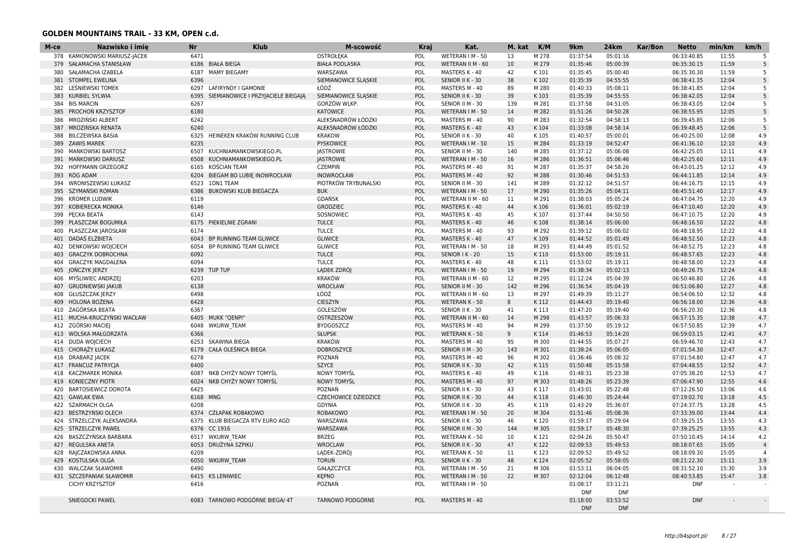| M-ce | Nazwisko i imię               | <b>Nr</b> | <b>Klub</b>                        | M-scowość                   | Kraj       | Kat.              | M. kat | K/M   | 9km        | 24km       | <b>Kar/Bon</b> | <b>Netto</b> | min/km | km/h     |
|------|-------------------------------|-----------|------------------------------------|-----------------------------|------------|-------------------|--------|-------|------------|------------|----------------|--------------|--------|----------|
|      | 378 KAMIONOWSKI MARIUSZ-JACEK | 6471      |                                    | OSTROŁEKA                   | POL        | WETERAN I M - 50  | 13     | M 278 | 01:37:54   | 05:01:16   |                | 06:33:40.85  | 11:55  | -5       |
| 379  | SAŁAMACHA STANISŁAW           |           | 6186 BIAŁA BIEGA                   | <b>BIAŁA PODLASKA</b>       | POL        | WETERAN II M - 60 | 10     | M 279 | 01:35:46   | 05:00:39   |                | 06:35:30.15  | 11:59  | 5        |
| 380  | SAŁAMACHA IZABELA             | 6187      | <b>MAMY BIEGAMY</b>                | WARSZAWA                    | POL        | MASTERS K - 40    | 42     | K 101 | 01:35:45   | 05:00:40   |                | 06:35:30.30  | 11:59  | 5        |
| 381  | <b>STOMPEL EWELINA</b>        | 6396      |                                    | SIEMIANOWICE ŚLASKIE        | POL        | SENIOR II K - 30  | 38     | K 102 | 01:35:39   | 04:55:55   |                | 06:38:41.35  | 12:04  | 5        |
|      | 382 LEŚNIEWSKI TOMEK          | 6297      | LAFIRYNDY I GAMONIE                | ŁÓDŹ                        | POL        | MASTERS M - 40    | 89     | M 280 | 01:40:33   | 05:08:11   |                | 06:38:41.85  | 12:04  | -5       |
| 383  | <b>KURBIEL SYLWIA</b>         | 6395      | SIEMIANOWICE I PRZYJACIELE BIEGAJA | SIEMIANOWICE SLASKIE        | POL        | SENIOR II K - 30  | 39     | K103  | 01:35:39   | 04:55:55   |                | 06:38:42.05  | 12:04  | -5       |
| 384  | <b>BIS MARCIN</b>             | 6267      |                                    | GORZÓW WLKP.                | POL        | SENIOR II M - 30  | 139    | M 281 | 01:37:58   | 04:51:05   |                | 06:38:43.05  | 12:04  | 5        |
| 385  | PROCHON KRZYSZTOF             | 6180      |                                    | <b>KATOWICE</b>             | POL        | WETERAN I M - 50  | 14     | M 282 | 01:51:26   | 04:50:28   |                | 06:38:55.95  | 12:05  | 5        |
| 386  | MROZIŃSKI ALBERT              | 6242      |                                    | ALEKSNADRÓW ŁÓDZKI          | POL        | MASTERS M - 40    | 90     | M 283 | 01:32:54   | 04:58:13   |                | 06:39:45.85  | 12:06  | -5       |
| 387  | MROZIŃSKA RENATA              | 6240      |                                    | ALEKSNADRÓW ŁÓDZKI          | POL        | MASTERS K - 40    | 43     | K104  | 01:33:08   | 04:58:14   |                | 06:39:48.45  | 12:06  | 5        |
| 388  | <b>BILCZEWSKA BASIA</b>       | 6325      | HEINEKEN KRAKÓW RUNNING CLUB       | <b>KRAKOW</b>               | POL        | SENIOR II K - 30  | 40     | K105  | 01:40:57   | 05:00:01   |                | 06:40:25.00  | 12:08  | 4.9      |
|      | 389 ZAWIS MAREK               | 6235      |                                    | PYSKOWICE                   | POL        | WETERAN I M - 50  | 15     | M 284 | 01:33:19   | 04:52:47   |                | 06:41:36.10  | 12:10  | 4.9      |
| 390  | MANKOWSKI BARTOSZ             | 6507      | KUCHNIAMANKOWSKIEGO.PL             | <b>JASTROWIE</b>            | POL        | SENIOR II M - 30  | 140    | M 285 | 01:37:12   | 05:06:08   |                | 06:42:25.05  | 12:11  | 4.9      |
| 391  | MANKOWSKI DARIUSZ             | 6508      | KUCHNIAMANKOWSKIEGO.PL             | <b>JASTROWIE</b>            | POL        | WETERAN I M - 50  | 16     | M 286 | 01:36:51   | 05:06:46   |                | 06:42:25.60  | 12:11  | 4.9      |
| 392  | HOFFMANN GRZEGORZ             | 6165      | KOŚCIAN TEAM                       | <b>CZEMPIŃ</b>              | POL        | MASTERS M - 40    | 91     | M 287 | 01:35:37   | 04:58:26   |                | 06:43:01.25  | 12:12  | 4.9      |
| 393  | RÓG ADAM                      | 6204      | BIEGAM BO LUBIE INOWROCŁAW         | INOWROCŁAW                  | POL        | MASTERS M - 40    | 92     | M 288 | 01:30:46   | 04:51:53   |                | 06:44:11.85  | 12:14  | 4.9      |
| 394  | WRONISZEWSKI ŁUKASZ           | 6523      | 10N1 TEAM                          | PIOTRKÓW TRYBUNALSKI        | POL        | SENIOR II M - 30  | 141    | M 289 | 01:32:12   | 04:51:57   |                | 06:44:16.75  | 12:15  | 4.9      |
| 395  | SZYMAŃSKI ROMAN               | 6386      | BUKOWSKI KLUB BIEGACZA             | <b>BUK</b>                  | POL        | WETERAN I M - 50  | 17     | M 290 | 01:35:26   | 05:04:11   |                | 06:45:51.40  | 12:17  | 4.9      |
| 396  | <b>KROMER LUDWIK</b>          | 6119      |                                    | GDAŃSK                      | POL        | WETERAN II M - 60 | 11     | M 291 | 01:38:03   | 05:05:24   |                | 06:47:04.75  | 12:20  | 4.9      |
| 397  | KOBIERECKA MONIKA             | 6146      |                                    | <b>GRODZIEC</b>             | POL        | MASTERS K - 40    | 44     | K106  | 01:36:01   | 05:02:19   |                | 06:47:10.40  | 12:20  | 4.9      |
|      | 398 PECKA BEATA               | 6143      |                                    | SOSNOWIEC                   | POL        | MASTERS K - 40    | 45     | K107  | 01:37:44   | 04:50:50   |                | 06:47:10.75  | 12:20  | 4.9      |
| 399  | PLASZCZAK BOGUMIŁA            | 6175      | PIEKIELNIE ZGRANI                  | <b>TULCE</b>                | POL        | MASTERS K - 40    | 46     | K108  | 01:38:14   | 05:06:00   |                | 06:48:16.50  | 12:22  | 4.8      |
| 400  |                               | 6174      |                                    |                             | POL        |                   | 93     | M 292 |            |            |                |              | 12:22  | 4.8      |
|      | PLASZCZAK JAROSŁAW            |           |                                    | <b>TULCE</b>                |            | MASTERS M - 40    |        |       | 01:39:12   | 05:06:02   |                | 06:48:18.95  |        |          |
|      | 401 DADAŚ ELŻBIETA            | 6043      | BP RUNNING TEAM GLIWICE            | <b>GLIWICE</b>              | POL        | MASTERS K - 40    | 47     | K109  | 01:44:52   | 05:01:49   |                | 06:48:52.50  | 12:23  | 4.8      |
| 402  | DENKOWSKI WOJCIECH            | 6054      | BP RUNNING TEAM GLIWICE            | <b>GLIWICE</b>              | POL        | WETERAN I M - 50  | 18     | M 293 | 01:44:49   | 05:01:52   |                | 06:48:52.75  | 12:23  | 4.8      |
| 403  | <b>GRACZYK DOBROCHNA</b>      | 6092      |                                    | <b>TULCE</b>                | POL        | SENIOR I K - 20   | 15     | K110  | 01:53:00   | 05:19:11   |                | 06:48:57.65  | 12:23  | 4.8      |
| 404  | <b>GRACZYK MAGDALENA</b>      | 6094      |                                    | <b>TULCE</b>                | POL        | MASTERS K - 40    | 48     | K111  | 01:53:02   | 05:19:11   |                | 06:48:58.00  | 12:23  | 4.8      |
| 405  | JOŃCZYK JERZY                 | 6239      | TUP TUP                            | LĄDEK ZDRÓJ                 | POL        | WETERAN I M - 50  | 19     | M 294 | 01:38:34   | 05:02:13   |                | 06:49:26.75  | 12:24  | 4.8      |
| 406  | MYŚLIWIEC ANDRZEJ             | 6203      |                                    | <b>KRAKÓW</b>               | POL        | WETERAN II M - 60 | 12     | M 295 | 01:12:24   | 05:04:39   |                | 06:50:46.80  | 12:26  | 4.8      |
| 407  | <b>GRUDNIEWSKI JAKUB</b>      | 6138      |                                    | <b>WROCŁAW</b>              | POL        | SENIOR II M - 30  | 142    | M 296 | 01:36:54   | 05:04:19   |                | 06:51:06.80  | 12:27  | 4.8      |
| 408  | <b>GŁUSZCZAK JERZY</b>        | 6498      |                                    | ŁÓDŹ                        | POL        | WETERAN II M - 60 | 13     | M 297 | 01:49:39   | 05:11:27   |                | 06:54:06.50  | 12:32  | 4.8      |
| 409  | HOLONA BOŻENA                 | 6428      |                                    | <b>CIESZYN</b>              | POL        | WETERAN K - 50    | 8      | K112  | 01:44:43   | 05:19:40   |                | 06:56:18.00  | 12:36  | 4.8      |
|      | 410 ZAGÓRSKA BEATA            | 6367      |                                    | GOLESZÓW                    | POL        | SENIOR II K - 30  | 41     | K113  | 01:47:20   | 05:19:40   |                | 06:56:20.30  | 12:36  | 4.8      |
| 411  | MUCHA-KRUCZYŃSKI WACŁAW       | 6405      | <b>MUKK "QENPI"</b>                | OSTRZESZÓW                  | POL        | WETERAN II M - 60 | 14     | M 298 | 01:43:57   | 05:06:33   |                | 06:57:15.35  | 12:38  | 4.7      |
| 412  | ZGÓRSKI MACIEJ                | 6048      | <b>WKURW TEAM</b>                  | <b>BYDGOSZCZ</b>            | POL        | MASTERS M - 40    | 94     | M 299 | 01:37:50   | 05:19:12   |                | 06:57:50.85  | 12:39  | 4.7      |
|      | 413 WOLSKA MAŁGORZATA         | 6366      |                                    | <b>SŁUPSK</b>               | POL        | WETERAN K - 50    | 9      | K114  | 01:46:53   | 05:14:20   |                | 06:59:03.15  | 12:41  | 4.7      |
| 414  | <b>DUDA WOJCIECH</b>          | 6253      | <b>SKAWINA BIEGA</b>               | <b>KRAKÓW</b>               | POL        | MASTERS M - 40    | 95     | M 300 | 01:44:55   | 05:07:27   |                | 06:59:46.70  | 12:43  | 4.7      |
| 415  | CHORAŻY ŁUKASZ                | 6179      | CAŁA OLEŚNICA BIEGA                | <b>DOBROSZYCE</b>           | POL        | SENIOR II M - 30  | 143    | M 301 | 01:38:24   | 05:06:05   |                | 07:01:54.30  | 12:47  | 4.7      |
| 416  | <b>DRABARZ JACEK</b>          | 6278      |                                    | POZNAŃ                      | POL        | MASTERS M - 40    | 96     | M 302 | 01:36:46   | 05:08:32   |                | 07:01:54.80  | 12:47  | 4.7      |
| 417  | <b>FRANCUZ PATRYCIA</b>       | 6400      |                                    | <b>SZYCE</b>                | POL        | SENIOR II K - 30  | 42     | K115  | 01:50:48   | 05:15:58   |                | 07:04:48.55  | 12:52  | 4.7      |
| 418  | <b>KACZMAREK MONIKA</b>       | 6087      | NKB CHYŻY NOWY TOMYŚL              | <b>NOWY TOMYSL</b>          | POL        | MASTERS K - 40    | 49     | K116  | 01:48:31   | 05:23:38   |                | 07:05:38.20  | 12:53  | 4.7      |
| 419  | <b>KONIECZNY PIOTR</b>        | 6024      | NKB CHYŻY NOWY TOMYŚL              | <b>NOWY TOMYŚL</b>          | POL        | MASTERS M - 40    | 97     | M 303 | 01:48:26   | 05:23:39   |                | 07:06:47.90  | 12:55  | 4.6      |
| 420  | <b>BARTOSIEWICZ DOROTA</b>    | 6425      |                                    | POZNAŃ                      | POL        | SENIOR II K - 30  | 43     | K117  | 01:43:01   | 05:22:48   |                | 07:12:26.50  | 13:06  | 4.6      |
|      | 421 GAWLAK EWA                | 6168 MNG  |                                    | <b>CZECHOWICE DZIEDZICE</b> | POL        | SENIOR II K - 30  | 44     | K118  | 01:46:30   | 05:24:44   |                | 07:19:02.70  | 13:18  | 4.5      |
| 422  | <b>SZARMACH OLGA</b>          | 6208      |                                    | GDYNIA                      | POL        | SENIOR II K - 30  | 45     | K119  | 01:43:29   | 05:36:07   |                | 07:24:37.75  | 13:28  | 4.5      |
| 423  | BESTRZYŃSKI OLECH             | 6374      | CZŁAPAK ROBAKOWO                   | <b>ROBAKOWO</b>             | POL        | WETERAN I M - 50  | 20     | M 304 | 01:51:46   | 05:08:36   |                | 07:33:39.00  | 13:44  | 4.4      |
| 424  | STRZELCZYK ALEKSANDRA         | 6375      | KLUB BIEGACZA RTV EURO AGD         | WARSZAWA                    | POL        | SENIOR II K - 30  | 46     | K120  | 01:59:17   | 05:29:04   |                | 07:39:25.15  | 13:55  | 4.3      |
| 425  | <b>STRZELCZYK PAWEŁ</b>       | 6376      | CC 1916                            | WARSZAWA                    | POL        | SENIOR II M - 30  | 144    | M 305 | 01:59:17   | 05:48:30   |                | 07:39:25.25  | 13:55  | 4.3      |
|      |                               |           |                                    |                             |            |                   | 10     |       |            |            |                |              |        |          |
| 426  | BASZCZYŃSKA BARBARA           | 6517      | <b>WKURW TEAM</b>                  | <b>BRZEG</b>                | POL        | WETERAN K - 50    |        | K121  | 02:04:26   | 05:50:47   |                | 07:50:10.45  | 14:14  | 4.2      |
| 427  | REGULSKA ANETA                | 6053      | DRUŻYNA SZPIKU                     | <b>WROCLAW</b>              | POL        | SENIOR II K - 30  | 47     | K122  | 02:09:53   | 05:49:53   |                | 08:18:07.65  | 15:05  |          |
| 428  | RAJCZAKOWSKA ANNA             | 6209      |                                    | LADEK-ZDRÓJ                 | POL        | WETERAN K - 50    | 11     | K123  | 02:09:52   | 05:49:52   |                | 08:18:09.30  | 15:05  | $\Delta$ |
| 429  | KOSTULSKA OLGA                | 6050      | <b>WKURW TEAM</b>                  | <b>TORUŃ</b>                | POL        | SENIOR II K - 30  | 48     | K124  | 02:05:52   | 05:58:05   |                | 08:21:22.30  | 15:11  | 3.9      |
| 430  | <b>WALCZAK SŁAWOMIR</b>       | 6490      |                                    | GAŁĄZCZYCE                  | POL        | WETERAN I M - 50  | 21     | M 306 | 01:53:11   | 06:04:05   |                | 08:31:52.10  | 15:30  | 3.9      |
|      | 431 SZCZEPANIAK SŁAWOMIR      | 6415      | <b>KS LENIWIEC</b>                 | <b>KEPNO</b>                | POL        | WETERAN I M - 50  | 22     | M 307 | 02:12:04   | 06:12:48   |                | 08:40:53.85  | 15:47  | 3.8      |
|      | <b>CICHY KRZYSZTOF</b>        | 6416      |                                    | POZNAŃ                      | POL        | WETERAN I M - 50  |        |       | 01:08:17   | 03:11:21   |                | <b>DNF</b>   |        |          |
|      |                               |           |                                    |                             |            |                   |        |       | <b>DNF</b> | <b>DNF</b> |                |              |        |          |
|      | <b>SNIEGOCKI PAWEL</b>        | 6083      | TARNOWO PODGÓRNE BIEGA/ 4T         | <b>TARNOWO PODGÓRNE</b>     | <b>POL</b> | MASTERS M - 40    |        |       | 01:18:00   | 03:53:52   |                | <b>DNF</b>   |        |          |
|      |                               |           |                                    |                             |            |                   |        |       | <b>DNF</b> | <b>DNF</b> |                |              |        |          |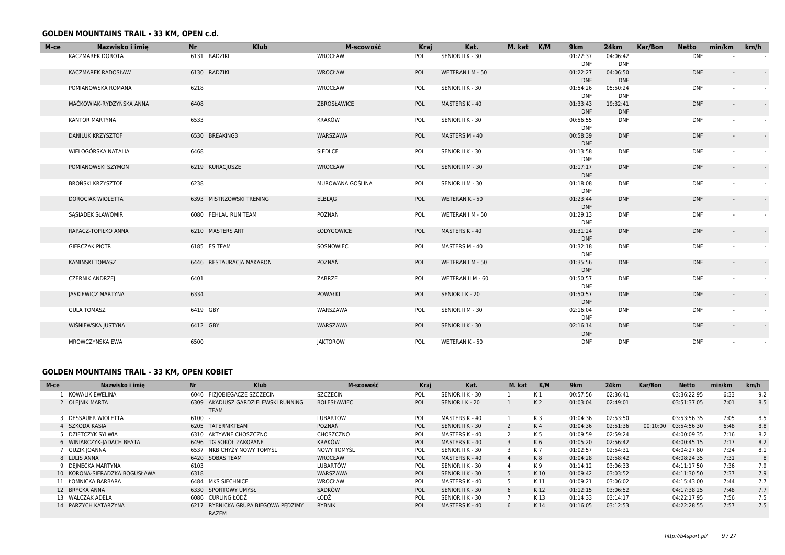| M-ce | Nazwisko i imię          | <b>Klub</b><br><b>Nr</b> | M-scowość        | <b>Kraj</b> | Kat.              | M. kat K/M | 9km                    | 24km                   | Kar/Bon | <b>Netto</b> | min/km                   | km/h                     |
|------|--------------------------|--------------------------|------------------|-------------|-------------------|------------|------------------------|------------------------|---------|--------------|--------------------------|--------------------------|
|      | <b>KACZMAREK DOROTA</b>  | 6131 RADZIKI             | WROCŁAW          | POL         | SENIOR II K - 30  |            | 01:22:37<br><b>DNF</b> | 04:06:42<br><b>DNF</b> |         | <b>DNF</b>   |                          |                          |
|      | KACZMAREK RADOSŁAW       | 6130 RADZIKI             | WROCŁAW          | POL         | WETERAN I M - 50  |            | 01:22:27<br><b>DNF</b> | 04:06:50<br><b>DNF</b> |         | <b>DNF</b>   | $\overline{\phantom{a}}$ |                          |
|      | POMIANOWSKA ROMANA       | 6218                     | WROCŁAW          | POL         | SENIOR II K - 30  |            | 01:54:26<br><b>DNF</b> | 05:50:24<br><b>DNF</b> |         | <b>DNF</b>   |                          |                          |
|      | MAĆKOWIAK-RYDZYŃSKA ANNA | 6408                     | ZBROSŁAWICE      | POL         | MASTERS K - 40    |            | 01:33:43<br><b>DNF</b> | 19:32:41<br><b>DNF</b> |         | <b>DNF</b>   | $\overline{\phantom{a}}$ | $\blacksquare$           |
|      | <b>KANTOR MARTYNA</b>    | 6533                     | KRAKÓW           | POL         | SENIOR II K - 30  |            | 00:56:55<br><b>DNF</b> | <b>DNF</b>             |         | <b>DNF</b>   | $\sim$                   | $\sim$                   |
|      | <b>DANILUK KRZYSZTOF</b> | 6530 BREAKING3           | WARSZAWA         | POL         | MASTERS M - 40    |            | 00:58:39<br><b>DNF</b> | <b>DNF</b>             |         | <b>DNF</b>   | $\overline{\phantom{a}}$ | $\omega$                 |
|      | WIELOGÓRSKA NATALIA      | 6468                     | SIEDLCE          | POL         | SENIOR II K - 30  |            | 01:13:58<br><b>DNF</b> | <b>DNF</b>             |         | <b>DNF</b>   | $\blacksquare$           |                          |
|      | POMIANOWSKI SZYMON       | 6219 KURACJUSZE          | WROCŁAW          | POL         | SENIOR II M - 30  |            | 01:17:17<br><b>DNF</b> | <b>DNF</b>             |         | <b>DNF</b>   | $\overline{\phantom{a}}$ | $\sim$                   |
|      | <b>BROŃSKI KRZYSZTOF</b> | 6238                     | MUROWANA GOŚLINA | POL         | SENIOR II M - 30  |            | 01:18:08<br><b>DNF</b> | <b>DNF</b>             |         | <b>DNF</b>   |                          |                          |
|      | <b>DOROCIAK WIOLETTA</b> | 6393 MISTRZOWSKI TRENING | <b>ELBLAG</b>    | POL         | WETERAN K - 50    |            | 01:23:44<br><b>DNF</b> | <b>DNF</b>             |         | <b>DNF</b>   |                          | $\sim$                   |
|      | <b>SASIADEK SŁAWOMIR</b> | 6080 FEHLAU RUN TEAM     | POZNAŃ           | POL         | WETERAN I M - 50  |            | 01:29:13<br><b>DNF</b> | <b>DNF</b>             |         | <b>DNF</b>   |                          |                          |
|      | RAPACZ-TOPIŁKO ANNA      | 6210 MASTERS ART         | ŁODYGOWICE       | POL         | MASTERS K - 40    |            | 01:31:24<br><b>DNF</b> | <b>DNF</b>             |         | <b>DNF</b>   | $\overline{\phantom{a}}$ | $\sim$                   |
|      | <b>GIERCZAK PIOTR</b>    | 6185 ES TEAM             | SOSNOWIEC        | POL         | MASTERS M - 40    |            | 01:32:18<br><b>DNF</b> | <b>DNF</b>             |         | <b>DNF</b>   |                          |                          |
|      | KAMIŃSKI TOMASZ          | 6446 RESTAURACJA MAKARON | POZNAŃ           | POL         | WETERAN   M - 50  |            | 01:35:56<br><b>DNF</b> | <b>DNF</b>             |         | <b>DNF</b>   | $\overline{\phantom{a}}$ | $\overline{\phantom{a}}$ |
|      | <b>CZERNIK ANDRZEJ</b>   | 6401                     | ZABRZE           | POL         | WETERAN II M - 60 |            | 01:50:57<br><b>DNF</b> | <b>DNF</b>             |         | <b>DNF</b>   |                          |                          |
|      | JAŚKIEWICZ MARTYNA       | 6334                     | <b>POWAŁKI</b>   | POL         | SENIOR I K - 20   |            | 01:50:57<br><b>DNF</b> | <b>DNF</b>             |         | <b>DNF</b>   | $\overline{\phantom{a}}$ | $\blacksquare$           |
|      | <b>GULA TOMASZ</b>       | 6419 GBY                 | WARSZAWA         | POL         | SENIOR II M - 30  |            | 02:16:04<br><b>DNF</b> | <b>DNF</b>             |         | <b>DNF</b>   |                          |                          |
|      | WIŚNIEWSKA JUSTYNA       | 6412 GBY                 | WARSZAWA         | POL         | SENIOR II K - 30  |            | 02:16:14<br><b>DNF</b> | <b>DNF</b>             |         | <b>DNF</b>   | $\sim$                   | $\sim$                   |
|      | MROWCZYNSKA EWA          | 6500                     | <b>JAKTOROW</b>  | POL         | WETERAN K - 50    |            | <b>DNF</b>             | <b>DNF</b>             |         | <b>DNF</b>   |                          |                          |

### **GOLDEN MOUNTAINS TRAIL - 33 KM, OPEN KOBIET**

| M-ce | Nazwisko i imie               | <b>Nr</b> | <b>Klub</b>                                         | <b>M-scowość</b>   | <b>Kraj</b> | Kat.             | M. kat         | K/M            | 9 <sub>km</sub> | <b>24km</b> | Kar/Bon  | Netto       | min/km | km/h |
|------|-------------------------------|-----------|-----------------------------------------------------|--------------------|-------------|------------------|----------------|----------------|-----------------|-------------|----------|-------------|--------|------|
|      | KOWALIK EWELINA               |           | 6046 FIZJOBIEGACZE SZCZECIN                         | <b>SZCZECIN</b>    | POL         | SENIOR II K - 30 |                | K 1            | 00:57:56        | 02:36:41    |          | 03:36:22.95 | 6:33   | 9.2  |
|      | 2 OLEINIK MARTA               |           | 6309 AKADIUSZ GARDZIELEWSKI RUNNING<br><b>TEAM</b>  | <b>BOLESŁAWIEC</b> | POL         | SENIOR I K - 20  |                | K <sub>2</sub> | 01:03:04        | 02:49:01    |          | 03:51:37.05 | 7:01   | 8.5  |
|      | 3 DESSAUER WIOLETTA           | $6100 -$  |                                                     | LUBARTÓW           | POL         | MASTERS K - 40   |                | K 3            | 01:04:36        | 02:53:50    |          | 03:53:56.35 | 7:05   | 8.5  |
|      | 4 SZKODA KASIA                | 6205      | TATERNIKTEAM                                        | <b>POZNAN</b>      | POL         | SENIOR II K - 30 |                | K4             | 01:04:36        | 02:51:36    | 00:10:00 | 03:54:56.30 | 6:48   | 8.8  |
|      | 5 DZIETCZYK SYLWIA            |           | 6310 AKTYWNE CHOSZCZNO                              | CHOSZCZNO          | POL         | MASTERS K - 40   |                | K 5            | 01:09:59        | 02:59:24    |          | 04:00:09.35 | 7:16   | 8.2  |
|      | 6 WINIARCZYK-JADACH BEATA     |           | 6496 TG SOKÓŁ ZAKOPANE                              | KRAKÓW             | POL         | MASTERS K - 40   | 3              | K <sub>6</sub> | 01:05:20        | 02:56:42    |          | 04:00:45.15 | 7:17   | 8.2  |
|      | GUZIK IOANNA                  |           | 6537 NKB CHYŻY NOWY TOMYŚL                          | <b>NOWY TOMYSL</b> | POL         | SENIOR II K - 30 |                | K 7            | 01:02:57        | 02:54:31    |          | 04:04:27.80 | 7:24   | 8.1  |
|      | 8 LULIS ANNA                  |           | 6420 SOBAS TEAM                                     | WROCŁAW            | POL         | MASTERS K - 40   | $\overline{4}$ | K <sub>8</sub> | 01:04:28        | 02:58:42    |          | 04:08:24.35 | 7:31   |      |
|      | 9 DEINECKA MARTYNA            | 6103      |                                                     | LUBARTÓW           | POL         | SENIOR II K - 30 |                | K 9            | 01:14:12        | 03:06:33    |          | 04:11:17.50 | 7:36   | 7.9  |
|      | 10 KORONA-SIERADZKA BOGUSŁAWA | 6318      |                                                     | WARSZAWA           | POL         | SENIOR II K - 30 | 5 <sup>1</sup> | K 10           | 01:09:42        | 03:03:52    |          | 04:11:30.50 | 7:37   | 7.9  |
|      | 11 ŁOMNICKA BARBARA           |           | 6484 MKS SIECHNICE                                  | WROCŁAW            | POL         | MASTERS K - 40   |                | K 11           | 01:09:21        | 03:06:02    |          | 04:15:43.00 | 7:44   | 7.7  |
|      | 12 BRYCKA ANNA                |           | 6330 SPORTOWY UMYSŁ                                 | SADKÓW             | POL         | SENIOR II K - 30 | 6              | K12            | 01:12:15        | 03:06:52    |          | 04:17:38.25 | 7:48   | 7.7  |
|      | 13 WALCZAK ADELA              |           | 6086 CURLING ŁÓDŹ                                   | ŁÓDŹ               | POL         | SENIOR II K - 30 |                | K13            | 01:14:33        | 03:14:17    |          | 04:22:17.95 | 7:56   | 7.5  |
|      | 14 PARZYCH KATARZYNA          |           | 6217 RYBNICKA GRUPA BIEGOWA PEDZIMY<br><b>RAZEM</b> | <b>RYBNIK</b>      | POL         | MASTERS K - 40   | 6              | K14            | 01:16:05        | 03:12:53    |          | 04:22:28.55 | 7:57   | 7.5  |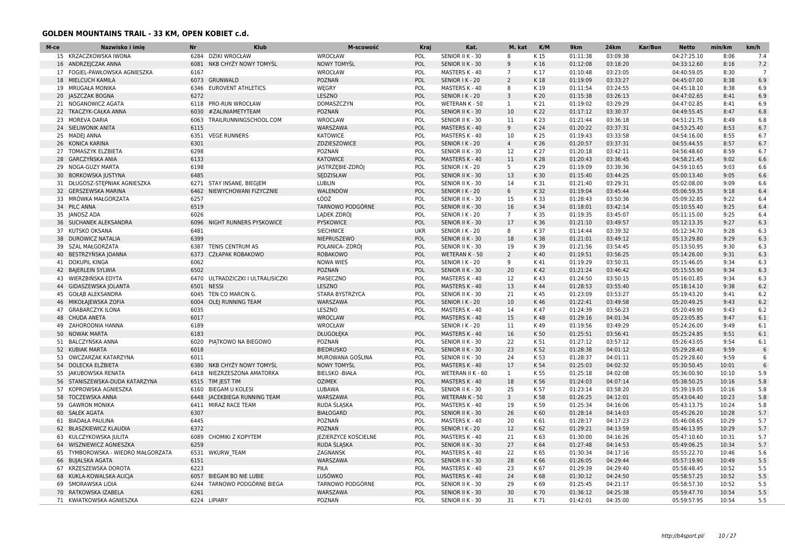| M-ce | Nazwisko i imie                    | Nr   | <b>Klub</b>                       | M-scowość              | Kraj       | Kat.              | M. kat         | K/M  | 9km      | 24km     | Kar/Bon | <b>Netto</b> | min/km | km/h           |
|------|------------------------------------|------|-----------------------------------|------------------------|------------|-------------------|----------------|------|----------|----------|---------|--------------|--------|----------------|
|      | 15 KRZACZKOWSKA IWONA              | 6284 | <b>DZIKI WROCŁAW</b>              | WROCŁAW                | POL        | SENIOR II K - 30  | 8              | K 15 | 01:11:38 | 03:09:38 |         | 04:27:25.10  | 8:06   | 7.4            |
|      | 16 ANDRZEJCZAK ANNA                |      | 6081 NKB CHYŻY NOWY TOMYŚL        | <b>NOWY TOMYŚL</b>     | POL        | SENIOR II K - 30  | 9              | K16  | 01:12:08 | 03:18:20 |         | 04:33:12.60  | 8:16   | 7.2            |
|      | 17 FOGIEL-PAWŁOWSKA AGNIESZKA      | 6167 |                                   | WROCŁAW                | POL        | MASTERS K - 40    | $\overline{7}$ | K17  | 01:10:48 | 03:23:05 |         | 04:40:59.05  | 8:30   | $\overline{7}$ |
|      | 18 MIELCUCH KAMILA                 |      | 6073 GRUNWALD                     | POZNAŃ                 | <b>POL</b> | SENIOR I K - 20   | $\overline{2}$ | K18  | 01:19:09 | 03:33:27 |         | 04:45:07.00  | 8:38   | 6.9            |
|      | 19 MRUGAŁA MONIKA                  |      | 6346 EUROVENT ATHLETICS           | WEGRY                  | POL        | MASTERS K - 40    | 8              | K 19 | 01:11:54 | 03:24:55 |         | 04:45:18.10  | 8:38   | 6.9            |
|      | 20 JASZCZAK BOGNA                  | 6272 |                                   | LESZNO                 | POL        | SENIOR I K - 20   | 3              | K 20 | 01:15:38 | 03:26:13 |         | 04:47:02.65  | 8:41   | 6.9            |
|      | 21 NOGANOWICZ AGATA                |      | 6118 PRO-RUN WROCŁAW              | DOMASZCZYN             | POL        | WETERAN K - 50    | 1              | K 21 | 01:19:02 | 03:29:29 |         | 04:47:02.85  | 8:41   | 6.9            |
|      | 22 TKACZYK-CAŁKA ANNA              | 6030 | #ZALINIAMETYTEAM                  | POZNAŃ                 | POL        | SENIOR II K - 30  | 10             | K 22 | 01:17:12 | 03:30:37 |         | 04:49:55.45  | 8:47   | 6.8            |
|      | 23 MOREVA DARIA                    | 6063 | TRAILRUNNINGSCHOOL.COM            | WROCLAW                | POL        | SENIOR II K - 30  | 11             | K 23 | 01:21:44 | 03:36:18 |         | 04:51:21.75  | 8:49   | 6.8            |
|      | 24 SIELIWONIK ANITA                | 6115 |                                   | WARSZAWA               | POL        | MASTERS K - 40    | 9              | K 24 | 01:20:22 | 03:37:31 |         | 04:53:25.40  | 8:53   | 6.7            |
|      | 25 MADEJ ANNA                      | 6351 | <b>VEGE RUNNERS</b>               | <b>KATOWICE</b>        | POL        | MASTERS K - 40    | 10             | K 25 | 01:19:43 | 03:33:58 |         | 04:54:16.00  | 8:55   | 6.7            |
|      | 26 KONICA KARINA                   | 6301 |                                   | ZDZIESZOWICE           | POL        | SENIOR I K - 20   | $\overline{4}$ | K 26 | 01:20:57 | 03:37:31 |         | 04:55:44.55  | 8:57   | 6.7            |
|      | 27 TOMASZYK ELZBIETA               | 6298 |                                   | POZNAŃ                 | POL        | SENIOR II K - 30  | 12             | K 27 | 01:20:18 | 03:42:11 |         | 04:56:48.60  | 8:59   | 6.7            |
|      | 28 GARCZYŃSKA ANIA                 | 6133 |                                   | <b>KATOWICE</b>        | <b>POL</b> | MASTERS K - 40    | 11             | K 28 | 01:20:43 | 03:36:45 |         | 04:58:21.45  | 9:02   | 6.6            |
|      | 29 NOGA-GUZY MARTA                 | 6198 |                                   | JASTRZĘBIE-ZDRÓJ       | POL        | SENIOR I K - 20   | 5              | K 29 | 01:19:09 | 03:39:36 |         | 04:59:10.65  | 9:03   | 6.6            |
|      | 30 BORKOWSKA JUSTYNA               | 6485 |                                   | SEDZISŁAW              | POL        | SENIOR II K - 30  | 13             | K30  | 01:15:40 | 03:44:25 |         | 05:00:13.40  | 9:05   | 6.6            |
|      | 31 DŁUGOSZ-STĘPNIAK AGNIESZKA      |      | 6271 STAY INSANE, BIEGJEM         | LUBLIN                 | POL        | SENIOR II K - 30  | 14             | K 31 | 01:21:40 | 03:29:31 |         | 05:02:08.00  | 9:09   | 6.6            |
|      | 32 GERSZEWSKA MARINA               | 6462 | NIEWYCHOWANI FIZYCZNIE            | WALENDÓW               | POL        | SENIOR I K - 20   | 6              | K 32 | 01:19:04 | 03:45:44 |         | 05:06:59.35  | 9:18   | 6.4            |
|      | 33 MRÓWKA MAŁGORZATA               | 6257 |                                   | ŁÓDŹ                   | POL        | SENIOR II K - 30  | 15             | K 33 | 01:28:43 | 03:50:36 |         | 05:09:32.85  | 9:22   | 6.4            |
|      | 34 PILC ANNA                       | 6519 |                                   | TARNOWO PODGÓRNE       | POL        | SENIOR II K - 30  | 16             | K 34 | 01:18:01 | 03:42:14 |         | 05:10:55.40  | 9:25   | 6.4            |
|      | 35 JANOSZ ADA                      | 6026 |                                   | LADEK ZDRÓJ            | POL        | SENIOR I K - 20   | $7^{\circ}$    | K 35 | 01:19:35 | 03:45:07 |         | 05:11:15.00  | 9:25   | 6.4            |
|      | 36 SUCHANEK ALEKSANDRA             | 6096 | NIGHT RUNNERS PYSKOWICE           | <b>PYSKOWICE</b>       | <b>POL</b> | SENIOR II K - 30  | 17             | K 36 | 01:21:10 | 03:49:57 |         | 05:12:13.35  | 9:27   | 6.3            |
|      | 37 KUTSKO OKSANA                   | 6481 |                                   | <b>SIECHNICE</b>       | <b>UKR</b> | SENIOR I K - 20   | 8              | K 37 | 01:14:44 | 03:39:32 |         | 05:12:34.70  | 9:28   | 6.3            |
|      | 38 DUROWICZ NATALIA                | 6399 |                                   | NIEPRUSZEWO            | POL        | SENIOR II K - 30  | 18             | K 38 | 01:21:01 | 03:49:12 |         | 05:13:29.80  | 9:29   | 6.3            |
|      | 39 SZAL MAŁGORZATA                 |      | 6387 TENIS CENTRUM AS             | POLANICA- ZDRÓJ        | POL        | SENIOR II K - 30  | 19             | K39  | 01:21:56 | 03:54:45 |         | 05:13:50.95  | 9:30   | 6.3            |
|      | 40 BESTRZYŃSKA JOANNA              | 6373 | <b>CZŁAPAK ROBAKOWO</b>           | <b>ROBAKOWO</b>        | POL        | WETERAN K - 50    | $\overline{2}$ | K 40 | 01:19:51 | 03:56:25 |         | 05:14:26.00  | 9:31   | 6.3            |
|      | 41 DOKUPIL KINGA                   | 6062 |                                   | NOWA WIES              | POL        | SENIOR I K - 20   | 9              | K41  | 01:19:29 | 03:50:31 |         | 05:15:46.05  | 9:34   | 6.3            |
|      | 42 BAJERLEIN SYLWIA                | 6502 |                                   | POZNAŃ                 | POL        | SENIOR II K - 30  | 20             | K42  | 01:21:24 | 03:46:42 |         | 05:15:55.90  | 9:34   | 6.3            |
|      |                                    |      | 6470 ULTRADZICZKI I ULTRALISICZKI |                        | POL        |                   | 12             | K43  |          |          |         |              | 9:34   | 6.3            |
|      | 43 WIERZBIŃSKA EDYTA               |      |                                   | PIASECZNO              |            | MASTERS K - 40    |                |      | 01:24:50 | 03:50:15 |         | 05:16:01.85  |        |                |
|      | 44 GIDASZEWSKA JOLANTA             |      | 6501 NESSI                        | LESZNO                 | POL        | MASTERS K - 40    | 13             | K44  | 01:28:53 | 03:55:40 |         | 05:18:14.10  | 9:38   | $6.2\,$        |
|      | 45 GOŁAB ALEKSANDRA                |      | 6045 TEN CO MARCIN G.             | STARA BYSTRZYCA        | POL        | SENIOR II K - 30  | 21             | K 45 | 01:23:09 | 03:53:27 |         | 05:19:43.20  | 9:41   | 6.2            |
|      | 46 MIKOŁAJEWSKA ZOFIA              | 6004 | <b>OLEI RUNNING TEAM</b>          | WARSZAWA               | POL        | SENIOR I K - 20   | 10             | K46  | 01:22:41 | 03:49:58 |         | 05:20:49.25  | 9:43   | 6.2            |
|      | 47 GRABARCZYK ILONA                | 6035 |                                   | LESZNO                 | POL        | MASTERS K - 40    | 14             | K47  | 01:24:39 | 03:56:23 |         | 05:20:49.90  | 9:43   | 6.2            |
|      | 48 CHUDA ANETA                     | 6017 |                                   | <b>WROCLAW</b>         | POL        | MASTERS K - 40    | 15             | K48  | 01:29:16 | 04:01:34 |         | 05:23:05.85  | 9:47   | 6.1            |
|      | 49 ZAHORODNIA HANNA                | 6189 |                                   | WROCŁAW                |            | SENIOR I K - 20   | 11             | K 49 | 01:19:56 | 03:49:29 |         | 05:24:26.00  | 9:49   | 6.1            |
|      | 50 NOWAK MARTA                     | 6183 |                                   | DŁUGOŁEKA              | POL        | MASTERS K - 40    | 16             | K 50 | 01:25:51 | 03:56:41 |         | 05:25:24.85  | 9:51   | 6.1            |
|      | 51 BALCZYŃSKA ANNA                 | 6020 | PIATKOWO NA BIEGOWO               | POZNAŃ                 | POL        | SENIOR II K - 30  | 22             | K 51 | 01:27:12 | 03:57:12 |         | 05:26:43.05  | 9:54   | 6.1            |
|      | 52 KUBIAK MARTA                    | 6018 |                                   | <b>BIEDRUSKO</b>       | POL        | SENIOR II K - 30  | 23             | K 52 | 01:28:38 | 04:01:12 |         | 05:29:28.40  | 9:59   | 6              |
|      | 53 OWCZARZAK KATARZYNA             | 6011 |                                   | MUROWANA GOŚLINA       | POL        | SENIOR II K - 30  | 24             | K 53 | 01:28:37 | 04:01:11 |         | 05:29:28.60  | 9:59   | 6              |
|      | 54 DOLECKA ELŻBIETA                | 6380 | NKB CHYŻY NOWY TOMYŚL             | <b>NOWY TOMYSL</b>     | POL        | MASTERS K - 40    | 17             | K 54 | 01:25:03 | 04:02:32 |         | 05:30:50.45  | 10:01  |                |
|      | 55 JAKUBOWSKA RENATA               | 6418 | NIEZRZESZONA AMATORKA             | <b>BIELSKO - BIAŁA</b> | POL        | WETERAN II K - 60 | $\mathbf{1}$   | K 55 | 01:25:18 | 04:02:08 |         | 05:36:00.90  | 10:10  | 5.9            |
|      | 56 STANISZEWSKA-DUDA KATARZYNA     | 6515 | TIM JEST TIM                      | <b>OZIMEK</b>          | POL        | MASTERS K - 40    | 18             | K 56 | 01:24:03 | 04:07:14 |         | 05:38:50.25  | 10:16  | 5.8            |
|      | 57 KOPROWSKA AGNIESZKA             | 6160 | <b>BIEGAM U KOLESI</b>            | LUBAWA                 | <b>POL</b> | SENIOR II K - 30  | 25             | K 57 | 01:23:14 | 03:58:20 |         | 05:39:19.05  | 10:16  | 5.8            |
|      | 58 TOCZEWSKA ANNA                  |      | 6448   ACEKBIEGA RUNNING TEAM     | WARSZAWA               | POL        | WETERAN K - 50    | 3              | K 58 | 01:26:25 | 04:12:01 |         | 05:43:04.40  | 10:23  | 5.8            |
|      | 59 GAWRON MONIKA                   |      | 6411 MIRAZ RACE TEAM              | RUDA ŚLĄSKA            | POL        | MASTERS K - 40    | 19             | K 59 | 01:25:34 | 04:16:06 |         | 05:43:13.75  | 10:24  | 5.8            |
|      | 60 SAŁEK AGATA                     | 6307 |                                   | BIAŁOGARD              | POL        | SENIOR II K - 30  | 26             | K 60 | 01:28:14 | 04:14:03 |         | 05:45:26.20  | 10:28  | 5.7            |
|      | 61 BIADAŁA PAULINA                 | 6445 |                                   | POZNAŃ                 | POL        | MASTERS K - 40    | 20             | K 61 | 01:28:17 | 04:17:23 |         | 05:46:08.65  | 10:29  | 5.7            |
|      | 62 BŁASZKIEWICZ KLAUDIA            | 6372 |                                   | POZNAŃ                 | POL        | SENIOR I K - 20   | 12             | K 62 | 01:29:21 | 04:13:59 |         | 05:46:13.95  | 10:29  | 5.7            |
|      | 63 KULCZYKOWSKA JULITA             | 6089 | CHOMIKI Z KOPYTEM                 | JEZIERZYCE KOŚCIELNE   | POL        | MASTERS K - 40    | 21             | K 63 | 01:30:00 | 04:16:26 |         | 05:47:10.60  | 10:31  | 5.7            |
| 64   | WISZNIEWICZ AGNIESZKA              | 6259 |                                   | RUDA SLASKA            | POL        | SENIOR II K - 30  | 27             | K 64 | 01:27:48 | 04:14:53 |         | 05:49:06.25  | 10:34  | 5.7            |
|      | 65 TYMBOROWSKA - WIEDRO MAŁGORZATA | 6531 | <b>WKURW TEAM</b>                 | ZAGNANSK               | POL        | MASTERS K - 40    | 22             | K 65 | 01:30:34 | 04:17:16 |         | 05:55:22.70  | 10:46  | 5.6            |
|      | 66 BUJALSKA AGATA                  | 6151 |                                   | WARSZAWA               | POL        | SENIOR II K - 30  | 28             | K 66 | 01:26:05 | 04:29:44 |         | 05:57:19.90  | 10:49  | 5.5            |
|      | 67 KRZESZEWSKA DOROTA              | 6223 |                                   | PIŁA                   | POL        | MASTERS K - 40    | 23             | K67  | 01:29:39 | 04:29:40 |         | 05:58:48.45  | 10:52  | 5.5            |
|      | 68 KUKLA-KOWALSKA ALICIA           | 6057 | <b>BIEGAM BO NIE LUBIE</b>        | LUSÓWKO                | POL        | MASTERS K - 40    | 24             | K 68 | 01:30:12 | 04:24:50 |         | 05:58:57.25  | 10:52  | 5.5            |
|      | 69 SMORAWSKA LIDIA                 | 6244 | TARNOWO PODGÓRNE BIEGA            | TARNOWO PODGÓRNE       | POL        | SENIOR II K - 30  | 29             | K 69 | 01:25:45 | 04:21:17 |         | 05:58:57.30  | 10:52  | 5.5            |
|      | 70 RATKOWSKA IZABELA               | 6261 |                                   | WARSZAWA               | POL        | SENIOR II K - 30  | 30             | K 70 | 01:36:12 | 04:25:38 |         | 05:59:47.70  | 10:54  | 5.5            |
|      | 71 KWIATKOWSKA AGNIESZKA           |      | 6224 LIPIARY                      | POZNAŃ                 | POL        | SENIOR II K - 30  | 31             | K 71 | 01:42:01 | 04:35:00 |         | 05:59:57.95  | 10:54  | 5.5            |
|      |                                    |      |                                   |                        |            |                   |                |      |          |          |         |              |        |                |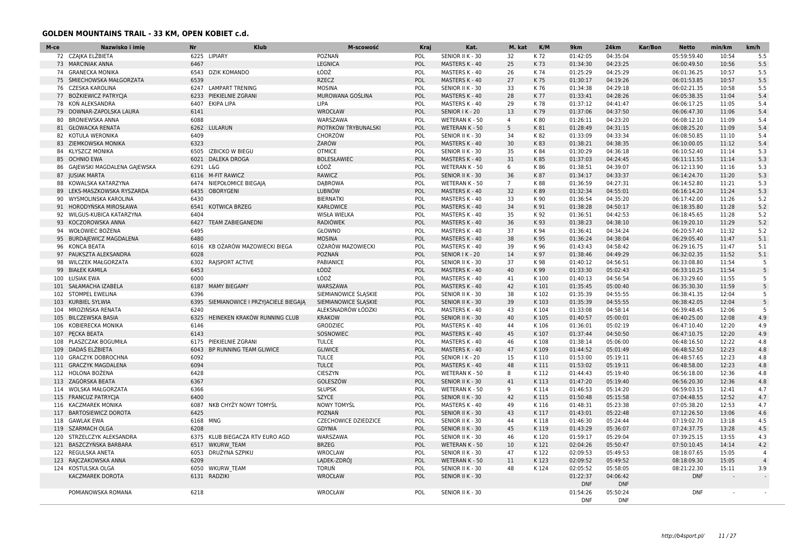| M-ce       | Nazwisko i imię                                       | <b>Nr</b>    | <b>Klub</b>                        | M-scowość                    | Kraj       | Kat.                  | M. kat          | K/M          | 9km                  | <b>24km</b>          | Kar/Bon | <b>Netto</b>               | min/km         | km/h           |
|------------|-------------------------------------------------------|--------------|------------------------------------|------------------------------|------------|-----------------------|-----------------|--------------|----------------------|----------------------|---------|----------------------------|----------------|----------------|
|            | 72 CZAJKA ELŻBIETA                                    |              | 6225 LIPIARY                       | POZNAŃ                       | POL        | SENIOR II K - 30      | 32              | K 72         | 01:42:05             | 04:35:04             |         | 05:59:59.40                | 10:54          | 5.5            |
|            | 73 MARCINIAK ANNA                                     | 6467         |                                    | <b>LEGNICA</b>               | <b>POL</b> | MASTERS K - 40        | 25              | K 73         | 01:34:30             | 04:23:25             |         | 06:00:49.50                | 10:56          | 5.5            |
| 74         | <b>GRANECKA MONIKA</b>                                | 6543         | <b>DZIK KOMANDO</b>                | ŁÓDŹ                         | POL        | MASTERS K - 40        | 26              | K 74         | 01:25:29             | 04:25:29             |         | 06:01:36.25                | 10:57          | 5.5            |
|            | 75 ŚMIECHOWSKA MAŁGORZATA                             | 6539         |                                    | <b>RZECZ</b>                 | POL        | MASTERS K - 40        | 27              | K 75         | 01:30:17             | 04:19:26             |         | 06:01:53.85                | 10:57          | 5.5            |
|            | 76 CZESKA KAROLINA                                    | 6247         | <b>LAMPART TRENING</b>             | <b>MOSINA</b>                | POL        | SENIOR II K - 30      | 33              | K 76         | 01:34:38             | 04:29:18             |         | 06:02:21.35                | 10:58          | 5.5            |
| 77         | BOŻKIEWICZ PATRYCJA                                   | 6233         | PIEKIELNIE ZGRANI                  | MUROWANA GOŚLINA             | POL        | MASTERS K - 40        | 28              | K 77         | 01:33:41             | 04:28:26             |         | 06:05:38.35                | 11:04          | 5.4            |
|            | 78 KON ALEKSANDRA                                     | 6407         | <b>EKIPA LIPA</b>                  | LIPA                         | POL        | MASTERS K - 40        | 29              | K 78         | 01:37:12             | 04:41:47             |         | 06:06:17.25                | 11:05          | 5.4            |
| 79         | DOWNAR-ZAPOLSKA LAURA                                 | 6141         |                                    | <b>WROCŁAW</b>               | POL        | SENIOR I K - 20       | 13              | K79          | 01:37:06             | 04:37:50             |         | 06:06:47.30                | 11:06          | 5.4            |
|            | 80 BRONIEWSKA ANNA                                    | 6088         |                                    | WARSZAWA                     | POL        | WETERAN K - 50        | $\overline{4}$  | K80          | 01:26:11             | 04:23:20             |         | 06:08:12.10                | 11:09          | 5.4            |
|            | 81 GŁOWACKA RENATA                                    | 6262         | LULARUN                            | PIOTRKÓW TRYBUNALSKI         | POL        | <b>WETERAN K - 50</b> | 5               | K 81         | 01:28:49             | 04:31:15             |         | 06:08:25.20                | 11:09          | 5.4            |
|            | 82 KOTULA WERONIKA                                    | 6409         |                                    | CHORZÓW                      | POL        | SENIOR II K - 30      | 34              | K82          | 01:33:09             | 04:33:34             |         | 06:08:50.85                | 11:10          | 5.4            |
|            | 83 ZIEMKOWSKA MONIKA                                  | 6323         |                                    | ŻARÓW                        | POL        | MASTERS K - 40        | 30              | K83          | 01:38:21             | 04:38:35             |         | 06:10:00.05                | 11:12          | 5.4            |
| 84         | KLYSZCZ MONIKA                                        | 6505         | <b>IZBICKO W BIEGU</b>             | <b>OTMICE</b>                | POL        | SENIOR II K - 30      | 35              | K 84         | 01:30:29             | 04:36:18             |         | 06:10:52.40                | 11:14          | 5.3            |
| 85         | <b>OCHNIO EWA</b>                                     | 6021         | <b>DALEKA DROGA</b>                | <b>BOLESŁAWIEC</b>           | POL        | MASTERS K - 40        | 31              | K85          | 01:37:03             | 04:24:45             |         | 06:11:11.55                | 11:14          | 5.3            |
| 86         | GAJEWSKI MAGDALENA GAJEWSKA                           | 6291 L&G     |                                    | ŁÓDŹ                         | POL        | WETERAN K - 50        | 6               | K86          | 01:38:51             | 04:39:07             |         | 06:12:13.90                | 11:16          | 5.3            |
|            | 87 JUSIAK MARTA                                       | 6116         | <b>M-FIT RAWICZ</b>                | RAWICZ                       | POL        | SENIOR II K - 30      | 36              | K87          | 01:34:17             | 04:33:37             |         | 06:14:24.70                | 11:20          | 5.3            |
| 88         | KOWALSKA KATARZYNA                                    | 6474         | NIEPOŁOMICE BIEGAJĄ                | <b>DABROWA</b>               | POL        | WETERAN K - 50        | $7\overline{ }$ | K88          | 01:36:59             | 04:27:31             |         | 06:14:52.80                | 11:21          | 5.3            |
|            | 89 LEKS-MASZKOWSKA RYSZARDA                           | 6435         | <b>OBORYGENI</b>                   | <b>LUBNÓW</b>                | POL        | MASTERS K - 40        | 32              | K89          | 01:32:34             | 04:55:01             |         | 06:16:14.20                | 11:24          | 5.3            |
|            | 90 WYSMOLINSKA KAROLINA                               | 6430         |                                    | <b>BIERNATKI</b>             | POL        | MASTERS K - 40        | 33              | K 90         | 01:36:54             | 04:35:20             |         | 06:17:42.00                | 11:26          | 5.2            |
|            | 91 HORODYŃSKA MIROSŁAWA                               | 6541         | <b>KOTWICA BRZEG</b>               | <b>KARŁOWICE</b>             | POL        | MASTERS K - 40        | 34              | K 91         | 01:38:28             | 04:50:17             |         | 06:18:35.80                | 11:28          | 5.2            |
|            | 92 WILGUS-KUBICA KATARZYNA                            | 6404         |                                    | <b>WISŁA WIELKA</b>          | POL        | MASTERS K - 40        | 35              | K 92         | 01:36:51             | 04:42:53             |         | 06:18:45.65                | 11:28          | 5.2            |
| 93         | KOCZOROWSKA ANNA                                      | 6427         | <b>TEAM ZABIEGANEDNI</b>           | <b>RADIÓWEK</b>              | POL        | MASTERS K - 40        | 36              | K 93         | 01:38:23             | 04:38:10             |         | 06:19:20.10                | 11:29          | 5.2            |
|            | 94 WOŁOWIEC BOŻENA                                    | 6495         |                                    | GŁOWNO                       | POL        | MASTERS K - 40        | 37              | K 94         | 01:36:41             | 04:34:24             |         | 06:20:57.40                | 11:32          | 5.2            |
| 95         | <b>BURDAJEWICZ MAGDALENA</b>                          | 6480         |                                    | <b>MOSINA</b>                | POL        | MASTERS K - 40        | 38              | K 95         | 01:36:24             | 04:38:04             |         | 06:29:05.40                | 11:47          | 5.1            |
|            | 96 KONCA BEATA                                        | 6016         | KB OŻARÓW MAZOWIECKI BIEGA         | OŻARÓW MAZOWIECKI            | POL        | MASTERS K - 40        | 39              | K 96         | 01:43:43             | 04:58:42             |         | 06:29:16.75                | 11:47          | 5.1            |
| 97         | PAUKSZTA ALEKSANDRA                                   | 6028         |                                    | POZNAŃ                       | <b>POL</b> | SENIOR I K - 20       | 14              | K 97         | 01:38:46             | 04:49:29             |         | 06:32:02.35                | 11:52          | 5.1            |
| 98         | <b>WILCZEK MAŁGORZATA</b>                             | 6302         | RAJSPORT ACTIVE                    | PABIANICE                    | POL        | SENIOR II K - 30      | 37              | K 98         | 01:40:12             | 04:56:51             |         | 06:33:08.80                | 11:54          | -5             |
| 99         | <b>BIAŁEK KAMILA</b>                                  | 6453         |                                    | ŁÓDŹ                         | POL        | <b>MASTERS K - 40</b> | 40              | K 99         | 01:33:30             | 05:02:43             |         | 06:33:10.25                | 11:54          |                |
|            | 100 ŁUSIAK EWA                                        | 6000         |                                    | ŁÓDŹ                         | POL        | MASTERS K - 40        | 41              | K 100        | 01:40:13             | 04:56:54             |         | 06:33:29.60                | 11:55          | -5             |
|            | 101 SAŁAMACHA IZABELA                                 | 6187         | <b>MAMY BIEGAMY</b>                | WARSZAWA                     | POL        | MASTERS K - 40        | 42              | K101         | 01:35:45             | 05:00:40             |         | 06:35:30.30                | 11:59          | 5              |
| 102        | <b>STOMPEL EWELINA</b>                                | 6396         |                                    | SIEMIANOWICE ŚLĄSKIE         | POL        | SENIOR II K - 30      | 38              | K 102        | 01:35:39             | 04:55:55             |         | 06:38:41.35                | 12:04          | -5             |
| 103        | <b>KURBIEL SYLWIA</b>                                 | 6395         | SIEMIANOWICE I PRZYJACIELE BIEGAJĄ | SIEMIANOWICE ŚLĄSKIE         | POL        | SENIOR II K - 30      | 39              | K103         | 01:35:39             | 04:55:55             |         | 06:38:42.05                | 12:04          | $\overline{5}$ |
| 104        | MROZIŃSKA RENATA                                      | 6240         |                                    | ALEKSNADRÓW ŁÓDZKI           | POL        | MASTERS K - 40        | 43              | K104         | 01:33:08             | 04:58:14             |         | 06:39:48.45                | 12:06          | -5             |
| 105        | <b>BILCZEWSKA BASIA</b>                               | 6325         | HEINEKEN KRAKÓW RUNNING CLUB       | <b>KRAKOW</b>                | POL        | SENIOR II K - 30      | 40              | K105         | 01:40:57             | 05:00:01             |         | 06:40:25.00                | 12:08          | 4.9            |
| 106        | KOBIERECKA MONIKA                                     | 6146         |                                    | GRODZIEC                     | POL        | MASTERS K - 40        | 44              | K106         | 01:36:01             | 05:02:19             |         | 06:47:10.40                | 12:20          | 4.9            |
|            | 107 PECKA BEATA                                       | 6143         |                                    | SOSNOWIEC                    | POL        | MASTERS K - 40        | 45              | K 107        | 01:37:44             | 04:50:50             |         | 06:47:10.75                | 12:20          | 4.9            |
|            | 108 PLASZCZAK BOGUMIŁA                                | 6175         | PIEKIELNIE ZGRANI                  | <b>TULCE</b>                 | POL        | MASTERS K - 40        | 46              | K108         | 01:38:14             | 05:06:00             |         | 06:48:16.50                | 12:22          | 4.8            |
| 109        | DADAŚ ELŻBIETA                                        | 6043         | BP RUNNING TEAM GLIWICE            | <b>GLIWICE</b>               | POL        | MASTERS K - 40        | 47              | K109         | 01:44:52             | 05:01:49             |         | 06:48:52.50                | 12:23          | 4.8            |
| 110        | <b>GRACZYK DOBROCHNA</b>                              | 6092         |                                    | <b>TULCE</b>                 | POL        | SENIOR I K - 20       | 15              | K 110        | 01:53:00             | 05:19:11             |         | 06:48:57.65                | 12:23          | 4.8            |
| 111        | <b>GRACZYK MAGDALENA</b>                              | 6094         |                                    | <b>TULCE</b>                 | POL        | MASTERS K - 40        | 48              | K111         | 01:53:02             | 05:19:11             |         | 06:48:58.00                | 12:23          | 4.8            |
| 112        | HOLONA BOŻENA                                         | 6428         |                                    | <b>CIESZYN</b>               | POL        | <b>WETERAN K - 50</b> | 8               | K112         | 01:44:43             | 05:19:40             |         | 06:56:18.00                | 12:36          | 4.8            |
| 113        | ZAGÓRSKA BEATA                                        | 6367         |                                    | GOLESZÓW                     | POL        | SENIOR II K - 30      | 41              | K113         | 01:47:20             | 05:19:40             |         | 06:56:20.30                | 12:36          | 4.8            |
| 114        | WOLSKA MAŁGORZATA                                     | 6366         |                                    | <b>SŁUPSK</b>                | POL        | <b>WETERAN K - 50</b> | 9               | K114         | 01:46:53             | 05:14:20             |         | 06:59:03.15                | 12:41          | 4.7            |
|            |                                                       | 6400         |                                    | <b>SZYCE</b>                 | POL        | SENIOR II K - 30      | 42              | K115         | 01:50:48             | 05:15:58             |         | 07:04:48.55                | 12:52          | 4.7            |
|            | 115 FRANCUZ PATRYCJA                                  |              |                                    |                              |            |                       |                 |              |                      |                      |         |                            |                |                |
| 116<br>117 | <b>KACZMAREK MONIKA</b><br><b>BARTOSIEWICZ DOROTA</b> | 6087<br>6425 | NKB CHYŻY NOWY TOMYŚL              | <b>NOWY TOMYŚL</b><br>POZNAŃ | POL<br>POL | MASTERS K - 40        | 49<br>43        | K116<br>K117 | 01:48:31<br>01:43:01 | 05:23:38<br>05:22:48 |         | 07:05:38.20<br>07:12:26.50 | 12:53<br>13:06 | 4.7<br>4.6     |
|            |                                                       |              |                                    |                              | POL        | SENIOR II K - 30      |                 |              |                      |                      |         |                            | 13:18          |                |
| 118        | <b>GAWLAK EWA</b>                                     | 6168 MNG     |                                    | <b>CZECHOWICE DZIEDZICE</b>  |            | SENIOR II K - 30      | 44              | K118         | 01:46:30             | 05:24:44             |         | 07:19:02.70                |                | 4.5            |
| 119        | <b>SZARMACH OLGA</b>                                  | 6208         |                                    | <b>GDYNIA</b>                | POL        | SENIOR II K - 30      | 45              | K119         | 01:43:29             | 05:36:07             |         | 07:24:37.75                | 13:28          | 4.5            |
| 120        | STRZELCZYK ALEKSANDRA                                 | 6375         | KLUB BIEGACZA RTV EURO AGD         | WARSZAWA                     | POL        | SENIOR II K - 30      | 46              | K120         | 01:59:17             | 05:29:04             |         | 07:39:25.15                | 13:55          | 4.3            |
|            | 121 BASZCZYŃSKA BARBARA                               | 6517         | <b>WKURW TEAM</b>                  | <b>BRZEG</b>                 | POL        | WETERAN K - 50        | 10              | K121         | 02:04:26             | 05:50:47             |         | 07:50:10.45                | 14:14          | 4.2            |
|            | 122 REGULSKA ANETA                                    | 6053         | DRUŻYNA SZPIKU                     | <b>WROCLAW</b>               | POL        | SENIOR II K - 30      | 47              | K122         | 02:09:53             | 05:49:53             |         | 08:18:07.65                | 15:05          | $\overline{4}$ |
| 123        | RAJCZAKOWSKA ANNA                                     | 6209         |                                    | LADEK-ZDRÓJ                  | POL        | WETERAN K - 50        | 11              | K123         | 02:09:52             | 05:49:52             |         | 08:18:09.30                | 15:05          | $\overline{4}$ |
|            | 124 KOSTULSKA OLGA                                    | 6050         | <b>WKURW TEAM</b>                  | <b>TORUŃ</b>                 | POL        | SENIOR II K - 30      | 48              | K124         | 02:05:52             | 05:58:05             |         | 08:21:22.30                | 15:11          | 3.9            |
|            | KACZMAREK DOROTA                                      | 6131         | <b>RADZIKI</b>                     | <b>WROCŁAW</b>               | POL        | SENIOR II K - 30      |                 |              | 01:22:37             | 04:06:42             |         | <b>DNF</b>                 |                | $\sim$         |
|            |                                                       |              |                                    |                              |            |                       |                 |              | <b>DNF</b>           | <b>DNF</b>           |         |                            |                |                |
|            | POMIANOWSKA ROMANA                                    | 6218         |                                    | WROCŁAW                      | POL        | SENIOR II K - 30      |                 |              | 01:54:26             | 05:50:24             |         | <b>DNF</b>                 |                |                |
|            |                                                       |              |                                    |                              |            |                       |                 |              | <b>DNF</b>           | <b>DNF</b>           |         |                            |                |                |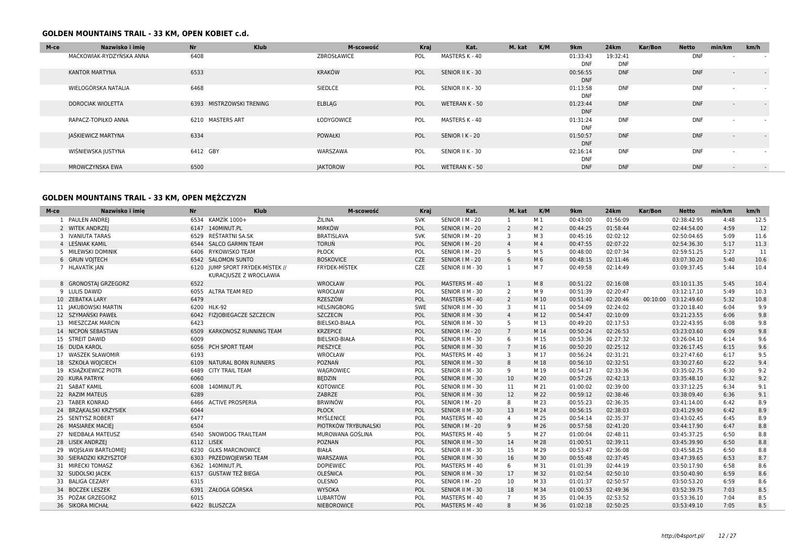| M-ce | Nazwisko i imie          | <b>Nr</b><br><b>Klub</b>    | M-scowość       | Kraj | Kat.             | M. kat | K/M<br>9km | <b>24km</b>              | Kar/Bon | <b>Netto</b> | min/km                   | km/h   |
|------|--------------------------|-----------------------------|-----------------|------|------------------|--------|------------|--------------------------|---------|--------------|--------------------------|--------|
|      | MAĆKOWIAK-RYDZYŃSKA ANNA | 6408                        | ZBROSŁAWICE     | POL  | MASTERS K - 40   |        |            | 01:33:43<br>19:32:41     |         | <b>DNF</b>   | $\overline{\phantom{a}}$ |        |
|      |                          |                             |                 |      |                  |        |            | <b>DNF</b><br><b>DNF</b> |         |              |                          |        |
|      | KANTOR MARTYNA           | 6533                        | KRAKÓW          | POL  | SENIOR II K - 30 |        |            | <b>DNF</b><br>00:56:55   |         | <b>DNF</b>   | $\overline{\phantom{0}}$ | $\sim$ |
|      |                          |                             |                 |      |                  |        |            | <b>DNF</b>               |         |              |                          |        |
|      | WIELOGÓRSKA NATALIA      | 6468                        | SIEDLCE         | POL  | SENIOR II K - 30 |        |            | <b>DNF</b><br>01:13:58   |         | <b>DNF</b>   |                          |        |
|      |                          |                             |                 |      |                  |        |            | <b>DNF</b>               |         |              |                          |        |
|      | DOROCIAK WIOLETTA        | MISTRZOWSKI TRENING<br>6393 | <b>ELBLAG</b>   | POL  | WETERAN K - 50   |        |            | <b>DNF</b><br>01:23:44   |         | <b>DNF</b>   | $\overline{\phantom{a}}$ | $\sim$ |
|      |                          |                             |                 |      |                  |        |            | <b>DNF</b>               |         |              |                          |        |
|      | RAPACZ-TOPIŁKO ANNA      | 6210 MASTERS ART            | ŁODYGOWICE      | POL  | MASTERS K - 40   |        |            | <b>DNF</b><br>01:31:24   |         | <b>DNF</b>   |                          |        |
|      |                          |                             |                 |      |                  |        |            | <b>DNF</b>               |         |              |                          |        |
|      | JAŚKIEWICZ MARTYNA       | 6334                        | <b>POWAŁKI</b>  | POL  | SENIOR I K - 20  |        | 01:50:57   | <b>DNF</b>               |         | <b>DNF</b>   | $\sim$                   | $\sim$ |
|      |                          |                             |                 |      |                  |        |            | <b>DNF</b>               |         |              |                          |        |
|      | WIŚNIEWSKA JUSTYNA       | 6412 GBY                    | WARSZAWA        | POL  | SENIOR II K - 30 |        |            | <b>DNF</b><br>02:16:14   |         | <b>DNF</b>   | . .                      | $\sim$ |
|      |                          |                             |                 |      |                  |        |            | <b>DNF</b>               |         |              |                          |        |
|      | MROWCZYNSKA EWA          | 6500                        | <b>JAKTOROW</b> | POL  | WETERAN K - 50   |        |            | <b>DNF</b><br><b>DNF</b> |         | <b>DNF</b>   | $\overline{\phantom{a}}$ | $\sim$ |

| M-ce                   | Nazwisko i imie<br><b>Nr</b> | <b>Klub</b>                                                | M-scowość            | Kraj       |                  | Kat. | M. kat         | K/M            | 9km      | <b>24km</b> | Kar/Bon  | <b>Netto</b> | min/km | km/h |
|------------------------|------------------------------|------------------------------------------------------------|----------------------|------------|------------------|------|----------------|----------------|----------|-------------|----------|--------------|--------|------|
| 1 PAULEN ANDREJ        |                              | 6534 KAMZÍK 1000+                                          | ŽILINA               | <b>SVK</b> | SENIOR   M - 20  |      | -1             | M 1            | 00:43:00 | 01:56:09    |          | 02:38:42.95  | 4:48   | 12.5 |
| 2 WITEK ANDRZEJ        |                              | 6147 140MINUT.PL                                           | <b>MIRKÓW</b>        | POL        | SENIOR   M - 20  |      | 2              | M <sub>2</sub> | 00:44:25 | 01:58:44    |          | 02:44:54.00  | 4:59   | 12   |
| 3 IVANIUTA TARAS       | 6529                         | REŠTARTNI SA.SK                                            | <b>BRATISLAVA</b>    | <b>SVK</b> | SENIOR   M - 20  |      | 3              | M 3            | 00:45:16 | 02:02:12    |          | 02:50:04.65  | 5:09   | 11.6 |
| 4 LEŚNIAK KAMIL        |                              | 6544 SALCO GARMIN TEAM                                     | <b>TORUŃ</b>         | POL        | SENIOR   M - 20  |      | $\overline{4}$ | M <sub>4</sub> | 00:47:55 | 02:07:22    |          | 02:54:36.30  | 5:17   | 11.3 |
| 5 MILEWSKI DOMINIK     |                              | 6406 RYKOWISKO TEAM                                        | PŁOCK                | POL        | SENIOR   M - 20  |      | 5              | M 5            | 00:48:00 | 02:07:34    |          | 02:59:51.25  | 5:27   | 11   |
| 6 GRUN VOJTECH         |                              | 6542 SALOMON SUNTO                                         | <b>BOSKOVICE</b>     | <b>CZE</b> | SENIOR   M - 20  |      | 6              | M 6            | 00:48:15 | 02:11:46    |          | 03:07:30.20  | 5:40   | 10.6 |
| 7 HLAVATÍK JAN         |                              | 6120 JUMP SPORT FRÝDEK-MÍSTEK //<br>KURACJUSZE Z WROCLAWIA | FRÝDEK-MÍSTEK        | CZE        | SENIOR II M - 30 |      | 1              | M 7            | 00:49:58 | 02:14:49    |          | 03:09:37.45  | 5:44   | 10.4 |
| 8 GRONOSTAJ GRZEGORZ   | 6522                         |                                                            | WROCŁAW              | POL        | MASTERS M - 40   |      | $\mathbf{1}$   | M8             | 00:51:22 | 02:16:08    |          | 03:10:11.35  | 5:45   | 10.4 |
| 9 LULIS DAWID          |                              | 6055 ALTRA TEAM RED                                        | WROCŁAW              | POL        | SENIOR II M - 30 |      | $\overline{2}$ | M 9            | 00:51:39 | 02:20:47    |          | 03:12:17.10  | 5:49   | 10.3 |
| 10 ZEBATKA LARY        | 6479                         |                                                            | RZESZÓW              | POL        | MASTERS M - 40   |      | $\overline{2}$ | M 10           | 00:51:40 | 02:20:46    | 00:10:00 | 03:12:49.60  | 5:32   | 10.8 |
| 11 JAKUBOWSKI MARTIN   |                              | 6200 HLK-92                                                | <b>HELSINGBORG</b>   | SWE        | SENIOR II M - 30 |      | 3              | M 11           | 00:54:09 | 02:24:02    |          | 03:20:18.40  | 6:04   | 9.9  |
| 12 SZYMAŃSKI PAWEŁ     | 6042                         | FIZJOBIEGACZE SZCZECIN                                     | <b>SZCZECIN</b>      | POL        | SENIOR II M - 30 |      | $\overline{4}$ | M 12           | 00:54:47 | 02:10:09    |          | 03:21:23.55  | 6:06   | 9.8  |
| 13 MIESZCZAK MARCIN    | 6423                         |                                                            | <b>BIELSKO-BIAŁA</b> | POL        | SENIOR II M - 30 |      | 5              | M 13           | 00:49:20 | 02:17:53    |          | 03:22:43.95  | 6:08   | 9.8  |
| 14 NICPOŃ SEBASTIAN    | 6509                         | KARKONOSZ RUNNING TEAM                                     | <b>KRZEPICE</b>      | POL        | SENIOR   M - 20  |      | $7^{\circ}$    | M 14           | 00:50:24 | 02:26:53    |          | 03:23:03.60  | 6:09   | 9.8  |
| 15 STREIT DAWID        | 6009                         |                                                            | <b>BIELSKO-BIAŁA</b> | POL        | SENIOR II M - 30 |      | 6              | M 15           | 00:53:36 | 02:27:32    |          | 03:26:04.10  | 6:14   | 9.6  |
| 16 DUDA KAROL          | 6056                         | PCH SPORT TEAM                                             | PIESZYCE             | POL        | SENIOR II M - 30 |      | $7^{\circ}$    | M 16           | 00:50:20 | 02:25:12    |          | 03:26:17.45  | 6:15   | 9.6  |
| 17 WASZEK SŁAWOMIR     | 6193                         |                                                            | WROCŁAW              | POL        | MASTERS M - 40   |      | 3              | M 17           | 00:56:24 | 02:31:21    |          | 03:27:47.60  | 6:17   | 9.5  |
| 18 SZKOŁA WOJCIECH     | 6109                         | NATURAL BORN RUNNERS                                       | POZNAŃ               | POL        | SENIOR II M - 30 |      | 8              | M 18           | 00:56:10 | 02:32:51    |          | 03:30:27.60  | 6:22   | 9.4  |
| 19 KSIAŻKIEWICZ PIOTR  |                              | 6489 CITY TRAIL TEAM                                       | WĄGROWIEC            | POL        | SENIOR II M - 30 |      | 9              | M 19           | 00:54:17 | 02:33:36    |          | 03:35:02.75  | 6:30   | 9.2  |
| 20 KURA PATRYK         | 6060                         |                                                            | <b>BEDZIN</b>        | POL        | SENIOR II M - 30 |      | 10             | M 20           | 00:57:26 | 02:42:13    |          | 03:35:48.10  | 6:32   | 9.2  |
| 21 SABAT KAMIL         |                              | 6008 140MINUT.PL                                           | <b>KOTOWICE</b>      | POL        | SENIOR II M - 30 |      | 11             | M 21           | 01:00:02 | 02:39:00    |          | 03:37:12.25  | 6:34   | 9.1  |
| 22 RAZIM MATEUS        | 6289                         |                                                            | ZABRZE               | POL        | SENIOR II M - 30 |      | 12             | M 22           | 00:59:12 | 02:38:46    |          | 03:38:09.40  | 6:36   | 9.1  |
| 23 TABER KONRAD        | 6466                         | <b>ACTIVE PROSPERIA</b>                                    | <b>BRWINÓW</b>       | POL        | SENIOR   M - 20  |      | 8              | M 23           | 00:55:23 | 02:36:35    |          | 03:41:14.00  | 6:42   | 8.9  |
| 24 BRZAKALSKI KRZYSIEK | 6044                         |                                                            | <b>PŁOCK</b>         | POL        | SENIOR II M - 30 |      | 13             | M 24           | 00:56:15 | 02:38:03    |          | 03:41:29.90  | 6:42   | 8.9  |
| 25 SENTYSZ ROBERT      | 6477                         |                                                            | MYŚLENICE            | POL        | MASTERS M - 40   |      | $\overline{4}$ | M 25           | 00:54:14 | 02:35:37    |          | 03:43:02.45  | 6:45   | 8.9  |
| 26 MASIAREK MACIEJ     | 6504                         |                                                            | PIOTRKÓW TRYBUNALSKI | POL        | SENIOR   M - 20  |      | 9              | M 26           | 00:57:58 | 02:41:20    |          | 03:44:17.90  | 6:47   | 8.8  |
| 27 NIEDBAŁA MATEUSZ    | 6540                         | <b>SNOWDOG TRAILTEAM</b>                                   | MUROWANA GOŚLINA     | POL        | MASTERS M - 40   |      | 5              | M 27           | 01:00:04 | 02:48:11    |          | 03:45:37.25  | 6:50   | 8.8  |
| 28 LISEK ANDRZEJ       |                              | 6112 LISEK                                                 | POZNAN               | POL        | SENIOR II M - 30 |      | 14             | M 28           | 01:00:51 | 02:39:11    |          | 03:45:39.90  | 6:50   | 8.8  |
| 29 WOJSŁAW BARTŁOMIEJ  |                              | 6230 GLKS MARCINOWICE                                      | <b>BIAŁA</b>         | POL        | SENIOR II M - 30 |      | 15             | M 29           | 00:53:47 | 02:36:08    |          | 03:45:58.25  | 6:50   | 8.8  |
| 30 SIERADZKI KRZYSZTOF | 6303                         | PRZEDWOJEWSKI TEAM                                         | WARSZAWA             | POL        | SENIOR II M - 30 |      | 16             | M 30           | 00:55:48 | 02:37:45    |          | 03:47:39.65  | 6:53   | 8.7  |
| 31 MIRECKI TOMASZ      |                              | 6362 140MINUT.PL                                           | <b>DOPIEWIEC</b>     | POL        | MASTERS M - 40   |      | 6              | M 31           | 01:01:39 | 02:44:19    |          | 03:50:17.90  | 6:58   | 8.6  |
| 32 SUDOLSKI JACEK      |                              | 6157 GUSTAW TEŻ BIEGA                                      | OLEŚNICA             | POL        | SENIOR II M - 30 |      | 17             | M 32           | 01:02:54 | 02:50:10    |          | 03:50:40.90  | 6:59   | 8.6  |
| 33 BALIGA CEZARY       | 6315                         |                                                            | OLESNO               | POL        | SENIOR   M - 20  |      | 10             | M 33           | 01:01:37 | 02:50:57    |          | 03:50:53.20  | 6:59   | 8.6  |
| 34 BOCZEK LESZEK       |                              | 6391 ZAŁOGA GÓRSKA                                         | <b>WYSOKA</b>        | POL        | SENIOR II M - 30 |      | 18             | M 34           | 01:00:53 | 02:49:36    |          | 03:52:39.75  | 7:03   | 8.5  |
| 35 POŻAK GRZEGORZ      | 6015                         |                                                            | LUBARTÓW             | POL        | MASTERS M - 40   |      | $7^{\circ}$    | M 35           | 01:04:35 | 02:53:52    |          | 03:53:36.10  | 7:04   | 8.5  |
| 36 SIKORA MICHAŁ       |                              | 6422 BLUSZCZA                                              | <b>NIEBOROWICE</b>   | POL        | MASTERS M - 40   |      | 8              | M 36           | 01:02:18 | 02:50:25    |          | 03:53:49.10  | 7:05   | 8.5  |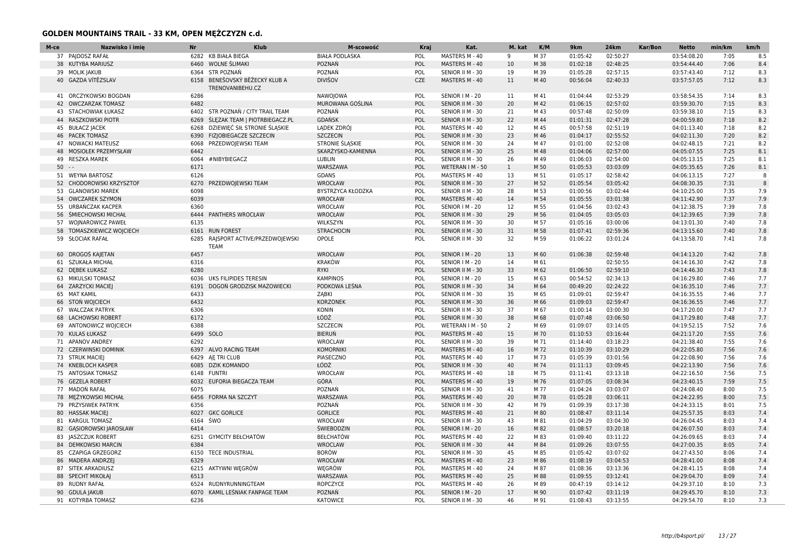| M-ce | Nazwisko i imie           | <b>Nr</b> | <b>Klub</b>                    | M-scowość             | Kraj       | Kat.             | M. kat       | K/M  | 9km      | <b>24km</b> | Kar/Bon | <b>Netto</b> | min/km | km/h |
|------|---------------------------|-----------|--------------------------------|-----------------------|------------|------------------|--------------|------|----------|-------------|---------|--------------|--------|------|
|      | 37 PAJDOSZ RAFAŁ          |           | 6282 KB BIAŁA BIEGA            | <b>BIAŁA PODLASKA</b> | POL        | MASTERS M - 40   | 9            | M 37 | 01:05:42 | 02:50:27    |         | 03:54:08.20  | 7:05   | 8.5  |
|      | 38 KUTYBA MARIUSZ         | 6460      | WOLNE ŚLIMAKI                  | POZNAŃ                | POL        | MASTERS M - 40   | 10           | M 38 | 01:02:18 | 02:48:25    |         | 03:54:44.40  | 7:06   | 8.4  |
|      | 39 MOLIK JAKUB            | 6364      | <b>STR POZNAŃ</b>              | POZNAŃ                | POL        | SENIOR II M - 30 | 19           | M 39 | 01:05:28 | 02:57:15    |         | 03:57:43.40  | 7:12   | 8.3  |
|      | 40 GAZDA VÍTĚZSLAV        |           | 6158 BENEŠOVSKÝ BĚŽECKÝ KLUB A | <b>DIVIŠOV</b>        | <b>CZE</b> | MASTERS M - 40   | 11           | M 40 | 00:56:04 | 02:40:33    |         | 03:57:57.05  | 7:12   | 8.3  |
|      |                           |           | TRENOVANIBEHU.CZ               |                       |            |                  |              |      |          |             |         |              |        |      |
| 41   | ORCZYKOWSKI BOGDAN        | 6286      |                                | NAWOJOWA              | POL        | SENIOR   M - 20  | 11           | M 41 | 01:04:44 | 02:53:29    |         | 03:58:54.35  | 7:14   | 8.3  |
| 42   | <b>OWCZARZAK TOMASZ</b>   | 6482      |                                | MUROWANA GOŚLINA      | POL        | SENIOR II M - 30 | 20           | M 42 | 01:06:15 | 02:57:02    |         | 03:59:30.70  | 7:15   | 8.3  |
| 43   | STACHOWIAK ŁUKASZ         | 6402      | STR POZNAŃ / CITY TRAIL TEAM   | POZNAŃ                | POL        | SENIOR II M - 30 | 21           | M 43 | 00:57:48 | 02:50:09    |         | 03:59:38.10  | 7:15   | 8.3  |
| 44   | RASZKOWSKI PIOTR          | 6269      | SLEZAK TEAM   PIOTRBIEGACZ.PL  | <b>GDAŃSK</b>         | POL        | SENIOR II M - 30 | 22           | M 44 | 01:01:31 | 02:47:28    |         | 04:00:59.80  | 7:18   | 8.2  |
|      | 45 BUŁACZ JACEK           | 6268      | DZIEWIĘĆ SIŁ STRONIE ŚLĄSKIE   | LADEK ZDRÓJ           | POL        | MASTERS M - 40   | 12           | M 45 | 00:57:58 | 02:51:19    |         | 04:01:13.40  | 7:18   | 8.2  |
|      | 46 PACEK TOMASZ           | 6390      | FIZJOBIEGACZE SZCZECIN         | <b>SZCZECIN</b>       | POL        | SENIOR II M - 30 | 23           | M 46 | 01:04:17 | 02:55:52    |         | 04:02:11.30  | 7:20   | 8.2  |
|      | 47 NOWACKI MATEUSZ        | 6068      | PRZEDWOJEWSKI TEAM             | STRONIE SLASKIE       | POL        | SENIOR II M - 30 | 24           | M 47 | 01:01:00 | 02:52:08    |         | 04:02:48.15  | 7:21   | 8.2  |
| 48   | MOSIOŁEK PRZEMYSŁAW       | 6442      |                                | SKARŻYSKO-KAMIENNA    | POL        | SENIOR II M - 30 | 25           | M 48 | 01:04:06 | 02:57:00    |         | 04:05:07.55  | 7:25   | 8.1  |
| 49   | RESZKA MAREK              | 6064      | #NIBYBIEGACZ                   | LUBLIN                | POL        | SENIOR II M - 30 | 26           | M 49 | 01:06:03 | 02:54:00    |         | 04:05:13.15  | 7:25   | 8.1  |
|      | $50 - -$                  | 6171      |                                | WARSZAWA              | POL        | WETERAN I M - 50 | $\mathbf{1}$ | M 50 | 01:05:53 | 03:03:09    |         | 04:05:35.65  | 7:26   | 8.1  |
| 51   | <b>WEYNA BARTOSZ</b>      | 6126      |                                | <b>GDANS</b>          | POL        | MASTERS M - 40   | 13           | M 51 | 01:05:17 | 02:58:42    |         | 04:06:13.15  | 7:27   | 8    |
| 52   | CHODOROWSKI KRZYSZTOF     | 6270      | PRZEDWOJEWSKI TEAM             | WROCŁAW               | POL        | SENIOR II M - 30 | 27           | M 52 | 01:05:54 | 03:05:42    |         | 04:08:30.35  | 7:31   |      |
|      |                           | 6098      |                                |                       | POL        |                  | 28           |      |          |             |         |              | 7:35   | 7.9  |
| 53   | <b>GLANOWSKI MAREK</b>    |           |                                | BYSTRZYCA KŁODZKA     |            | SENIOR II M - 30 |              | M 53 | 01:00:56 | 03:02:44    |         | 04:10:25.00  |        |      |
|      | 54 OWCZAREK SZYMON        | 6039      |                                | WROCŁAW               | POL        | MASTERS M - 40   | 14           | M 54 | 01:05:55 | 03:01:38    |         | 04:11:42.90  | 7:37   | 7.9  |
| 55   | URBAŃCZAK KACPER          | 6360      |                                | WROCŁAW               | POL        | SENIOR   M - 20  | 12           | M 55 | 01:04:56 | 03:02:43    |         | 04:12:38.75  | 7:39   | 7.8  |
| 56   | ŚMIECHOWSKI MICHAŁ        | 6444      | <b>PANTHERS WROCŁAW</b>        | WROCŁAW               | POL        | SENIOR II M - 30 | 29           | M 56 | 01:04:05 | 03:05:03    |         | 04:12:39.65  | 7:39   | 7.8  |
|      | 57 WOJNAROWICZ PAWEŁ      | 6135      |                                | WILKSZYN              | POL        | SENIOR II M - 30 | 30           | M 57 | 01:05:16 | 03:00:06    |         | 04:13:01.30  | 7:40   | 7.8  |
|      | 58 TOMASZKIEWICZ WOJCIECH |           | 6161 RUN FOREST                | <b>STRACHOCIN</b>     | POL        | SENIOR II M - 30 | 31           | M 58 | 01:07:41 | 02:59:36    |         | 04:13:15.60  | 7:40   | 7.8  |
| 59   | <b>SŁOCIAK RAFAŁ</b>      | 6285      | RAJSPORT ACTIVE/PRZEDWOJEWSKI  | OPOLE                 | POL        | SENIOR II M - 30 | 32           | M 59 | 01:06:22 | 03:01:24    |         | 04:13:58.70  | 7:41   | 7.8  |
|      |                           |           | <b>TEAM</b>                    |                       |            |                  |              |      |          |             |         |              |        |      |
|      | 60 DROGOŚ KAJETAN         | 6457      |                                | WROCŁAW               | POL        | SENIOR   M - 20  | 13           | M 60 | 01:06:38 | 02:59:48    |         | 04:14:13.20  | 7:42   | 7.8  |
| 61   | SZUKAŁA MICHAŁ            | 6316      |                                | <b>KRAKÓW</b>         | POL        | SENIOR   M - 20  | 14           | M 61 |          | 02:50:55    |         | 04:14:16.30  | 7:42   | 7.8  |
|      | 62 DEBEK ŁUKASZ           | 6280      |                                | <b>RYKI</b>           | POL        | SENIOR II M - 30 | 33           | M 62 | 01:06:50 | 02:59:10    |         | 04:14:46.30  | 7:43   | 7.8  |
|      | 63 MIKULSKI TOMASZ        | 6036      | UKS FILIPIDES TERESIN          | <b>KAMPINOS</b>       | POL        | SENIOR   M - 20  | 15           | M 63 | 00:54:52 | 02:34:13    |         | 04:16:29.80  | 7:46   | 7.7  |
|      | 64 ZARZYCKI MACIEJ        | 6191      | DOGOŃ GRODZISK MAZOWIECKI      | PODKOWA LEŚNA         | POL        | SENIOR II M - 30 | 34           | M 64 | 00:49:20 | 02:24:22    |         | 04:16:35.10  | 7:46   | 7.7  |
| 65   | <b>MAT KAMIL</b>          | 6433      |                                | ZĄBKI                 | POL        | SENIOR II M - 30 | 35           | M 65 | 01:09:01 | 02:59:47    |         | 04:16:35.55  | 7:46   | 7.7  |
|      | 66 STON WOJCIECH          | 6432      |                                | <b>KORZONEK</b>       | POL        | SENIOR II M - 30 | 36           | M 66 | 01:09:03 | 02:59:47    |         | 04:16:36.55  | 7:46   | 7.7  |
|      | 67 WALCZAK PATRYK         | 6306      |                                | <b>KONIN</b>          | POL        | SENIOR II M - 30 | 37           | M 67 | 01:00:14 | 03:00:30    |         | 04:17:20.00  | 7:47   | 7.7  |
|      | 68 LACHOWSKI ROBERT       | 6172      |                                | ŁÓDŹ                  | POL        | SENIOR II M - 30 | 38           | M 68 | 01:07:48 | 03:06:50    |         | 04:17:29.80  | 7:48   | 7.7  |
| 69   | ANTONOWICZ WOJCIECH       | 6388      |                                | <b>SZCZECIN</b>       | POL        | WETERAN I M - 50 | 2            | M 69 | 01:09:07 | 03:14:05    |         | 04:19:52.15  | 7:52   | 7.6  |
|      | 70 KULAS ŁUKASZ           | 6499      | SOLO                           | <b>BIERUŃ</b>         | POL        | MASTERS M - 40   | 15           | M 70 | 01:10:53 | 03:16:44    |         | 04:21:17.20  | 7:55   | 7.6  |
|      | 71 APANOV ANDREY          | 6292      |                                | <b>WROCLAW</b>        | POL        | SENIOR II M - 30 | 39           | M 71 | 01:14:40 | 03:18:23    |         | 04:21:38.40  | 7:55   | 7.6  |
|      | 72 CZERWINSKI DOMINIK     | 6397      | ALVO RACING TEAM               | <b>KOMORNIKI</b>      | POL        | MASTERS M - 40   | 16           | M 72 | 01:10:39 | 03:10:29    |         | 04:22:05.80  | 7:56   | 7.6  |
| 73   | <b>STRUK MACIEI</b>       | 6429      | <b>AE TRI CLUB</b>             | PIASECZNO             | POL        | MASTERS M - 40   | 17           | M 73 | 01:05:39 | 03:01:56    |         | 04:22:08.90  | 7:56   | 7.6  |
|      | 74 KNEBLOCH KASPER        | 6085      | <b>DZIK KOMANDO</b>            | ŁÓDŹ                  | POL        | SENIOR II M - 30 | 40           | M 74 | 01:11:13 | 03:09:45    |         | 04:22:13.90  | 7:56   | 7.6  |
|      | 75 ANTOSIAK TOMASZ        | 6148      | <b>FUNTRI</b>                  | WROCŁAW               | POL        | MASTERS M - 40   | 18           | M 75 | 01:11:41 | 03:13:18    |         | 04:22:16.50  | 7:56   | 7.5  |
|      | 76 GEZELA ROBERT          | 6032      | EUFORIA BIEGACZA TEAM          | GÓRA                  | POL        | MASTERS M - 40   | 19           | M 76 | 01:07:05 | 03:08:34    |         | 04:23:40.15  | 7:59   | 7.5  |
| 77   | MADON RAFAŁ               | 6075      |                                | POZNAŃ                | POL        | SENIOR II M - 30 | 41           | M 77 | 01:04:24 | 03:03:07    |         | 04:24:08.40  | 8:00   | 7.5  |
|      | 78 MEŻYKOWSKI MICHAŁ      | 6456      | <b>FORMA NA SZCZYT</b>         | WARSZAWA              | POL        | MASTERS M - 40   | 20           | M 78 | 01:05:28 | 03:06:11    |         | 04:24:22.95  | 8:00   | 7.5  |
| 79   | PRZYSIWEK PATRYK          | 6356      |                                | POZNAŃ                | POL        | SENIOR II M - 30 | 42           | M 79 | 01:09:39 | 03:17:38    |         | 04:24:33.15  | 8:01   | 7.5  |
| 80   | <b>HASSAK MACIEJ</b>      | 6027      | <b>GKC GORLICE</b>             | <b>GORLICE</b>        | POL        | MASTERS M - 40   | 21           | M 80 | 01:08:47 | 03:11:14    |         | 04:25:57.35  | 8:03   | 7.4  |
|      | 81 KARGUL TOMASZ          | 6164      | ŚWO                            | WROCŁAW               | POL        | SENIOR II M - 30 | 43           | M 81 | 01:04:29 | 03:04:30    |         | 04:26:04.45  | 8:03   | 7.4  |
|      | 82 GASIOROWSKI JAROSŁAW   | 6414      |                                | ŚWIEBODZIN            | POL        | SENIOR   M - 20  | 16           | M 82 | 01:08:57 | 03:20:18    |         | 04:26:07.50  | 8:03   | 7.4  |
| 83   | JASZCZUK ROBERT           | 6251      | <b>GYMCITY BEŁCHATÓW</b>       | <b>BEŁCHATÓW</b>      | POL        | MASTERS M - 40   | 22           | M 83 | 01:09:40 | 03:11:22    |         | 04:26:09.65  | 8:03   | 7.4  |
|      | 84 DEMKOWSKI MARCIN       | 6384      |                                | <b>WROCLAW</b>        | POL        | SENIOR II M - 30 | 44           | M 84 | 01:09:26 | 03:07:55    |         | 04:27:00.35  | 8:05   | 7.4  |
| 85   | <b>CZAPIGA GRZEGORZ</b>   | 6150      | <b>TECE INDUSTRIAL</b>         | <b>BORÓW</b>          | POL        | SENIOR II M - 30 | 45           | M 85 | 01:05:42 | 03:07:02    |         | 04:27:43.50  | 8:06   | 7.4  |
| 86   | <b>MADERA ANDRZEJ</b>     | 6329      |                                | WROCŁAW               | POL        | MASTERS M - 40   | 23           | M 86 | 01:08:19 | 03:04:53    |         | 04:28:41.00  | 8:08   | 7.4  |
| 87   | SITEK ARKADIUSZ           | 6215      | AKTYWNI WĘGRÓW                 | WĘGRÓW                | POL        | MASTERS M - 40   | 24           | M 87 | 01:08:36 | 03:13:36    |         | 04:28:41.15  | 8:08   | 7.4  |
|      | 88 SPECHT MIKOŁAJ         | 6513      |                                | WARSZAWA              | POL        | MASTERS M - 40   | 25           | M 88 | 01:09:55 | 03:12:41    |         | 04:29:04.70  | 8:09   | 7.4  |
|      | 89 RUDNY RAFAŁ            | 6524      | RUDNYRUNNINGTEAM               | ROPCZYCE              | POL        | MASTERS M - 40   | 26           | M 89 | 00:47:19 | 03:14:12    |         | 04:29:37.10  | 8:10   | 7.3  |
|      | 90 GDULA JAKUB            | 6070      | KAMIL LEŚNIAK FANPAGE TEAM     | POZNAŃ                | POL        | SENIOR   M - 20  | 17           | M 90 | 01:07:42 | 03:11:19    |         | 04:29:45.70  | 8:10   | 7.3  |
|      | 91 KOTYRBA TOMASZ         | 6236      |                                | <b>KATOWICE</b>       | POL        | SENIOR II M - 30 | 46           | M 91 | 01:08:43 | 03:13:55    |         | 04:29:54.70  | 8:10   | 7.3  |
|      |                           |           |                                |                       |            |                  |              |      |          |             |         |              |        |      |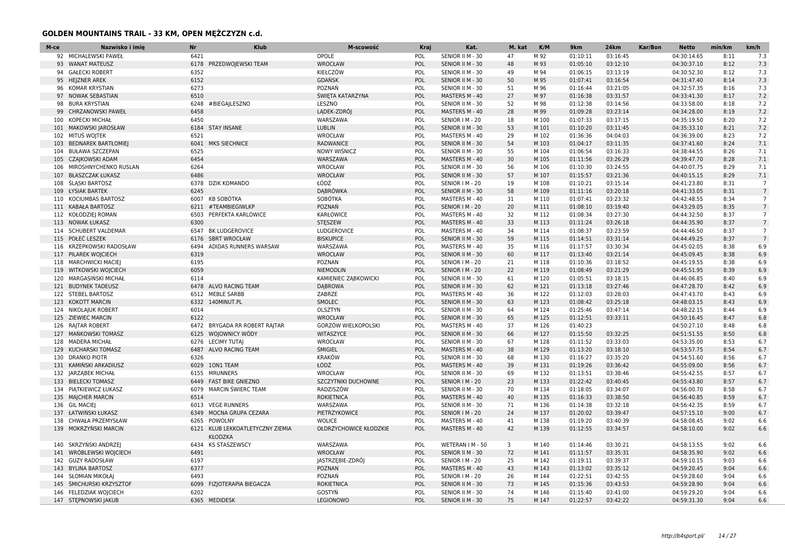| M-ce | Nazwisko i imie          | <b>Nr</b> | <b>Klub</b>                                        | M-scowość                  | <b>Kraj</b> | Kat.             | M. kat | K/M   | 9km      | <b>24km</b> | Kar/Bon | Netto       | min/km | km/h            |
|------|--------------------------|-----------|----------------------------------------------------|----------------------------|-------------|------------------|--------|-------|----------|-------------|---------|-------------|--------|-----------------|
|      | 92 MICHALEWSKI PAWEŁ     | 6421      |                                                    | OPOLE                      | POL         | SENIOR II M - 30 | 47     | M 92  | 01:10:11 | 03:16:45    |         | 04:30:14.65 | 8:11   | 7.3             |
|      | 93 WANAT MATEUSZ         | 6178      | PRZEDWOJEWSKI TEAM                                 | WROCŁAW                    | POL         | SENIOR II M - 30 | 48     | M 93  | 01:05:10 | 03:12:10    |         | 04:30:37.10 | 8:12   | 7.3             |
| 94   | <b>GAŁECKI ROBERT</b>    | 6352      |                                                    | KIEŁCZÓW                   | POL         | SENIOR II M - 30 | 49     | M 94  | 01:06:15 | 03:13:19    |         | 04:30:52.30 | 8:12   | 7.3             |
|      | 95 HEJZNER AREK          | 6152      |                                                    | <b>GDAŃSK</b>              | POL         | SENIOR II M - 30 | 50     | M 95  | 01:07:41 | 03:16:54    |         | 04:31:47.40 | 8:14   | 7.3             |
|      | 96 KOMAR KRYSTIAN        | 6273      |                                                    | POZNAŃ                     | POL         | SENIOR II M - 30 | 51     | M 96  | 01:16:44 | 03:21:05    |         | 04:32:57.35 | 8:16   | 7.3             |
| 97   | <b>NOWAK SEBASTIAN</b>   | 6510      |                                                    | ŚWIETA KATARZYNA           | POL         | MASTERS M - 40   | 27     | M 97  | 01:16:38 | 03:31:57    |         | 04:33:41.30 | 8:17   | 7.2             |
|      | 98 BURA KRYSTIAN         | 6248      | #BIEGA LESZNO                                      | LESZNO                     | POL         | SENIOR II M - 30 | 52     | M 98  | 01:12:38 | 03:14:56    |         | 04:33:58.00 | 8:18   | 7.2             |
| 99   | CHRZANOWSKI PAWEŁ        | 6458      |                                                    | LADEK-ZDRÓJ                | POL         | MASTERS M - 40   | 28     | M 99  | 01:09:28 | 03:23:14    |         | 04:34:28.00 | 8:19   | 7.2             |
|      | 100 KOPECKI MICHAŁ       | 6450      |                                                    | WARSZAWA                   | POL         | SENIOR   M - 20  | 18     | M 100 | 01:07:33 | 03:17:15    |         | 04:35:19.50 | 8:20   | 7.2             |
|      | 101 MAKOWSKI JAROSŁAW    |           | 6184 STAY INSANE                                   | <b>LUBLIN</b>              | POL         | SENIOR II M - 30 | 53     | M 101 | 01:10:20 | 03:11:45    |         | 04:35:33.10 | 8:21   | 7.2             |
|      | 102 MITUŠ WOJTEK         | 6521      |                                                    | WROCŁAW                    | POL         | MASTERS M - 40   | 29     | M 102 | 01:36:36 | 04:04:03    |         | 04:36:39.00 | 8:23   | 7.2             |
|      | 103 BEDNAREK BARTŁOMIEJ  |           | 6041 MKS SIECHNICE                                 | <b>RADWANICE</b>           | POL         | SENIOR II M - 30 | 54     | M 103 | 01:04:17 | 03:11:35    |         | 04:37:41.60 | 8:24   | 7.1             |
| 104  | <b>BUŁAWA SZCZEPAN</b>   | 6525      |                                                    | <b>NOWY WIŚNICZ</b>        | POL         | SENIOR II M - 30 | 55     | M 104 | 01:06:54 | 03:16:33    |         | 04:38:44.55 | 8:26   | 7.1             |
|      | 105 CZAJKOWSKI ADAM      | 6454      |                                                    | WARSZAWA                   | POL         | MASTERS M - 40   | 30     | M 105 | 01:11:56 | 03:26:29    |         | 04:39:47.70 | 8:28   | 7.1             |
| 106  | MIROSHNYCHENKO RUSLAN    | 6264      |                                                    | WROCŁAW                    | POL         | SENIOR II M - 30 | 56     | M 106 | 01:10:30 | 03:24:55    |         | 04:40:07.75 | 8:29   | 7.1             |
|      | 107 BŁASZCZAK ŁUKASZ     | 6486      |                                                    | <b>WROCŁAW</b>             | POL         | SENIOR II M - 30 | 57     | M 107 | 01:15:57 | 03:21:36    |         | 04:40:15.15 | 8:29   | 7.1             |
| 108  | <b>ŚLĄSKI BARTOSZ</b>    | 6378      | <b>DZIK KOMANDO</b>                                | ŁÓDŹ                       | POL         | SENIOR   M - 20  | 19     | M 108 | 01:10:21 | 03:15:14    |         | 04:41:23.80 | 8:31   | $\overline{7}$  |
|      | 109 ŁYSIAK BARTEK        | 6245      |                                                    | <b>DABRÓWKA</b>            | POL         | SENIOR II M - 30 | 58     | M 109 | 01:11:16 | 03:20:18    |         | 04:41:33.05 | 8:31   | $7\overline{ }$ |
|      | 110 KOCIUMBAS BARTOSZ    |           | 6007 KB SOBÓTKA                                    | SOBÓTKA                    | POL         | MASTERS M - 40   | 31     | M 110 | 01:07:41 | 03:23:32    |         | 04:42:48.55 | 8:34   | $7^{\circ}$     |
|      | 111 KABAŁA BARTOSZ       | 6211      | #TEAMBIEGIWLKP                                     | POZNAŃ                     | POL         | SENIOR   M - 20  | 20     | M 111 | 01:08:10 | 03:19:40    |         | 04:43:29.05 | 8:35   | $7\overline{ }$ |
|      | 112 KOŁODZIEJ ROMAN      | 6503      | PERFEKTA KARLOWICE                                 | KARŁOWICE                  | POL         | MASTERS M - 40   | 32     | M 112 | 01:08:34 | 03:27:30    |         | 04:44:32.50 | 8:37   |                 |
|      | 113 NOWAK ŁUKASZ         | 6300      |                                                    | <b>STESZEW</b>             | POL         | MASTERS M - 40   | 33     | M 113 | 01:11:24 | 03:26:18    |         | 04:44:35.90 | 8:37   | $7\overline{ }$ |
|      | 114 SCHUBERT VALDEMAR    |           | 6547 BK LUDGEROVICE                                | LUDGEROVICE                | POL         | MASTERS M - 40   | 34     | M 114 | 01:08:37 | 03:23:59    |         | 04:44:46.50 | 8:37   | $\overline{7}$  |
|      | 115 POŁEĆ LESZEK         |           | 6176 SBRT WROCŁAW                                  | <b>BISKUPICE</b>           | POL         | SENIOR II M - 30 | 59     | M 115 | 01:14:51 | 03:31:14    |         | 04:44:49.25 | 8:37   | $\overline{7}$  |
|      | 116 KRZEPKOWSKI RADOSŁAW | 6494      | ADIDAS RUNNERS WARSAW                              | WARSZAWA                   | POL         | MASTERS M - 40   | 35     | M 116 | 01:17:57 | 03:30:34    |         | 04:45:02.05 | 8:38   | 6.9             |
|      | 117 PILAREK WOJCIECH     | 6319      |                                                    | <b>WROCŁAW</b>             | POL         | SENIOR II M - 30 | 60     | M 117 | 01:13:40 | 03:21:14    |         | 04:45:09.45 | 8:38   | 6.9             |
|      | 118 MARCHWICKI MACIEJ    | 6195      |                                                    | <b>POZNAN</b>              | POL         | SENIOR   M - 20  | 21     | M 118 | 01:10:36 | 03:18:52    |         | 04:45:19.55 | 8:38   | 6.9             |
|      | 119 WITKOWSKI WOJCIECH   | 6059      |                                                    | NIEMODLIN                  | POL         | SENIOR   M - 20  | 22     | M 119 | 01:08:49 | 03:21:29    |         | 04:45:51.95 | 8:39   | 6.9             |
|      | 120 MARGASIŃSKI MICHAŁ   | 6114      |                                                    | KAMIENIEC ZĄBKOWICKI       | POL         | SENIOR II M - 30 | 61     | M 120 | 01:05:51 | 03:18:15    |         | 04:46:06.85 | 8:40   | 6.9             |
|      | 121 BUDYNEK TADEUSZ      |           | 6478 ALVO RACING TEAM                              | <b>DABROWA</b>             | POL         | SENIOR II M - 30 | 62     | M 121 | 01:13:18 | 03:27:46    |         | 04:47:28.70 | 8:42   | 6.9             |
|      | 122 STEBEL BARTOSZ       |           | 6512 MEBLE SARBB                                   | ZABRZE                     | POL         | MASTERS M - 40   | 36     | M 122 | 01:12:03 | 03:28:03    |         | 04:47:43.70 | 8:43   | 6.9             |
|      | 123 KOKOTT MARCIN        |           | 6332 140MINUT.PL                                   | SMOLEC                     | POL         | SENIOR II M - 30 | 63     | M 123 | 01:08:42 | 03:25:18    |         | 04:48:03.15 | 8:43   | 6.9             |
|      | 124 NIKOLAJUK ROBERT     | 6014      |                                                    | OLSZTYN                    | POL         | SENIOR II M - 30 | 64     | M 124 | 01:25:46 | 03:47:14    |         | 04:48:22.15 | 8:44   | 6.9             |
|      | 125 ZIEWIEC MARCIN       | 6122      |                                                    | <b>WROCŁAW</b>             | POL         | SENIOR II M - 30 | 65     | M 125 | 01:12:51 | 03:33:11    |         | 04:50:16.45 | 8:47   | 6.8             |
|      | 126 RAJTAR ROBERT        |           | 6472 BRYGADA RR ROBERT RAJTAR                      | GORZÓW WIELKOPOLSKI        | POL         | MASTERS M - 40   | 37     | M 126 | 01:40:23 |             |         | 04:50:27.10 | 8:48   | 6.8             |
|      | 127 MAŃKOWSKI TOMASZ     |           | 6125 WOJOWNICY WÓDY                                | WITASZYCE                  | POL         | SENIOR II M - 30 | 66     | M 127 | 01:15:50 | 03:32:25    |         | 04:51:51.55 | 8:50   | 6.8             |
|      | 128 MADERA MICHAŁ        |           | 6276 LECIMY TUTAI                                  | WROCŁAW                    | POL         | SENIOR II M - 30 | 67     | M 128 | 01:11:52 | 03:33:03    |         | 04:53:35.00 | 8:53   | 6.7             |
|      | 129 KUCHARSKI TOMASZ     |           | 6487 ALVO RACING TEAM                              | <b>ŚMIGIEL</b>             | POL         | MASTERS M - 40   | 38     | M 129 | 01:13:20 | 03:18:10    |         | 04:53:57.75 | 8:54   | 6.7             |
|      | 130 DRANKO PIOTR         | 6326      |                                                    | <b>KRAKÓW</b>              | POL         | SENIOR II M - 30 | 68     | M 130 | 01:16:27 | 03:35:20    |         | 04:54:51.60 | 8:56   | 6.7             |
|      | 131 KAMIŃSKI ARKADIUSZ   |           | 6029 10N1 TEAM                                     | ŁÓDŹ                       | POL         | MASTERS M - 40   | 39     | M 131 | 01:19:26 | 03:36:42    |         | 04:55:09.00 | 8:56   | 6.7             |
|      | 132 JARZABEK MICHAŁ      |           | 6155 MRUNNERS                                      | WROCŁAW                    | POL         | SENIOR II M - 30 | 69     | M 132 | 01:13:51 | 03:38:46    |         | 04:55:42.55 | 8:57   | 6.7             |
|      | 133 BIELECKI TOMASZ      |           | 6449 FAST BIKE GNIEZNO                             | <b>SZCZYTNIKI DUCHOWNE</b> | POL         | SENIOR   M - 20  | 23     | M 133 | 01:22:42 | 03:40:45    |         | 04:55:43.80 | 8:57   | 6.7             |
|      | 134 PIATKIEWICZ ŁUKASZ   | 6079      | MARCIN ŚWIERC TEAM                                 | RADZISZÓW                  | POL         | SENIOR II M - 30 | 70     | M 134 | 01:18:05 | 03:34:07    |         | 04:56:00.70 | 8:58   | 6.7             |
|      | 135 MAJCHER MARCIN       | 6514      |                                                    | <b>ROKIETNICA</b>          | POL         | MASTERS M - 40   | 40     | M 135 | 01:16:33 | 03:38:50    |         | 04:56:40.85 | 8:59   | 6.7             |
|      | 136 GIL MACIEI           |           | 6013 VEGE RUNNERS                                  | WARSZAWA                   | POL         | SENIOR II M - 30 | 71     | M 136 | 01:14:38 | 03:32:18    |         | 04:56:42.35 | 8:59   | 6.7             |
|      | 137 ŁATWIŃSKI ŁUKASZ     | 6349      | MOCNA GRUPA CEZARA                                 | PIETRZYKOWICE              | POL         | SENIOR   M - 20  | 24     | M 137 | 01:20:02 | 03:39:47    |         | 04:57:15.10 | 9:00   | 6.7             |
|      | 138 CHWAŁA PRZEMYSŁAW    |           | 6265 POWOLNY                                       | <b>WOLICE</b>              | POL         | MASTERS M - 40   | 41     | M 138 | 01:19:20 | 03:40:39    |         | 04:58:08.45 | 9:02   | 6.6             |
|      | 139 MOKRZYŃSKI MARCIN    |           | 6121 KLUB LEKKOATLETYCZNY ZIEMIA<br><b>KŁODZKA</b> | OŁDRZYCHOWICE KŁODZKIE     | POL         | MASTERS M - 40   | 42     | M 139 | 01:12:55 | 03:34:57    |         | 04:58:10.00 | 9:02   | 6.6             |
|      | 140 SKRZYŃSKI ANDRZEJ    | 6434      | <b>KS STASZEWSCY</b>                               | WARSZAWA                   | POL         | WETERAN I M - 50 | 3      | M 140 | 01:14:46 | 03:30:21    |         | 04:58:13.55 | 9:02   | 6.6             |
|      | 141 WRÓBLEWSKI WOJCIECH  | 6491      |                                                    | WROCŁAW                    | POL         | SENIOR II M - 30 | 72     | M 141 | 01:11:57 | 03:35:31    |         | 04:58:35.90 | 9:02   | 6.6             |
|      | 142 GUZY RADOSŁAW        | 6197      |                                                    | JASTRZĘBIE-ZDRÓJ           | POL         | SENIOR   M - 20  | 25     | M 142 | 01:19:11 | 03:39:37    |         | 04:59:10.15 | 9:03   | 6.6             |
| 143  | <b>BYLINA BARTOSZ</b>    | 6377      |                                                    | <b>POZNAN</b>              | POL         | MASTERS M - 40   | 43     | M 143 | 01:13:02 | 03:35:12    |         | 04:59:20.45 | 9:04   | 6.6             |
|      | 144 SŁOMIAN MIKOŁAJ      | 6493      |                                                    | POZNAŃ                     | POL         | SENIOR   M - 20  | 26     | M 144 | 01:22:51 | 03:42:55    |         | 04:59:28.60 | 9:04   | 6.6             |
|      | 145 ŚMICHURSKI KRZYSZTOF |           | 6099 FIZJOTERAPIA BIEGACZA                         | <b>ROKIETNICA</b>          | POL         | SENIOR II M - 30 | 73     | M 145 | 01:15:36 | 03:43:53    |         | 04:59:28.90 | 9:04   | 6.6             |
|      | 146 FELEDZIAK WOJCIECH   | 6202      |                                                    | GOSTYŃ                     | POL         | SENIOR II M - 30 | 74     | M 146 | 01:15:40 | 03:41:00    |         | 04:59:29.20 | 9:04   | 6.6             |
|      | 147 STEPNOWSKI JAKUB     |           | 6365 MEDIDESK                                      | <b>LEGIONOWO</b>           | POL         | SENIOR II M - 30 | 75     | M 147 | 01:22:57 | 03:42:22    |         | 04:59:31.30 | 9:04   | 6.6             |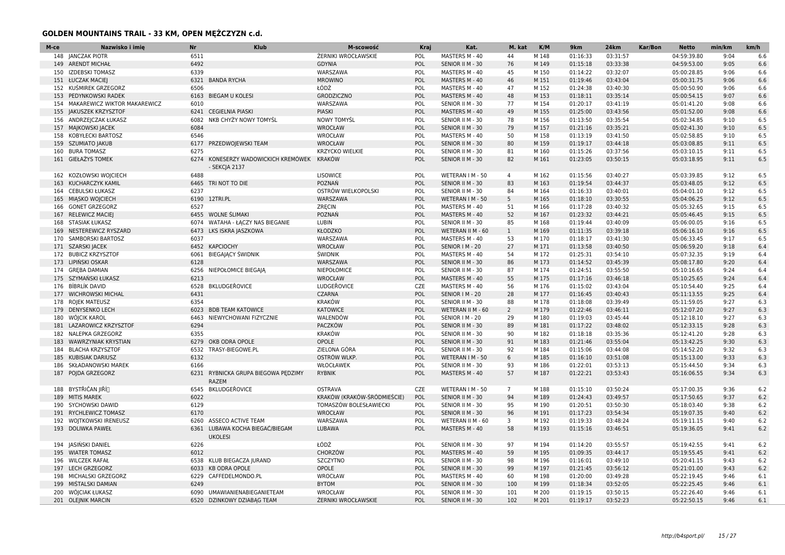| M-ce | Nazwisko i imie              | <b>Nr</b> | <b>Klub</b>                                         | M-scowość                   | <b>Kraj</b> | Kat.              | M. kat         | K/M   | 9km      | <b>24km</b> | Kar/Bon<br><b>Netto</b> | min/km | km/h |
|------|------------------------------|-----------|-----------------------------------------------------|-----------------------------|-------------|-------------------|----------------|-------|----------|-------------|-------------------------|--------|------|
| 148  | <b>JANCZAK PIOTR</b>         | 6511      |                                                     | ŻERNIKI WROCŁAWSKIE         | POL         | MASTERS M - 40    | 44             | M 148 | 01:16:33 | 03:31:57    | 04:59:39.80             | 9:04   | 6.6  |
| 149  | <b>ARENDT MICHAŁ</b>         | 6492      |                                                     | <b>GDYNIA</b>               | POL         | SENIOR II M - 30  | 76             | M 149 | 01:15:18 | 03:33:38    | 04:59:53.00             | 9:05   | 6.6  |
| 150  | <b>IZDEBSKI TOMASZ</b>       | 6339      |                                                     | WARSZAWA                    | POL         | MASTERS M - 40    | 45             | M 150 | 01:14:22 | 03:32:07    | 05:00:28.85             | 9:06   | 6.6  |
|      | 151 ŁUCZAK MACIEJ            | 6321      | <b>BANDA RYCHA</b>                                  | <b>MROWINO</b>              | POL         | MASTERS M - 40    | 46             | M 151 | 01:19:46 | 03:43:04    | 05:00:31.75             | 9:06   | 6.6  |
| 152  | KUŚMIREK GRZEGORZ            | 6506      |                                                     | ŁÓDŹ                        | POL         | MASTERS M - 40    | 47             | M 152 | 01:24:38 | 03:40:30    | 05:00:50.90             | 9:06   | 6.6  |
| 153  | PEDYNKOWSKI RADEK            | 6163      | <b>BIEGAM U KOLESI</b>                              | <b>GRODZICZNO</b>           | POL         | MASTERS M - 40    | 48             | M 153 | 01:18:11 | 03:35:14    | 05:00:54.15             | 9:07   | 6.6  |
| 154  | MAKAREWICZ WIKTOR MAKAREWICZ | 6010      |                                                     | WARSZAWA                    | POL         | SENIOR II M - 30  | 77             | M 154 | 01:20:17 | 03:41:19    | 05:01:41.20             | 9:08   | 6.6  |
| 155  | JAKUSZEK KRZYSZTOF           | 6241      | <b>CEGIELNIA PIASKI</b>                             | <b>PIASKI</b>               | POL         | MASTERS M - 40    | 49             | M 155 | 01:25:00 | 03:43:56    | 05:01:52.00             | 9:08   | 6.6  |
|      | 156 ANDRZEJCZAK ŁUKASZ       | 6082      | NKB CHYŻY NOWY TOMYŚL                               | <b>NOWY TOMYŚL</b>          | POL         | SENIOR II M - 30  | 78             | M 156 | 01:13:50 | 03:35:54    | 05:02:34.85             | 9:10   | 6.5  |
| 157  | MAJKOWSKI JACEK              | 6084      |                                                     | <b>WROCŁAW</b>              | POL         | SENIOR II M - 30  | 79             | M 157 | 01:21:16 | 03:35:21    | 05:02:41.30             | 9:10   | 6.5  |
| 158  | KOBYŁECKI BARTOSZ            | 6546      |                                                     | <b>WROCŁAW</b>              | POL         | MASTERS M - 40    | 50             | M 158 | 01:13:19 | 03:41:50    | 05:02:58.85             | 9:10   | 6.5  |
| 159  | <b>SZUMIATO JAKUB</b>        | 6177      | PRZEDWOJEWSKI TEAM                                  | <b>WROCŁAW</b>              | POL         | SENIOR II M - 30  | 80             | M 159 | 01:19:17 | 03:44:18    | 05:03:08.85             | 9:11   | 6.5  |
| 160  | <b>BURA TOMASZ</b>           | 6275      |                                                     | <b>KRZYCKO WIELKIE</b>      | POL         | SENIOR II M - 30  | 81             | M 160 | 01:15:26 | 03:37:56    | 05:03:10.15             | 9:11   | 6.5  |
|      | 161 GIEŁAŻYS TOMEK           |           | 6274 KONESERZY WADOWICKICH KREMÓWEK                 | KRAKÓW                      | POL         | SENIOR II M - 30  | 82             | M 161 | 01:23:05 | 03:50:15    | 05:03:18.95             | 9:11   | 6.5  |
|      |                              |           | - SEKCJA 2137                                       |                             |             |                   |                |       |          |             |                         |        |      |
| 162  | KOZŁOWSKI WOJCIECH           | 6488      |                                                     | <b>LISOWICE</b>             | POL         | WETERAN I M - 50  | $\overline{4}$ | M 162 | 01:15:56 | 03:40:27    | 05:03:39.85             | 9:12   | 6.5  |
| 163  | KUCHARCZYK KAMIL             | 6465      | TRI NOT TO DIE                                      | POZNAŃ                      | POL         | SENIOR II M - 30  | 83             | M 163 | 01:19:54 | 03:44:37    | 05:03:48.05             | 9:12   | 6.5  |
| 164  | <b>CEBULSKI ŁUKASZ</b>       | 6237      |                                                     | OSTRÓW WIELKOPOLSKI         | POL         | SENIOR II M - 30  | 84             | M 164 | 01:16:33 | 03:40:01    | 05:04:01.10             | 9:12   | 6.5  |
| 165  | MIASKO WOJCIECH              |           | 6190 12TRI.PL                                       | WARSZAWA                    | POL         | WETERAN I M - 50  | 5              | M 165 | 01:18:10 | 03:30:55    | 05:04:06.25             | 9:12   | 6.5  |
| 166  | <b>GONET GRZEGORZ</b>        | 6527      |                                                     | ZRĘCIN                      | POL         | MASTERS M - 40    | 51             | M 166 | 01:17:28 | 03:40:32    | 05:05:32.65             | 9:15   | 6.5  |
| 167  | <b>RELEWICZ MACIEJ</b>       | 6455      | <b>WOLNE SLIMAKI</b>                                | POZNAŃ                      | POL         | MASTERS M - 40    | 52             | M 167 | 01:23:32 | 03:44:21    | 05:05:46.45             | 9:15   | 6.5  |
| 168  | <b>STASIAK ŁUKASZ</b>        | 6074      | WATAHA - ŁĄCZY NAS BIEGANIE                         | LUBIN                       | POL         | SENIOR II M - 30  | 85             | M 168 | 01:19:44 | 03:40:09    | 05:06:00.05             | 9:16   | 6.5  |
| 169  | NESTEREWICZ RYSZARD          | 6473      | LKS ISKRA JASZKOWA                                  | <b>KŁODZKO</b>              | POL         | WETERAN II M - 60 | $\mathbf{1}$   | M 169 | 01:11:35 | 03:39:18    | 05:06:16.10             | 9:16   | 6.5  |
| 170  | SAMBORSKI BARTOSZ            | 6037      |                                                     | WARSZAWA                    | POL         | MASTERS M - 40    | 53             | M 170 | 01:18:17 | 03:41:30    | 05:06:33.45             | 9:17   | 6.5  |
|      | 171 SZARSKI JACEK            | 6452      | <b>KAPCIOCHY</b>                                    | <b>WROCŁAW</b>              | POL         | SENIOR   M - 20   | 27             | M 171 | 01:13:58 | 03:40:50    | 05:06:59.20             | 9:18   | 6.4  |
|      | 172 BUBICZ KRZYSZTOF         | 6061      | <b>BIEGAJACY ŚWIDNIK</b>                            | <b><i>SWIDNIK</i></b>       | POL         | MASTERS M - 40    | 54             | M 172 | 01:25:31 | 03:54:10    | 05:07:32.35             | 9:19   | 6.4  |
| 173  | LIPINSKI OSKAR               | 6128      |                                                     | WARSZAWA                    | POL         | SENIOR II M - 30  | 86             | M 173 | 01:14:52 | 03:45:39    | 05:08:17.80             | 9:20   | 6.4  |
| 174  | <b>GREBA DAMIAN</b>          | 6256      | NIEPOŁOMICE BIEGAJĄ                                 | NIEPOŁOMICE                 | POL         | SENIOR II M - 30  | 87             | M 174 | 01:24:51 | 03:55:50    | 05:10:16.65             | 9:24   | 6.4  |
|      | 175 SZYMAŃSKI ŁUKASZ         | 6213      |                                                     | <b>WROCŁAW</b>              | POL         | MASTERS M - 40    | 55             | M 175 | 01:17:16 | 03:46:18    | 05:10:25.65             | 9:24   | 6.4  |
|      | 176 BÍBRLÍK DAVID            | 6528      | <b>BKLUDGEŘOVICE</b>                                | LUDGEŘOVICE                 | CZE         | MASTERS M - 40    | 56             | M 176 | 01:15:02 | 03:43:04    | 05:10:54.40             | 9:25   | 6.4  |
| 177  | <b>WICHROWSKI MICHAL</b>     | 6431      |                                                     | <b>CZARNA</b>               | POL         | SENIOR   M - 20   | 28             | M 177 | 01:16:45 | 03:40:43    | 05:11:13.55             | 9:25   | 6.4  |
| 178  | ROJEK MATEUSZ                | 6354      |                                                     | <b>KRAKÓW</b>               | POL         | SENIOR II M - 30  | 88             | M 178 | 01:18:08 | 03:39:49    | 05:11:59.05             | 9:27   | 6.3  |
| 179  | <b>DENYSENKO LECH</b>        | 6023      | <b>BDB TEAM KATOWICE</b>                            | <b>KATOWICE</b>             | POL         | WETERAN II M - 60 | $\overline{2}$ | M 179 | 01:22:46 | 03:46:11    | 05:12:07.20             | 9:27   | 6.3  |
| 180  | WÓJCIK KAROL                 | 6463      | NIEWYCHOWANI FIZYCZNIE                              | WALENDÓW                    | POL         | SENIOR   M - 20   | 29             | M 180 | 01:19:03 | 03:45:44    | 05:12:18.10             | 9:27   | 6.3  |
| 181  | LAZAROWICZ KRZYSZTOF         | 6294      |                                                     | <b>PACZKÓW</b>              | POL         | SENIOR II M - 30  | 89             | M 181 | 01:17:22 | 03:48:02    | 05:12:33.15             | 9:28   | 6.3  |
| 182  | NALEPKA GRZEGORZ             | 6355      |                                                     | <b>KRAKÓW</b>               | POL         | SENIOR II M - 30  | 90             | M 182 | 01:18:18 | 03:35:36    | 05:12:41.20             | 9:28   | 6.3  |
| 183  | WAWRZYNIAK KRYSTIAN          | 6279      | OKB ODRA OPOLE                                      | OPOLE                       | POL         | SENIOR II M - 30  | 91             | M 183 | 01:21:46 | 03:55:04    | 05:13:42.25             | 9:30   | 6.3  |
|      |                              |           |                                                     |                             |             |                   |                |       |          |             |                         |        |      |
| 184  | <b>BLACHA KRZYSZTOF</b>      | 6532      | TRASY-BIEGOWE.PL                                    | ZIELONA GÓRA                | POL         | SENIOR II M - 30  | 92             | M 184 | 01:15:06 | 03:44:08    | 05:14:52.20             | 9:32   | 6.3  |
| 185  | KUBISIAK DARIUSZ             | 6132      |                                                     | <b>OSTRÓW WLKP.</b>         | POL         | WETERAN I M - 50  | 6              | M 185 | 01:16:10 | 03:51:08    | 05:15:13.00             | 9:33   | 6.3  |
|      | 186 SKŁADANOWSKI MAREK       | 6166      |                                                     | WŁOCŁAWEK                   | POL         | SENIOR II M - 30  | 93             | M 186 | 01:22:01 | 03:53:13    | 05:15:44.50             | 9:34   | 6.3  |
| 187  | POJDA GRZEGORZ               |           | 6231 RYBNICKA GRUPA BIEGOWA PEDZIMY<br><b>RAZEM</b> | <b>RYBNIK</b>               | POL         | MASTERS M - 40    | 57             | M 187 | 01:22:21 | 03:53:43    | 05:16:06.55             | 9:34   | 6.3  |
| 188  | BYSTŘIČAN ∣IŘÍ∏              | 6545      | BKLUDGEŘOVICE                                       | <b>OSTRAVA</b>              | CZE         | WETERAN I M - 50  | $7^{\circ}$    | M 188 | 01:15:10 | 03:50:24    | 05:17:00.35             | 9:36   | 6.2  |
| 189  | <b>MITIS MAREK</b>           | 6022      |                                                     | KRAKÓW (KRAKÓW-ŚRÓDMIEŚCIE) | POL         | SENIOR II M - 30  | 94             | M 189 | 01:24:43 | 03:49:57    | 05:17:50.65             | 9:37   | 6.2  |
| 190  | SYCHOWSKI DAWID              | 6129      |                                                     | TOMASZÓW BOLESŁAWIECKI      | POL         | SENIOR II M - 30  | 95             | M 190 | 01:20:51 | 03:50:30    | 05:18:03.40             | 9:38   | 6.2  |
| 191  | RYCHLEWICZ TOMASZ            | 6170      |                                                     | <b>WROCŁAW</b>              | POL         | SENIOR II M - 30  | 96             | M 191 | 01:17:23 | 03:54:34    | 05:19:07.35             | 9:40   | 6.2  |
|      | 192 WOJTKOWSKI IRENEUSZ      | 6260      | ASSECO ACTIVE TEAM                                  | WARSZAWA                    | POL         | WETERAN II M - 60 | 3              | M 192 | 01:19:33 | 03:48:24    | 05:19:11.15             | 9:40   | 6.2  |
|      | 193 DOLIWKA PAWEŁ            | 6361      | LUBAWA KOCHA BIEGAĆ/BIEGAM<br><b>UKOLESI</b>        | <b>LUBAWA</b>               | POL         | MASTERS M - 40    | 58             | M 193 | 01:15:16 | 03:46:51    | 05:19:36.05             | 9:41   | 6.2  |
|      | 194 JASIŃSKI DANIEL          | 6226      |                                                     | ŁÓDŹ                        | POL         | SENIOR II M - 30  | 97             | M 194 | 01:14:20 | 03:55:57    | 05:19:42.55             | 9:41   | 6.2  |
| 195  | <b>WIATER TOMASZ</b>         | 6012      |                                                     | <b>CHORZÓW</b>              | POL         | MASTERS M - 40    | 59             | M 195 | 01:09:35 | 03:44:17    | 05:19:55.45             | 9:41   | 6.2  |
| 196  | <b>WILCZEK RAFAŁ</b>         | 6538      | KLUB BIEGACZA JURAND                                | <b>SZCZYTNO</b>             | POL         | SENIOR II M - 30  | 98             | M 196 | 01:16:01 | 03:49:10    | 05:20:41.15             | 9:43   | 6.2  |
| 197  | LECH GRZEGORZ                | 6033      | <b>KB ODRA OPOLE</b>                                | OPOLE                       | POL         | SENIOR II M - 30  | 99             | M 197 | 01:21:45 | 03:56:12    | 05:21:01.00             | 9:43   | 6.2  |
| 198  | MICHALSKI GRZEGORZ           | 6229      | CAFFEDELMONDO.PL                                    | <b>WROCŁAW</b>              | POL         | MASTERS M - 40    | 60             | M 198 | 01:20:00 | 03:49:28    | 05:22:19.45             | 9:46   | 6.1  |
| 199  | MIŚTALSKI DAMIAN             | 6249      |                                                     | <b>BYTOM</b>                | POL         | SENIOR II M - 30  | 100            | M 199 | 01:18:34 | 03:52:05    | 05:22:25.45             | 9:46   | 6.1  |
| 200  | WÓJCIAK ŁUKASZ               | 6090      | UMAWIANIENABIEGANIETEAM                             | WROCŁAW                     | POL         |                   | 101            | M 200 | 01:19:15 | 03:50:15    |                         | 9:46   |      |
|      |                              |           |                                                     |                             |             | SENIOR II M - 30  |                |       |          |             | 05:22:26.40             | 9:46   | 6.1  |
|      | 201 OLEJNIK MARCIN           | 6520      | DZINKOWY DZIABĄG TEAM                               | ŻERNIKI WROCŁAWSKIE         | POL         | SENIOR II M - 30  | 102            | M 201 | 01:19:17 | 03:52:23    | 05:22:50.15             |        | 6.1  |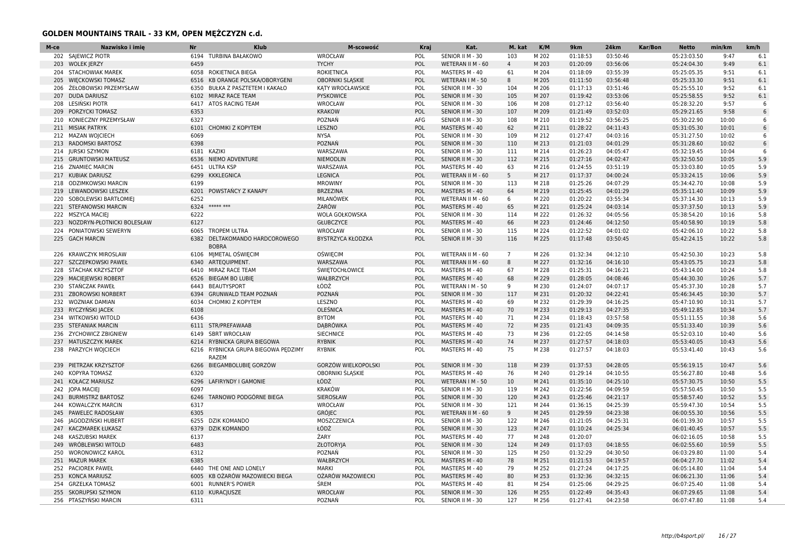| M-ce | Nazwisko i imie            | <b>Nr</b> | <b>Klub</b>                                    | M-scowość                  | Kraj       | Kat.              | M. kat         | K/M   | 9km      | 24km     | Kar/Bon | Netto       | min/km | km/h             |
|------|----------------------------|-----------|------------------------------------------------|----------------------------|------------|-------------------|----------------|-------|----------|----------|---------|-------------|--------|------------------|
|      | 202 SAJEWICZ PIOTR         | 6194      | <b>TURBINA BAŁAKOWO</b>                        | WROCŁAW                    | POL        | SENIOR II M - 30  | 103            | M 202 | 01:18:53 | 03:50:46 |         | 05:23:03.50 | 9:47   | 6.1              |
| 203  | <b>WOLEK JERZY</b>         | 6459      |                                                | <b>TYCHY</b>               | POL        | WETERAN II M - 60 | $\overline{4}$ | M 203 | 01:20:09 | 03:56:06 |         | 05:24:04.30 | 9:49   | 6.1              |
| 204  | <b>STACHOWIAK MAREK</b>    | 6058      | ROKIETNICA BIEGA                               | <b>ROKIETNICA</b>          | POL        | MASTERS M - 40    | 61             | M 204 | 01:18:09 | 03:55:39 |         | 05:25:05.35 | 9:51   | 6.1              |
| 205  | <b>WIECKOWSKI TOMASZ</b>   | 6516      | KB ORANGE POLSKA/OBORYGENI                     | <b>OBORNIKI SLASKIE</b>    | POL        | WETERAN I M - 50  | 8              | M 205 | 01:11:50 | 03:56:48 |         | 05:25:33.30 | 9:51   | 6.1              |
| 206  | ŻEŁOBOWSKI PRZEMYSŁAW      | 6350      | BUŁKA Z PASZTETEM I KAKAŁO                     | KATY WROCŁAWSKIE           | POL        | SENIOR II M - 30  | 104            | M 206 | 01:17:13 | 03:51:46 |         | 05:25:55.10 | 9:52   | 6.1              |
| 207  | <b>DUDA DARIUSZ</b>        | 6102      | MIRAZ RACE TEAM                                | PYSKOWICE                  | POL        | SENIOR II M - 30  | 105            | M 207 | 01:19:42 | 03:53:06 |         | 05:25:58.55 | 9:52   | 6.1              |
| 208  | LESIŃSKI PIOTR             | 6417      | ATOS RACING TEAM                               | WROCŁAW                    | POL        | SENIOR II M - 30  | 106            | M 208 | 01:27:12 | 03:56:40 |         | 05:28:32.20 | 9:57   | 6                |
| 209  | PORZYCKI TOMASZ            | 6353      |                                                | <b>KRAKOW</b>              | POL        | SENIOR II M - 30  | 107            | M 209 | 01:21:49 | 03:52:03 |         | 05:29:21.65 | 9:58   | 6                |
| 210  | KONIECZNY PRZEMYSŁAW       | 6327      |                                                | POZNAŃ                     | AFG        | SENIOR II M - 30  | 108            | M 210 | 01:19:52 | 03:56:25 |         | 05:30:22.90 | 10:00  | 6                |
| 211  | <b>MISIAK PATRYK</b>       | 6101      | CHOMIKI Z KOPYTEM                              | <b>LESZNO</b>              | POL        | MASTERS M - 40    | 62             | M 211 | 01:28:22 | 04:11:43 |         | 05:31:05.30 | 10:01  | $6 \overline{6}$ |
|      | 212 MAZAN WOJCIECH         | 6069      |                                                | <b>NYSA</b>                | POL        | SENIOR II M - 30  | 109            | M 212 | 01:27:47 | 04:03:16 |         | 05:31:27.50 | 10:02  | 6                |
|      | 213 RADOMSKI BARTOSZ       | 6398      |                                                | POZNAŃ                     | POL        | SENIOR II M - 30  | 110            | M 213 | 01:21:03 | 04:01:29 |         | 05:31:28.60 | 10:02  | 6                |
| 214  | <b>JURSKI SZYMON</b>       | 6181      | KAZIKI                                         | WARSZAWA                   | POL        | SENIOR II M - 30  | 111            | M 214 | 01:26:23 | 04:05:47 |         | 05:32:19.45 | 10:04  | 6                |
| 215  | <b>GRUNTOWSKI MATEUSZ</b>  | 6536      | <b>NIEMO ADVENTURE</b>                         | <b>NIEMODLIN</b>           | POL        | SENIOR II M - 30  | 112            | M 215 | 01:27:16 | 04:02:47 |         | 05:32:50.50 | 10:05  | 5.9              |
|      | 216 ZNAMIEC MARCIN         | 6451      | <b>ULTRA KSP</b>                               | WARSZAWA                   | POL        | MASTERS M - 40    | 63             | M 216 | 01:24:55 | 03:51:19 |         | 05:33:03.80 | 10:05  | 5.9              |
| 217  | <b>KUBIAK DARIUSZ</b>      | 6299      | <b>KKKLEGNICA</b>                              | <b>LEGNICA</b>             | POL        | WETERAN II M - 60 | 5 <sup>5</sup> | M 217 | 01:17:37 | 04:00:24 |         | 05:33:24.15 | 10:06  | 5.9              |
| 218  | <b>ODZIMKOWSKI MARCIN</b>  | 6199      |                                                | <b>MROWINY</b>             | POL        | SENIOR II M - 30  | 113            | M 218 | 01:25:26 | 04:07:29 |         | 05:34:42.70 | 10:08  | 5.9              |
|      | LEWANDOWSKI LESZEK         | 6201      |                                                | <b>BRZEZINA</b>            | POL        |                   | 64             | M 219 | 01:25:45 | 04:01:29 |         | 05:35:11.40 | 10:09  | 5.9              |
| 219  |                            |           | POWSTANCY Z KANAPY                             |                            |            | MASTERS M - 40    |                |       |          |          |         |             |        |                  |
| 220  | SOBOLEWSKI BARTŁOMIEJ      | 6252      | ***** ***                                      | <b>MILANÓWEK</b>           | POL        | WETERAN II M - 60 | 6              | M 220 | 01:20:22 | 03:55:34 |         | 05:37:14.30 | 10:13  | 5.9              |
| 221  | <b>STEFANOWSKI MARCIN</b>  | 6324      |                                                | ŻARÓW                      | POL        | MASTERS M - 40    | 65             | M 221 | 01:25:24 | 04:03:14 |         | 05:37:37.50 | 10:13  | 5.9              |
| 222  | <b>MSZYCA MACIEJ</b>       | 6222      |                                                | WOLA GOŁKOWSKA             | POL        | SENIOR II M - 30  | 114            | M 222 | 01:26:32 | 04:05:56 |         | 05:38:54.20 | 10:16  | 5.8              |
| 223  | NOZDRYN-PŁOTNICKI BOLESŁAW | 6127      |                                                | <b>GŁUBCZYCE</b>           | POL        | MASTERS M - 40    | 66             | M 223 | 01:24:46 | 04:12:50 |         | 05:40:58.90 | 10:19  | 5.8              |
| 224  | PONIATOWSKI SEWERYN        | 6065      | <b>TROPEM ULTRA</b>                            | WROCŁAW                    | POL        | SENIOR II M - 30  | 115            | M 224 | 01:22:52 | 04:01:02 |         | 05:42:06.10 | 10:22  | 5.8              |
| 225  | <b>GACH MARCIN</b>         | 6382      | DELTAKOMANDO HARDCOROWEGO<br><b>BOBRA</b>      | BYSTRZYCA KŁODZKA          | POL        | SENIOR II M - 30  | 116            | M 225 | 01:17:48 | 03:50:45 |         | 05:42:24.15 | 10:22  | 5.8              |
| 226  | <b>KRAWCZYK MIROSLAW</b>   |           | 6106 MJMETAL OŚWIĘCIM                          | <b>OŚWIĘCIM</b>            | POL        | WETERAN II M - 60 | $7^{\circ}$    | M 226 | 01:32:34 | 04:12:10 |         | 05:42:50.30 | 10:23  | 5.8              |
| 227  | SZCZEPKOWSKI PAWEŁ         | 6340      | ARTEQUIPMENT.                                  | WARSZAWA                   | POL        | WETERAN II M - 60 | 8              | M 227 | 01:32:16 | 04:16:10 |         | 05:43:05.75 | 10:23  | 5.8              |
| 228  | STACHAK KRZYSZTOF          | 6410      | MIRAZ RACE TEAM                                | <b>ŚWIETOCHŁOWICE</b>      | POL        | MASTERS M - 40    | 67             | M 228 | 01:25:31 | 04:16:21 |         | 05:43:14.00 | 10:24  | 5.8              |
| 229  | MACIEJEWSKI ROBERT         | 6526      | BIEGAM BO LUBIE                                | WAŁBRZYCH                  | POL        | MASTERS M - 40    | 68             | M 229 | 01:28:05 | 04:08:46 |         | 05:44:30.30 | 10:26  | 5.7              |
|      | 230 STAŃCZAK PAWEŁ         | 6443      | <b>BEAUTYSPORT</b>                             | ŁÓDŹ                       | POL        | WETERAN I M - 50  | 9              | M 230 | 01:24:07 | 04:07:17 |         | 05:45:37.30 | 10:28  | 5.7              |
| 231  | <b>ZBOROWSKI NORBERT</b>   | 6394      | <b>GRUNWALD TEAM POZNAŃ</b>                    | POZNAŃ                     | POL        | SENIOR II M - 30  | 117            | M 231 | 01:20:32 | 04:22:41 |         | 05:46:34.45 | 10:30  | 5.7              |
| 232  | <b>WOZNIAK DAMIAN</b>      | 6034      | CHOMIKI Z KOPYTEM                              | LESZNO                     | POL        | MASTERS M - 40    | 69             | M 232 | 01:29:39 | 04:16:25 |         | 05:47:10.90 | 10:31  | 5.7              |
| 233  | RYCZYŃSKI JACEK            | 6108      |                                                | OLEŚNICA                   | POL        | MASTERS M - 40    | 70             | M 233 | 01:29:13 | 04:27:35 |         | 05:49:12.85 | 10:34  | 5.7              |
| 234  | WITKOWSKI WITOLD           | 6436      |                                                | <b>BYTOM</b>               | POL        | MASTERS M - 40    | 71             | M 234 | 01:18:43 | 03:57:58 |         | 05:51:11.55 | 10:38  | 5.6              |
| 235  | <b>STEFANIAK MARCIN</b>    | 6111      | STR/PREFAWAAB                                  | <b>DABRÓWKA</b>            | POL        | MASTERS M - 40    | 72             | M 235 | 01:21:43 | 04:09:35 |         | 05:51:33.40 | 10:39  | 5.6              |
|      | 236 ZYCHOWICZ ZBIGNIEW     | 6149      | <b>SBRT WROCŁAW</b>                            | <b>SIECHNICE</b>           | POL        | MASTERS M - 40    | 73             | M 236 | 01:22:05 | 04:14:58 |         | 05:52:03.10 | 10:40  | 5.6              |
| 237  | MATUSZCZYK MAREK           | 6214      | RYBNICKA GRUPA BIEGOWA                         | <b>RYBNIK</b>              | POL        | MASTERS M - 40    | 74             | M 237 | 01:27:57 | 04:18:03 |         | 05:53:40.05 | 10:43  | 5.6              |
| 238  | PARZYCH WOJCIECH           | 6216      | RYBNICKA GRUPA BIEGOWA PEDZIMY<br><b>RAZEM</b> | <b>RYBNIK</b>              | POL        | MASTERS M - 40    | 75             | M 238 | 01:27:57 | 04:18:03 |         | 05:53:41.40 | 10:43  | 5.6              |
| 239  | PIETRZAK KRZYSZTOF         |           | 6266 BIEGAMBOLUBIE GORZÓW                      | <b>GORZÓW WIELKOPOLSKI</b> | POL        | SENIOR II M - 30  | 118            | M 239 | 01:37:53 | 04:28:05 |         | 05:56:19.15 | 10:47  | 5.6              |
| 240  | <b>KOPYRA TOMASZ</b>       | 6320      |                                                | OBORNIKI ŚLĄSKIE           | POL        | MASTERS M - 40    | 76             | M 240 | 01:29:14 | 04:10:55 |         | 05:56:27.80 | 10:48  | 5.6              |
| 241  | KOŁACZ MARIUSZ             | 6296      | LAFIRYNDY I GAMONIE                            | ŁÓDŹ                       | POL        | WETERAN I M - 50  | 10             | M 241 | 01:35:10 | 04:25:10 |         | 05:57:30.75 | 10:50  | 5.5              |
| 242  | <b>JOPA MACIEJ</b>         | 6097      |                                                | <b>KRAKÓW</b>              | POL        | SENIOR II M - 30  | 119            | M 242 | 01:22:56 | 04:09:59 |         | 05:57:50.45 | 10:50  | 5.5              |
| 243  | <b>BURMISTRZ BARTOSZ</b>   | 6246      | TARNOWO PODGÓRNE BIEGA                         | SIEROSŁAW                  | <b>POL</b> | SENIOR II M - 30  | 120            | M 243 | 01:25:46 | 04:21:17 |         | 05:58:57.40 | 10:52  | 5.5              |
| 244  | <b>KOWALCZYK MARCIN</b>    | 6317      |                                                | WROCŁAW                    | POL        | SENIOR II M - 30  | 121            | M 244 | 01:36:15 | 04:25:39 |         | 05:59:47.30 | 10:54  | 5.5              |
| 245  | PAWELEC RADOSŁAW           | 6305      |                                                | GRÓJEC                     | POL        | WETERAN II M - 60 | 9              | M 245 | 01:29:59 | 04:23:38 |         | 06:00:55.30 | 10:56  | 5.5              |
| 246  | JAGODZIŃSKI HUBERT         | 6255      | <b>DZIK KOMANDO</b>                            | MOSZCZENICA                | POL        | SENIOR II M - 30  | 122            | M 246 | 01:21:05 | 04:25:31 |         | 06:01:39.30 | 10:57  | 5.5              |
| 247  | <b>KACZMAREK ŁUKASZ</b>    | 6379      | <b>DZIK KOMANDO</b>                            | ŁÓDŹ                       | POL        | SENIOR II M - 30  | 123            | M 247 | 01:10:24 | 04:25:34 |         | 06:01:40.45 | 10:57  | 5.5              |
| 248  | KASZUBSKI MAREK            | 6137      |                                                | ŻARY                       | POL        | MASTERS M - 40    | 77             | M 248 | 01:20:07 |          |         | 06:02:16.05 | 10:58  | 5.5              |
| 249  | WRÓBLEWSKI WITOLD          | 6483      |                                                | ZŁOTORYJA                  | POL        | SENIOR II M - 30  | 124            | M 249 | 01:17:03 | 04:18:55 |         | 06:02:55.60 | 10:59  | 5.5              |
|      |                            |           |                                                |                            |            |                   |                |       |          |          |         |             |        |                  |
| 250  | <b>WORONOWICZ KAROL</b>    | 6312      |                                                | POZNAŃ                     | POL        | SENIOR II M - 30  | 125            | M 250 | 01:32:29 | 04:30:50 |         | 06:03:29.80 | 11:00  | 5.4              |
| 251  | <b>MAZUR MAREK</b>         | 6385      |                                                | WAŁBRZYCH                  | POL        | MASTERS M - 40    | 78             | M 251 | 01:21:53 | 04:19:57 |         | 06:04:27.70 | 11:02  | 5.4              |
|      | 252 PACIOREK PAWEŁ         | 6440      | THE ONE AND LONELY                             | <b>MARKI</b>               | POL        | MASTERS M - 40    | 79             | M 252 | 01:27:24 | 04:17:25 |         | 06:05:14.80 | 11:04  | 5.4              |
| 253  | KONCA MARIUSZ              | 6005      | KB OŻARÓW MAZOWIECKI BIEGA                     | OŻARÓW MAZOWIECKI          | POL        | MASTERS M - 40    | 80             | M 253 | 01:32:36 | 04:32:15 |         | 06:06:21.30 | 11:06  | 5.4              |
| 254  | <b>GRZELKA TOMASZ</b>      | 6001      | <b>RUNNER'S POWER</b>                          | ŚREM                       | POL        | MASTERS M - 40    | 81             | M 254 | 01:25:06 | 04:29:25 |         | 06:07:25.40 | 11:08  | 5.4              |
| 255  | SKORUPSKI SZYMON           | 6110      | KURACJUSZE                                     | <b>WROCŁAW</b>             | POL        | SENIOR II M - 30  | 126            | M 255 | 01:22:49 | 04:35:43 |         | 06:07:29.65 | 11:08  | 5.4              |
|      | 256 PTASZYŃSKI MARCIN      | 6311      |                                                | POZNAŃ                     | POL        | SENIOR II M - 30  | 127            | M 256 | 01:27:41 | 04:23:58 |         | 06:07:47.80 | 11:08  | 5.4              |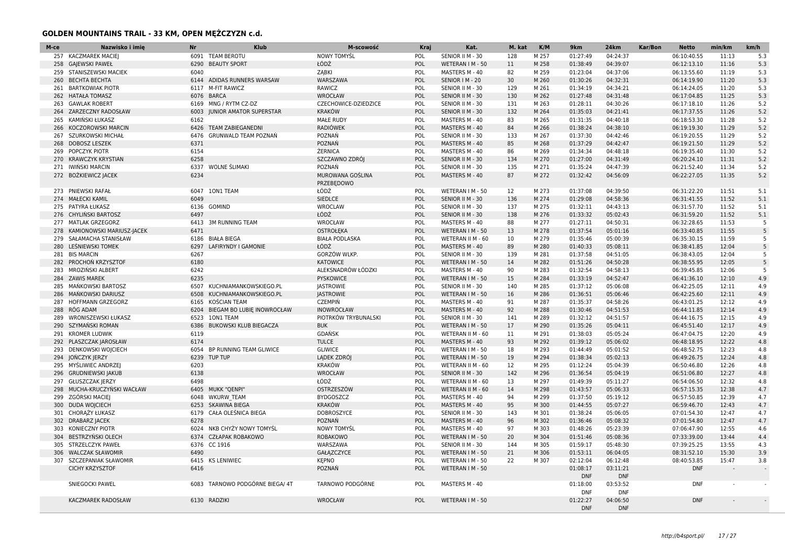| M-ce | Nazwisko i imię           | <b>Nr</b> | <b>Klub</b>                    | M-scowość             | Kraj       | Kat.              | M. kat | K/M   | 9km                    | <b>24km</b>            | Kar/Bon | <b>Netto</b> | min/km | km/h            |
|------|---------------------------|-----------|--------------------------------|-----------------------|------------|-------------------|--------|-------|------------------------|------------------------|---------|--------------|--------|-----------------|
| 257  | <b>KACZMAREK MACIEJ</b>   |           | 6091 TEAM BEROTU               | <b>NOWY TOMYŚL</b>    | POL        | SENIOR II M - 30  | 128    | M 257 | 01:27:49               | 04:24:37               |         | 06:10:40.55  | 11:13  | 5.3             |
| 258  | <b>GAJEWSKI PAWEŁ</b>     | 6290      | <b>BEAUTY SPORT</b>            | ŁÓDŹ                  | POL        | WETERAN I M - 50  | 11     | M 258 | 01:38:49               | 04:39:07               |         | 06:12:13.10  | 11:16  | 5.3             |
| 259  | STANISZEWSKI MACIEK       | 6040      |                                | ZĄBKI                 | POL        | MASTERS M - 40    | 82     | M 259 | 01:23:04               | 04:37:06               |         | 06:13:55.60  | 11:19  | 5.3             |
| 260  | <b>BECHTA BECHTA</b>      | 6144      | ADIDAS RUNNERS WARSAW          | WARSZAWA              | POL        | SENIOR   M - 20   | 30     | M 260 | 01:30:26               | 04:32:31               |         | 06:14:19.90  | 11:20  | 5.3             |
| 261  | <b>BARTKOWIAK PIOTR</b>   | 6117      | <b>M-FIT RAWICZ</b>            | RAWICZ                | POL        | SENIOR II M - 30  | 129    | M 261 | 01:34:19               | 04:34:21               |         | 06:14:24.05  | 11:20  | 5.3             |
| 262  | <b>HATAŁA TOMASZ</b>      | 6076      | <b>BARCA</b>                   | <b>WROCŁAW</b>        | POL        | SENIOR II M - 30  | 130    | M 262 | 01:27:48               | 04:31:48               |         | 06:17:04.85  | 11:25  | 5.3             |
| 263  | <b>GAWLAK ROBERT</b>      | 6169      | MNG / RYTM CZ-DZ               | CZECHOWICE-DZIEDZICE  | POL        | SENIOR II M - 30  | 131    | M 263 | 01:28:11               | 04:30:26               |         | 06:17:18.10  | 11:26  | 5.2             |
| 264  | ZARZECZNY RADOSŁAW        | 6003      | <b>JUNIOR AMATOR SUPERSTAR</b> | <b>KRAKÓW</b>         | POL        | SENIOR II M - 30  | 132    | M 264 | 01:35:03               | 04:21:41               |         | 06:17:37.55  | 11:26  | 5.2             |
| 265  | KAMIŃSKI ŁUKASZ           | 6162      |                                | <b>MAŁE RUDY</b>      | POL        | MASTERS M - 40    | 83     | M 265 | 01:31:35               | 04:40:18               |         | 06:18:53.30  | 11:28  | 5.2             |
| 266  | <b>KOCZOROWSKI MARCIN</b> | 6426      | <b>TEAM ZABIEGANEDNI</b>       | <b>RADIÓWEK</b>       | POL        | MASTERS M - 40    | 84     | M 266 | 01:38:24               | 04:38:10               |         | 06:19:19.30  | 11:29  | 5.2             |
| 267  | SZURKOWSKI MICHAŁ         | 6476      | <b>GRUNWALD TEAM POZNAŃ</b>    | POZNAŃ                | POL        | SENIOR II M - 30  | 133    | M 267 | 01:37:30               | 04:42:46               |         | 06:19:20.55  | 11:29  | 5.2             |
| 268  | <b>DOBOSZ LESZEK</b>      | 6371      |                                | POZNAŃ                | POL        | MASTERS M - 40    | 85     | M 268 | 01:37:29               | 04:42:47               |         | 06:19:21.50  | 11:29  | 5.2             |
|      | 269 POPCZYK PIOTR         | 6154      |                                | <b>ŻERNICA</b>        | POL        | MASTERS M - 40    | 86     | M 269 | 01:34:34               | 04:48:18               |         | 06:19:35.40  | 11:30  | 5.2             |
| 270  | <b>KRAWCZYK KRYSTIAN</b>  | 6258      |                                | SZCZAWNO ZDRÓJ        | POL        | SENIOR II M - 30  | 134    | M 270 | 01:27:00               | 04:31:49               |         | 06:20:24.10  | 11:31  | 5.2             |
| 271  | IWIŃSKI MARCIN            | 6337      | <b>WOLNE ŚLIMAKI</b>           | POZNAŃ                | POL        | SENIOR II M - 30  | 135    | M 271 | 01:35:24               | 04:47:39               |         | 06:21:52.40  | 11:34  | 5.2             |
|      | 272 BOŻKIEWICZ JACEK      | 6234      |                                | MUROWANA GOŚLINA      | POL        | MASTERS M - 40    | 87     | M 272 | 01:32:42               | 04:56:09               |         | 06:22:27.05  | 11:35  | 5.2             |
|      |                           |           |                                | PRZEBEDOWO            |            |                   |        |       |                        |                        |         |              |        |                 |
| 273  | PNIEWSKI RAFAŁ            | 6047      | 10N1 TEAM                      | ŁÓDŹ                  | POL        | WETERAN I M - 50  | 12     | M 273 | 01:37:08               | 04:39:50               |         | 06:31:22.20  | 11:51  | 5.1             |
| 274  | <b>MAŁECKI KAMIL</b>      | 6049      |                                | <b>SIEDLCE</b>        | POL        | SENIOR II M - 30  | 136    | M 274 | 01:29:08               | 04:58:36               |         | 06:31:41.55  | 11:52  | 5.1             |
|      | 275 PATYRA ŁUKASZ         | 6136      | <b>GOMIND</b>                  | WROCLAW               | POL        | SENIOR II M - 30  | 137    | M 275 | 01:32:11               | 04:43:13               |         | 06:31:57.70  | 11:52  | 5.1             |
|      | 276 CHYLINSKI BARTOSZ     | 6497      |                                | ŁÓDŹ                  | POL        | SENIOR II M - 30  | 138    | M 276 | 01:33:32               | 05:02:43               |         | 06:31:59.20  | 11:52  | 5.1             |
| 277  | <b>MATLAK GRZEGORZ</b>    | 6413      | <b>3M RUNNING TEAM</b>         | WROCŁAW               | POL        | MASTERS M - 40    | 88     | M 277 | 01:27:11               | 04:50:31               |         | 06:32:28.65  | 11:53  | $5\phantom{.0}$ |
| 278  | KAMIONOWSKI MARIUSZ-JACEK | 6471      |                                | <b>OSTROŁEKA</b>      | POL        | WETERAN I M - 50  | 13     | M 278 | 01:37:54               | 05:01:16               |         | 06:33:40.85  | 11:55  |                 |
| 279  | SAŁAMACHA STANISŁAW       | 6186      | <b>BIAŁA BIEGA</b>             | <b>BIAŁA PODLASKA</b> | POL        | WETERAN II M - 60 | 10     | M 279 | 01:35:46               | 05:00:39               |         | 06:35:30.15  | 11:59  | -5              |
| 280  | LEŚNIEWSKI TOMEK          | 6297      | LAFIRYNDY I GAMONIE            | ŁÓDŹ                  | POL        | MASTERS M - 40    | 89     | M 280 | 01:40:33               | 05:08:11               |         | 06:38:41.85  | 12:04  |                 |
| 281  | <b>BIS MARCIN</b>         | 6267      |                                | <b>GORZÓW WLKP</b>    | POL        | SENIOR II M - 30  | 139    | M 281 | 01:37:58               | 04:51:05               |         | 06:38:43.05  | 12:04  | -5              |
| 282  | PROCHOŃ KRZYSZTOF         | 6180      |                                | <b>KATOWICE</b>       | POL        | WETERAN I M - 50  | 14     | M 282 | 01:51:26               | 04:50:28               |         | 06:38:55.95  | 12:05  | -5              |
| 283  | MROZIŃSKI ALBERT          | 6242      |                                | ALEKSNADRÓW ŁÓDZKI    | POL        | MASTERS M - 40    | 90     | M 283 | 01:32:54               | 04:58:13               |         | 06:39:45.85  | 12:06  | -5              |
| 284  | <b>ZAWIS MAREK</b>        | 6235      |                                | <b>PYSKOWICE</b>      | POL        | WETERAN I M - 50  | 15     | M 284 | 01:33:19               | 04:52:47               |         | 06:41:36.10  | 12:10  | 4.9             |
| 285  | MANKOWSKI BARTOSZ         | 6507      | KUCHNIAMANKOWSKIEGO.PL         | <b>JASTROWIE</b>      | POL        | SENIOR II M - 30  | 140    | M 285 | 01:37:12               | 05:06:08               |         | 06:42:25.05  | 12:11  | 4.9             |
| 286  | MAŃKOWSKI DARIUSZ         | 6508      | KUCHNIAMANKOWSKIEGO.PL         | <b>JASTROWIE</b>      | POL        | WETERAN I M - 50  | 16     | M 286 | 01:36:51               | 05:06:46               |         | 06:42:25.60  | 12:11  | 4.9             |
| 287  | HOFFMANN GRZEGORZ         | 6165      | KOŚCIAN TEAM                   | <b>CZEMPIŃ</b>        | POL        | MASTERS M - 40    | 91     | M 287 | 01:35:37               | 04:58:26               |         | 06:43:01.25  | 12:12  | 4.9             |
| 288  | RÓG ADAM                  | 6204      | BIEGAM BO LUBIE INOWROCŁAW     | <b>INOWROCŁAW</b>     | POL        | MASTERS M - 40    | 92     | M 288 | 01:30:46               | 04:51:53               |         | 06:44:11.85  | 12:14  | 4.9             |
| 289  | WRONISZEWSKI ŁUKASZ       | 6523      | <b>10N1 TEAM</b>               | PIOTRKÓW TRYBUNALSKI  | POL        | SENIOR II M - 30  | 141    | M 289 | 01:32:12               | 04:51:57               |         | 06:44:16.75  | 12:15  | 4.9             |
| 290  | SZYMAŃSKI ROMAN           | 6386      | BUKOWSKI KLUB BIEGACZA         | <b>BUK</b>            | POL        | WETERAN I M - 50  | 17     | M 290 | 01:35:26               | 05:04:11               |         | 06:45:51.40  | 12:17  | 4.9             |
| 291  | <b>KROMER LUDWIK</b>      | 6119      |                                | GDAŃSK                | POL        | WETERAN II M - 60 | 11     | M 291 | 01:38:03               | 05:05:24               |         | 06:47:04.75  | 12:20  | 4.9             |
| 292  | PLASZCZAK JAROSŁAW        | 6174      |                                | <b>TULCE</b>          | POL        | MASTERS M - 40    | 93     | M 292 | 01:39:12               | 05:06:02               |         | 06:48:18.95  | 12:22  | 4.8             |
| 293  | <b>DENKOWSKI WOJCIECH</b> | 6054      | BP RUNNING TEAM GLIWICE        | <b>GLIWICE</b>        | POL        | WETERAN I M - 50  | 18     | M 293 | 01:44:49               | 05:01:52               |         | 06:48:52.75  | 12:23  | 4.8             |
| 294  | JOŃCZYK JERZY             | 6239      | <b>TUP TUP</b>                 | LADEK ZDRÓJ           | POL        | WETERAN I M - 50  | 19     | M 294 | 01:38:34               | 05:02:13               |         | 06:49:26.75  | 12:24  | 4.8             |
| 295  | MYŚLIWIEC ANDRZEJ         | 6203      |                                | <b>KRAKÓW</b>         | POL        | WETERAN II M - 60 | 12     | M 295 | 01:12:24               | 05:04:39               |         | 06:50:46.80  | 12:26  | 4.8             |
| 296  | <b>GRUDNIEWSKI JAKUB</b>  | 6138      |                                | <b>WROCŁAW</b>        | POL        | SENIOR II M - 30  | 142    | M 296 | 01:36:54               | 05:04:19               |         | 06:51:06.80  | 12:27  | 4.8             |
| 297  | <b>GŁUSZCZAK JERZY</b>    | 6498      |                                | ŁÓDŹ                  | POL        | WETERAN II M - 60 | 13     | M 297 | 01:49:39               | 05:11:27               |         | 06:54:06.50  | 12:32  | 4.8             |
| 298  | MUCHA-KRUCZYŃSKI WACŁAW   | 6405      | <b>MUKK "QENPI"</b>            | OSTRZESZÓW            | POL        | WETERAN II M - 60 | 14     | M 298 | 01:43:57               | 05:06:33               |         | 06:57:15.35  | 12:38  | 4.7             |
| 299  | ZGÓRSKI MACIEJ            | 6048      | <b>WKURW TEAM</b>              | <b>BYDGOSZCZ</b>      | POL        | MASTERS M - 40    | 94     | M 299 | 01:37:50               | 05:19:12               |         | 06:57:50.85  | 12:39  | 4.7             |
| 300  | <b>DUDA WOJCIECH</b>      | 6253      | <b>SKAWINA BIEGA</b>           | <b>KRAKÓW</b>         | POL        | MASTERS M - 40    | 95     | M 300 | 01:44:55               | 05:07:27               |         | 06:59:46.70  | 12:43  | 4.7             |
|      | 301 CHORĄŻY ŁUKASZ        | 6179      | CAŁA OLEŚNICA BIEGA            | <b>DOBROSZYCE</b>     | POL        | SENIOR II M - 30  | 143    | M 301 | 01:38:24               | 05:06:05               |         | 07:01:54.30  | 12:47  | 4.7             |
|      | 302 DRABARZ JACEK         | 6278      |                                | POZNAŃ                | <b>POL</b> | MASTERS M - 40    | 96     | M 302 | 01:36:46               | 05:08:32               |         | 07:01:54.80  | 12:47  | 4.7             |
| 303  | <b>KONIECZNY PIOTR</b>    | 6024      | NKB CHYŻY NOWY TOMYŚL          | <b>NOWY TOMYŚL</b>    | POL        | MASTERS M - 40    | 97     | M 303 | 01:48:26               | 05:23:39               |         | 07:06:47.90  | 12:55  | 4.6             |
| 304  | BESTRZYŃSKI OLECH         | 6374      | <b>CZŁAPAK ROBAKOWO</b>        | <b>ROBAKOWO</b>       | POL        | WETERAN I M - 50  | 20     | M 304 | 01:51:46               | 05:08:36               |         | 07:33:39.00  | 13:44  | 4.4             |
|      | 305 STRZELCZYK PAWEŁ      |           | 6376 CC 1916                   | WARSZAWA              | POL        | SENIOR II M - 30  | 144    | M 305 | 01:59:17               | 05:48:30               |         | 07:39:25.25  | 13:55  | 4.3             |
| 306  | <b>WALCZAK SŁAWOMIR</b>   | 6490      |                                | GAŁĄZCZYCE            | POL        | WETERAN I M - 50  | 21     | M 306 | 01:53:11               | 06:04:05               |         | 08:31:52.10  | 15:30  | 3.9             |
| 307  | SZCZEPANIAK SŁAWOMIR      | 6415      | <b>KS LENIWIEC</b>             | <b>KEPNO</b>          | POL        | WETERAN I M - 50  | 22     | M 307 | 02:12:04               | 06:12:48               |         | 08:40:53.85  | 15:47  | 3.8             |
|      | <b>CICHY KRZYSZTOF</b>    | 6416      |                                | POZNAŃ                | POL        | WETERAN I M - 50  |        |       | 01:08:17               | 03:11:21               |         | <b>DNF</b>   | $\sim$ |                 |
|      |                           |           |                                |                       |            |                   |        |       | <b>DNF</b>             | <b>DNF</b>             |         |              |        |                 |
|      | SNIEGOCKI PAWEL           | 6083      | TARNOWO PODGÓRNE BIEGA/ 4T     | TARNOWO PODGÓRNE      | POL        | MASTERS M - 40    |        |       | 01:18:00               | 03:53:52               |         | <b>DNF</b>   |        |                 |
|      |                           |           |                                |                       |            |                   |        |       | <b>DNF</b>             | <b>DNF</b>             |         | <b>DNF</b>   |        |                 |
|      | <b>KACZMAREK RADOSŁAW</b> |           | 6130 RADZIKI                   | <b>WROCŁAW</b>        | POL        | WETERAN I M - 50  |        |       | 01:22:27<br><b>DNF</b> | 04:06:50<br><b>DNF</b> |         |              |        |                 |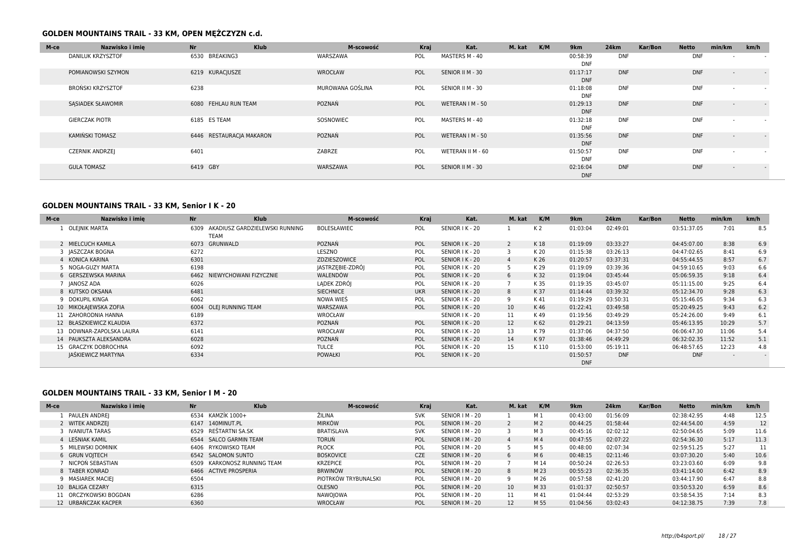| M-ce | Nazwisko i imie          | Nr                       | <b>Klub</b> | M-scowość        | Kraj | Kat.              | M. kat | K/M | 9km                    | 24km       | Kar/Bon | <b>Netto</b> | min/km                   | km/h                     |
|------|--------------------------|--------------------------|-------------|------------------|------|-------------------|--------|-----|------------------------|------------|---------|--------------|--------------------------|--------------------------|
|      | <b>DANILUK KRZYSZTOF</b> | 6530 BREAKING3           |             | WARSZAWA         | POL  | MASTERS M - 40    |        |     | 00:58:39<br><b>DNF</b> | <b>DNF</b> |         | <b>DNF</b>   | $\overline{\phantom{0}}$ | $\overline{\phantom{a}}$ |
|      | POMIANOWSKI SZYMON       | 6219 KURACJUSZE          |             | WROCŁAW          | POL  | SENIOR II M - 30  |        |     | 01:17:17<br><b>DNF</b> | <b>DNF</b> |         | <b>DNF</b>   | $\overline{\phantom{a}}$ | $\sim$                   |
|      | BROŃSKI KRZYSZTOF        | 6238                     |             | MUROWANA GOŚLINA | POL  | SENIOR II M - 30  |        |     | 01:18:08<br><b>DNF</b> | <b>DNF</b> |         | <b>DNF</b>   | $\overline{\phantom{a}}$ |                          |
|      | SASIADEK SŁAWOMIR        | 6080 FEHLAU RUN TEAM     |             | POZNAŃ           | POL  | WETERAN I M - 50  |        |     | 01:29:13<br><b>DNF</b> | <b>DNF</b> |         | <b>DNF</b>   | $\overline{\phantom{a}}$ | $\sim$                   |
|      | <b>GIERCZAK PIOTR</b>    | 6185 ES TEAM             |             | SOSNOWIEC        | POL  | MASTERS M - 40    |        |     | 01:32:18<br><b>DNF</b> | <b>DNF</b> |         | <b>DNF</b>   | $\overline{\phantom{a}}$ |                          |
|      | KAMIŃSKI TOMASZ          | 6446 RESTAURACIA MAKARON |             | POZNAŃ           | POL  | WETERAN I M - 50  |        |     | 01:35:56<br><b>DNF</b> | <b>DNF</b> |         | <b>DNF</b>   | $\overline{\phantom{a}}$ | $\sim$                   |
|      | <b>CZERNIK ANDRZEI</b>   | 6401                     |             | ZABRZE           | POL  | WETERAN II M - 60 |        |     | 01:50:57<br><b>DNF</b> | <b>DNF</b> |         | <b>DNF</b>   | $\sim$                   | $\overline{\phantom{a}}$ |
|      | <b>GULA TOMASZ</b>       | 6419 GBY                 |             | WARSZAWA         | POL  | SENIOR II M - 30  |        |     | 02:16:04<br><b>DNF</b> | <b>DNF</b> |         | <b>DNF</b>   | $\sim$                   | $\sim$                   |

### **GOLDEN MOUNTAINS TRAIL - 33 KM, Senior I K - 20**

| 01:03:04<br>03:51:37.05<br>7:01<br>OLEJNIK MARTA<br>AKADIUSZ GARDZIELEWSKI RUNNING<br><b>BOLESŁAWIEC</b><br>SENIOR I K - 20<br>K <sub>2</sub><br>02:49:01<br>POL<br>6309<br><b>TEAM</b><br>2 MIELCUCH KAMILA<br>POZNAŃ<br>6073 GRUNWALD<br>POL<br>SENIOR I K - 20<br>01:19:09<br>03:33:27<br>04:45:07.00<br>8:38<br>K18<br>3 JASZCZAK BOGNA<br>6272<br>LESZNO<br>POL<br>SENIOR I K - 20<br>01:15:38<br>03:26:13<br>04:47:02.65<br>K 20<br>8:41<br>6301<br>ZDZIESZOWICE<br>4 KONICA KARINA<br>POL<br>SENIOR I K - 20<br>03:37:31<br>8:57<br>K 26<br>01:20:57<br>04:55:44.55<br>6198<br>JASTRZEBIE-ZDRÓJ<br>5 NOGA-GUZY MARTA<br>9:03<br>POL<br>SENIOR I K - 20<br>K 29<br>01:19:09<br>03:39:36<br>04:59:10.65<br>WALENDÓW<br>6 GERSZEWSKA MARINA<br>POL<br>SENIOR I K - 20<br>K 32<br>01:19:04<br>05:06:59.35<br>9:18<br>6462 NIEWYCHOWANI FIZYCZNIE<br>03:45:44<br>6<br>LADEK ZDRÓJ<br>7 IANOSZ ADA<br>K 35<br>9:25<br>6026<br>POL<br>SENIOR I K - 20<br>03:45:07<br>05:11:15.00<br>01:19:35<br><b>SIECHNICE</b><br>8 KUTSKO OKSANA<br>6481<br><b>UKR</b><br>SENIOR I K - 20<br>K 37<br>01:14:44<br>03:39:32<br>05:12:34.70<br>9:28<br>8<br>9 DOKUPIL KINGA<br>6062<br>NOWA WIES<br>SENIOR I K - 20<br>POL<br>05:15:46.05<br>9:34<br>K 41<br>01:19:29<br>03:50:31<br>9<br>10 MIKOŁAJEWSKA ZOFIA<br>6004 OLEJ RUNNING TEAM<br>WARSZAWA<br>POL<br>SENIOR I K - 20<br>10 <sup>°</sup><br>01:22:41<br>03:49:58<br>05:20:49.25<br>9:43<br>K 46<br>6189<br><b>WROCŁAW</b><br>SENIOR I K - 20<br>11<br>K 49<br>01:19:56<br>05:24:26.00<br>9:49<br>11 ZAHORODNIA HANNA<br>03:49:29 | 8.5<br>6.9<br>6.9<br>6.7<br>6.6 |
|----------------------------------------------------------------------------------------------------------------------------------------------------------------------------------------------------------------------------------------------------------------------------------------------------------------------------------------------------------------------------------------------------------------------------------------------------------------------------------------------------------------------------------------------------------------------------------------------------------------------------------------------------------------------------------------------------------------------------------------------------------------------------------------------------------------------------------------------------------------------------------------------------------------------------------------------------------------------------------------------------------------------------------------------------------------------------------------------------------------------------------------------------------------------------------------------------------------------------------------------------------------------------------------------------------------------------------------------------------------------------------------------------------------------------------------------------------------------------------------------------------------------------------------------------------------------------|---------------------------------|
|                                                                                                                                                                                                                                                                                                                                                                                                                                                                                                                                                                                                                                                                                                                                                                                                                                                                                                                                                                                                                                                                                                                                                                                                                                                                                                                                                                                                                                                                                                                                                                            |                                 |
|                                                                                                                                                                                                                                                                                                                                                                                                                                                                                                                                                                                                                                                                                                                                                                                                                                                                                                                                                                                                                                                                                                                                                                                                                                                                                                                                                                                                                                                                                                                                                                            |                                 |
|                                                                                                                                                                                                                                                                                                                                                                                                                                                                                                                                                                                                                                                                                                                                                                                                                                                                                                                                                                                                                                                                                                                                                                                                                                                                                                                                                                                                                                                                                                                                                                            |                                 |
|                                                                                                                                                                                                                                                                                                                                                                                                                                                                                                                                                                                                                                                                                                                                                                                                                                                                                                                                                                                                                                                                                                                                                                                                                                                                                                                                                                                                                                                                                                                                                                            |                                 |
|                                                                                                                                                                                                                                                                                                                                                                                                                                                                                                                                                                                                                                                                                                                                                                                                                                                                                                                                                                                                                                                                                                                                                                                                                                                                                                                                                                                                                                                                                                                                                                            |                                 |
|                                                                                                                                                                                                                                                                                                                                                                                                                                                                                                                                                                                                                                                                                                                                                                                                                                                                                                                                                                                                                                                                                                                                                                                                                                                                                                                                                                                                                                                                                                                                                                            | 6.4                             |
|                                                                                                                                                                                                                                                                                                                                                                                                                                                                                                                                                                                                                                                                                                                                                                                                                                                                                                                                                                                                                                                                                                                                                                                                                                                                                                                                                                                                                                                                                                                                                                            | 6.4                             |
|                                                                                                                                                                                                                                                                                                                                                                                                                                                                                                                                                                                                                                                                                                                                                                                                                                                                                                                                                                                                                                                                                                                                                                                                                                                                                                                                                                                                                                                                                                                                                                            | 6.3                             |
|                                                                                                                                                                                                                                                                                                                                                                                                                                                                                                                                                                                                                                                                                                                                                                                                                                                                                                                                                                                                                                                                                                                                                                                                                                                                                                                                                                                                                                                                                                                                                                            | 6.3                             |
|                                                                                                                                                                                                                                                                                                                                                                                                                                                                                                                                                                                                                                                                                                                                                                                                                                                                                                                                                                                                                                                                                                                                                                                                                                                                                                                                                                                                                                                                                                                                                                            | 6.2                             |
|                                                                                                                                                                                                                                                                                                                                                                                                                                                                                                                                                                                                                                                                                                                                                                                                                                                                                                                                                                                                                                                                                                                                                                                                                                                                                                                                                                                                                                                                                                                                                                            | 6.1                             |
| 6372<br>12<br>12 BŁASZKIEWICZ KLAUDIA<br><b>POZNAN</b><br>SENIOR I K - 20<br>01:29:21<br>05:46:13.95<br>10:29<br>POL<br>K 62<br>04:13:59                                                                                                                                                                                                                                                                                                                                                                                                                                                                                                                                                                                                                                                                                                                                                                                                                                                                                                                                                                                                                                                                                                                                                                                                                                                                                                                                                                                                                                   | 5.7                             |
| POL<br>13<br>6141<br>WROCŁAW<br>SENIOR I K - 20<br>K 79<br>01:37:06<br>04:37:50<br>06:06:47.30<br>11:06<br>13 DOWNAR-ZAPOLSKA LAURA                                                                                                                                                                                                                                                                                                                                                                                                                                                                                                                                                                                                                                                                                                                                                                                                                                                                                                                                                                                                                                                                                                                                                                                                                                                                                                                                                                                                                                        | 5.4                             |
| POZNAŃ<br>14 PAUKSZTA ALEKSANDRA<br>6028<br>SENIOR I K - 20<br>14<br>01:38:46<br>06:32:02.35<br>POL<br>K 97<br>04:49:29<br>11:52                                                                                                                                                                                                                                                                                                                                                                                                                                                                                                                                                                                                                                                                                                                                                                                                                                                                                                                                                                                                                                                                                                                                                                                                                                                                                                                                                                                                                                           | 5.1                             |
| 6092<br><b>TULCE</b><br>15<br>01:53:00<br>15 GRACZYK DOBROCHNA<br>POL<br>SENIOR I K - 20<br>K 110<br>06:48:57.65<br>12:23<br>05:19:11                                                                                                                                                                                                                                                                                                                                                                                                                                                                                                                                                                                                                                                                                                                                                                                                                                                                                                                                                                                                                                                                                                                                                                                                                                                                                                                                                                                                                                      | 4.8                             |
| JAŚKIEWICZ MARTYNA<br>6334<br><b>DNF</b><br>POL<br>SENIOR I K - 20<br>01:50:57<br><b>DNF</b><br><b>POWAŁKI</b><br><b>DNF</b>                                                                                                                                                                                                                                                                                                                                                                                                                                                                                                                                                                                                                                                                                                                                                                                                                                                                                                                                                                                                                                                                                                                                                                                                                                                                                                                                                                                                                                               | $\overline{\phantom{0}}$        |

### **GOLDEN MOUNTAINS TRAIL - 33 KM, Senior I M - 20**

| M-ce | Nazwisko i imie       | <b>Nr</b> | <b>Klub</b>                 | M-scowość            | Kraj       |                 | Kat. | M. kat          | K/M            | 9km      | <b>24km</b> | Kar/Bon | <b>Netto</b> | min/km | km/h |
|------|-----------------------|-----------|-----------------------------|----------------------|------------|-----------------|------|-----------------|----------------|----------|-------------|---------|--------------|--------|------|
|      | PAULEN ANDREJ         |           | 6534 KAMZÍK 1000+           | ŽILINA               | <b>SVK</b> | SENIOR   M - 20 |      |                 | M 1            | 00:43:00 | 01:56:09    |         | 02:38:42.95  | 4:48   | 12.5 |
|      | 2 WITEK ANDRZEJ       |           | 6147 140MINUT.PL            | <b>MIRKÓW</b>        | POL        | SENIOR   M - 20 |      |                 | M <sub>2</sub> | 00:44:25 | 01:58:44    |         | 02:44:54.00  | 4:59   | 12   |
|      | <b>IVANIUTA TARAS</b> |           | 6529 REŠTARTNI SA.SK        | <b>BRATISLAVA</b>    | <b>SVK</b> | SENIOR   M - 20 |      |                 | M 3            | 00:45:16 | 02:02:12    |         | 02:50:04.65  | 5:09   | 11.6 |
|      | 4 LEŚNIAK KAMIL       |           | 6544 SALCO GARMIN TEAM      | <b>TORUN</b>         | POL        | SENIOR   M - 20 |      |                 | M <sub>4</sub> | 00:47:55 | 02:07:22    |         | 02:54:36.30  | 5:17   | 11.3 |
|      | MILEWSKI DOMINIK      |           | 6406 RYKOWISKO TEAM         | <b>PŁOCK</b>         | POL        | SENIOR   M - 20 |      |                 | M 5            | 00:48:00 | 02:07:34    |         | 02:59:51.25  | 5:27   |      |
|      | 6 GRUN VOITECH        |           | 6542 SALOMON SUNTO          | <b>BOSKOVICE</b>     | <b>CZE</b> | SENIOR   M - 20 |      | 6               | M 6            | 00:48:15 | 02:11:46    |         | 03:07:30.20  | 5:40   | 10.6 |
|      | NICPOŃ SEBASTIAN      |           | 6509 KARKONOSZ RUNNING TEAM | <b>KRZEPICE</b>      | POL        | SENIOR   M - 20 |      |                 | M 14           | 00:50:24 | 02:26:53    |         | 03:23:03.60  | 6:09   | 9.8  |
|      | 8 TABER KONRAD        |           | 6466 ACTIVE PROSPERIA       | <b>BRWINÓW</b>       | POL        | SENIOR   M - 20 |      | 8               | M 23           | 00:55:23 | 02:36:35    |         | 03:41:14.00  | 6:42   | 8.9  |
|      | 9 MASIAREK MACIEI     | 6504      |                             | PIOTRKÓW TRYBUNALSKI | POL        | SENIOR   M - 20 |      | Q               | M 26           | 00:57:58 | 02:41:20    |         | 03:44:17.90  | 6:47   | 8.8  |
|      | 10 BALIGA CEZARY      | 6315      |                             | <b>OLESNO</b>        | POL        | SENIOR   M - 20 |      | 10              | M 33           | 01:01:37 | 02:50:57    |         | 03:50:53.20  | 6:59   | 8.6  |
|      | 11 ORCZYKOWSKI BOGDAN | 6286      |                             | NAWOIOWA             | <b>POL</b> | SENIOR   M - 20 |      | 11              | M 41           | 01:04:44 | 02:53:29    |         | 03:58:54.35  | 7:14   | 8.3  |
|      | 12 URBAŃCZAK KACPER   | 6360      |                             | WROCŁAW              | POL        | SENIOR   M - 20 |      | 12 <sup>2</sup> | M 55           | 01:04:56 | 03:02:43    |         | 04:12:38.75  | 7:39   | 7.8  |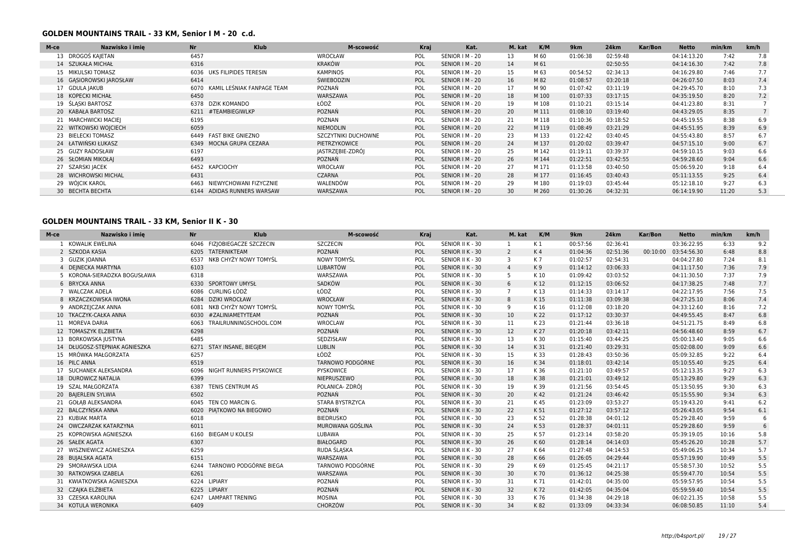### **GOLDEN MOUNTAINS TRAIL - 33 KM, Senior I M - 20 c.d.**

| M-ce | Nazwisko i imie         | <b>Nr</b> | <b>Klub</b>                | M-scowość                  | Kraj       |                 | Kat. | M. kat | K/M   | 9km      | <b>24km</b> | Kar/Bon | <b>Netto</b> | min/km | km/h |
|------|-------------------------|-----------|----------------------------|----------------------------|------------|-----------------|------|--------|-------|----------|-------------|---------|--------------|--------|------|
|      | 13 DROGOŚ KAJETAN       | 6457      |                            | WROCŁAW                    | POL        | SENIOR   M - 20 |      | 13     | M 60  | 01:06:38 | 02:59:48    |         | 04:14:13.20  | 7:42   | 7.8  |
|      | 14 SZUKAŁA MICHAŁ       | 6316      |                            | <b>KRAKÓW</b>              | <b>POL</b> | SENIOR   M - 20 |      | 14     | M 61  |          | 02:50:55    |         | 04:14:16.30  | 7:42   | 7.8  |
|      | 15 MIKULSKI TOMASZ      |           | 6036 UKS FILIPIDES TERESIN | <b>KAMPINOS</b>            | POL        | SENIOR   M - 20 |      | 15     | M 63  | 00:54:52 | 02:34:13    |         | 04:16:29.80  | 7:46   | 7.7  |
|      | 16 GASIOROWSKI JAROSŁAW | 6414      |                            | <b>ŚWIEBODZIN</b>          | POL        | SENIOR   M - 20 |      | 16     | M 82  | 01:08:57 | 03:20:18    |         | 04:26:07.50  | 8:03   | 7.4  |
|      | 17 GDULA JAKUB          | 6070      | KAMIL LEŚNIAK FANPAGE TEAM | POZNAŃ                     | POL        | SENIOR   M - 20 |      | 17     | M 90  | 01:07:42 | 03:11:19    |         | 04:29:45.70  | 8:10   | 7.3  |
|      | 18 KOPECKI MICHAŁ       | 6450      |                            | WARSZAWA                   | POL        | SENIOR   M - 20 |      | 18     | M 100 | 01:07:33 | 03:17:15    |         | 04:35:19.50  | 8:20   | 7.2  |
|      | 19 ŚLASKI BARTOSZ       |           | 6378 DZIK KOMANDO          | ŁÓDŹ                       | POL        | SENIOR   M - 20 |      | 19     | M 108 | 01:10:21 | 03:15:14    |         | 04:41:23.80  | 8:31   |      |
|      | 20 KABAŁA BARTOSZ       |           | 6211 #TEAMBIEGIWLKP        | POZNAŃ                     | <b>POL</b> | SENIOR   M - 20 |      | 20     | M 111 | 01:08:10 | 03:19:40    |         | 04:43:29.05  | 8:35   |      |
|      | 21 MARCHWICKI MACIEJ    | 6195      |                            | POZNAN                     | POL        | SENIOR   M - 20 |      | 21     | M 118 | 01:10:36 | 03:18:52    |         | 04:45:19.55  | 8:38   | 6.9  |
|      | 22 WITKOWSKI WOJCIECH   | 6059      |                            | <b>NIEMODLIN</b>           | <b>POL</b> | SENIOR   M - 20 |      | 22     | M 119 | 01:08:49 | 03:21:29    |         | 04:45:51.95  | 8:39   | 6.9  |
|      | 23 BIELECKI TOMASZ      | 6449      | FAST BIKE GNIEZNO          | <b>SZCZYTNIKI DUCHOWNE</b> | <b>POL</b> | SENIOR   M - 20 |      | 23     | M 133 | 01:22:42 | 03:40:45    |         | 04:55:43.80  | 8:57   | 6.7  |
|      | 24 ŁATWIŃSKI ŁUKASZ     |           | 6349 MOCNA GRUPA CEZARA    | PIETRZYKOWICE              | <b>POL</b> | SENIOR   M - 20 |      | 24     | M 137 | 01:20:02 | 03:39:47    |         | 04:57:15.10  | 9:00   | 6.7  |
|      | 25 GUZY RADOSŁAW        | 6197      |                            | JASTRZEBIE-ZDRÓJ           | <b>POL</b> | SENIOR   M - 20 |      | 25     | M 142 | 01:19:11 | 03:39:37    |         | 04:59:10.15  | 9:03   | 6.6  |
|      | 26 SŁOMIAN MIKOŁAJ      | 6493      |                            | POZNAŃ                     | <b>POL</b> | SENIOR   M - 20 |      | 26     | M 144 | 01:22:51 | 03:42:55    |         | 04:59:28.60  | 9:04   | 6.6  |
|      | 27 SZARSKI JACEK        | 6452      | <b>KAPCIOCHY</b>           | WROCŁAW                    | POL        | SENIOR   M - 20 |      | 27     | M 171 | 01:13:58 | 03:40:50    |         | 05:06:59.20  | 9:18   | 6.4  |
|      | 28 WICHROWSKI MICHAL    | 6431      |                            | <b>CZARNA</b>              | <b>POL</b> | SENIOR   M - 20 |      | 28     | M 177 | 01:16:45 | 03:40:43    |         | 05:11:13.55  | 9:25   | 6.4  |
|      | 29 WOJCIK KAROL         | 6463      | NIEWYCHOWANI FIZYCZNIE     | WALENDOW                   | POL        | SENIOR   M - 20 |      | 29     | M 180 | 01:19:03 | 03:45:44    |         | 05:12:18.10  | 9:27   | 6.3  |
|      | 30 BECHTA BECHTA        | 6144      | ADIDAS RUNNERS WARSAW      | WARSZAWA                   | POL        | SENIOR   M - 20 |      | 30     | M 260 | 01:30:26 | 04:32:31    |         | 06:14:19.90  | 11:20  | 5.3  |

### **GOLDEN MOUNTAINS TRAIL - 33 KM, Senior II K - 30**

| M-ce | Nazwisko i imie               | <b>Nr</b>    | <b>Klub</b>                   | M-scowość               | <b>Kraj</b> | Kat.             | M. kat          | K/M            | 9km      | <b>24km</b> | Kar/Bon  | <b>Netto</b> | min/km | km/h |
|------|-------------------------------|--------------|-------------------------------|-------------------------|-------------|------------------|-----------------|----------------|----------|-------------|----------|--------------|--------|------|
|      | KOWALIK EWELINA               |              | 6046 FIZJOBIEGACZE SZCZECIN   | <b>SZCZECIN</b>         | POL         | SENIOR II K - 30 | 1               | K1             | 00:57:56 | 02:36:41    |          | 03:36:22.95  | 6:33   | 9.2  |
|      | 2 SZKODA KASIA                |              | 6205 TATERNIKTEAM             | POZNAŃ                  | POL         | SENIOR II K - 30 | $\overline{2}$  | K <sub>4</sub> | 01:04:36 | 02:51:36    | 00:10:00 | 03:54:56.30  | 6:48   | 8.8  |
|      | 3 GUZIK JOANNA                | 6537         | NKB CHYŻY NOWY TOMYŚL         | <b>NOWY TOMYŚL</b>      | POL         | SENIOR II K - 30 | $\overline{3}$  | K7             | 01:02:57 | 02:54:31    |          | 04:04:27.80  | 7:24   | 8.1  |
|      | 4 DEINECKA MARTYNA            | 6103         |                               | <b>LUBARTÓW</b>         | POL         | SENIOR II K - 30 | $\overline{4}$  | K9             | 01:14:12 | 03:06:33    |          | 04:11:17.50  | 7:36   | 7.9  |
|      | 5 KORONA-SIERADZKA BOGUSŁAWA  | 6318         |                               | WARSZAWA                | POL         | SENIOR II K - 30 | 5               | K10            | 01:09:42 | 03:03:52    |          | 04:11:30.50  | 7:37   | 7.9  |
|      | 6 BRYCKA ANNA                 | 6330         | <b>SPORTOWY UMYSŁ</b>         | SADKÓW                  | POL         | SENIOR II K - 30 | 6               | K12            | 01:12:15 | 03:06:52    |          | 04:17:38.25  | 7:48   | 7.7  |
|      | <b>WALCZAK ADELA</b>          | 6086         | CURLING ŁÓDŹ                  | ŁÓDŹ                    | POL         | SENIOR II K - 30 | $7\overline{ }$ | K13            | 01:14:33 | 03:14:17    |          | 04:22:17.95  | 7:56   | 7.5  |
|      | 8 KRZACZKOWSKA IWONA          | 6284         | <b>DZIKI WROCŁAW</b>          | WROCŁAW                 | POL         | SENIOR II K - 30 | 8               | K15            | 01:11:38 | 03:09:38    |          | 04:27:25.10  | 8:06   | 7.4  |
|      | 9 ANDRZEICZAK ANNA            | 6081         | NKB CHYŻY NOWY TOMYŚL         | <b>NOWY TOMYSL</b>      | POL         | SENIOR II K - 30 | 9               | K16            | 01:12:08 | 03:18:20    |          | 04:33:12.60  | 8:16   | 7.2  |
|      | 10 TKACZYK-CAŁKA ANNA         | 6030         | #ZALINIAMETYTEAM              | POZNAŃ                  | POL         | SENIOR II K - 30 | 10              | K 22           | 01:17:12 | 03:30:37    |          | 04:49:55.45  | 8:47   | 6.8  |
|      | 11 MOREVA DARIA               | 6063         | TRAILRUNNINGSCHOOL.COM        | WROCLAW                 | POL         | SENIOR II K - 30 | 11              | K 23           | 01:21:44 | 03:36:18    |          | 04:51:21.75  | 8:49   | 6.8  |
|      | 12 TOMASZYK ELZBIETA          | 6298         |                               | POZNAŃ                  | POL         | SENIOR II K - 30 | 12              | K 27           | 01:20:18 | 03:42:11    |          | 04:56:48.60  | 8:59   | 6.7  |
|      | 13 BORKOWSKA JUSTYNA          | 6485         |                               | SEDZISŁAW               | POL         | SENIOR II K - 30 | 13              | K 30           | 01:15:40 | 03:44:25    |          | 05:00:13.40  | 9:05   | 6.6  |
|      | 14 DŁUGOSZ-STEPNIAK AGNIESZKA |              | 6271 STAY INSANE, BIEGJEM     | <b>LUBLIN</b>           | POL         | SENIOR II K - 30 | 14              | K 31           | 01:21:40 | 03:29:31    |          | 05:02:08.00  | 9:09   | 6.6  |
|      | 15 MRÓWKA MAŁGORZATA          | 6257         |                               | ŁÓDŹ                    | POL         | SENIOR II K - 30 | 15              | K 33           | 01:28:43 | 03:50:36    |          | 05:09:32.85  | 9:22   | 6.4  |
|      | 16 PILC ANNA                  | 6519         |                               | TARNOWO PODGÓRNE        | POL         | SENIOR II K - 30 | 16              | K 34           | 01:18:01 | 03:42:14    |          | 05:10:55.40  | 9:25   | 6.4  |
|      | 17 SUCHANEK ALEKSANDRA        | 6096         | NIGHT RUNNERS PYSKOWICE       | <b>PYSKOWICE</b>        | POL         | SENIOR II K - 30 | 17              | K 36           | 01:21:10 | 03:49:57    |          | 05:12:13.35  | 9:27   | 6.3  |
|      | 18 DUROWICZ NATALIA           | 6399         |                               | NIEPRUSZEWO             | POL         | SENIOR II K - 30 | 18              | K 38           | 01:21:01 | 03:49:12    |          | 05:13:29.80  | 9:29   | 6.3  |
|      | 19 SZAL MAŁGORZATA            | 6387         | <b>TENIS CENTRUM AS</b>       | POLANICA- ZDRÓI         | POL         | SENIOR II K - 30 | 19              | K 39           | 01:21:56 | 03:54:45    |          | 05:13:50.95  | 9:30   | 6.3  |
|      | 20 BAJERLEIN SYLWIA           | 6502         |                               | POZNAŃ                  | POL         | SENIOR II K - 30 | 20              | K 42           | 01:21:24 | 03:46:42    |          | 05:15:55.90  | 9:34   | 6.3  |
|      | 21 GOŁAB ALEKSANDRA           | 6045         | TEN CO MARCIN G.              | STARA BYSTRZYCA         | POL         | SENIOR II K - 30 | 21              | K 45           | 01:23:09 | 03:53:27    |          | 05:19:43.20  | 9:41   | 6.2  |
|      | 22 BALCZYŃSKA ANNA            | 6020         | PIATKOWO NA BIEGOWO           | POZNAŃ                  | POL         | SENIOR II K - 30 | 22              | K 51           | 01:27:12 | 03:57:12    |          | 05:26:43.05  | 9:54   | 6.1  |
|      | 23 KUBIAK MARTA               | 6018         |                               | <b>BIEDRUSKO</b>        | POL         | SENIOR II K - 30 | 23              | K 52           | 01:28:38 | 04:01:12    |          | 05:29:28.40  | 9:59   | 6    |
|      | 24 OWCZARZAK KATARZYNA        | 6011         |                               | MUROWANA GOŚLINA        | POL         | SENIOR II K - 30 | 24              | K 53           | 01:28:37 | 04:01:11    |          | 05:29:28.60  | 9:59   | 6    |
|      | 25 KOPROWSKA AGNIESZKA        | 6160         | <b>BIEGAM U KOLESI</b>        | LUBAWA                  | POL         | SENIOR II K - 30 | 25              | K 57           | 01:23:14 | 03:58:20    |          | 05:39:19.05  | 10:16  | 5.8  |
|      | 26 SAŁEK AGATA                | 6307         |                               | <b>BIAŁOGARD</b>        | POL         | SENIOR II K - 30 | 26              | K 60           | 01:28:14 | 04:14:03    |          | 05:45:26.20  | 10:28  | 5.7  |
| 27   | <b>WISZNIEWICZ AGNIESZKA</b>  | 6259         |                               | RUDA ŚLASKA             | POL         | SENIOR II K - 30 | 27              | K 64           | 01:27:48 | 04:14:53    |          | 05:49:06.25  | 10:34  | 5.7  |
|      | 28 BUJALSKA AGATA             | 6151         |                               | WARSZAWA                | POL         | SENIOR II K - 30 | 28              | K 66           | 01:26:05 | 04:29:44    |          | 05:57:19.90  | 10:49  | 5.5  |
|      | 29 SMORAWSKA LIDIA            | 6244         | <b>TARNOWO PODGÓRNE BIEGA</b> | <b>TARNOWO PODGÓRNE</b> | POL         | SENIOR II K - 30 | 29              | K 69           | 01:25:45 | 04:21:17    |          | 05:58:57.30  | 10:52  | 5.5  |
|      | RATKOWSKA IZABELA             | 6261         |                               | WARSZAWA                | POL         | SENIOR II K - 30 | 30              | K 70           | 01:36:12 | 04:25:38    |          | 05:59:47.70  | 10:54  | 5.5  |
|      | 31 KWIATKOWSKA AGNIESZKA      | 6224 LIPIARY |                               | POZNAŃ                  | POL         | SENIOR II K - 30 | 31              | K 71           | 01:42:01 | 04:35:00    |          | 05:59:57.95  | 10:54  | 5.5  |
|      | 32 CZAJKA ELŻBIETA            | 6225 LIPIARY |                               | POZNAŃ                  | POL         | SENIOR II K - 30 | 32              | K 72           | 01:42:05 | 04:35:04    |          | 05:59:59.40  | 10:54  | 5.5  |
|      | 33 CZESKA KAROLINA            | 6247         | <b>LAMPART TRENING</b>        | <b>MOSINA</b>           | POL         | SENIOR II K - 30 | 33              | K 76           | 01:34:38 | 04:29:18    |          | 06:02:21.35  | 10:58  | 5.5  |
|      | 34 KOTULA WERONIKA            | 6409         |                               | CHORZÓW                 | POL         | SENIOR II K - 30 | 34              | K82            | 01:33:09 | 04:33:34    |          | 06:08:50.85  | 11:10  | 5.4  |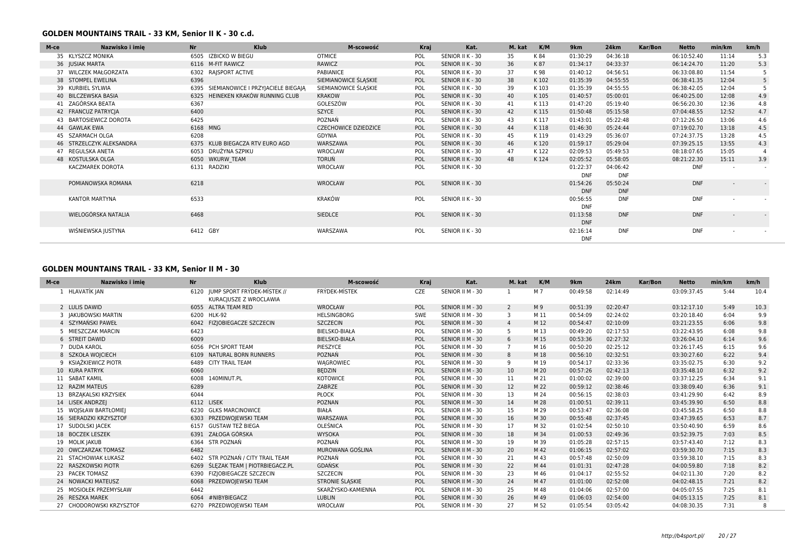### **GOLDEN MOUNTAINS TRAIL - 33 KM, Senior II K - 30 c.d.**

| M-ce | Nazwisko i imie          | <b>Nr</b> | <b>Klub</b>                             | M-scowość                   | Kraj | Kat.             | M. kat | K/M   | 9 <sub>km</sub> | 24km       | Kar/Bon | <b>Netto</b> | min/km | km/h   |
|------|--------------------------|-----------|-----------------------------------------|-----------------------------|------|------------------|--------|-------|-----------------|------------|---------|--------------|--------|--------|
|      | 35 KLYSZCZ MONIKA        |           | 6505 IZBICKO W BIEGU                    | <b>OTMICE</b>               | POL  | SENIOR II K - 30 | 35     | K 84  | 01:30:29        | 04:36:18   |         | 06:10:52.40  | 11:14  | 5.3    |
|      | 36 JUSIAK MARTA          |           | 6116 M-FIT RAWICZ                       | RAWICZ                      | POL  | SENIOR II K - 30 | 36     | K 87  | 01:34:17        | 04:33:37   |         | 06:14:24.70  | 11:20  | 5.3    |
|      | 37 WILCZEK MAŁGORZATA    | 6302      | RAJSPORT ACTIVE                         | PABIANICE                   | POL  | SENIOR II K - 30 | 37     | K 98  | 01:40:12        | 04:56:51   |         | 06:33:08.80  | 11:54  | 5      |
|      | 38 STOMPEL EWELINA       | 6396      |                                         | SIEMIANOWICE ŚLĄSKIE        | POL  | SENIOR II K - 30 | 38     | K 102 | 01:35:39        | 04:55:55   |         | 06:38:41.35  | 12:04  | 5      |
|      | 39 KURBIEL SYLWIA        |           | 6395 SIEMIANOWICE I PRZYJACIELE BIEGAJA | SIEMIANOWICE ŚLĄSKIE        | POL  | SENIOR II K - 30 | 39     | K 103 | 01:35:39        | 04:55:55   |         | 06:38:42.05  | 12:04  | 5      |
|      | 40 BILCZEWSKA BASIA      | 6325      | HEINEKEN KRAKÓW RUNNING CLUB            | <b>KRAKOW</b>               | POL  | SENIOR II K - 30 | 40     | K 105 | 01:40:57        | 05:00:01   |         | 06:40:25.00  | 12:08  | 4.9    |
|      | 41 ZAGÓRSKA BEATA        | 6367      |                                         | GOLESZÓW                    | POL  | SENIOR II K - 30 | 41     | K 113 | 01:47:20        | 05:19:40   |         | 06:56:20.30  | 12:36  | 4.8    |
|      | 42 FRANCUZ PATRYCJA      | 6400      |                                         | SZYCE                       | POL  | SENIOR II K - 30 | 42     | K 115 | 01:50:48        | 05:15:58   |         | 07:04:48.55  | 12:52  | 4.7    |
|      | 43 BARTOSIEWICZ DOROTA   | 6425      |                                         | POZNAŃ                      | POL  | SENIOR II K - 30 | 43     | K 117 | 01:43:01        | 05:22:48   |         | 07:12:26.50  | 13:06  | 4.6    |
|      | 44 GAWLAK EWA            | 6168 MNG  |                                         | <b>CZECHOWICE DZIEDZICE</b> | POL  | SENIOR II K - 30 | 44     | K118  | 01:46:30        | 05:24:44   |         | 07:19:02.70  | 13:18  | 4.5    |
|      | 45 SZARMACH OLGA         | 6208      |                                         | GDYNIA                      | POL  | SENIOR II K - 30 | 45     | K 119 | 01:43:29        | 05:36:07   |         | 07:24:37.75  | 13:28  | 4.5    |
|      | 46 STRZELCZYK ALEKSANDRA |           | 6375 KLUB BIEGACZA RTV EURO AGD         | WARSZAWA                    | POL  | SENIOR II K - 30 | 46     | K120  | 01:59:17        | 05:29:04   |         | 07:39:25.15  | 13:55  | 4.3    |
|      | 47 REGULSKA ANETA        |           | 6053 DRUŻYNA SZPIKU                     | WROCLAW                     | POL  | SENIOR II K - 30 | 47     | K 122 | 02:09:53        | 05:49:53   |         | 08:18:07.65  | 15:05  |        |
|      | 48 KOSTULSKA OLGA        |           | 6050 WKURW TEAM                         | <b>TORUŃ</b>                | POL  | SENIOR II K - 30 | 48     | K124  | 02:05:52        | 05:58:05   |         | 08:21:22.30  | 15:11  | 3.9    |
|      | KACZMAREK DOROTA         |           | 6131 RADZIKI                            | WROCŁAW                     | POL  | SENIOR II K - 30 |        |       | 01:22:37        | 04:06:42   |         | <b>DNF</b>   |        | $\sim$ |
|      |                          |           |                                         |                             |      |                  |        |       | <b>DNF</b>      | <b>DNF</b> |         |              |        |        |
|      | POMIANOWSKA ROMANA       | 6218      |                                         | WROCŁAW                     | POL  | SENIOR II K - 30 |        |       | 01:54:26        | 05:50:24   |         | <b>DNF</b>   |        | $\sim$ |
|      |                          |           |                                         |                             |      |                  |        |       | <b>DNF</b>      | <b>DNF</b> |         |              |        |        |
|      | KANTOR MARTYNA           | 6533      |                                         | <b>KRAKÓW</b>               | POL  | SENIOR II K - 30 |        |       | 00:56:55        | <b>DNF</b> |         | <b>DNF</b>   |        |        |
|      |                          |           |                                         |                             |      |                  |        |       | <b>DNF</b>      |            |         |              |        |        |
|      | WIELOGÓRSKA NATALIA      | 6468      |                                         | SIEDLCE                     | POL  | SENIOR II K - 30 |        |       | 01:13:58        | <b>DNF</b> |         | <b>DNF</b>   |        |        |
|      |                          |           |                                         |                             |      |                  |        |       | <b>DNF</b>      |            |         |              |        |        |
|      | WIŚNIEWSKA JUSTYNA       | 6412 GBY  |                                         | WARSZAWA                    | POL  | SENIOR II K - 30 |        |       | 02:16:14        | <b>DNF</b> |         | <b>DNF</b>   |        | $\sim$ |
|      |                          |           |                                         |                             |      |                  |        |       | <b>DNF</b>      |            |         |              |        |        |

### **GOLDEN MOUNTAINS TRAIL - 33 KM, Senior II M - 30**

| M-ce | Nazwisko i imie          | <b>Nr</b>  | <b>Klub</b>                                           | M-scowość            | Kraj       | Kat.             | M. kat         | K/M  | 9km      | <b>24km</b> | Kar/Bon | <b>Netto</b> | min/km | km/h |
|------|--------------------------|------------|-------------------------------------------------------|----------------------|------------|------------------|----------------|------|----------|-------------|---------|--------------|--------|------|
|      | HLAVATÍK JAN             | 6120       | JUMP SPORT FRÝDEK-MÍSTEK //<br>KURACJUSZE Z WROCLAWIA | <b>FRÝDEK-MÍSTEK</b> | CZE        | SENIOR II M - 30 |                | M 7  | 00:49:58 | 02:14:49    |         | 03:09:37.45  | 5:44   | 10.4 |
|      | 2 LULIS DAWID            |            | 6055 ALTRA TEAM RED                                   | <b>WROCŁAW</b>       | POL        | SENIOR II M - 30 | 2              | M 9  | 00:51:39 | 02:20:47    |         | 03:12:17.10  | 5:49   | 10.3 |
|      | 3 IAKUBOWSKI MARTIN      |            | 6200 HLK-92                                           | <b>HELSINGBORG</b>   | <b>SWE</b> | SENIOR II M - 30 | 3              | M 11 | 00:54:09 | 02:24:02    |         | 03:20:18.40  | 6:04   | 9.9  |
|      | 4 SZYMAŃSKI PAWEŁ        |            | 6042 FIZIOBIEGACZE SZCZECIN                           | <b>SZCZECIN</b>      | POL        | SENIOR II M - 30 | $\overline{4}$ | M 12 | 00:54:47 | 02:10:09    |         | 03:21:23.55  | 6:06   | 9.8  |
|      | 5 MIESZCZAK MARCIN       | 6423       |                                                       | <b>BIELSKO-BIAŁA</b> | POL        | SENIOR II M - 30 | 5              | M 13 | 00:49:20 | 02:17:53    |         | 03:22:43.95  | 6:08   | 9.8  |
|      | 6 STREIT DAWID           | 6009       |                                                       | <b>BIELSKO-BIAŁA</b> | POL        | SENIOR II M - 30 | 6              | M 15 | 00:53:36 | 02:27:32    |         | 03:26:04.10  | 6:14   | 9.6  |
|      | 7 DUDA KAROL             |            | 6056 PCH SPORT TEAM                                   | PIESZYCE             | POL        | SENIOR II M - 30 | $\overline{7}$ | M 16 | 00:50:20 | 02:25:12    |         | 03:26:17.45  | 6:15   | 9.6  |
|      | 8 SZKOŁA WOJCIECH        | 6109       | NATURAL BORN RUNNERS                                  | POZNAŃ               | POL        | SENIOR II M - 30 | 8              | M 18 | 00:56:10 | 02:32:51    |         | 03:30:27.60  | 6:22   | 9.4  |
|      | 9 KSIAŻKIEWICZ PIOTR     |            | 6489 CITY TRAIL TEAM                                  | WAGROWIEC            | POL        | SENIOR II M - 30 | 9              | M 19 | 00:54:17 | 02:33:36    |         | 03:35:02.75  | 6:30   | 9.2  |
|      | 10 KURA PATRYK           | 6060       |                                                       | <b>BEDZIN</b>        | POL        | SENIOR II M - 30 | 10             | M 20 | 00:57:26 | 02:42:13    |         | 03:35:48.10  | 6:32   | 9.2  |
|      | 11 SABAT KAMIL           | 6008       | 140MINUT.PL                                           | <b>KOTOWICE</b>      | POL        | SENIOR II M - 30 | 11             | M 21 | 01:00:02 | 02:39:00    |         | 03:37:12.25  | 6:34   | 9.1  |
|      | 12 RAZIM MATEUS          | 6289       |                                                       | ZABRZE               | POL        | SENIOR II M - 30 | 12             | M 22 | 00:59:12 | 02:38:46    |         | 03:38:09.40  | 6:36   | 9.1  |
|      | 13 BRZAKALSKI KRZYSIEK   | 6044       |                                                       | PŁOCK                | POL        | SENIOR II M - 30 | 13             | M 24 | 00:56:15 | 02:38:03    |         | 03:41:29.90  | 6:42   | 8.9  |
|      | 14 LISEK ANDRZEJ         | 6112 LISEK |                                                       | POZNAN               | POL        | SENIOR II M - 30 | 14             | M 28 | 01:00:51 | 02:39:11    |         | 03:45:39.90  | 6:50   | 8.8  |
|      | 15 WOJSŁAW BARTŁOMIEJ    | 6230       | <b>GLKS MARCINOWICE</b>                               | <b>BIAŁA</b>         | POL        | SENIOR II M - 30 | 15             | M 29 | 00:53:47 | 02:36:08    |         | 03:45:58.25  | 6:50   | 8.8  |
|      | 16 SIERADZKI KRZYSZTOF   |            | 6303 PRZEDWOJEWSKI TEAM                               | WARSZAWA             | POL        | SENIOR II M - 30 | 16             | M 30 | 00:55:48 | 02:37:45    |         | 03:47:39.65  | 6:53   | 8.7  |
|      | 17 SUDOLSKI JACEK        | 6157       | GUSTAW TEŻ BIEGA                                      | OLEŚNICA             | POL        | SENIOR II M - 30 | 17             | M 32 | 01:02:54 | 02:50:10    |         | 03:50:40.90  | 6:59   | 8.6  |
|      | 18 BOCZEK LESZEK         | 6391       | ZAŁOGA GÓRSKA                                         | <b>WYSOKA</b>        | POL        | SENIOR II M - 30 | 18             | M 34 | 01:00:53 | 02:49:36    |         | 03:52:39.75  | 7:03   | 8.5  |
|      | 19 MOLIK JAKUB           | 6364       | STR POZNAŃ                                            | POZNAŃ               | POL        | SENIOR II M - 30 | 19             | M 39 | 01:05:28 | 02:57:15    |         | 03:57:43.40  | 7:12   | 8.3  |
|      | 20 OWCZARZAK TOMASZ      | 6482       |                                                       | MUROWANA GOŚLINA     | POL        | SENIOR II M - 30 | 20             | M 42 | 01:06:15 | 02:57:02    |         | 03:59:30.70  | 7:15   | 8.3  |
|      | 21 STACHOWIAK ŁUKASZ     | 6402       | STR POZNAŃ / CITY TRAIL TEAM                          | POZNAŃ               | POL        | SENIOR II M - 30 | 21             | M 43 | 00:57:48 | 02:50:09    |         | 03:59:38.10  | 7:15   | 8.3  |
|      | 22 RASZKOWSKI PIOTR      | 6269       | ŚLĘZAK TEAM   PIOTRBIEGACZ.PL                         | <b>GDAŃSK</b>        | POL        | SENIOR II M - 30 | 22             | M 44 | 01:01:31 | 02:47:28    |         | 04:00:59.80  | 7:18   | 8.2  |
|      | 23 PACEK TOMASZ          | 6390       | FIZJOBIEGACZE SZCZECIN                                | <b>SZCZECIN</b>      | POL        | SENIOR II M - 30 | 23             | M 46 | 01:04:17 | 02:55:52    |         | 04:02:11.30  | 7:20   | 8.2  |
|      | 24 NOWACKI MATEUSZ       | 6068       | PRZEDWOJEWSKI TEAM                                    | STRONIE ŚLĄSKIE      | POL        | SENIOR II M - 30 | 24             | M 47 | 01:01:00 | 02:52:08    |         | 04:02:48.15  | 7:21   | 8.2  |
|      | MOSIOŁEK PRZEMYSŁAW      | 6442       |                                                       | SKARŻYSKO-KAMIENNA   | POL        | SENIOR II M - 30 | 25             | M 48 | 01:04:06 | 02:57:00    |         | 04:05:07.55  | 7:25   | 8.1  |
|      | 26 RESZKA MAREK          | 6064       | #NIBYBIEGACZ                                          | <b>LUBLIN</b>        | POL        | SENIOR II M - 30 | 26             | M 49 | 01:06:03 | 02:54:00    |         | 04:05:13.15  | 7:25   | 8.1  |
|      | 27 CHODOROWSKI KRZYSZTOF |            | 6270 PRZEDWOIEWSKI TEAM                               | WROCŁAW              | POL        | SENIOR II M - 30 | 27             | M 52 | 01:05:54 | 03:05:42    |         | 04:08:30.35  | 7:31   |      |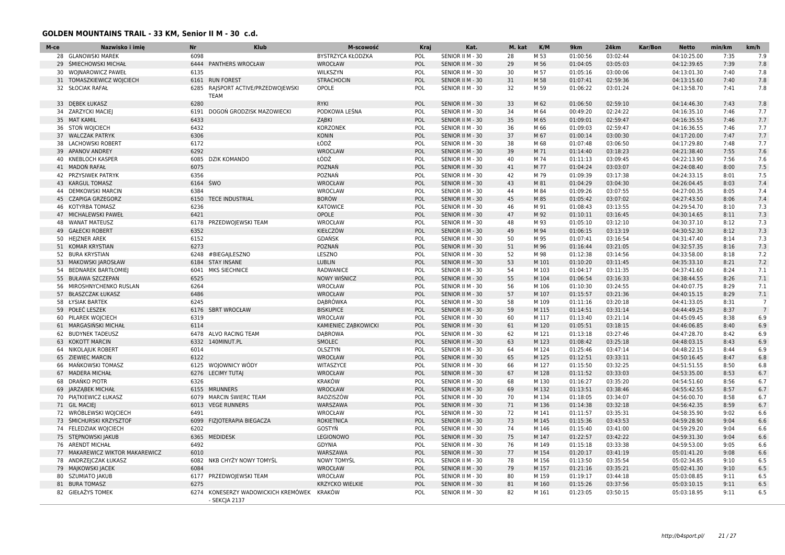### **GOLDEN MOUNTAINS TRAIL - 33 KM, Senior II M - 30 c.d.**

| M-ce | Nazwisko i imie                 | <b>Nr</b> | <b>Klub</b>                                            | M-scowość                   | Kraj | Kat.             | M. kat | K/M   | 9km      | <b>24km</b> | Kar/Bon | <b>Netto</b> | min/km | km/h            |
|------|---------------------------------|-----------|--------------------------------------------------------|-----------------------------|------|------------------|--------|-------|----------|-------------|---------|--------------|--------|-----------------|
|      | 28 GLANOWSKI MAREK              | 6098      |                                                        | BYSTRZYCA KŁODZKA           | POL  | SENIOR II M - 30 | 28     | M 53  | 01:00:56 | 03:02:44    |         | 04:10:25.00  | 7:35   | 7.9             |
| 29   | ŚMIECHOWSKI MICHAŁ              | 6444      | <b>PANTHERS WROCŁAW</b>                                | WROCŁAW                     | POL  | SENIOR II M - 30 | 29     | M 56  | 01:04:05 | 03:05:03    |         | 04:12:39.65  | 7:39   | 7.8             |
| 30   | <b>WOINAROWICZ PAWEŁ</b>        | 6135      |                                                        | WILKSZYN                    | POL  | SENIOR II M - 30 | 30     | M 57  | 01:05:16 | 03:00:06    |         | 04:13:01.30  | 7:40   | 7.8             |
|      | 31 TOMASZKIEWICZ WOJCIECH       | 6161      | <b>RUN FOREST</b>                                      | <b>STRACHOCIN</b>           | POL  | SENIOR II M - 30 | 31     | M 58  | 01:07:41 | 02:59:36    |         | 04:13:15.60  | 7:40   | 7.8             |
|      | 32 SŁOCIAK RAFAŁ                | 6285      | RAJSPORT ACTIVE/PRZEDWOJEWSKI<br><b>TEAM</b>           | OPOLE                       | POL  | SENIOR II M - 30 | 32     | M 59  | 01:06:22 | 03:01:24    |         | 04:13:58.70  | 7:41   | 7.8             |
|      | 33 DEBEK ŁUKASZ                 | 6280      |                                                        | RYKI                        | POL  | SENIOR II M - 30 | 33     | M 62  | 01:06:50 | 02:59:10    |         | 04:14:46.30  | 7:43   | 7.8             |
|      | 34 ZARZYCKI MACIEJ              | 6191      | DOGOŃ GRODZISK MAZOWIECKI                              | PODKOWA LEŚNA               | POL  | SENIOR II M - 30 | 34     | M 64  | 00:49:20 | 02:24:22    |         | 04:16:35.10  | 7:46   | 7.7             |
|      | 35 MAT KAMIL                    | 6433      |                                                        | ZABKI                       | POL  | SENIOR II M - 30 | 35     | M 65  | 01:09:01 | 02:59:47    |         | 04:16:35.55  | 7:46   | 7.7             |
|      | 36 STON WOJCIECH                | 6432      |                                                        | <b>KORZONEK</b>             | POL  | SENIOR II M - 30 | 36     | M 66  | 01:09:03 | 02:59:47    |         | 04:16:36.55  | 7:46   | 7.7             |
|      | 37 WALCZAK PATRYK               | 6306      |                                                        | <b>KONIN</b>                | POL  | SENIOR II M - 30 | 37     | M 67  | 01:00:14 | 03:00:30    |         | 04:17:20.00  | 7:47   | 7.7             |
|      | 38 LACHOWSKI ROBERT             | 6172      |                                                        | ŁÓDŹ                        | POL  | SENIOR II M - 30 | 38     | M 68  | 01:07:48 | 03:06:50    |         | 04:17:29.80  | 7:48   | 7.7             |
|      | 39 APANOV ANDREY                | 6292      |                                                        | <b>WROCLAW</b>              | POL  | SENIOR II M - 30 | 39     | M 71  | 01:14:40 | 03:18:23    |         | 04:21:38.40  | 7:55   | 7.6             |
|      | 40 KNEBLOCH KASPER              | 6085      | <b>DZIK KOMANDO</b>                                    | ŁÓDŹ                        | POL  | SENIOR II M - 30 | 40     | M 74  | 01:11:13 | 03:09:45    |         | 04:22:13.90  | 7:56   | 7.6             |
|      | 41 MADOŃ RAFAŁ                  | 6075      |                                                        | POZNAŃ                      | POL  | SENIOR II M - 30 | 41     | M 77  | 01:04:24 | 03:03:07    |         | 04:24:08.40  | 8:00   | 7.5             |
|      | 42 PRZYSIWEK PATRYK             | 6356      |                                                        | POZNAŃ                      | POL  | SENIOR II M - 30 | 42     | M 79  | 01:09:39 | 03:17:38    |         | 04:24:33.15  | 8:01   | 7.5             |
| 43   | <b>KARGUL TOMASZ</b>            | 6164      | ŚWO                                                    | WROCŁAW                     | POL  | SENIOR II M - 30 | 43     | M 81  | 01:04:29 | 03:04:30    |         | 04:26:04.45  | 8:03   | 7.4             |
|      | 44 DEMKOWSKI MARCIN             | 6384      |                                                        | WROCLAW                     | POL  | SENIOR II M - 30 | 44     | M 84  | 01:09:26 | 03:07:55    |         | 04:27:00.35  | 8:05   | 7.4             |
| 45   | <b>CZAPIGA GRZEGORZ</b>         | 6150      | <b>TECE INDUSTRIAL</b>                                 | <b>BORÓW</b>                | POL  | SENIOR II M - 30 | 45     | M 85  | 01:05:42 | 03:07:02    |         | 04:27:43.50  | 8:06   | 7.4             |
|      | 46 KOTYRBA TOMASZ               | 6236      |                                                        | <b>KATOWICE</b>             | POL  | SENIOR II M - 30 | 46     | M 91  | 01:08:43 | 03:13:55    |         | 04:29:54.70  | 8:10   | 7.3             |
| 47   | <b>MICHALEWSKI PAWEŁ</b>        | 6421      |                                                        | OPOLE                       | POL  | SENIOR II M - 30 | 47     | M 92  | 01:10:11 | 03:16:45    |         | 04:30:14.65  | 8:11   | 7.3             |
|      | 48 WANAT MATEUSZ                |           | 6178 PRZEDWOJEWSKI TEAM                                | WROCŁAW                     | POL  | SENIOR II M - 30 | 48     | M 93  | 01:05:10 | 03:12:10    |         | 04:30:37.10  | 8:12   | 7.3             |
|      | 49 GAŁECKI ROBERT               | 6352      |                                                        | KIEŁCZÓW                    | POL  | SENIOR II M - 30 | 49     | M 94  | 01:06:15 | 03:13:19    |         | 04:30:52.30  | 8:12   | 7.3             |
|      | 50 HEJZNER AREK                 | 6152      |                                                        | GDAŃSK                      | POL  | SENIOR II M - 30 | 50     | M 95  | 01:07:41 | 03:16:54    |         | 04:31:47.40  | 8:14   | 7.3             |
|      | 51 KOMAR KRYSTIAN               | 6273      |                                                        | POZNAŃ                      | POL  | SENIOR II M - 30 | 51     | M 96  | 01:16:44 | 03:21:05    |         | 04:32:57.35  | 8:16   | 7.3             |
|      | 52 BURA KRYSTIAN                | 6248      | #BIEGA LESZNO                                          | LESZNO                      | POL  | SENIOR II M - 30 | 52     | M 98  | 01:12:38 | 03:14:56    |         | 04:33:58.00  | 8:18   | 7.2             |
|      | 53 MAKOWSKI JAROSŁAW            | 6184      | <b>STAY INSANE</b>                                     | <b>LUBLIN</b>               | POL  | SENIOR II M - 30 | 53     | M 101 | 01:10:20 | 03:11:45    |         | 04:35:33.10  | 8:21   | 7.2             |
|      | 54 BEDNAREK BARTŁOMIEJ          | 6041      | <b>MKS SIECHNICE</b>                                   | <b>RADWANICE</b>            | POL  | SENIOR II M - 30 | 54     | M 103 | 01:04:17 | 03:11:35    |         | 04:37:41.60  | 8:24   | 7.1             |
|      | 55 BUŁAWA SZCZEPAN              | 6525      |                                                        | <b>NOWY WIŚNICZ</b>         | POL  | SENIOR II M - 30 | 55     | M 104 | 01:06:54 | 03:16:33    |         | 04:38:44.55  | 8:26   | 7.1             |
|      | 56 MIROSHNYCHENKO RUSLAN        | 6264      |                                                        | WROCŁAW                     | POL  | SENIOR II M - 30 | 56     | M 106 | 01:10:30 | 03:24:55    |         | 04:40:07.75  | 8:29   | 7.1             |
| 57   | <b>BŁASZCZAK ŁUKASZ</b>         | 6486      |                                                        | WROCŁAW                     | POL  | SENIOR II M - 30 | 57     | M 107 | 01:15:57 | 03:21:36    |         | 04:40:15.15  | 8:29   | 7.1             |
|      |                                 |           |                                                        |                             |      |                  |        |       |          |             |         |              |        | $\overline{7}$  |
|      | 58 ŁYSIAK BARTEK                | 6245      |                                                        | DĄBRÓWKA                    | POL  | SENIOR II M - 30 | 58     | M 109 | 01:11:16 | 03:20:18    |         | 04:41:33.05  | 8:31   | $7\overline{ }$ |
|      | 59 POŁEĆ LESZEK                 |           | 6176 SBRT WROCŁAW                                      | <b>BISKUPICE</b>            | POL  | SENIOR II M - 30 | 59     | M 115 | 01:14:51 | 03:31:14    |         | 04:44:49.25  | 8:37   |                 |
|      | 60 PILAREK WOICIECH             | 6319      |                                                        | WROCŁAW                     | POL  | SENIOR II M - 30 | 60     | M 117 | 01:13:40 | 03:21:14    |         | 04:45:09.45  | 8:38   | 6.9             |
| 61   | MARGASIŃSKI MICHAŁ              | 6114      |                                                        | <b>KAMIENIEC ZABKOWICKI</b> | POL  | SENIOR II M - 30 | 61     | M 120 | 01:05:51 | 03:18:15    |         | 04:46:06.85  | 8:40   | 6.9<br>6.9      |
| 62   | <b>BUDYNEK TADEUSZ</b>          | 6478      | ALVO RACING TEAM                                       | <b>DABROWA</b>              | POL  | SENIOR II M - 30 | 62     | M 121 | 01:13:18 | 03:27:46    |         | 04:47:28.70  | 8:42   |                 |
|      | 63 KOKOTT MARCIN                | 6332      | 140MINUT.PL                                            | SMOLEC                      | POL  | SENIOR II M - 30 | 63     | M 123 | 01:08:42 | 03:25:18    |         | 04:48:03.15  | 8:43   | 6.9             |
|      | 64 NIKOLAJUK ROBERT             | 6014      |                                                        | OLSZTYN                     | POL  | SENIOR II M - 30 | 64     | M 124 | 01:25:46 | 03:47:14    |         | 04:48:22.15  | 8:44   | 6.9             |
| 65   | <b>ZIEWIEC MARCIN</b>           | 6122      |                                                        | WROCŁAW                     | POL  | SENIOR II M - 30 | 65     | M 125 | 01:12:51 | 03:33:11    |         | 04:50:16.45  | 8:47   | 6.8             |
|      | 66 MAŃKOWSKI TOMASZ             | 6125      | WOJOWNICY WÓDY                                         | WITASZYCE                   | POL  | SENIOR II M - 30 | 66     | M 127 | 01:15:50 | 03:32:25    |         | 04:51:51.55  | 8:50   | 6.8             |
|      | 67 MADERA MICHAŁ                |           | 6276 LECIMY TUTAJ                                      | WROCŁAW                     | POL  | SENIOR II M - 30 | 67     | M 128 | 01:11:52 | 03:33:03    |         | 04:53:35.00  | 8:53   | 6.7             |
| 68   | DRAŃKO PIOTR                    | 6326      |                                                        | <b>KRAKÓW</b>               | POL  | SENIOR II M - 30 | 68     | M 130 | 01:16:27 | 03:35:20    |         | 04:54:51.60  | 8:56   | 6.7             |
|      | 69 JARZĄBEK MICHAŁ              | 6155      | <b>MRUNNERS</b>                                        | WROCŁAW                     | POL  | SENIOR II M - 30 | 69     | M 132 | 01:13:51 | 03:38:46    |         | 04:55:42.55  | 8:57   | 6.7             |
|      | 70 PIATKIEWICZ ŁUKASZ           | 6079      | MARCIN ŚWIERC TEAM                                     | RADZISZÓW                   | POL  | SENIOR II M - 30 | 70     | M 134 | 01:18:05 | 03:34:07    |         | 04:56:00.70  | 8:58   | 6.7             |
|      | 71 GIL MACIEI                   | 6013      | <b>VEGE RUNNERS</b>                                    | WARSZAWA                    | POL  | SENIOR II M - 30 | 71     | M 136 | 01:14:38 | 03:32:18    |         | 04:56:42.35  | 8:59   | 6.7             |
|      | 72 WRÓBLEWSKI WOJCIECH          | 6491      |                                                        | WROCŁAW                     | POL  | SENIOR II M - 30 | 72     | M 141 | 01:11:57 | 03:35:31    |         | 04:58:35.90  | 9:02   | 6.6             |
|      | 73 ŚMICHURSKI KRZYSZTOF         | 6099      | FIZJOTERAPIA BIEGACZA                                  | <b>ROKIETNICA</b>           | POL  | SENIOR II M - 30 | 73     | M 145 | 01:15:36 | 03:43:53    |         | 04:59:28.90  | 9:04   | 6.6             |
|      | 74 FELEDZIAK WOJCIECH           | 6202      |                                                        | GOSTYŃ                      | POL  | SENIOR II M - 30 | 74     | M 146 | 01:15:40 | 03:41:00    |         | 04:59:29.20  | 9:04   | 6.6             |
|      | 75 STEPNOWSKI JAKUB             | 6365      | <b>MEDIDESK</b>                                        | <b>LEGIONOWO</b>            | POL  | SENIOR II M - 30 | 75     | M 147 | 01:22:57 | 03:42:22    |         | 04:59:31.30  | 9:04   | 6.6             |
|      | 76 ARENDT MICHAŁ                | 6492      |                                                        | GDYNIA                      | POL  | SENIOR II M - 30 | 76     | M 149 | 01:15:18 | 03:33:38    |         | 04:59:53.00  | 9:05   | 6.6             |
|      | 77 MAKAREWICZ WIKTOR MAKAREWICZ | 6010      |                                                        | WARSZAWA                    | POL  | SENIOR II M - 30 | 77     | M 154 | 01:20:17 | 03:41:19    |         | 05:01:41.20  | 9:08   | 6.6             |
|      | 78 ANDRZEJCZAK ŁUKASZ           | 6082      | NKB CHYŻY NOWY TOMYŚL                                  | <b>NOWY TOMYSL</b>          | POL  | SENIOR II M - 30 | 78     | M 156 | 01:13:50 | 03:35:54    |         | 05:02:34.85  | 9:10   | 6.5             |
|      | 79 MAJKOWSKI JACEK              | 6084      |                                                        | WROCŁAW                     | POL  | SENIOR II M - 30 | 79     | M 157 | 01:21:16 | 03:35:21    |         | 05:02:41.30  | 9:10   | 6.5             |
|      | 80 SZUMIATO JAKUB               | 6177      | PRZEDWOJEWSKI TEAM                                     | WROCŁAW                     | POL  | SENIOR II M - 30 | 80     | M 159 | 01:19:17 | 03:44:18    |         | 05:03:08.85  | 9:11   | 6.5             |
|      | 81 BURA TOMASZ                  | 6275      |                                                        | <b>KRZYCKO WIELKIE</b>      | POL  | SENIOR II M - 30 | 81     | M 160 | 01:15:26 | 03:37:56    |         | 05:03:10.15  | 9:11   | 6.5             |
|      | 82 GIEŁAŻYS TOMEK               | 6274      | KONESERZY WADOWICKICH KREMÓWEK KRAKÓW<br>- SEKCJA 2137 |                             | POL  | SENIOR II M - 30 | 82     | M 161 | 01:23:05 | 03:50:15    |         | 05:03:18.95  | 9:11   | 6.5             |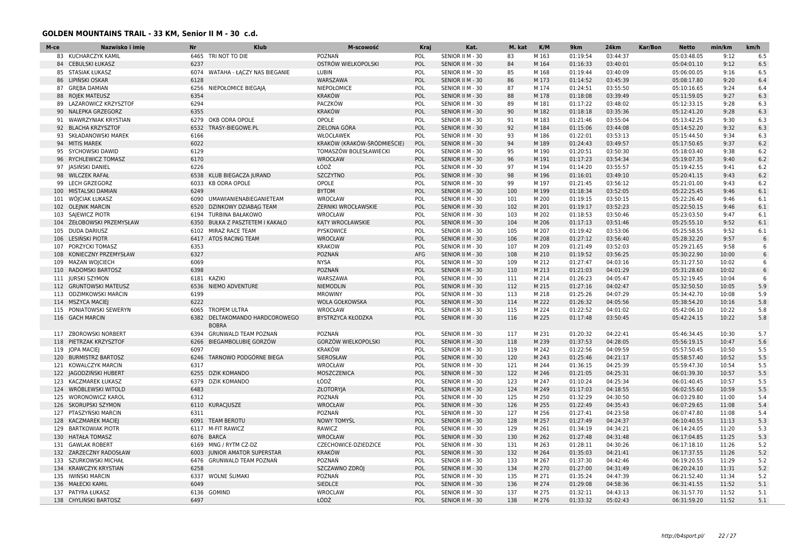### **GOLDEN MOUNTAINS TRAIL - 33 KM, Senior II M - 30 c.d.**

| M-ce | Nazwisko i imie           | <b>Nr</b> | <b>Klub</b>                               | M-scowość                   | Kraj       | Kat.             | M. kat | K/M   | 9km      | <b>24km</b> | Kar/Bon | <b>Netto</b> | min/km | km/h            |
|------|---------------------------|-----------|-------------------------------------------|-----------------------------|------------|------------------|--------|-------|----------|-------------|---------|--------------|--------|-----------------|
|      | 83 KUCHARCZYK KAMIL       | 6465      | TRI NOT TO DIE                            | POZNAŃ                      | POL        | SENIOR II M - 30 | 83     | M 163 | 01:19:54 | 03:44:37    |         | 05:03:48.05  | 9:12   | 6.5             |
|      | 84 CEBULSKI ŁUKASZ        | 6237      |                                           | OSTRÓW WIELKOPOLSKI         | POL        | SENIOR II M - 30 | 84     | M 164 | 01:16:33 | 03:40:01    |         | 05:04:01.10  | 9:12   | 6.5             |
| 85   | <b>STASIAK ŁUKASZ</b>     | 6074      | WATAHA - ŁACZY NAS BIEGANIE               | LUBIN                       | POL        | SENIOR II M - 30 | 85     | M 168 | 01:19:44 | 03:40:09    |         | 05:06:00.05  | 9:16   | 6.5             |
|      | 86 LIPINSKI OSKAR         | 6128      |                                           | WARSZAWA                    | POL        | SENIOR II M - 30 | 86     | M 173 | 01:14:52 | 03:45:39    |         | 05:08:17.80  | 9:20   | 6.4             |
|      | 87 GREBA DAMIAN           | 6256      | NIEPOŁOMICE BIEGAJĄ                       | <b>NIEPOŁOMICE</b>          | POL        | SENIOR II M - 30 | 87     | M 174 | 01:24:51 | 03:55:50    |         | 05:10:16.65  | 9:24   | 6.4             |
| 88   | <b>ROJEK MATEUSZ</b>      | 6354      |                                           | <b>KRAKÓW</b>               | POL        | SENIOR II M - 30 | 88     | M 178 | 01:18:08 | 03:39:49    |         | 05:11:59.05  | 9:27   | 6.3             |
| 89   | LAZAROWICZ KRZYSZTOF      | 6294      |                                           | PACZKÓW                     | POL        | SENIOR II M - 30 | 89     | M 181 | 01:17:22 | 03:48:02    |         | 05:12:33.15  | 9:28   | 6.3             |
| 90   | NALEPKA GRZEGORZ          | 6355      |                                           | <b>KRAKÓW</b>               | POL        | SENIOR II M - 30 | 90     | M 182 | 01:18:18 | 03:35:36    |         | 05:12:41.20  | 9:28   | 6.3             |
|      | 91 WAWRZYNIAK KRYSTIAN    | 6279      | OKB ODRA OPOLE                            | OPOLE                       | POL        | SENIOR II M - 30 | 91     | M 183 | 01:21:46 | 03:55:04    |         | 05:13:42.25  | 9:30   | 6.3             |
| 92   | <b>BLACHA KRZYSZTOF</b>   | 6532      | TRASY-BIEGOWE.PL                          | ZIELONA GÓRA                | POL        | SENIOR II M - 30 | 92     | M 184 | 01:15:06 | 03:44:08    |         | 05:14:52.20  | 9:32   | 6.3             |
|      | 93 SKŁADANOWSKI MAREK     | 6166      |                                           | WŁOCŁAWEK                   | POL        | SENIOR II M - 30 | 93     | M 186 | 01:22:01 | 03:53:13    |         | 05:15:44.50  | 9:34   | 6.3             |
|      | 94 MITIS MAREK            | 6022      |                                           | KRAKÓW (KRAKÓW-ŚRÓDMIEŚCIE) | POL        | SENIOR II M - 30 | 94     | M 189 | 01:24:43 | 03:49:57    |         | 05:17:50.65  | 9:37   | 6.2             |
|      | 95 SYCHOWSKI DAWID        | 6129      |                                           | TOMASZÓW BOLESŁAWIECKI      | POL        | SENIOR II M - 30 | 95     | M 190 | 01:20:51 | 03:50:30    |         | 05:18:03.40  | 9:38   | 6.2             |
|      | 96 RYCHLEWICZ TOMASZ      | 6170      |                                           | WROCŁAW                     | POL        | SENIOR II M - 30 | 96     | M 191 | 01:17:23 | 03:54:34    |         | 05:19:07.35  | 9:40   | 6.2             |
|      | 97 JASIŃSKI DANIEL        | 6226      |                                           | ŁÓDŹ                        | POL        | SENIOR II M - 30 | 97     | M 194 | 01:14:20 | 03:55:57    |         | 05:19:42.55  | 9:41   | 6.2             |
|      | 98 WILCZEK RAFAŁ          | 6538      | KLUB BIEGACZA JURAND                      | <b>SZCZYTNO</b>             | POL        | SENIOR II M - 30 | 98     | M 196 | 01:16:01 | 03:49:10    |         | 05:20:41.15  | 9:43   | 6.2             |
| 99   | <b>LECH GRZEGORZ</b>      | 6033      | <b>KB ODRA OPOLE</b>                      | OPOLE                       | POL        | SENIOR II M - 30 | 99     | M 197 | 01:21:45 | 03:56:12    |         | 05:21:01.00  | 9:43   | 6.2             |
|      | 100 MIŚTALSKI DAMIAN      | 6249      |                                           | <b>BYTOM</b>                | POL        | SENIOR II M - 30 | 100    | M 199 | 01:18:34 | 03:52:05    |         | 05:22:25.45  | 9:46   | 6.1             |
|      | 101 WOJCIAK ŁUKASZ        | 6090      | UMAWIANIENABIEGANIETEAM                   | <b>WROCŁAW</b>              | POL        | SENIOR II M - 30 | 101    | M 200 | 01:19:15 | 03:50:15    |         | 05:22:26.40  | 9:46   | 6.1             |
| 102  | <b>OLEJNIK MARCIN</b>     | 6520      | DZINKOWY DZIABAG TEAM                     | ŻERNIKI WROCŁAWSKIE         | POL        | SENIOR II M - 30 | 102    | M 201 | 01:19:17 | 03:52:23    |         | 05:22:50.15  | 9:46   | 6.1             |
| 103  | SAJEWICZ PIOTR            | 6194      | <b>TURBINA BAŁAKOWO</b>                   | <b>WROCŁAW</b>              | POL        | SENIOR II M - 30 | 103    | M 202 | 01:18:53 | 03:50:46    |         | 05:23:03.50  | 9:47   | 6.1             |
| 104  | ŻEŁOBOWSKI PRZEMYSŁAW     | 6350      | BUŁKA Z PASZTETEM I KAKAŁO                | KATY WROCŁAWSKIE            | POL        | SENIOR II M - 30 | 104    | M 206 | 01:17:13 | 03:51:46    |         | 05:25:55.10  | 9:52   | 6.1             |
| 105  | <b>DUDA DARIUSZ</b>       | 6102      | MIRAZ RACE TEAM                           | PYSKOWICE                   | POL        | SENIOR II M - 30 | 105    | M 207 | 01:19:42 | 03:53:06    |         | 05:25:58.55  | 9:52   | 6.1             |
| 106  | LESIŃSKI PIOTR            | 6417      | ATOS RACING TEAM                          | <b>WROCŁAW</b>              | POL        | SENIOR II M - 30 | 106    | M 208 | 01:27:12 | 03:56:40    |         | 05:28:32.20  | 9:57   | 6               |
| 107  | PORZYCKI TOMASZ           | 6353      |                                           | <b>KRAKOW</b>               | POL        | SENIOR II M - 30 | 107    | M 209 | 01:21:49 | 03:52:03    |         | 05:29:21.65  | 9:58   | $6\overline{6}$ |
| 108  | KONIECZNY PRZEMYSŁAW      | 6327      |                                           | POZNAŃ                      | AFG        | SENIOR II M - 30 | 108    | M 210 | 01:19:52 | 03:56:25    |         | 05:30:22.90  | 10:00  | 6               |
| 109  | MAZAN WOJCIECH            | 6069      |                                           | <b>NYSA</b>                 | POL        | SENIOR II M - 30 | 109    | M 212 | 01:27:47 | 04:03:16    |         | 05:31:27.50  | 10:02  | 6               |
| 110  | RADOMSKI BARTOSZ          | 6398      |                                           | POZNAŃ                      | POL        | SENIOR II M - 30 | 110    | M 213 | 01:21:03 | 04:01:29    |         | 05:31:28.60  | 10:02  | 6               |
|      | 111 JURSKI SZYMON         | 6181      | <b>KAZIKI</b>                             | WARSZAWA                    | POL        | SENIOR II M - 30 | 111    | M 214 | 01:26:23 | 04:05:47    |         | 05:32:19.45  | 10:04  | 6               |
| 112  | <b>GRUNTOWSKI MATEUSZ</b> | 6536      | NIEMO ADVENTURE                           | <b>NIEMODLIN</b>            | POL        | SENIOR II M - 30 | 112    | M 215 | 01:27:16 | 04:02:47    |         | 05:32:50.50  | 10:05  | 5.9             |
| 113  | <b>ODZIMKOWSKI MARCIN</b> | 6199      |                                           | <b>MROWINY</b>              | POL        | SENIOR II M - 30 | 113    | M 218 | 01:25:26 | 04:07:29    |         | 05:34:42.70  | 10:08  | 5.9             |
| 114  | <b>MSZYCA MACIEJ</b>      | 6222      |                                           | WOLA GOŁKOWSKA              | POL        | SENIOR II M - 30 | 114    | M 222 | 01:26:32 | 04:05:56    |         | 05:38:54.20  | 10:16  | 5.8             |
|      | 115 PONIATOWSKI SEWERYN   | 6065      | <b>TROPEM ULTRA</b>                       | WROCŁAW                     | POL        | SENIOR II M - 30 | 115    | M 224 | 01:22:52 | 04:01:02    |         | 05:42:06.10  | 10:22  | 5.8             |
|      | 116 GACH MARCIN           | 6382      | DELTAKOMANDO HARDCOROWEGO<br><b>BOBRA</b> | BYSTRZYCA KŁODZKA           | POL        | SENIOR II M - 30 | 116    | M 225 | 01:17:48 | 03:50:45    |         | 05:42:24.15  | 10:22  | 5.8             |
| 117  | <b>ZBOROWSKI NORBERT</b>  | 6394      | GRUNWALD TEAM POZNAŃ                      | POZNAŃ                      | POL        | SENIOR II M - 30 | 117    | M 231 | 01:20:32 | 04:22:41    |         | 05:46:34.45  | 10:30  | 5.7             |
| 118  | PIETRZAK KRZYSZTOF        | 6266      | BIEGAMBOLUBIE GORZÓW                      | GORZÓW WIELKOPOLSKI         | POL        | SENIOR II M - 30 | 118    | M 239 | 01:37:53 | 04:28:05    |         | 05:56:19.15  | 10:47  | 5.6             |
| 119  | <b>JOPA MACIEJ</b>        | 6097      |                                           | <b>KRAKÓW</b>               | POL        | SENIOR II M - 30 | 119    | M 242 | 01:22:56 | 04:09:59    |         | 05:57:50.45  | 10:50  | 5.5             |
| 120  | <b>BURMISTRZ BARTOSZ</b>  | 6246      | TARNOWO PODGÓRNE BIEGA                    | SIEROSŁAW                   | POL        | SENIOR II M - 30 | 120    | M 243 | 01:25:46 | 04:21:17    |         | 05:58:57.40  | 10:52  | 5.5             |
|      | 121 KOWALCZYK MARCIN      | 6317      |                                           | WROCŁAW                     | POL        | SENIOR II M - 30 | 121    | M 244 | 01:36:15 | 04:25:39    |         | 05:59:47.30  | 10:54  | 5.5             |
| 122  | JAGODZIŃSKI HUBERT        | 6255      | <b>DZIK KOMANDO</b>                       | MOSZCZENICA                 | POL        | SENIOR II M - 30 | 122    | M 246 | 01:21:05 | 04:25:31    |         | 06:01:39.30  | 10:57  | 5.5             |
| 123  | <b>KACZMAREK ŁUKASZ</b>   | 6379      | <b>DZIK KOMANDO</b>                       | ŁÓDŹ                        | POL        | SENIOR II M - 30 | 123    | M 247 | 01:10:24 | 04:25:34    |         | 06:01:40.45  | 10:57  | 5.5             |
| 124  | WRÓBLEWSKI WITOLD         | 6483      |                                           | ZŁOTORYJA                   | POL        | SENIOR II M - 30 | 124    | M 249 | 01:17:03 | 04:18:55    |         | 06:02:55.60  | 10:59  | 5.5             |
| 125  | WORONOWICZ KAROL          | 6312      |                                           | POZNAŃ                      | POL        | SENIOR II M - 30 | 125    | M 250 | 01:32:29 | 04:30:50    |         | 06:03:29.80  | 11:00  | 5.4             |
| 126  | SKORUPSKI SZYMON          | 6110      | <b>KURACJUSZE</b>                         | <b>WROCŁAW</b>              | POL        | SENIOR II M - 30 | 126    | M 255 | 01:22:49 | 04:35:43    |         | 06:07:29.65  | 11:08  | 5.4             |
| 127  | PTASZYNSKI MARCIN         | 6311      |                                           | POZNAŃ                      | <b>POL</b> | SENIOR II M - 30 | 127    | M 256 | 01:27:41 | 04:23:58    |         | 06:07:47.80  | 11:08  | 5.4             |
| 128  | <b>KACZMAREK MACIEJ</b>   | 6091      | <b>TEAM BEROTU</b>                        | <b>NOWY TOMYŚL</b>          | POL        | SENIOR II M - 30 | 128    | M 257 | 01:27:49 | 04:24:37    |         | 06:10:40.55  | 11:13  | 5.3             |
| 129  | <b>BARTKOWIAK PIOTR</b>   | 6117      | <b>M-FIT RAWICZ</b>                       | RAWICZ                      | POL        | SENIOR II M - 30 | 129    | M 261 | 01:34:19 | 04:34:21    |         | 06:14:24.05  | 11:20  | 5.3             |
| 130  | <b>HATAŁA TOMASZ</b>      | 6076      | <b>BARCA</b>                              | <b>WROCŁAW</b>              | POL        | SENIOR II M - 30 | 130    | M 262 | 01:27:48 | 04:31:48    |         | 06:17:04.85  | 11:25  | 5.3             |
| 131  | <b>GAWLAK ROBERT</b>      | 6169      | MNG / RYTM CZ-DZ                          | CZECHOWICE-DZIEDZICE        | POL        | SENIOR II M - 30 | 131    | M 263 | 01:28:11 | 04:30:26    |         | 06:17:18.10  | 11:26  | 5.2             |
| 132  | ZARZECZNY RADOSŁAW        | 6003      | <b>JUNIOR AMATOR SUPERSTAR</b>            | <b>KRAKÓW</b>               | POL        | SENIOR II M - 30 | 132    | M 264 | 01:35:03 | 04:21:41    |         | 06:17:37.55  | 11:26  | 5.2             |
| 133  | SZURKOWSKI MICHAŁ         | 6476      | <b>GRUNWALD TEAM POZNAŃ</b>               | POZNAŃ                      | POL        | SENIOR II M - 30 | 133    | M 267 | 01:37:30 | 04:42:46    |         | 06:19:20.55  | 11:29  | 5.2             |
| 134  | <b>KRAWCZYK KRYSTIAN</b>  | 6258      |                                           | SZCZAWNO ZDRÓJ              | POL        | SENIOR II M - 30 | 134    | M 270 | 01:27:00 | 04:31:49    |         | 06:20:24.10  | 11:31  | 5.2             |
| 135  | IWIŃSKI MARCIN            | 6337      | WOLNE ŚLIMAKI                             | POZNAŃ                      | POL        | SENIOR II M - 30 | 135    | M 271 | 01:35:24 | 04:47:39    |         | 06:21:52.40  | 11:34  | 5.2             |
| 136  | <b>MAŁECKI KAMIL</b>      | 6049      |                                           | <b>SIEDLCE</b>              | POL        | SENIOR II M - 30 | 136    | M 274 | 01:29:08 | 04:58:36    |         | 06:31:41.55  | 11:52  | 5.1             |
|      | 137 PATYRA ŁUKASZ         | 6136      | <b>GOMIND</b>                             | <b>WROCLAW</b>              | POL        | SENIOR II M - 30 | 137    | M 275 | 01:32:11 | 04:43:13    |         | 06:31:57.70  | 11:52  | 5.1             |
|      | 138 CHYLIŃSKI BARTOSZ     | 6497      |                                           | ŁÓDŹ                        | POL        | SENIOR II M - 30 | 138    | M 276 | 01:33:32 | 05:02:43    |         | 06:31:59.20  | 11:52  | 5.1             |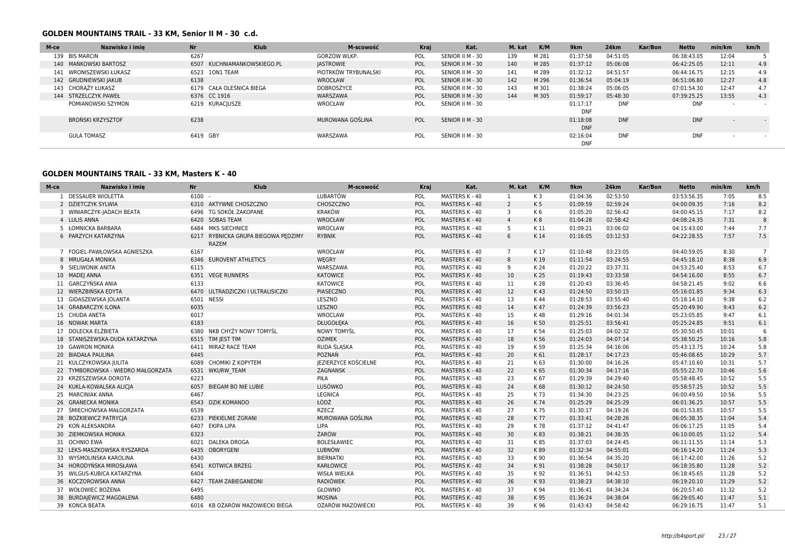### **GOLDEN MOUNTAINS TRAIL - 33 KM, Senior II M - 30 c.d.**

| M-ce | Nazwisko i imie         | <b>Nr</b> | <b>Klub</b>                 | M-scowość            | Kraj |                  | Kat. | M. kat | K/M   | 9 <sub>km</sub> | <b>24km</b> | Kar/Bon | <b>Netto</b> | min/km | km/h |
|------|-------------------------|-----------|-----------------------------|----------------------|------|------------------|------|--------|-------|-----------------|-------------|---------|--------------|--------|------|
|      | 139 BIS MARCIN          | 6267      |                             | GORZÓW WLKP.         | POL  | SENIOR II M - 30 |      | 139    | M 281 | 01:37:58        | 04:51:05    |         | 06:38:43.05  | 12:04  |      |
|      | 140 MAŃKOWSKI BARTOSZ   |           | 6507 KUCHNIAMANKOWSKIEGO.PL | <b>JASTROWIE</b>     | POL  | SENIOR II M - 30 |      | 140    | M 285 | 01:37:12        | 05:06:08    |         | 06:42:25.05  | 12:11  | 4.9  |
|      | 141 WRONISZEWSKI ŁUKASZ |           | 6523 10N1 TEAM              | PIOTRKÓW TRYBUNALSKI | POL  | SENIOR II M - 30 |      | 141    | M 289 | 01:32:12        | 04:51:57    |         | 06:44:16.75  | 12:15  | 4.9  |
|      | 142 GRUDNIEWSKI JAKUB   | 6138      |                             | WROCŁAW              | POL  | SENIOR II M - 30 |      | 142    | M 296 | 01:36:54        | 05:04:19    |         | 06:51:06.80  | 12:27  | 4.8  |
|      | 143 CHORAŻY ŁUKASZ      |           | 6179 CAŁA OLEŚNICA BIEGA    | DOBROSZYCE           | POL  | SENIOR II M - 30 |      | 143    | M 301 | 01:38:24        | 05:06:05    |         | 07:01:54.30  | 12:47  | 4.7  |
|      | 144 STRZELCZYK PAWEŁ    |           | 6376 CC 1916                | WARSZAWA             | POL  | SENIOR II M - 30 |      | 144    | M 305 | 01:59:17        | 05:48:30    |         | 07:39:25.25  | 13:55  | 4.3  |
|      | POMIANOWSKI SZYMON      |           | 6219 KURACIUSZE             | WROCŁAW              | POL  | SENIOR II M - 30 |      |        |       | 01:17:17        | <b>DNF</b>  |         | <b>DNF</b>   |        |      |
|      |                         |           |                             |                      |      |                  |      |        |       | <b>DNF</b>      |             |         |              |        |      |
|      | BROŃSKI KRZYSZTOF       | 6238      |                             | MUROWANA GOŚLINA     | POL  | SENIOR II M - 30 |      |        |       | 01:18:08        | <b>DNF</b>  |         | <b>DNF</b>   |        |      |
|      |                         |           |                             |                      |      |                  |      |        |       | <b>DNF</b>      |             |         |              |        |      |
|      | <b>GULA TOMASZ</b>      | 6419 GBY  |                             | WARSZAWA             | POL  | SENIOR II M - 30 |      |        |       | 02:16:04        | <b>DNF</b>  |         | <b>DNF</b>   |        |      |
|      |                         |           |                             |                      |      |                  |      |        |       | <b>DNF</b>      |             |         |              |        |      |

### **GOLDEN MOUNTAINS TRAIL - 33 KM, Masters K - 40**

| Nazwisko i imie<br>M-ce            | Nr       | <b>Klub</b>                                         | M-scowość                   | <b>Kraj</b> | Kat.                  | M. kat         | K/M            | 9km      | <b>24km</b> | Kar/Bon | <b>Netto</b> | min/km | km/h           |
|------------------------------------|----------|-----------------------------------------------------|-----------------------------|-------------|-----------------------|----------------|----------------|----------|-------------|---------|--------------|--------|----------------|
| 1 DESSAUER WIOLETTA                | $6100 -$ |                                                     | <b>LUBARTÓW</b>             | POL         | MASTERS K - 40        | 1              | K <sub>3</sub> | 01:04:36 | 02:53:50    |         | 03:53:56.35  | 7:05   | 8.5            |
| 2 DZIETCZYK SYLWIA                 |          | 6310 AKTYWNE CHOSZCZNO                              | CHOSZCZNO                   | POL         | MASTERS K - 40        | $\overline{2}$ | K <sub>5</sub> | 01:09:59 | 02:59:24    |         | 04:00:09.35  | 7:16   | 8.2            |
| 3 WINIARCZYK-JADACH BEATA          | 6496     | TG SOKÓŁ ZAKOPANE                                   | <b>KRAKÓW</b>               | POL         | MASTERS K - 40        | 3              | K6             | 01:05:20 | 02:56:42    |         | 04:00:45.15  | 7:17   | 8.2            |
| 4 LULIS ANNA                       |          | 6420 SOBAS TEAM                                     | WROCŁAW                     | POL         | MASTERS K - 40        | $\overline{4}$ | K8             | 01:04:28 | 02:58:42    |         | 04:08:24.35  | 7:31   | 8              |
| 5 ŁOMNICKA BARBARA                 |          | 6484 MKS SIECHNICE                                  | WROCŁAW                     | POL         | MASTERS K - 40        | 5              | K 11           | 01:09:21 | 03:06:02    |         | 04:15:43.00  | 7:44   | 7.7            |
| 6 PARZYCH KATARZYNA                |          | 6217 RYBNICKA GRUPA BIEGOWA PEDZIMY<br><b>RAZEM</b> | <b>RYBNIK</b>               | POL         | MASTERS K - 40        | 6              | K14            | 01:16:05 | 03:12:53    |         | 04:22:28.55  | 7:57   | 7.5            |
| 7 FOGIEL-PAWŁOWSKA AGNIESZKA       | 6167     |                                                     | WROCŁAW                     | POL         | MASTERS K - 40        | $7^{\circ}$    | K 17           | 01:10:48 | 03:23:05    |         | 04:40:59.05  | 8:30   | $\overline{7}$ |
| 8 MRUGAŁA MONIKA                   | 6346     | <b>EUROVENT ATHLETICS</b>                           | WĘGRY                       | POL         | MASTERS K - 40        | 8              | K19            | 01:11:54 | 03:24:55    |         | 04:45:18.10  | 8:38   | 6.9            |
| 9 SIELIWONIK ANITA                 | 6115     |                                                     | WARSZAWA                    | POL         | MASTERS K - 40        | 9              | K 24           | 01:20:22 | 03:37:31    |         | 04:53:25.40  | 8:53   | 6.7            |
| 10 MADEJ ANNA                      |          | 6351 VEGE RUNNERS                                   | KATOWICE                    | POL         | MASTERS K - 40        | 10             | K 25           | 01:19:43 | 03:33:58    |         | 04:54:16.00  | 8:55   | 6.7            |
| 11 GARCZYŃSKA ANIA                 | 6133     |                                                     | KATOWICE                    | POL         | MASTERS K - 40        | 11             | K 28           | 01:20:43 | 03:36:45    |         | 04:58:21.45  | 9:02   | 6.6            |
| 12 WIERZBIŃSKA EDYTA               |          | 6470 ULTRADZICZKI I ULTRALISICZKI                   | PIASECZNO                   | POL         | MASTERS K - 40        | 12             | K43            | 01:24:50 | 03:50:15    |         | 05:16:01.85  | 9:34   | 6.3            |
| 13 GIDASZEWSKA JOLANTA             |          | 6501 NESSI                                          | LESZNO                      | POL         | MASTERS K - 40        | 13             | K 44           | 01:28:53 | 03:55:40    |         | 05:18:14.10  | 9:38   | 6.2            |
| 14 GRABARCZYK ILONA                | 6035     |                                                     | LESZNO                      | POL         | MASTERS K - 40        | 14             | K 47           | 01:24:39 | 03:56:23    |         | 05:20:49.90  | 9:43   | 6.2            |
| 15 CHUDA ANETA                     | 6017     |                                                     | WROCLAW                     | POL         | MASTERS K - 40        | 15             | K 48           | 01:29:16 | 04:01:34    |         | 05:23:05.85  | 9:47   | 6.1            |
| 16 NOWAK MARTA                     | 6183     |                                                     | DŁUGOŁĘKA                   | POL         | MASTERS K - 40        | 16             | K 50           | 01:25:51 | 03:56:41    |         | 05:25:24.85  | 9:51   | $6.1\,$        |
| 17 DOLECKA ELŻBIETA                |          | 6380 NKB CHYŻY NOWY TOMYŚL                          | NOWY TOMYŚL                 | POL         | MASTERS K - 40        | 17             | K 54           | 01:25:03 | 04:02:32    |         | 05:30:50.45  | 10:01  | 6              |
| 18 STANISZEWSKA-DUDA KATARZYNA     |          | 6515 TIM JEST TIM                                   | <b>OZIMEK</b>               | POL         | MASTERS K - 40        | 18             | K 56           | 01:24:03 | 04:07:14    |         | 05:38:50.25  | 10:16  | 5.8            |
| 19 GAWRON MONIKA                   |          | 6411 MIRAZ RACE TEAM                                | RUDA ŚLĄSKA                 | POL         | MASTERS K - 40        | 19             | K 59           | 01:25:34 | 04:16:06    |         | 05:43:13.75  | 10:24  | 5.8            |
| 20 BIADAŁA PAULINA                 | 6445     |                                                     | POZNAŃ                      | POL         | MASTERS K - 40        | 20             | K 61           | 01:28:17 | 04:17:23    |         | 05:46:08.65  | 10:29  | 5.7            |
| 21 KULCZYKOWSKA JULITA             |          | 6089 CHOMIKI Z KOPYTEM                              | <b>JEZIERZYCE KOŚCIELNE</b> | POL         | MASTERS K - 40        | 21             | K 63           | 01:30:00 | 04:16:26    |         | 05:47:10.60  | 10:31  | 5.7            |
| 22 TYMBOROWSKA - WIEDRO MAŁGORZATA |          | 6531 WKURW TEAM                                     | ZAGNANSK                    | POL         | MASTERS K - 40        | 22             | K 65           | 01:30:34 | 04:17:16    |         | 05:55:22.70  | 10:46  | 5.6            |
| 23 KRZESZEWSKA DOROTA              | 6223     |                                                     | PIŁA                        | POL         | MASTERS K - 40        | 23             | K 67           | 01:29:39 | 04:29:40    |         | 05:58:48.45  | 10:52  | 5.5            |
| 24 KUKLA-KOWALSKA ALICIA           | 6057     | BIEGAM BO NIE LUBIE                                 | LUSÓWKO                     | POL         | MASTERS K - 40        | 24             | K68            | 01:30:12 | 04:24:50    |         | 05:58:57.25  | 10:52  | 5.5            |
| 25 MARCINIAK ANNA                  | 6467     |                                                     | LEGNICA                     | POL         | MASTERS K - 40        | 25             | K 73           | 01:34:30 | 04:23:25    |         | 06:00:49.50  | 10:56  | 5.5            |
| 26 GRANECKA MONIKA                 | 6543     | <b>DZIK KOMANDO</b>                                 | ŁÓDŹ                        | POL         | MASTERS K - 40        | 26             | K 74           | 01:25:29 | 04:25:29    |         | 06:01:36.25  | 10:57  | 5.5            |
| 27 ŚMIECHOWSKA MAŁGORZATA          | 6539     |                                                     | <b>RZECZ</b>                | POL         | MASTERS K - 40        | 27             | K 75           | 01:30:17 | 04:19:26    |         | 06:01:53.85  | 10:57  | 5.5            |
| 28 BOŻKIEWICZ PATRYCJA             |          | 6233 PIEKIELNIE ZGRANI                              | MUROWANA GOŚLINA            | POL         | MASTERS K - 40        | 28             | K 77           | 01:33:41 | 04:28:26    |         | 06:05:38.35  | 11:04  | 5.4            |
| 29 KOŃ ALEKSANDRA                  |          | 6407 EKIPA LIPA                                     | LIPA                        | POL         | MASTERS K - 40        | 29             | K 78           | 01:37:12 | 04:41:47    |         | 06:06:17.25  | 11:05  | 5.4            |
| 30 ZIEMKOWSKA MONIKA               | 6323     |                                                     | ŻARÓW                       | POL         | MASTERS K - 40        | 30             | K83            | 01:38:21 | 04:38:35    |         | 06:10:00.05  | 11:12  | 5.4            |
| 31 OCHNIO EWA                      |          | 6021 DALEKA DROGA                                   | <b>BOLESŁAWIEC</b>          | POL         | MASTERS K - 40        | 31             | K 85           | 01:37:03 | 04:24:45    |         | 06:11:11.55  | 11:14  | 5.3            |
| 32 LEKS-MASZKOWSKA RYSZARDA        |          | 6435 OBORYGENI                                      | <b>LUBNÓW</b>               | POL         | MASTERS K - 40        | 32             | K89            | 01:32:34 | 04:55:01    |         | 06:16:14.20  | 11:24  | 5.3            |
| 33 WYSMOLINSKA KAROLINA            | 6430     |                                                     | <b>BIERNATKI</b>            | POL         | MASTERS K - 40        | 33             | K 90           | 01:36:54 | 04:35:20    |         | 06:17:42.00  | 11:26  | 5.2            |
| 34 HORODYŃSKA MIROSŁAWA            |          | 6541 KOTWICA BRZEG                                  | KARŁOWICE                   | POL         | MASTERS K - 40        | 34             | K 91           | 01:38:28 | 04:50:17    |         | 06:18:35.80  | 11:28  | 5.2            |
| 35 WILGUS-KUBICA KATARZYNA         | 6404     |                                                     | <b>WISŁA WIELKA</b>         | POL         | MASTERS K - 40        | 35             | K 92           | 01:36:51 | 04:42:53    |         | 06:18:45.65  | 11:28  | 5.2            |
| 36 KOCZOROWSKA ANNA                | 6427     | <b>TEAM ZABIEGANEDNI</b>                            | <b>RADIÓWEK</b>             | POL         | <b>MASTERS K - 40</b> | 36             | K 93           | 01:38:23 | 04:38:10    |         | 06:19:20.10  | 11:29  | 5.2            |
| 37 WOŁOWIEC BOŻENA                 | 6495     |                                                     | GŁOWNO                      | POL         | MASTERS K - 40        | 37             | K 94           | 01:36:41 | 04:34:24    |         | 06:20:57.40  | 11:32  | 5.2            |
| 38 BURDAJEWICZ MAGDALENA           | 6480     |                                                     | <b>MOSINA</b>               | POL         | MASTERS K - 40        | 38             | K 95           | 01:36:24 | 04:38:04    |         | 06:29:05.40  | 11:47  | 5.1            |
| 39 KONCA BEATA                     |          | 6016 KB OŻARÓW MAZOWIECKI BIEGA                     | OŻARÓW MAZOWIECKI           | POL         | MASTERS K - 40        | 39             | K 96           | 01:43:43 | 04:58:42    |         | 06:29:16.75  | 11:47  | 5.1            |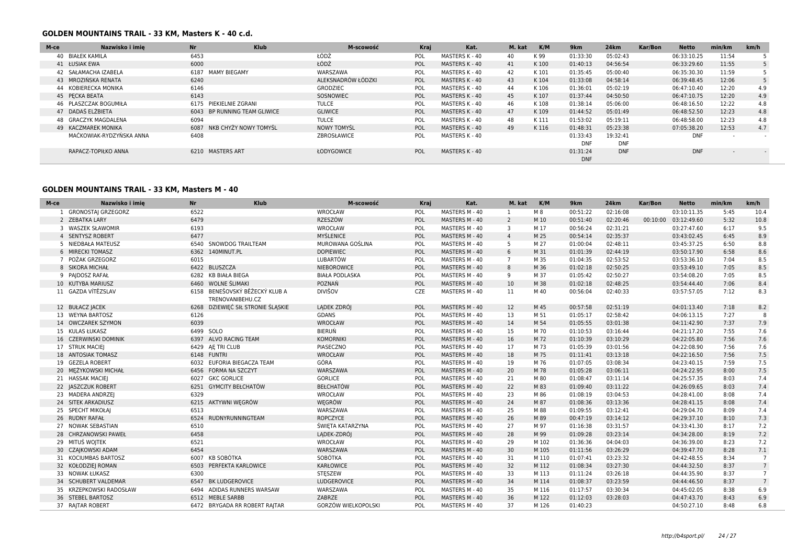### **GOLDEN MOUNTAINS TRAIL - 33 KM, Masters K - 40 c.d.**

| M-ce          | Nazwisko i imie          | <b>Nr</b> | <b>Klub</b>                  | M-scowość          | Kraj | Kat.           | M. kat | K/M   | 9km        | 24km       | Kar/Bon | <b>Netto</b> | min/km                   | km/h |
|---------------|--------------------------|-----------|------------------------------|--------------------|------|----------------|--------|-------|------------|------------|---------|--------------|--------------------------|------|
|               | 40 BIAŁEK KAMILA         | 6453      |                              | ŁÓDŹ               | POL  | MASTERS K - 40 | 40     | K 99  | 01:33:30   | 05:02:43   |         | 06:33:10.25  | 11:54                    |      |
| 41 ŁUSIAK EWA |                          | 6000      |                              | ŁÓDŹ               | POL  | MASTERS K - 40 | 41     | K100  | 01:40:13   | 04:56:54   |         | 06:33:29.60  | 11:55                    |      |
|               | 42 SAŁAMACHA IZABELA     | 6187      | MAMY BIEGAMY                 | WARSZAWA           | POL  | MASTERS K - 40 | 42     | K101  | 01:35:45   | 05:00:40   |         | 06:35:30.30  | 11:59                    |      |
|               | 43 MROZIŃSKA RENATA      | 6240      |                              | ALEKSNADRÓW ŁÓDZKI | POL  | MASTERS K - 40 | 43     | K104  | 01:33:08   | 04:58:14   |         | 06:39:48.45  | 12:06                    |      |
|               | 44 KOBIERECKA MONIKA     | 6146      |                              | <b>GRODZIEC</b>    | POL  | MASTERS K - 40 | 44     | K106  | 01:36:01   | 05:02:19   |         | 06:47:10.40  | 12:20                    | 4.9  |
|               | 45 PECKA BEATA           | 6143      |                              | SOSNOWIEC          | POL  | MASTERS K - 40 | 45     | K107  | 01:37:44   | 04:50:50   |         | 06:47:10.75  | 12:20                    | 4.9  |
|               | 46 PLASZCZAK BOGUMIŁA    | 6175      | PIEKIELNIE ZGRANI            | <b>TULCE</b>       | POL  | MASTERS K - 40 | 46     | K108  | 01:38:14   | 05:06:00   |         | 06:48:16.50  | 12:22                    | 4.8  |
|               | 47 DADAŚ ELŻBIETA        |           | 6043 BP RUNNING TEAM GLIWICE | <b>GLIWICE</b>     | POL  | MASTERS K - 40 | 47     | K109  | 01:44:52   | 05:01:49   |         | 06:48:52.50  | 12:23                    | 4.8  |
|               | 48 GRACZYK MAGDALENA     | 6094      |                              | <b>TULCE</b>       | POL  | MASTERS K - 40 | 48     | K 111 | 01:53:02   | 05:19:11   |         | 06:48:58.00  | 12:23                    | 4.8  |
|               | 49 KACZMAREK MONIKA      | 6087      | NKB CHYŻY NOWY TOMYŚL        | <b>NOWY TOMYSL</b> | POL  | MASTERS K - 40 | 49     | K116  | 01:48:31   | 05:23:38   |         | 07:05:38.20  | 12:53                    | 4.7  |
|               | MAĆKOWIAK-RYDZYŃSKA ANNA | 6408      |                              | ZBROSŁAWICE        | POL  | MASTERS K - 40 |        |       | 01:33:43   | 19:32:41   |         | <b>DNF</b>   | $\sim$                   |      |
|               |                          |           |                              |                    |      |                |        |       | <b>DNF</b> | <b>DNF</b> |         |              |                          |      |
|               | RAPACZ-TOPIŁKO ANNA      |           | 6210 MASTERS ART             | ŁODYGOWICE         | POL  | MASTERS K - 40 |        |       | 01:31:24   | <b>DNF</b> |         | <b>DNF</b>   | $\overline{\phantom{0}}$ |      |
|               |                          |           |                              |                    |      |                |        |       | <b>DNF</b> |            |         |              |                          |      |

### **GOLDEN MOUNTAINS TRAIL - 33 KM, Masters M - 40**

| M-ce | Nazwisko i imie         | <b>Nr</b> | <b>Klub</b>                                        | M-scowość                  | Kraj | Kat.           | M. kat         | K/M   | 9km      | 24km     | Kar/Bon | <b>Netto</b>         | min/km | km/h            |
|------|-------------------------|-----------|----------------------------------------------------|----------------------------|------|----------------|----------------|-------|----------|----------|---------|----------------------|--------|-----------------|
|      | 1 GRONOSTAI GRZEGORZ    | 6522      |                                                    | WROCŁAW                    | POL  | MASTERS M - 40 | 1              | M 8   | 00:51:22 | 02:16:08 |         | 03:10:11.35          | 5:45   | 10.4            |
|      | 2 ZEBATKA LARY          | 6479      |                                                    | <b>RZESZÓW</b>             | POL  | MASTERS M - 40 | $\overline{2}$ | M 10  | 00:51:40 | 02:20:46 |         | 00:10:00 03:12:49.60 | 5:32   | 10.8            |
|      | 3 WASZEK SŁAWOMIR       | 6193      |                                                    | WROCŁAW                    | POL  | MASTERS M - 40 | 3              | M 17  | 00:56:24 | 02:31:21 |         | 03:27:47.60          | 6:17   | 9.5             |
|      | 4 SENTYSZ ROBERT        | 6477      |                                                    | <b>MYŚLENICE</b>           | POL  | MASTERS M - 40 | $\overline{4}$ | M 25  | 00:54:14 | 02:35:37 |         | 03:43:02.45          | 6:45   | 8.9             |
|      | 5 NIEDBAŁA MATEUSZ      |           | 6540 SNOWDOG TRAILTEAM                             | MUROWANA GOŚLINA           | POL  | MASTERS M - 40 | 5              | M 27  | 01:00:04 | 02:48:11 |         | 03:45:37.25          | 6:50   | 8.8             |
|      | 6 MIRECKI TOMASZ        |           | 6362 140MINUT.PL                                   | <b>DOPIEWIEC</b>           | POL  | MASTERS M - 40 | 6              | M 31  | 01:01:39 | 02:44:19 |         | 03:50:17.90          | 6:58   | 8.6             |
|      | 7 POŻAK GRZEGORZ        | 6015      |                                                    | LUBARTÓW                   | POL  | MASTERS M - 40 | $\overline{7}$ | M 35  | 01:04:35 | 02:53:52 |         | 03:53:36.10          | 7:04   | 8.5             |
|      | 8 SIKORA MICHAŁ         |           | 6422 BLUSZCZA                                      | NIEBOROWICE                | POL  | MASTERS M - 40 | 8              | M 36  | 01:02:18 | 02:50:25 |         | 03:53:49.10          | 7:05   | 8.5             |
|      | 9 PAIDOSZ RAFAŁ         |           | 6282 KB BIAŁA BIEGA                                | <b>BIAŁA PODLASKA</b>      | POL  | MASTERS M - 40 | 9              | M 37  | 01:05:42 | 02:50:27 |         | 03:54:08.20          | 7:05   | 8.5             |
|      | 10 KUTYBA MARIUSZ       |           | 6460 WOLNE ŚLIMAKI                                 | POZNAŃ                     | POL  | MASTERS M - 40 | 10             | M 38  | 01:02:18 | 02:48:25 |         | 03:54:44.40          | 7:06   | 8.4             |
|      | 11 GAZDA VÍTĚZSLAV      |           | 6158 BENEŠOVSKÝ BĚŽECKÝ KLUB A<br>TRENOVANIBEHU.CZ | <b>DIVIŠOV</b>             | CZE  | MASTERS M - 40 | 11             | M 40  | 00:56:04 | 02:40:33 |         | 03:57:57.05          | 7:12   | 8.3             |
|      | 12 BUŁACZ JACEK         |           | 6268 DZIEWIĘĆ SIŁ STRONIE ŚLĄSKIE                  | LADEK ZDRÓJ                | POL  | MASTERS M - 40 | 12             | M 45  | 00:57:58 | 02:51:19 |         | 04:01:13.40          | 7:18   | 8.2             |
|      | 13 WEYNA BARTOSZ        | 6126      |                                                    | <b>GDANS</b>               | POL  | MASTERS M - 40 | 13             | M 51  | 01:05:17 | 02:58:42 |         | 04:06:13.15          | 7:27   | 8               |
|      | 14 OWCZAREK SZYMON      | 6039      |                                                    | <b>WROCŁAW</b>             | POL  | MASTERS M - 40 | 14             | M 54  | 01:05:55 | 03:01:38 |         | 04:11:42.90          | 7:37   | 7.9             |
|      | 15 KULAS ŁUKASZ         |           | 6499 SOLO                                          | BIERUŃ                     | POL  | MASTERS M - 40 | 15             | M 70  | 01:10:53 | 03:16:44 |         | 04:21:17.20          | 7:55   | 7.6             |
|      | 16 CZERWINSKI DOMINIK   |           | 6397 ALVO RACING TEAM                              | <b>KOMORNIKI</b>           | POL  | MASTERS M - 40 | 16             | M 72  | 01:10:39 | 03:10:29 |         | 04:22:05.80          | 7:56   | 7.6             |
|      | 17 STRUK MACIEJ         |           | 6429 AE TRI CLUB                                   | PIASECZNO                  | POL  | MASTERS M - 40 | 17             | M 73  | 01:05:39 | 03:01:56 |         | 04:22:08.90          | 7:56   | 7.6             |
|      | 18 ANTOSIAK TOMASZ      |           | 6148 FUNTRI                                        | <b>WROCŁAW</b>             | POL  | MASTERS M - 40 | 18             | M 75  | 01:11:41 | 03:13:18 |         | 04:22:16.50          | 7:56   | 7.5             |
|      | 19 GEZELA ROBERT        |           | 6032 EUFORIA BIEGACZA TEAM                         | GÓRA                       | POL  | MASTERS M - 40 | 19             | M 76  | 01:07:05 | 03:08:34 |         | 04:23:40.15          | 7:59   | 7.5             |
|      | 20 MEŻYKOWSKI MICHAŁ    |           | 6456 FORMA NA SZCZYT                               | WARSZAWA                   | POL  | MASTERS M - 40 | 20             | M 78  | 01:05:28 | 03:06:11 |         | 04:24:22.95          | 8:00   | 7.5             |
|      | 21 HASSAK MACIEJ        |           | 6027 GKC GORLICE                                   | <b>GORLICE</b>             | POL  | MASTERS M - 40 | 21             | M 80  | 01:08:47 | 03:11:14 |         | 04:25:57.35          | 8:03   | 7.4             |
|      | 22 JASZCZUK ROBERT      |           | 6251 GYMCITY BEŁCHATÓW                             | <b>BEŁCHATÓW</b>           | POL  | MASTERS M - 40 | 22             | M 83  | 01:09:40 | 03:11:22 |         | 04:26:09.65          | 8:03   | 7.4             |
|      | 23 MADERA ANDRZEJ       | 6329      |                                                    | WROCŁAW                    | POL  | MASTERS M - 40 | 23             | M 86  | 01:08:19 | 03:04:53 |         | 04:28:41.00          | 8:08   | 7.4             |
|      | 24 SITEK ARKADIUSZ      |           | 6215 AKTYWNI WEGRÓW                                | WĘGRÓW                     | POL  | MASTERS M - 40 | 24             | M 87  | 01:08:36 | 03:13:36 |         | 04:28:41.15          | 8:08   | 7.4             |
|      | 25 SPECHT MIKOŁAI       | 6513      |                                                    | WARSZAWA                   | POL  | MASTERS M - 40 | 25             | M 88  | 01:09:55 | 03:12:41 |         | 04:29:04.70          | 8:09   | 7.4             |
|      | 26 RUDNY RAFAŁ          | 6524      | RUDNYRUNNINGTEAM                                   | ROPCZYCE                   | POL  | MASTERS M - 40 | 26             | M 89  | 00:47:19 | 03:14:12 |         | 04:29:37.10          | 8:10   | 7.3             |
|      | 27 NOWAK SEBASTIAN      | 6510      |                                                    | ŚWIETA KATARZYNA           | POL  | MASTERS M - 40 | 27             | M 97  | 01:16:38 | 03:31:57 |         | 04:33:41.30          | 8:17   | 7.2             |
|      | 28 CHRZANOWSKI PAWEŁ    | 6458      |                                                    | LADEK-ZDRÓJ                | POL  | MASTERS M - 40 | 28             | M 99  | 01:09:28 | 03:23:14 |         | 04:34:28.00          | 8:19   | 7.2             |
|      | 29 MITUŚ WOJTEK         | 6521      |                                                    | WROCŁAW                    | POL  | MASTERS M - 40 | 29             | M 102 | 01:36:36 | 04:04:03 |         | 04:36:39.00          | 8:23   | 7.2             |
|      | 30 CZAJKOWSKI ADAM      | 6454      |                                                    | WARSZAWA                   | POL  | MASTERS M - 40 | 30             | M 105 | 01:11:56 | 03:26:29 |         | 04:39:47.70          | 8:28   | 7.1             |
|      | 31 KOCIUMBAS BARTOSZ    |           | 6007 KB SOBÓTKA                                    | SOBÓTKA                    | POL  | MASTERS M - 40 | 31             | M 110 | 01:07:41 | 03:23:32 |         | 04:42:48.55          | 8:34   | $\overline{7}$  |
|      | 32 KOŁODZIEJ ROMAN      | 6503      | PERFEKTA KARLOWICE                                 | KARŁOWICE                  | POL  | MASTERS M - 40 | 32             | M 112 | 01:08:34 | 03:27:30 |         | 04:44:32.50          | 8:37   | $7\overline{ }$ |
|      | 33 NOWAK ŁUKASZ         | 6300      |                                                    | STESZEW                    | POL  | MASTERS M - 40 | 33             | M 113 | 01:11:24 | 03:26:18 |         | 04:44:35.90          | 8:37   | $\overline{7}$  |
|      | 34 SCHUBERT VALDEMAR    | 6547      | <b>BK LUDGEROVICE</b>                              | LUDGEROVICE                | POL  | MASTERS M - 40 | 34             | M 114 | 01:08:37 | 03:23:59 |         | 04:44:46.50          | 8:37   | $7\overline{ }$ |
|      | 35 KRZEPKOWSKI RADOSŁAW | 6494      | ADIDAS RUNNERS WARSAW                              | WARSZAWA                   | POL  | MASTERS M - 40 | 35             | M 116 | 01:17:57 | 03:30:34 |         | 04:45:02.05          | 8:38   | 6.9             |
|      | 36 STEBEL BARTOSZ       |           | 6512 MEBLE SARBB                                   | ZABRZE                     | POL  | MASTERS M - 40 | 36             | M 122 | 01:12:03 | 03:28:03 |         | 04:47:43.70          | 8:43   | 6.9             |
|      | 37 RAJTAR ROBERT        |           | 6472 BRYGADA RR ROBERT RAITAR                      | <b>GORZÓW WIELKOPOLSKI</b> | POL  | MASTERS M - 40 | 37             | M 126 | 01:40:23 |          |         | 04:50:27.10          | 8:48   | 6.8             |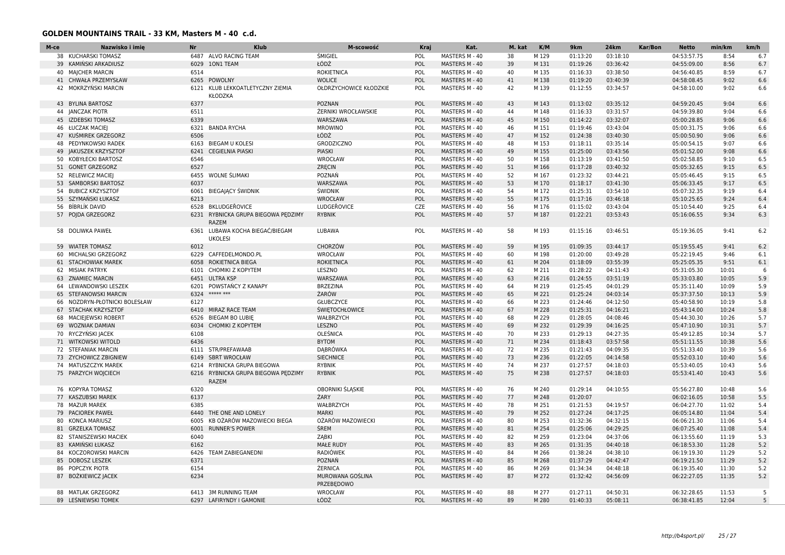### **GOLDEN MOUNTAINS TRAIL - 33 KM, Masters M - 40 c.d.**

| M-ce | Nazwisko i imie               | <b>Nr</b> | <b>Klub</b>                                     | M-scowość                      | Kraj       | Kat.           | M. kat | K/M   | 9km      | <b>24km</b> | Kar/Bon | <b>Netto</b> | min/km | km/h           |
|------|-------------------------------|-----------|-------------------------------------------------|--------------------------------|------------|----------------|--------|-------|----------|-------------|---------|--------------|--------|----------------|
|      | 38 KUCHARSKI TOMASZ           | 6487      | ALVO RACING TEAM                                | ŚMIGIEL                        | POL        | MASTERS M - 40 | 38     | M 129 | 01:13:20 | 03:18:10    |         | 04:53:57.75  | 8:54   | 6.7            |
|      | 39 KAMIŃSKI ARKADIUSZ         | 6029      | <b>10N1 TEAM</b>                                | ŁÓDŹ                           | POL        | MASTERS M - 40 | 39     | M 131 | 01:19:26 | 03:36:42    |         | 04:55:09.00  | 8:56   | 6.7            |
|      | 40 MAJCHER MARCIN             | 6514      |                                                 | <b>ROKIETNICA</b>              | POL        | MASTERS M - 40 | 40     | M 135 | 01:16:33 | 03:38:50    |         | 04:56:40.85  | 8:59   | 6.7            |
|      | 41 CHWAŁA PRZEMYSŁAW          |           | 6265 POWOLNY                                    | <b>WOLICE</b>                  | POL        | MASTERS M - 40 | 41     | M 138 | 01:19:20 | 03:40:39    |         | 04:58:08.45  | 9:02   | 6.6            |
|      | 42 MOKRZYŃSKI MARCIN          |           | 6121 KLUB LEKKOATLETYCZNY ZIEMIA<br>KŁODZKA     | OŁDRZYCHOWICE KŁODZKIE         | POL        | MASTERS M - 40 | 42     | M 139 | 01:12:55 | 03:34:57    |         | 04:58:10.00  | 9:02   | 6.6            |
|      | 43 BYLINA BARTOSZ             | 6377      |                                                 | <b>POZNAN</b>                  | POL        | MASTERS M - 40 | 43     | M 143 | 01:13:02 | 03:35:12    |         | 04:59:20.45  | 9:04   | 6.6            |
|      | 44 JANCZAK PIOTR              | 6511      |                                                 | <b>ŻERNIKI WROCŁAWSKIE</b>     | POL        | MASTERS M - 40 | 44     | M 148 | 01:16:33 | 03:31:57    |         | 04:59:39.80  | 9:04   | 6.6            |
|      | 45 IZDEBSKI TOMASZ            | 6339      |                                                 | WARSZAWA                       | POL        | MASTERS M - 40 | 45     | M 150 | 01:14:22 | 03:32:07    |         | 05:00:28.85  | 9:06   | 6.6            |
|      | 46 ŁUCZAK MACIEJ              | 6321      | <b>BANDA RYCHA</b>                              | <b>MROWINO</b>                 | POL        | MASTERS M - 40 | 46     | M 151 | 01:19:46 | 03:43:04    |         | 05:00:31.75  | 9:06   | 6.6            |
|      | 47 KUŚMIREK GRZEGORZ          | 6506      |                                                 | ŁÓDŹ                           | POL        | MASTERS M - 40 | 47     | M 152 | 01:24:38 | 03:40:30    |         | 05:00:50.90  | 9:06   | 6.6            |
|      | 48 PEDYNKOWSKI RADEK          | 6163      | <b>BIEGAM U KOLESI</b>                          | GRODZICZNO                     | POL        | MASTERS M - 40 | 48     | M 153 | 01:18:11 | 03:35:14    |         | 05:00:54.15  | 9:07   | 6.6            |
| 49   | <b>JAKUSZEK KRZYSZTOF</b>     | 6241      | <b>CEGIELNIA PIASKI</b>                         | <b>PIASKI</b>                  | POL        | MASTERS M - 40 | 49     | M 155 | 01:25:00 | 03:43:56    |         | 05:01:52.00  | 9:08   | 6.6            |
|      | 50 KOBYŁECKI BARTOSZ          | 6546      |                                                 | WROCŁAW                        | POL        | MASTERS M - 40 | 50     | M 158 | 01:13:19 | 03:41:50    |         | 05:02:58.85  | 9:10   | 6.5            |
|      | 51 GONET GRZEGORZ             | 6527      |                                                 | ZRĘCIN                         | POL        | MASTERS M - 40 | 51     | M 166 | 01:17:28 | 03:40:32    |         | 05:05:32.65  | 9:15   | 6.5            |
|      | 52 RELEWICZ MACIEJ            | 6455      | WOLNE ŚLIMAKI                                   | POZNAŃ                         | POL        | MASTERS M - 40 | 52     | M 167 | 01:23:32 | 03:44:21    |         | 05:05:46.45  | 9:15   | 6.5            |
|      | 53 SAMBORSKI BARTOSZ          | 6037      |                                                 | WARSZAWA                       | POL        | MASTERS M - 40 | 53     | M 170 | 01:18:17 | 03:41:30    |         | 05:06:33.45  | 9:17   | 6.5            |
|      | 54 BUBICZ KRZYSZTOF           | 6061      | BIEGAJĄCY ŚWIDNIK                               | ŚWIDNIK                        | POL        | MASTERS M - 40 | 54     | M 172 | 01:25:31 | 03:54:10    |         | 05:07:32.35  | 9:19   | 6.4            |
|      | 55 SZYMAŃSKI ŁUKASZ           | 6213      |                                                 | WROCŁAW                        | POL        | MASTERS M - 40 | 55     | M 175 | 01:17:16 | 03:46:18    |         | 05:10:25.65  | 9:24   | 6.4            |
|      | 56 BÍBRLÍK DAVID              | 6528      | BKLUDGEŘOVICE                                   | LUDGEŘOVICE                    | CZE        | MASTERS M - 40 | 56     | M 176 | 01:15:02 | 03:43:04    |         | 05:10:54.40  | 9:25   | 6.4            |
|      | 57 POJDA GRZEGORZ             |           | 6231 RYBNICKA GRUPA BIEGOWA PEDZIMY             | <b>RYBNIK</b>                  | POL        | MASTERS M - 40 | 57     | M 187 | 01:22:21 | 03:53:43    |         | 05:16:06.55  | 9:34   | 6.3            |
|      | 58 DOLIWKA PAWEŁ              |           | <b>RAZEM</b><br>6361 LUBAWA KOCHA BIEGAC/BIEGAM | LUBAWA                         | POL        | MASTERS M - 40 | 58     | M 193 | 01:15:16 | 03:46:51    |         | 05:19:36.05  | 9:41   | 6.2            |
|      |                               |           | <b>UKOLESI</b>                                  |                                |            |                |        |       |          |             |         |              |        |                |
|      | 59 WIATER TOMASZ              | 6012      |                                                 | CHORZÓW                        | POL        | MASTERS M - 40 | 59     | M 195 | 01:09:35 | 03:44:17    |         | 05:19:55.45  | 9:41   | 6.2            |
| 60   | MICHALSKI GRZEGORZ            | 6229      | CAFFEDELMONDO.PL                                | WROCŁAW                        | POL        | MASTERS M - 40 | 60     | M 198 | 01:20:00 | 03:49:28    |         | 05:22:19.45  | 9:46   | 6.1            |
|      | 61 STACHOWIAK MAREK           | 6058      | ROKIETNICA BIEGA                                | <b>ROKIETNICA</b>              | POL        | MASTERS M - 40 | 61     | M 204 | 01:18:09 | 03:55:39    |         | 05:25:05.35  | 9:51   | 6.1            |
| 62   | MISIAK PATRYK                 | 6101      | CHOMIKI Z KOPYTEM                               | LESZNO                         | POL        | MASTERS M - 40 | 62     | M 211 | 01:28:22 | 04:11:43    |         | 05:31:05.30  | 10:01  | -6             |
|      | 63 ZNAMIEC MARCIN             | 6451      | <b>ULTRA KSP</b>                                | WARSZAWA                       | POL        | MASTERS M - 40 | 63     | M 216 | 01:24:55 | 03:51:19    |         | 05:33:03.80  | 10:05  | 5.9            |
|      | 64 LEWANDOWSKI LESZEK         | 6201      | POWSTANCY Z KANAPY                              | <b>BRZEZINA</b>                | POL        | MASTERS M - 40 | 64     | M 219 | 01:25:45 | 04:01:29    |         | 05:35:11.40  | 10:09  | 5.9            |
| 65   | STEFANOWSKI MARCIN            | 6324      | ***** ***                                       | ŻARÓW                          | POL        | MASTERS M - 40 | 65     | M 221 | 01:25:24 | 04:03:14    |         | 05:37:37.50  | 10:13  | 5.9            |
|      | 66 NOZDRYN-PŁOTNICKI BOLESŁAW | 6127      |                                                 | <b>GŁUBCZYCE</b>               | POL        | MASTERS M - 40 | 66     | M 223 | 01:24:46 | 04:12:50    |         | 05:40:58.90  | 10:19  | 5.8            |
|      | 67 STACHAK KRZYSZTOF          | 6410      | MIRAZ RACE TEAM                                 | <b>SWIETOCHŁOWICE</b>          | POL        | MASTERS M - 40 | 67     | M 228 | 01:25:31 | 04:16:21    |         | 05:43:14.00  | 10:24  | 5.8            |
|      | 68 MACIEJEWSKI ROBERT         | 6526      | <b>BIEGAM BO LUBIE</b>                          | WAŁBRZYCH                      | POL        | MASTERS M - 40 | 68     | M 229 | 01:28:05 | 04:08:46    |         | 05:44:30.30  | 10:26  | 5.7            |
|      | 69 WOZNIAK DAMIAN             | 6034      | <b>CHOMIKI Z KOPYTEM</b>                        | LESZNO                         | POL        | MASTERS M - 40 | 69     | M 232 | 01:29:39 | 04:16:25    |         | 05:47:10.90  | 10:31  | 5.7            |
|      | 70 RYCZYŃSKI JACEK            | 6108      |                                                 | OLEŚNICA                       | POL        | MASTERS M - 40 | 70     | M 233 | 01:29:13 | 04:27:35    |         | 05:49:12.85  | 10:34  | 5.7            |
|      | 71 WITKOWSKI WITOLD           | 6436      |                                                 | <b>BYTOM</b>                   | POL        | MASTERS M - 40 | 71     | M 234 | 01:18:43 | 03:57:58    |         | 05:51:11.55  | 10:38  | 5.6            |
| 72   | STEFANIAK MARCIN              | 6111      | STR/PREFAWAAB                                   | DĄBRÓWKA                       | POL        | MASTERS M - 40 | 72     | M 235 | 01:21:43 | 04:09:35    |         | 05:51:33.40  | 10:39  | 5.6            |
|      | 73 ZYCHOWICZ ZBIGNIEW         | 6149      | <b>SBRT WROCŁAW</b>                             | <b>SIECHNICE</b>               | POL        | MASTERS M - 40 | 73     | M 236 | 01:22:05 | 04:14:58    |         | 05:52:03.10  | 10:40  | 5.6            |
|      | 74 MATUSZCZYK MAREK           | 6214      | RYBNICKA GRUPA BIEGOWA                          | <b>RYBNIK</b>                  | <b>POL</b> | MASTERS M - 40 | 74     | M 237 | 01:27:57 | 04:18:03    |         | 05:53:40.05  | 10:43  | 5.6            |
|      | 75 PARZYCH WOJCIECH           | 6216      | RYBNICKA GRUPA BIEGOWA PEDZIMY<br><b>RAZEM</b>  | <b>RYBNIK</b>                  | POL        | MASTERS M - 40 | 75     | M 238 | 01:27:57 | 04:18:03    |         | 05:53:41.40  | 10:43  | 5.6            |
|      | 76 KOPYRA TOMASZ              | 6320      |                                                 | OBORNIKI ŚLĄSKIE               | POL        | MASTERS M - 40 | 76     | M 240 | 01:29:14 | 04:10:55    |         | 05:56:27.80  | 10:48  | 5.6            |
|      | 77 KASZUBSKI MAREK            | 6137      |                                                 | ŻARY                           | POL        | MASTERS M - 40 | 77     | M 248 | 01:20:07 |             |         | 06:02:16.05  | 10:58  | 5.5            |
| 78   | <b>MAZUR MAREK</b>            | 6385      |                                                 | WAŁBRZYCH                      | POL        | MASTERS M - 40 | 78     | M 251 | 01:21:53 | 04:19:57    |         | 06:04:27.70  | 11:02  | 5.4            |
|      | 79 PACIOREK PAWEŁ             | 6440      | THE ONE AND LONELY                              | <b>MARKI</b>                   | POL        | MASTERS M - 40 | 79     | M 252 | 01:27:24 | 04:17:25    |         | 06:05:14.80  | 11:04  | 5.4            |
|      | 80 KONCA MARIUSZ              | 6005      | KB OŻARÓW MAZOWIECKI BIEGA                      | OŻARÓW MAZOWIECKI              | POL        | MASTERS M - 40 | 80     | M 253 | 01:32:36 | 04:32:15    |         | 06:06:21.30  | 11:06  | 5.4            |
| 81   | <b>GRZELKA TOMASZ</b>         | 6001      | <b>RUNNER'S POWER</b>                           | ŚREM                           | POL        | MASTERS M - 40 | 81     | M 254 | 01:25:06 | 04:29:25    |         | 06:07:25.40  | 11:08  | 5.4            |
| 82   | STANISZEWSKI MACIEK           | 6040      |                                                 | ZABKI                          | <b>POL</b> | MASTERS M - 40 | 82     | M 259 | 01:23:04 | 04:37:06    |         | 06:13:55.60  | 11:19  | 5.3            |
|      | 83 KAMIŃSKI ŁUKASZ            | 6162      |                                                 | <b>MAŁE RUDY</b>               | POL        | MASTERS M - 40 | 83     | M 265 | 01:31:35 | 04:40:18    |         | 06:18:53.30  | 11:28  | 5.2            |
|      | 84 KOCZOROWSKI MARCIN         | 6426      | <b>TEAM ZABIEGANEDNI</b>                        | RADIÓWEK                       | POL        | MASTERS M - 40 | 84     | M 266 | 01:38:24 | 04:38:10    |         | 06:19:19.30  | 11:29  | 5.2            |
|      | 85 DOBOSZ LESZEK              | 6371      |                                                 | POZNAŃ                         | POL        | MASTERS M - 40 | 85     | M 268 | 01:37:29 | 04:42:47    |         | 06:19:21.50  | 11:29  | 5.2            |
|      | 86 POPCZYK PIOTR              | 6154      |                                                 | <b>ŻERNICA</b>                 | POL        | MASTERS M - 40 | 86     | M 269 | 01:34:34 | 04:48:18    |         | 06:19:35.40  | 11:30  | 5.2            |
|      | 87 BOŻKIEWICZ JACEK           | 6234      |                                                 | MUROWANA GOŚLINA<br>PRZEBĘDOWO | POL        | MASTERS M - 40 | 87     | M 272 | 01:32:42 | 04:56:09    |         | 06:22:27.05  | 11:35  | 5.2            |
| 88.  | <b>MATLAK GRZEGORZ</b>        | 6413      | <b>3M RUNNING TEAM</b>                          | <b>WROCŁAW</b>                 | POL        | MASTERS M - 40 | 88     | M 277 | 01:27:11 | 04:50:31    |         | 06:32:28.65  | 11:53  | $\overline{5}$ |
|      | 89 LEŚNIEWSKI TOMEK           |           | 6297 LAFIRYNDY I GAMONIE                        | ŁÓDŹ                           | POL        | MASTERS M - 40 | 89     | M 280 | 01:40:33 | 05:08:11    |         | 06:38:41.85  | 12:04  | 5              |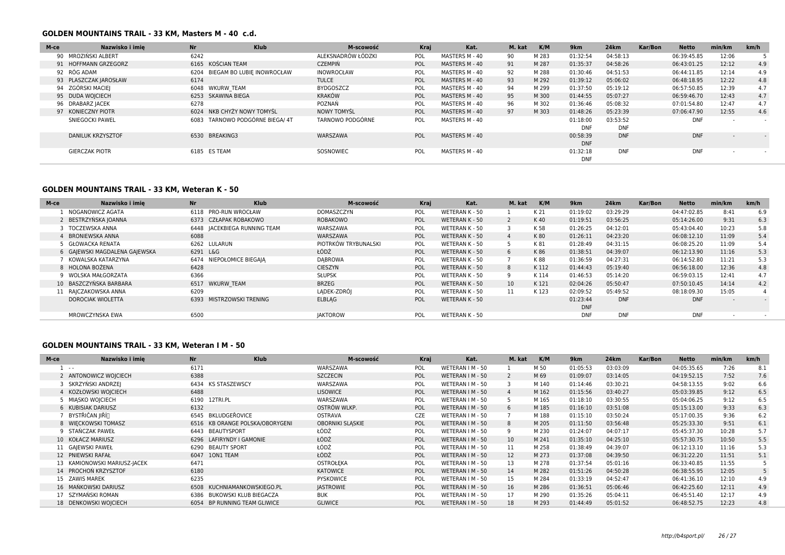### **GOLDEN MOUNTAINS TRAIL - 33 KM, Masters M - 40 c.d.**

| M-ce | Nazwisko i imie       | <b>Nr</b> | <b>Klub</b>                     | M-scowość          | Kraj       | Kat.           | M. kat | K/M   | 9 <sub>km</sub> | <b>24km</b> | Kar/Bon | <b>Netto</b> | min/km                   | km/h   |
|------|-----------------------|-----------|---------------------------------|--------------------|------------|----------------|--------|-------|-----------------|-------------|---------|--------------|--------------------------|--------|
|      | 90 MROZIŃSKI ALBERT   | 6242      |                                 | ALEKSNADRÓW ŁÓDZKI | <b>POL</b> | MASTERS M - 40 | 90     | M 283 | 01:32:54        | 04:58:13    |         | 06:39:45.85  | 12:06                    |        |
|      | 91 HOFFMANN GRZEGORZ  |           | 6165 KOŚCIAN TEAM               | <b>CZEMPIŃ</b>     | POL        | MASTERS M - 40 | 91     | M 287 | 01:35:37        | 04:58:26    |         | 06:43:01.25  | 12:12                    | 4.9    |
|      | 92 RÓG ADAM           |           | 6204 BIEGAM BO LUBIE INOWROCŁAW | <b>INOWROCŁAW</b>  | POL        | MASTERS M - 40 | 92     | M 288 | 01:30:46        | 04:51:53    |         | 06:44:11.85  | 12:14                    | 4.9    |
|      | 93 PLASZCZAK JAROSŁAW | 6174      |                                 | <b>TULCE</b>       | <b>POL</b> | MASTERS M - 40 | 93     | M 292 | 01:39:12        | 05:06:02    |         | 06:48:18.95  | 12:22                    | 4.8    |
|      | 94 ZGÓRSKI MACIEI     |           | 6048 WKURW TEAM                 | <b>BYDGOSZCZ</b>   | POL        | MASTERS M - 40 | 94     | M 299 | 01:37:50        | 05:19:12    |         | 06:57:50.85  | 12:39                    | 4.7    |
|      | 95 DUDA WOJCIECH      |           | 6253 SKAWINA BIEGA              | KRAKÓW             | POL        | MASTERS M - 40 | 95     | M 300 | 01:44:55        | 05:07:27    |         | 06:59:46.70  | 12:43                    | 4.7    |
|      | 96 DRABARZ IACEK      | 6278      |                                 | POZNAŃ             | POL        | MASTERS M - 40 | 96     | M 302 | 01:36:46        | 05:08:32    |         | 07:01:54.80  | 12:47                    | 4.7    |
|      | 97 KONIECZNY PIOTR    |           | 6024 NKB CHYŻY NOWY TOMYŚL      | <b>NOWY TOMYSL</b> | POL        | MASTERS M - 40 | 97     | M 303 | 01:48:26        | 05:23:39    |         | 07:06:47.90  | 12:55                    | 4.6    |
|      | SNIEGOCKI PAWEL       |           | 6083 TARNOWO PODGÓRNE BIEGA/ 4T | TARNOWO PODGÓRNE   | <b>POL</b> | MASTERS M - 40 |        |       | 01:18:00        | 03:53:52    |         | <b>DNF</b>   | $\sim$                   | $\sim$ |
|      |                       |           |                                 |                    |            |                |        |       | <b>DNF</b>      | <b>DNF</b>  |         |              |                          |        |
|      | DANILUK KRZYSZTOF     |           | 6530 BREAKING3                  | WARSZAWA           | POL        | MASTERS M - 40 |        |       | 00:58:39        | <b>DNF</b>  |         | <b>DNF</b>   | $\overline{\phantom{0}}$ | $\sim$ |
|      |                       |           |                                 |                    |            |                |        |       | <b>DNF</b>      |             |         |              |                          |        |
|      | <b>GIERCZAK PIOTR</b> |           | 6185 ES TEAM                    | SOSNOWIEC          | POL        | MASTERS M - 40 |        |       | 01:32:18        | <b>DNF</b>  |         | <b>DNF</b>   |                          |        |
|      |                       |           |                                 |                    |            |                |        |       | <b>DNF</b>      |             |         |              |                          |        |

### **GOLDEN MOUNTAINS TRAIL - 33 KM, Weteran K - 50**

| M-ce | Nazwisko i imie               | <b>Nr</b> | <b>Klub</b>                  | M-scowość            | Kraj       | Kat.           | M. kat          | K/M  | 9 <sub>km</sub> | 24km       | Kar/Bon | <b>Netto</b> | min/km                   | km/h |
|------|-------------------------------|-----------|------------------------------|----------------------|------------|----------------|-----------------|------|-----------------|------------|---------|--------------|--------------------------|------|
|      | NOGANOWICZ AGATA              |           | 6118 PRO-RUN WROCŁAW         | DOMASZCZYN           | POL        | WETERAN K - 50 |                 | K 21 | 01:19:02        | 03:29:29   |         | 04:47:02.85  | 8:41                     | 6.9  |
|      | 2 BESTRZYŃSKA JOANNA          |           | 6373 CZŁAPAK ROBAKOWO        | <b>ROBAKOWO</b>      | POL        | WETERAN K - 50 |                 | K40  | 01:19:51        | 03:56:25   |         | 05:14:26.00  | 9:31                     | 6.3  |
|      | 3 TOCZEWSKA ANNA              |           | 6448 IACEKBIEGA RUNNING TEAM | WARSZAWA             | POL        | WETERAN K - 50 | 3               | K 58 | 01:26:25        | 04:12:01   |         | 05:43:04.40  | 10:23                    | 5.8  |
|      | 4 BRONIEWSKA ANNA             | 6088      |                              | WARSZAWA             | POL        | WETERAN K - 50 | 4               | K80  | 01:26:11        | 04:23:20   |         | 06:08:12.10  | 11:09                    | 5.4  |
|      | 5 GŁOWACKA RENATA             |           | 6262 LULARUN                 | PIOTRKÓW TRYBUNALSKI | <b>POL</b> | WETERAN K - 50 |                 | K 81 | 01:28:49        | 04:31:15   |         | 06:08:25.20  | 11:09                    | 5.4  |
|      | 6 GAJEWSKI MAGDALENA GAJEWSKA | 6291 L&G  |                              | ŁÓDŹ                 | POL        | WETERAN K - 50 | 6               | K 86 | 01:38:51        | 04:39:07   |         | 06:12:13.90  | 11:16                    | 5.3  |
|      | KOWALSKA KATARZYNA            |           | 6474 NIEPOŁOMICE BIEGAJĄ     | <b>DABROWA</b>       | POL        | WETERAN K - 50 |                 | K 88 | 01:36:59        | 04:27:31   |         | 06:14:52.80  | 11:21                    | 5.3  |
|      | 8 HOLONA BOŻENA               | 6428      |                              | <b>CIESZYN</b>       | POL        | WETERAN K - 50 | 8               | K112 | 01:44:43        | 05:19:40   |         | 06:56:18.00  | 12:36                    | 4.8  |
|      | 9 WOLSKA MAŁGORZATA           | 6366      |                              | <b>SŁUPSK</b>        | POL        | WETERAN K - 50 | <b>q</b>        | K114 | 01:46:53        | 05:14:20   |         | 06:59:03.15  | 12:41                    | 4.7  |
|      | 10 BASZCZYŃSKA BARBARA        |           | 6517 WKURW TEAM              | <b>BRZEG</b>         | POL        | WETERAN K - 50 | 10 <sup>1</sup> | K121 | 02:04:26        | 05:50:47   |         | 07:50:10.45  | 14:14                    | 4.2  |
|      | 11 RAJCZAKOWSKA ANNA          | 6209      |                              | LADEK-ZDRÓJ          | POL        | WETERAN K - 50 | 11              | K123 | 02:09:52        | 05:49:52   |         | 08:18:09.30  | 15:05                    |      |
|      | <b>DOROCIAK WIOLETTA</b>      |           | 6393 MISTRZOWSKI TRENING     | ELBLAG               | POL        | WETERAN K - 50 |                 |      | 01:23:44        | <b>DNF</b> |         | <b>DNF</b>   | $\overline{\phantom{a}}$ |      |
|      |                               |           |                              |                      |            |                |                 |      | <b>DNF</b>      |            |         |              |                          |      |
|      | MROWCZYNSKA EWA               | 6500      |                              | <b>JAKTOROW</b>      | <b>POL</b> | WETERAN K - 50 |                 |      | <b>DNF</b>      | <b>DNF</b> |         | <b>DNF</b>   | $\overline{\phantom{a}}$ |      |

### **GOLDEN MOUNTAINS TRAIL - 33 KM, Weteran I M - 50**

| M-ce | <b>Nr</b><br>Nazwisko i imie |      | <b>Klub</b>                     | M-scowość               | <b>Kraj</b> | Kat.             | M. kat            | K/M   | 9 <sub>km</sub> | 24km     | Kar/Bon | <b>Netto</b> | min/km | km/h |
|------|------------------------------|------|---------------------------------|-------------------------|-------------|------------------|-------------------|-------|-----------------|----------|---------|--------------|--------|------|
|      | $\sim$ $-$                   | 6171 |                                 | WARSZAWA                | <b>POL</b>  | WETERAN I M - 50 |                   | M 50  | 01:05:53        | 03:03:09 |         | 04:05:35.65  | 7:26   | 8.1  |
|      | 2 ANTONOWICZ WOJCIECH        | 6388 |                                 | <b>SZCZECIN</b>         | POL         | WETERAN I M - 50 |                   | M 69  | 01:09:07        | 03:14:05 |         | 04:19:52.15  | 7:52   | 7.6  |
|      | 3 SKRZYŃSKI ANDRZEJ          | 6434 | <b>KS STASZEWSCY</b>            | WARSZAWA                | POL         | WETERAN I M - 50 |                   | M 140 | 01:14:46        | 03:30:21 |         | 04:58:13.55  | 9:02   | 6.6  |
|      | 4 KOZŁOWSKI WOJCIECH         | 6488 |                                 | <b>LISOWICE</b>         | POL         | WETERAN I M - 50 |                   | M 162 | 01:15:56        | 03:40:27 |         | 05:03:39.85  | 9:12   | 6.5  |
|      | 5 MIASKO WOJCIECH            | 6190 | 12TRI.PL                        | WARSZAWA                | POL         | WETERAN I M - 50 |                   | M 165 | 01:18:10        | 03:30:55 |         | 05:04:06.25  | 9:12   | 6.5  |
|      | 6 KUBISIAK DARIUSZ           | 6132 |                                 | OSTRÓW WLKP.            | POL         | WETERAN I M - 50 | 6                 | M 185 | 01:16:10        | 03:51:08 |         | 05:15:13.00  | 9:33   | 6.3  |
|      | 7 BYSTŘIČAN IIŘÍN            |      | 6545 BKLUDGEŘOVICE              | <b>OSTRAVA</b>          | <b>CZE</b>  | WETERAN I M - 50 |                   | M 188 | 01:15:10        | 03:50:24 |         | 05:17:00.35  | 9:36   | 6.2  |
|      | 8 WIECKOWSKI TOMASZ          |      | 6516 KB ORANGE POLSKA/OBORYGENI | <b>OBORNIKI SLASKIE</b> | POL         | WETERAN I M - 50 | 8                 | M 205 | 01:11:50        | 03:56:48 |         | 05:25:33.30  | 9:51   | 6.1  |
|      | 9 STAŃCZAK PAWEŁ             | 6443 | <b>BEAUTYSPORT</b>              | ŁÓDŹ                    | POL         | WETERAN I M - 50 | 9                 | M 230 | 01:24:07        | 04:07:17 |         | 05:45:37.30  | 10:28  | 5.7  |
|      | 10 KOŁACZ MARIUSZ            |      | 6296 LAFIRYNDY I GAMONIE        | ŁÓDŹ                    | POL         | WETERAN I M - 50 | 10 <sup>°</sup>   | M 241 | 01:35:10        | 04:25:10 |         | 05:57:30.75  | 10:50  | 5.5  |
|      | 11 GAJEWSKI PAWEŁ            | 6290 | <b>BEAUTY SPORT</b>             | ŁÓDŹ                    | POL         | WETERAN I M - 50 | 11                | M 258 | 01:38:49        | 04:39:07 |         | 06:12:13.10  | 11:16  | 5.3  |
|      | 12 PNIEWSKI RAFAŁ            | 6047 | 10N1 TEAM                       | ŁÓDŹ                    | POL         | WETERAN I M - 50 | $12 \overline{ }$ | M 273 | 01:37:08        | 04:39:50 |         | 06:31:22.20  | 11:51  | 5.1  |
|      | 13 KAMIONOWSKI MARIUSZ-JACEK | 6471 |                                 | <b>OSTROŁEKA</b>        | POL         | WETERAN I M - 50 | 13                | M 278 | 01:37:54        | 05:01:16 |         | 06:33:40.85  | 11:55  |      |
|      | 14 PROCHOŃ KRZYSZTOF         | 6180 |                                 | KATOWICE                | POL         | WETERAN I M - 50 | 14                | M 282 | 01:51:26        | 04:50:28 |         | 06:38:55.95  | 12:05  |      |
|      | 15 ZAWIS MAREK               | 6235 |                                 | <b>PYSKOWICE</b>        | POL         | WETERAN I M - 50 | 15                | M 284 | 01:33:19        | 04:52:47 |         | 06:41:36.10  | 12:10  | 4.9  |
|      | 16 MAŃKOWSKI DARIUSZ         |      | 6508 KUCHNIAMANKOWSKIEGO.PL     | <b>JASTROWIE</b>        | POL         | WETERAN I M - 50 | 16                | M 286 | 01:36:51        | 05:06:46 |         | 06:42:25.60  | 12:11  | 4.9  |
|      | 17 SZYMAŃSKI ROMAN           | 6386 | BUKOWSKI KLUB BIEGACZA          | <b>BUK</b>              | POL         | WETERAN I M - 50 | 17                | M 290 | 01:35:26        | 05:04:11 |         | 06:45:51.40  | 12:17  | 4.9  |
|      | 18 DENKOWSKI WOJCIECH        |      | 6054 BP RUNNING TEAM GLIWICE    | <b>GLIWICE</b>          | POL         | WETERAN I M - 50 | 18                | M 293 | 01:44:49        | 05:01:52 |         | 06:48:52.75  | 12:23  | 4.8  |